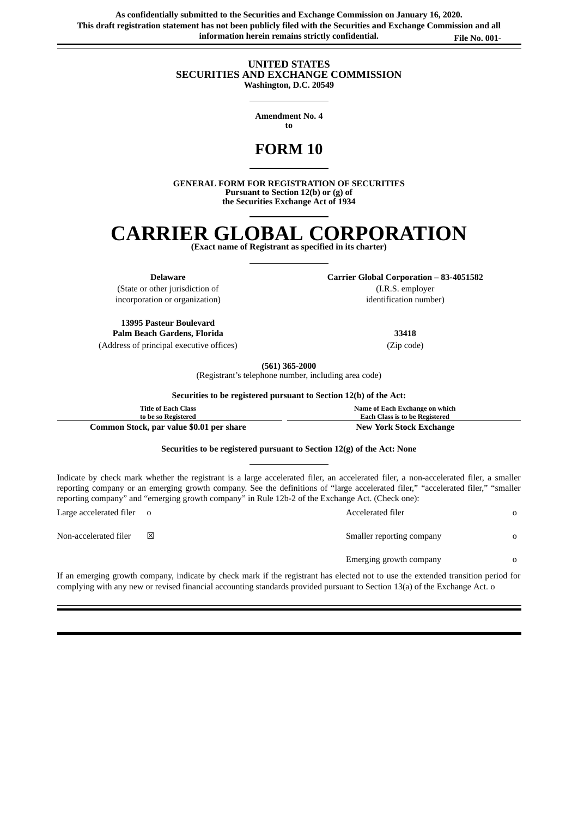**As confidentially submitted to the Securities and Exchange Commission on January 16, 2020.** This draft registration statement has not been publicly filed with the Securities and Exchange Commission and all **information herein remains strictly confidential. File No. 001-**

> **UNITED STATES SECURITIES AND EXCHANGE COMMISSION Washington, D.C. 20549**

> > **Amendment No. 4**

**to**

# **FORM 10**

**GENERAL FORM FOR REGISTRATION OF SECURITIES Pursuant to Section 12(b) or (g) of the Securities Exchange Act of 1934**

# **CARRIER GLOBAL CORPORATION**

**(Exact name of Registrant as specified in its charter)**

**Delaware Carrier Global Corporation – 83-4051582**

(State or other jurisdiction of incorporation or organization)

**13995 Pasteur Boulevard Palm Beach Gardens, Florida 33418**

(Address of principal executive offices) (Zip code)

**(561) 365-2000**

(Registrant's telephone number, including area code)

**Securities to be registered pursuant to Section 12(b) of the Act:**

**Title of Each Class to be so Registered**

**Common Stock, par value \$0.01 per share New York Stock Exchange**

**Each Class is to be Registered**

**Securities to be registered pursuant to Section 12(g) of the Act: None**

Indicate by check mark whether the registrant is a large accelerated filer, an accelerated filer, a non-accelerated filer, a smaller reporting company or an emerging growth company. See the definitions of "large accelerated filer," "accelerated filer," "smaller reporting company" and "emerging growth company" in Rule 12b-2 of the Exchange Act. (Check one):

| Large accelerated filer o |   | Accelerated filer         | $\Omega$     |
|---------------------------|---|---------------------------|--------------|
| Non-accelerated filer     | ⊠ | Smaller reporting company | $\Omega$     |
|                           |   | Emerging growth company   | $\mathbf{O}$ |

If an emerging growth company, indicate by check mark if the registrant has elected not to use the extended transition period for complying with any new or revised financial accounting standards provided pursuant to Section 13(a) of the Exchange Act. o

(I.R.S. employer identification number)

**Name of Each Exchange on which**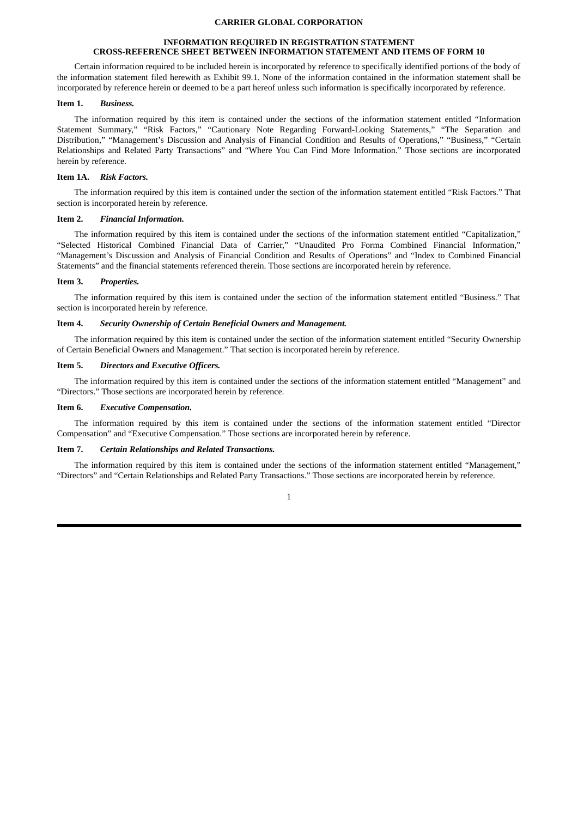### **CARRIER GLOBAL CORPORATION**

### **INFORMATION REQUIRED IN REGISTRATION STATEMENT CROSS-REFERENCE SHEET BETWEEN INFORMATION STATEMENT AND ITEMS OF FORM 10**

Certain information required to be included herein is incorporated by reference to specifically identified portions of the body of the information statement filed herewith as Exhibit 99.1. None of the information contained in the information statement shall be incorporated by reference herein or deemed to be a part hereof unless such information is specifically incorporated by reference.

### **Item 1.** *Business.*

The information required by this item is contained under the sections of the information statement entitled "Information Statement Summary," "Risk Factors," "Cautionary Note Regarding Forward-Looking Statements," "The Separation and Distribution," "Management's Discussion and Analysis of Financial Condition and Results of Operations," "Business," "Certain Relationships and Related Party Transactions" and "Where You Can Find More Information." Those sections are incorporated herein by reference.

### **Item 1A.** *Risk Factors.*

The information required by this item is contained under the section of the information statement entitled "Risk Factors." That section is incorporated herein by reference.

### **Item 2.** *Financial Information.*

The information required by this item is contained under the sections of the information statement entitled "Capitalization," "Selected Historical Combined Financial Data of Carrier," "Unaudited Pro Forma Combined Financial Information," "Management's Discussion and Analysis of Financial Condition and Results of Operations" and "Index to Combined Financial Statements" and the financial statements referenced therein. Those sections are incorporated herein by reference.

#### **Item 3.** *Properties.*

The information required by this item is contained under the section of the information statement entitled "Business." That section is incorporated herein by reference.

### **Item 4.** *Security Ownership of Certain Beneficial Owners and Management.*

The information required by this item is contained under the section of the information statement entitled "Security Ownership of Certain Beneficial Owners and Management." That section is incorporated herein by reference.

### **Item 5.** *Directors and Executive Officers.*

The information required by this item is contained under the sections of the information statement entitled "Management" and "Directors." Those sections are incorporated herein by reference.

#### **Item 6.** *Executive Compensation.*

The information required by this item is contained under the sections of the information statement entitled "Director Compensation" and "Executive Compensation." Those sections are incorporated herein by reference.

### **Item 7.** *Certain Relationships and Related Transactions.*

The information required by this item is contained under the sections of the information statement entitled "Management," "Directors" and "Certain Relationships and Related Party Transactions." Those sections are incorporated herein by reference.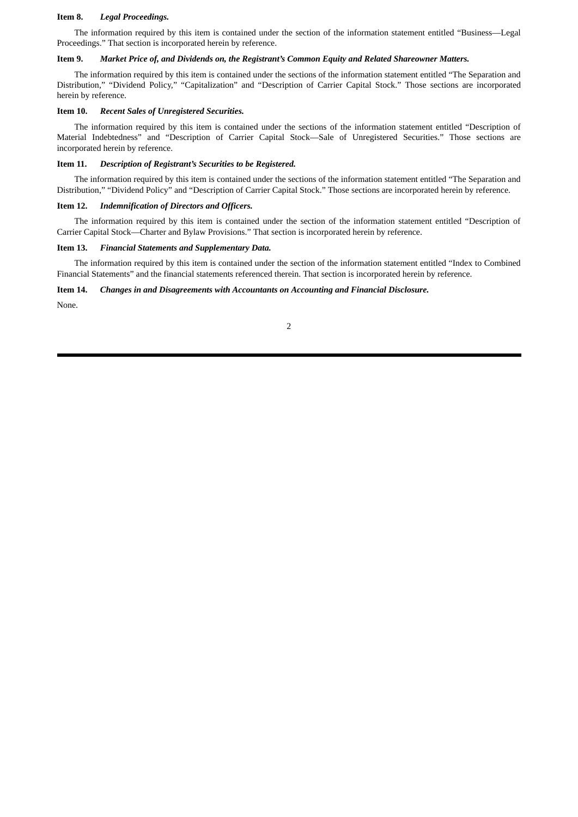#### **Item 8.** *Legal Proceedings.*

The information required by this item is contained under the section of the information statement entitled "Business—Legal Proceedings." That section is incorporated herein by reference.

#### **Item 9.** *Market Price of, and Dividends on, the Registrant's Common Equity and Related Shareowner Matters.*

The information required by this item is contained under the sections of the information statement entitled "The Separation and Distribution," "Dividend Policy," "Capitalization" and "Description of Carrier Capital Stock." Those sections are incorporated herein by reference.

### **Item 10.** *Recent Sales of Unregistered Securities.*

The information required by this item is contained under the sections of the information statement entitled "Description of Material Indebtedness" and "Description of Carrier Capital Stock—Sale of Unregistered Securities." Those sections are incorporated herein by reference.

### **Item 11.** *Description of Registrant's Securities to be Registered.*

The information required by this item is contained under the sections of the information statement entitled "The Separation and Distribution," "Dividend Policy" and "Description of Carrier Capital Stock." Those sections are incorporated herein by reference.

#### **Item 12.** *Indemnification of Directors and Officers.*

The information required by this item is contained under the section of the information statement entitled "Description of Carrier Capital Stock—Charter and Bylaw Provisions." That section is incorporated herein by reference.

#### **Item 13.** *Financial Statements and Supplementary Data.*

The information required by this item is contained under the section of the information statement entitled "Index to Combined Financial Statements" and the financial statements referenced therein. That section is incorporated herein by reference.

#### **Item 14.** *Changes in and Disagreements with Accountants on Accounting and Financial Disclosure.*

None.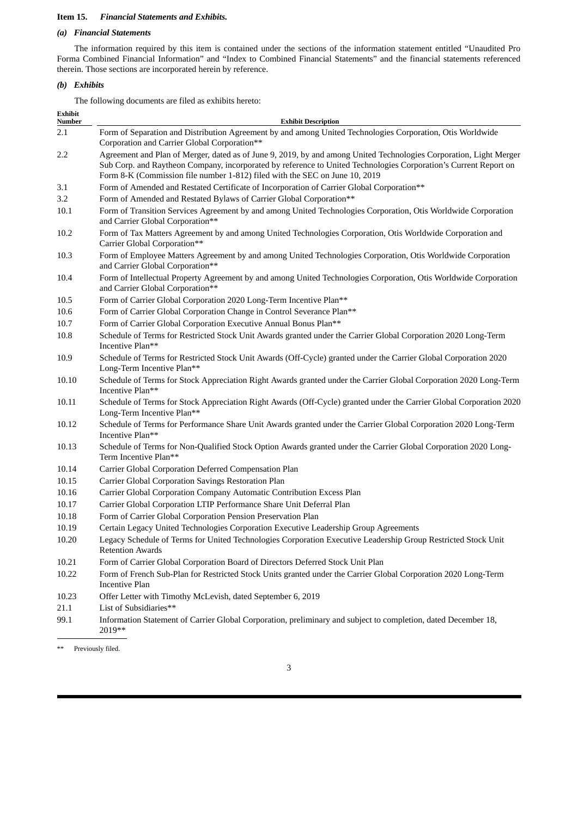### **Item 15.** *Financial Statements and Exhibits.*

### *(a) Financial Statements*

The information required by this item is contained under the sections of the information statement entitled "Unaudited Pro Forma Combined Financial Information" and "Index to Combined Financial Statements" and the financial statements referenced therein. Those sections are incorporated herein by reference.

### *(b) Exhibits*

The following documents are filed as exhibits hereto:

| <b>Exhibit</b><br>Number | <b>Exhibit Description</b>                                                                                                                                                                                                                                                                                            |  |
|--------------------------|-----------------------------------------------------------------------------------------------------------------------------------------------------------------------------------------------------------------------------------------------------------------------------------------------------------------------|--|
| 2.1                      | Form of Separation and Distribution Agreement by and among United Technologies Corporation, Otis Worldwide<br>Corporation and Carrier Global Corporation**                                                                                                                                                            |  |
| 2.2                      | Agreement and Plan of Merger, dated as of June 9, 2019, by and among United Technologies Corporation, Light Merger<br>Sub Corp. and Raytheon Company, incorporated by reference to United Technologies Corporation's Current Report on<br>Form 8-K (Commission file number 1-812) filed with the SEC on June 10, 2019 |  |
| 3.1                      | Form of Amended and Restated Certificate of Incorporation of Carrier Global Corporation**                                                                                                                                                                                                                             |  |
| 3.2                      | Form of Amended and Restated Bylaws of Carrier Global Corporation**                                                                                                                                                                                                                                                   |  |
| 10.1                     | Form of Transition Services Agreement by and among United Technologies Corporation, Otis Worldwide Corporation<br>and Carrier Global Corporation**                                                                                                                                                                    |  |
| 10.2                     | Form of Tax Matters Agreement by and among United Technologies Corporation, Otis Worldwide Corporation and<br>Carrier Global Corporation**                                                                                                                                                                            |  |
| 10.3                     | Form of Employee Matters Agreement by and among United Technologies Corporation, Otis Worldwide Corporation<br>and Carrier Global Corporation**                                                                                                                                                                       |  |
| 10.4                     | Form of Intellectual Property Agreement by and among United Technologies Corporation, Otis Worldwide Corporation<br>and Carrier Global Corporation**                                                                                                                                                                  |  |
| 10.5                     | Form of Carrier Global Corporation 2020 Long-Term Incentive Plan**                                                                                                                                                                                                                                                    |  |
| 10.6                     | Form of Carrier Global Corporation Change in Control Severance Plan**                                                                                                                                                                                                                                                 |  |
| 10.7                     | Form of Carrier Global Corporation Executive Annual Bonus Plan**                                                                                                                                                                                                                                                      |  |
| 10.8                     | Schedule of Terms for Restricted Stock Unit Awards granted under the Carrier Global Corporation 2020 Long-Term<br>Incentive Plan**                                                                                                                                                                                    |  |
| 10.9                     | Schedule of Terms for Restricted Stock Unit Awards (Off-Cycle) granted under the Carrier Global Corporation 2020<br>Long-Term Incentive Plan**                                                                                                                                                                        |  |
| 10.10                    | Schedule of Terms for Stock Appreciation Right Awards granted under the Carrier Global Corporation 2020 Long-Term<br>Incentive Plan**                                                                                                                                                                                 |  |
| 10.11                    | Schedule of Terms for Stock Appreciation Right Awards (Off-Cycle) granted under the Carrier Global Corporation 2020<br>Long-Term Incentive Plan**                                                                                                                                                                     |  |
| 10.12                    | Schedule of Terms for Performance Share Unit Awards granted under the Carrier Global Corporation 2020 Long-Term<br>Incentive Plan**                                                                                                                                                                                   |  |
| 10.13                    | Schedule of Terms for Non-Qualified Stock Option Awards granted under the Carrier Global Corporation 2020 Long-<br>Term Incentive Plan**                                                                                                                                                                              |  |
| 10.14                    | Carrier Global Corporation Deferred Compensation Plan                                                                                                                                                                                                                                                                 |  |
| 10.15                    | Carrier Global Corporation Savings Restoration Plan                                                                                                                                                                                                                                                                   |  |
| 10.16                    | Carrier Global Corporation Company Automatic Contribution Excess Plan                                                                                                                                                                                                                                                 |  |
| 10.17                    | Carrier Global Corporation LTIP Performance Share Unit Deferral Plan                                                                                                                                                                                                                                                  |  |
| 10.18                    | Form of Carrier Global Corporation Pension Preservation Plan                                                                                                                                                                                                                                                          |  |
| 10.19                    | Certain Legacy United Technologies Corporation Executive Leadership Group Agreements                                                                                                                                                                                                                                  |  |
| 10.20                    | Legacy Schedule of Terms for United Technologies Corporation Executive Leadership Group Restricted Stock Unit<br><b>Retention Awards</b>                                                                                                                                                                              |  |
| 10.21                    | Form of Carrier Global Corporation Board of Directors Deferred Stock Unit Plan                                                                                                                                                                                                                                        |  |
| 10.22                    | Form of French Sub-Plan for Restricted Stock Units granted under the Carrier Global Corporation 2020 Long-Term<br><b>Incentive Plan</b>                                                                                                                                                                               |  |
| 10.23                    | Offer Letter with Timothy McLevish, dated September 6, 2019                                                                                                                                                                                                                                                           |  |
| 21.1                     | List of Subsidiaries**                                                                                                                                                                                                                                                                                                |  |
| 99.1                     | Information Statement of Carrier Global Corporation, preliminary and subject to completion, dated December 18,<br>2019**                                                                                                                                                                                              |  |

\*\* Previously filed.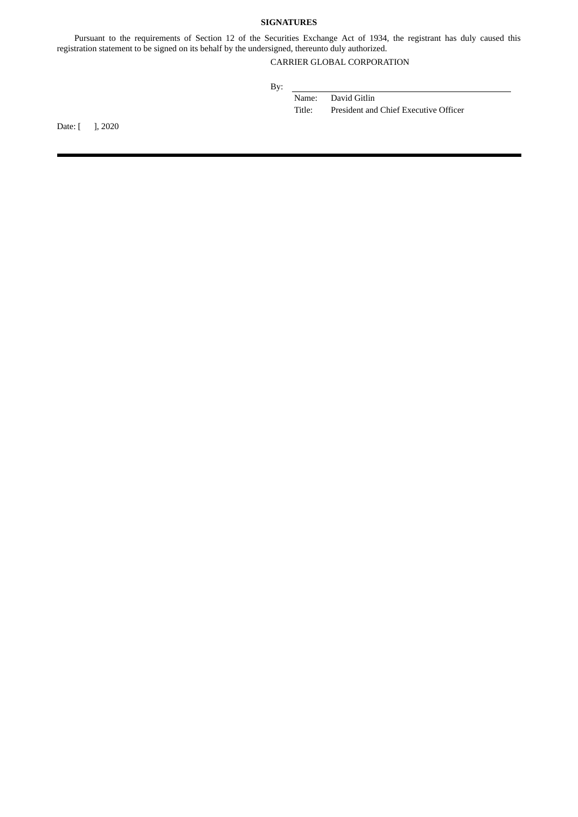### **SIGNATURES**

Pursuant to the requirements of Section 12 of the Securities Exchange Act of 1934, the registrant has duly caused this registration statement to be signed on its behalf by the undersigned, thereunto duly authorized.

### CARRIER GLOBAL CORPORATION

By:

Name: David Gitlin Title: President and Chief Executive Officer

Date: [ ], 2020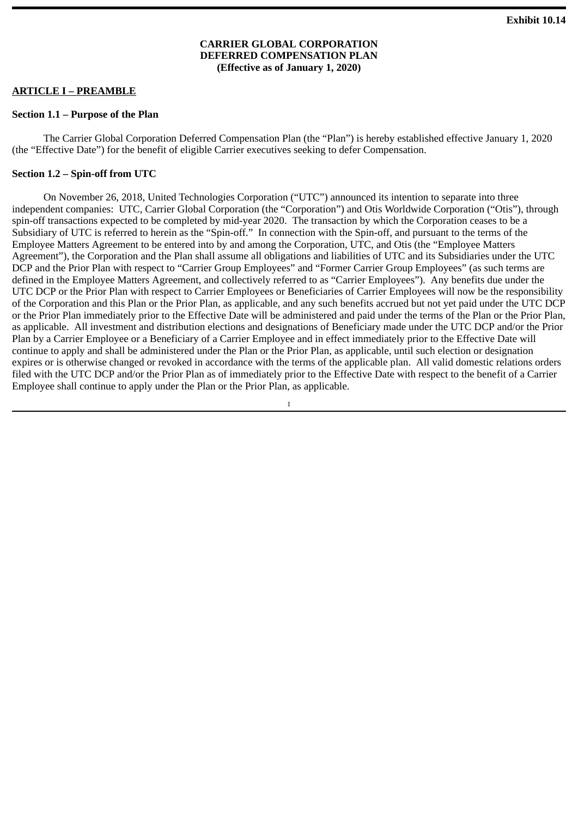# **CARRIER GLOBAL CORPORATION DEFERRED COMPENSATION PLAN (Effective as of January 1, 2020)**

# **ARTICLE I – PREAMBLE**

### **Section 1.1 – Purpose of the Plan**

The Carrier Global Corporation Deferred Compensation Plan (the "Plan") is hereby established effective January 1, 2020 (the "Effective Date") for the benefit of eligible Carrier executives seeking to defer Compensation.

# **Section 1.2 – Spin-off from UTC**

On November 26, 2018, United Technologies Corporation ("UTC") announced its intention to separate into three independent companies: UTC, Carrier Global Corporation (the "Corporation") and Otis Worldwide Corporation ("Otis"), through spin-off transactions expected to be completed by mid-year 2020. The transaction by which the Corporation ceases to be a Subsidiary of UTC is referred to herein as the "Spin-off." In connection with the Spin-off, and pursuant to the terms of the Employee Matters Agreement to be entered into by and among the Corporation, UTC, and Otis (the "Employee Matters Agreement"), the Corporation and the Plan shall assume all obligations and liabilities of UTC and its Subsidiaries under the UTC DCP and the Prior Plan with respect to "Carrier Group Employees" and "Former Carrier Group Employees" (as such terms are defined in the Employee Matters Agreement, and collectively referred to as "Carrier Employees"). Any benefits due under the UTC DCP or the Prior Plan with respect to Carrier Employees or Beneficiaries of Carrier Employees will now be the responsibility of the Corporation and this Plan or the Prior Plan, as applicable, and any such benefits accrued but not yet paid under the UTC DCP or the Prior Plan immediately prior to the Effective Date will be administered and paid under the terms of the Plan or the Prior Plan, as applicable. All investment and distribution elections and designations of Beneficiary made under the UTC DCP and/or the Prior Plan by a Carrier Employee or a Beneficiary of a Carrier Employee and in effect immediately prior to the Effective Date will continue to apply and shall be administered under the Plan or the Prior Plan, as applicable, until such election or designation expires or is otherwise changed or revoked in accordance with the terms of the applicable plan. All valid domestic relations orders filed with the UTC DCP and/or the Prior Plan as of immediately prior to the Effective Date with respect to the benefit of a Carrier Employee shall continue to apply under the Plan or the Prior Plan, as applicable.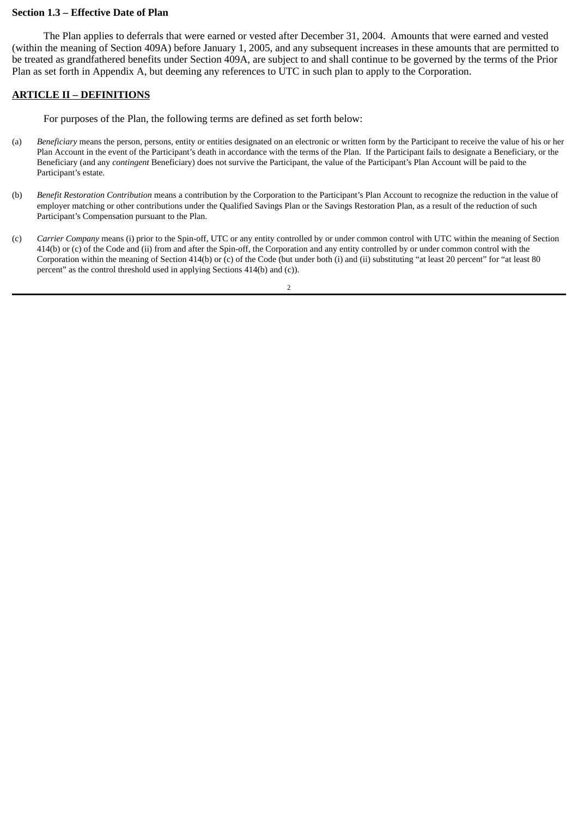# **Section 1.3 – Effective Date of Plan**

The Plan applies to deferrals that were earned or vested after December 31, 2004. Amounts that were earned and vested (within the meaning of Section 409A) before January 1, 2005, and any subsequent increases in these amounts that are permitted to be treated as grandfathered benefits under Section 409A, are subject to and shall continue to be governed by the terms of the Prior Plan as set forth in Appendix A, but deeming any references to UTC in such plan to apply to the Corporation.

# **ARTICLE II – DEFINITIONS**

For purposes of the Plan, the following terms are defined as set forth below:

- (a) *Beneficiary* means the person, persons, entity or entities designated on an electronic or written form by the Participant to receive the value of his or her Plan Account in the event of the Participant's death in accordance with the terms of the Plan. If the Participant fails to designate a Beneficiary, or the Beneficiary (and any *contingent* Beneficiary) does not survive the Participant, the value of the Participant's Plan Account will be paid to the Participant's estate.
- (b) *Benefit Restoration Contribution* means a contribution by the Corporation to the Participant's Plan Account to recognize the reduction in the value of employer matching or other contributions under the Qualified Savings Plan or the Savings Restoration Plan, as a result of the reduction of such Participant's Compensation pursuant to the Plan.
- (c) *Carrier Company* means (i) prior to the Spin-off, UTC or any entity controlled by or under common control with UTC within the meaning of Section 414(b) or (c) of the Code and (ii) from and after the Spin-off, the Corporation and any entity controlled by or under common control with the Corporation within the meaning of Section 414(b) or (c) of the Code (but under both (i) and (ii) substituting "at least 20 percent" for "at least 80 percent" as the control threshold used in applying Sections 414(b) and (c)).

 $\overline{2}$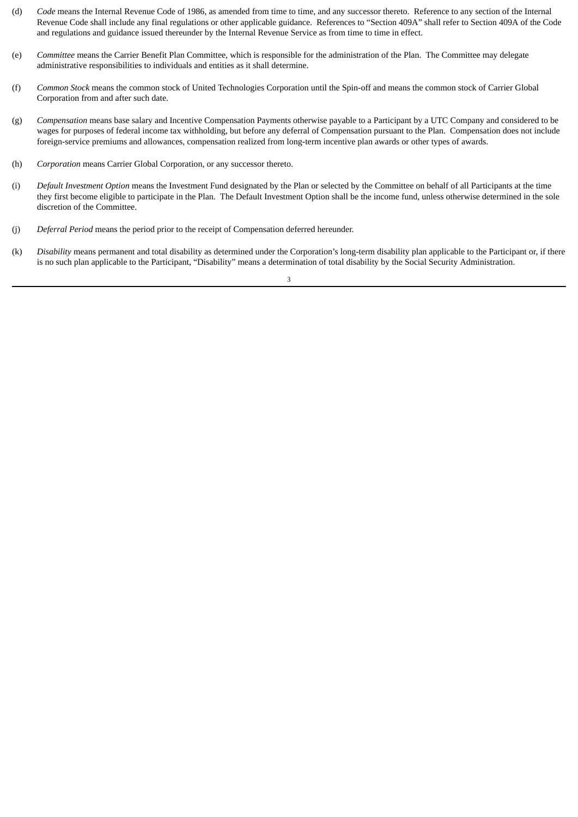- (d) *Code* means the Internal Revenue Code of 1986, as amended from time to time, and any successor thereto. Reference to any section of the Internal Revenue Code shall include any final regulations or other applicable guidance. References to "Section 409A" shall refer to Section 409A of the Code and regulations and guidance issued thereunder by the Internal Revenue Service as from time to time in effect.
- (e) *Committee* means the Carrier Benefit Plan Committee, which is responsible for the administration of the Plan. The Committee may delegate administrative responsibilities to individuals and entities as it shall determine.
- (f) *Common Stock* means the common stock of United Technologies Corporation until the Spin-off and means the common stock of Carrier Global Corporation from and after such date.
- (g) *Compensation* means base salary and Incentive Compensation Payments otherwise payable to a Participant by a UTC Company and considered to be wages for purposes of federal income tax withholding, but before any deferral of Compensation pursuant to the Plan. Compensation does not include foreign-service premiums and allowances, compensation realized from long-term incentive plan awards or other types of awards.
- (h) *Corporation* means Carrier Global Corporation, or any successor thereto.
- (i) *Default Investment Option* means the Investment Fund designated by the Plan or selected by the Committee on behalf of all Participants at the time they first become eligible to participate in the Plan. The Default Investment Option shall be the income fund, unless otherwise determined in the sole discretion of the Committee.
- (j) *Deferral Period* means the period prior to the receipt of Compensation deferred hereunder.
- (k) *Disability* means permanent and total disability as determined under the Corporation's long-term disability plan applicable to the Participant or, if there is no such plan applicable to the Participant, "Disability" means a determination of total disability by the Social Security Administration.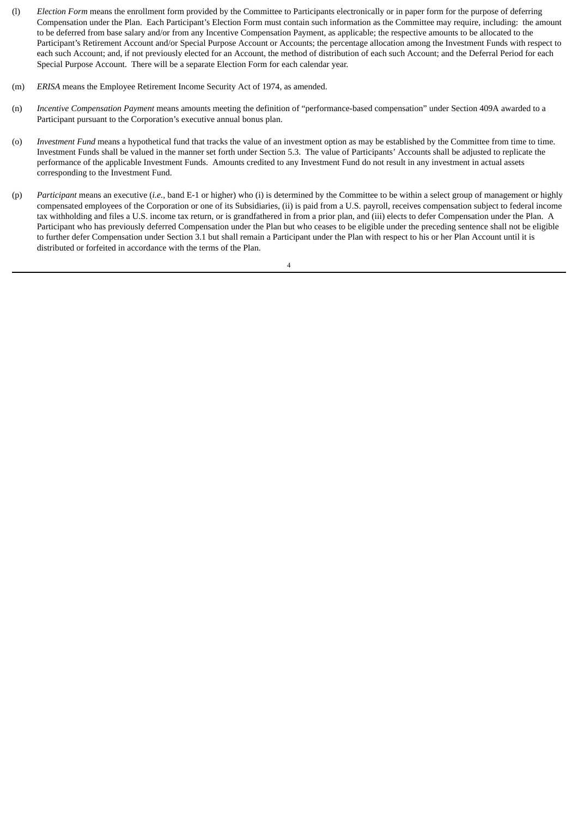- (l) *Election Form* means the enrollment form provided by the Committee to Participants electronically or in paper form for the purpose of deferring Compensation under the Plan. Each Participant's Election Form must contain such information as the Committee may require, including: the amount to be deferred from base salary and/or from any Incentive Compensation Payment, as applicable; the respective amounts to be allocated to the Participant's Retirement Account and/or Special Purpose Account or Accounts; the percentage allocation among the Investment Funds with respect to each such Account; and, if not previously elected for an Account, the method of distribution of each such Account; and the Deferral Period for each Special Purpose Account. There will be a separate Election Form for each calendar year.
- (m) *ERISA* means the Employee Retirement Income Security Act of 1974, as amended.
- (n) *Incentive Compensation Payment* means amounts meeting the definition of "performance-based compensation" under Section 409A awarded to a Participant pursuant to the Corporation's executive annual bonus plan.
- (o) *Investment Fund* means a hypothetical fund that tracks the value of an investment option as may be established by the Committee from time to time. Investment Funds shall be valued in the manner set forth under Section 5.3. The value of Participants' Accounts shall be adjusted to replicate the performance of the applicable Investment Funds. Amounts credited to any Investment Fund do not result in any investment in actual assets corresponding to the Investment Fund.
- (p) *Participant* means an executive (*i.e.*, band E-1 or higher) who (i) is determined by the Committee to be within a select group of management or highly compensated employees of the Corporation or one of its Subsidiaries, (ii) is paid from a U.S. payroll, receives compensation subject to federal income tax withholding and files a U.S. income tax return, or is grandfathered in from a prior plan, and (iii) elects to defer Compensation under the Plan. A Participant who has previously deferred Compensation under the Plan but who ceases to be eligible under the preceding sentence shall not be eligible to further defer Compensation under Section 3.1 but shall remain a Participant under the Plan with respect to his or her Plan Account until it is distributed or forfeited in accordance with the terms of the Plan.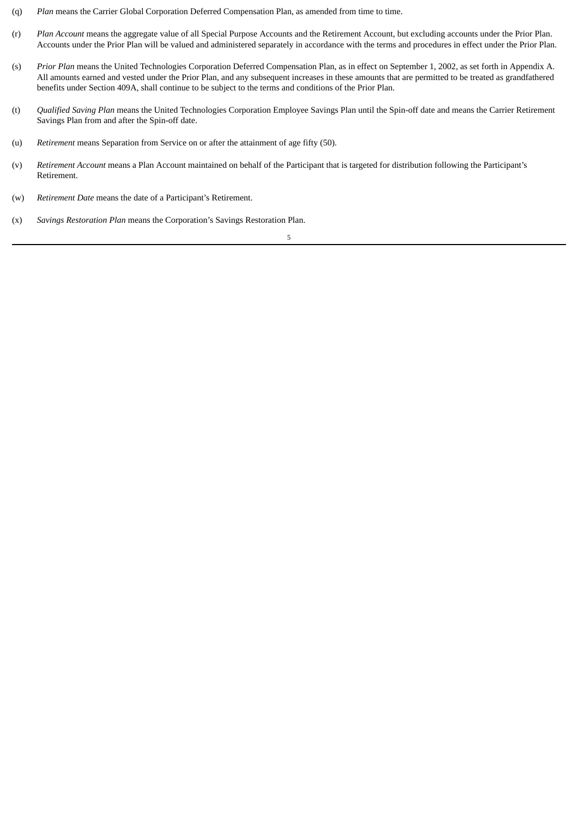- (q) *Plan* means the Carrier Global Corporation Deferred Compensation Plan, as amended from time to time.
- (r) *Plan Account* means the aggregate value of all Special Purpose Accounts and the Retirement Account, but excluding accounts under the Prior Plan. Accounts under the Prior Plan will be valued and administered separately in accordance with the terms and procedures in effect under the Prior Plan.
- (s) *Prior Plan* means the United Technologies Corporation Deferred Compensation Plan, as in effect on September 1, 2002, as set forth in Appendix A. All amounts earned and vested under the Prior Plan, and any subsequent increases in these amounts that are permitted to be treated as grandfathered benefits under Section 409A, shall continue to be subject to the terms and conditions of the Prior Plan.
- (t) *Qualified Saving Plan* means the United Technologies Corporation Employee Savings Plan until the Spin-off date and means the Carrier Retirement Savings Plan from and after the Spin-off date.
- (u) *Retirement* means Separation from Service on or after the attainment of age fifty (50).
- (v) *Retirement Account* means a Plan Account maintained on behalf of the Participant that is targeted for distribution following the Participant's Retirement.
- (w) *Retirement Date* means the date of a Participant's Retirement.
- (x) *Savings Restoration Plan* means the Corporation's Savings Restoration Plan.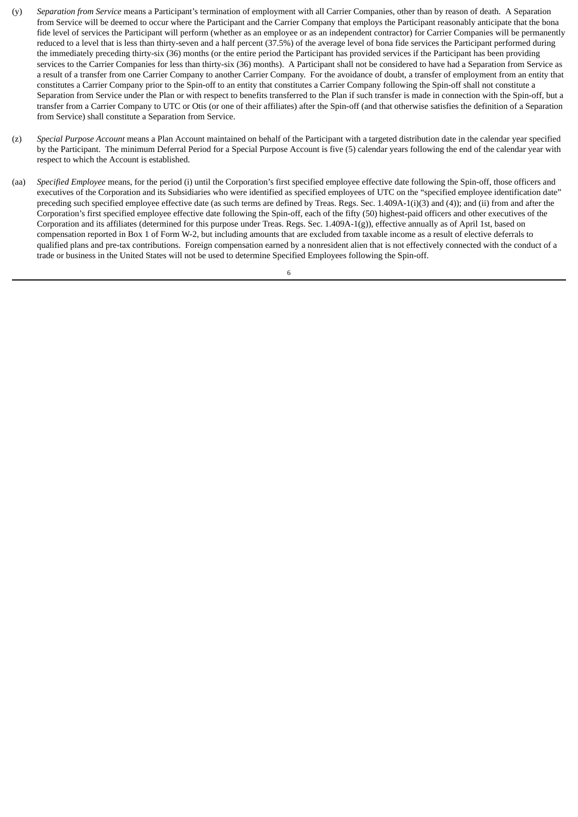- (y) *Separation from Service* means a Participant's termination of employment with all Carrier Companies, other than by reason of death. A Separation from Service will be deemed to occur where the Participant and the Carrier Company that employs the Participant reasonably anticipate that the bona fide level of services the Participant will perform (whether as an employee or as an independent contractor) for Carrier Companies will be permanently reduced to a level that is less than thirty-seven and a half percent (37.5%) of the average level of bona fide services the Participant performed during the immediately preceding thirty-six (36) months (or the entire period the Participant has provided services if the Participant has been providing services to the Carrier Companies for less than thirty-six (36) months). A Participant shall not be considered to have had a Separation from Service as a result of a transfer from one Carrier Company to another Carrier Company. For the avoidance of doubt, a transfer of employment from an entity that constitutes a Carrier Company prior to the Spin-off to an entity that constitutes a Carrier Company following the Spin-off shall not constitute a Separation from Service under the Plan or with respect to benefits transferred to the Plan if such transfer is made in connection with the Spin-off, but a transfer from a Carrier Company to UTC or Otis (or one of their affiliates) after the Spin-off (and that otherwise satisfies the definition of a Separation from Service) shall constitute a Separation from Service.
- (z) *Special Purpose Account* means a Plan Account maintained on behalf of the Participant with a targeted distribution date in the calendar year specified by the Participant. The minimum Deferral Period for a Special Purpose Account is five (5) calendar years following the end of the calendar year with respect to which the Account is established.
- (aa) *Specified Employee* means, for the period (i) until the Corporation's first specified employee effective date following the Spin-off, those officers and executives of the Corporation and its Subsidiaries who were identified as specified employees of UTC on the "specified employee identification date" preceding such specified employee effective date (as such terms are defined by Treas. Regs. Sec. 1.409A-1(i)(3) and (4)); and (ii) from and after the Corporation's first specified employee effective date following the Spin-off, each of the fifty (50) highest-paid officers and other executives of the Corporation and its affiliates (determined for this purpose under Treas. Regs. Sec. 1.409A-1(g)), effective annually as of April 1st, based on compensation reported in Box 1 of Form W-2, but including amounts that are excluded from taxable income as a result of elective deferrals to qualified plans and pre-tax contributions. Foreign compensation earned by a nonresident alien that is not effectively connected with the conduct of a trade or business in the United States will not be used to determine Specified Employees following the Spin-off.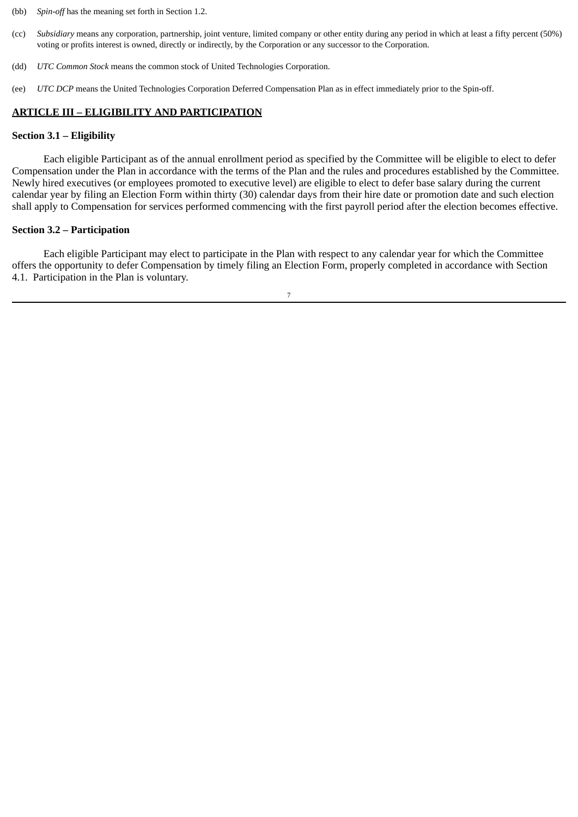- (bb) *Spin-off* has the meaning set forth in Section 1.2.
- (cc) *Subsidiary* means any corporation, partnership, joint venture, limited company or other entity during any period in which at least a fifty percent (50%) voting or profits interest is owned, directly or indirectly, by the Corporation or any successor to the Corporation.
- (dd) *UTC Common Stock* means the common stock of United Technologies Corporation.
- (ee) *UTC DCP* means the United Technologies Corporation Deferred Compensation Plan as in effect immediately prior to the Spin-off.

# **ARTICLE III – ELIGIBILITY AND PARTICIPATION**

# **Section 3.1 – Eligibility**

Each eligible Participant as of the annual enrollment period as specified by the Committee will be eligible to elect to defer Compensation under the Plan in accordance with the terms of the Plan and the rules and procedures established by the Committee. Newly hired executives (or employees promoted to executive level) are eligible to elect to defer base salary during the current calendar year by filing an Election Form within thirty (30) calendar days from their hire date or promotion date and such election shall apply to Compensation for services performed commencing with the first payroll period after the election becomes effective.

# **Section 3.2 – Participation**

Each eligible Participant may elect to participate in the Plan with respect to any calendar year for which the Committee offers the opportunity to defer Compensation by timely filing an Election Form, properly completed in accordance with Section 4.1. Participation in the Plan is voluntary.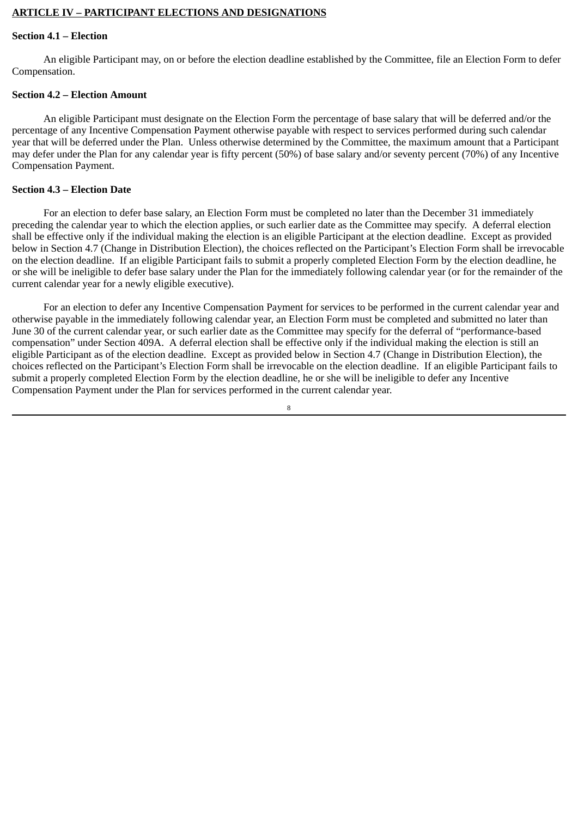# **ARTICLE IV – PARTICIPANT ELECTIONS AND DESIGNATIONS**

# **Section 4.1 – Election**

An eligible Participant may, on or before the election deadline established by the Committee, file an Election Form to defer Compensation.

# **Section 4.2 – Election Amount**

An eligible Participant must designate on the Election Form the percentage of base salary that will be deferred and/or the percentage of any Incentive Compensation Payment otherwise payable with respect to services performed during such calendar year that will be deferred under the Plan. Unless otherwise determined by the Committee, the maximum amount that a Participant may defer under the Plan for any calendar year is fifty percent (50%) of base salary and/or seventy percent (70%) of any Incentive Compensation Payment.

# **Section 4.3 – Election Date**

For an election to defer base salary, an Election Form must be completed no later than the December 31 immediately preceding the calendar year to which the election applies, or such earlier date as the Committee may specify. A deferral election shall be effective only if the individual making the election is an eligible Participant at the election deadline. Except as provided below in Section 4.7 (Change in Distribution Election), the choices reflected on the Participant's Election Form shall be irrevocable on the election deadline. If an eligible Participant fails to submit a properly completed Election Form by the election deadline, he or she will be ineligible to defer base salary under the Plan for the immediately following calendar year (or for the remainder of the current calendar year for a newly eligible executive).

For an election to defer any Incentive Compensation Payment for services to be performed in the current calendar year and otherwise payable in the immediately following calendar year, an Election Form must be completed and submitted no later than June 30 of the current calendar year, or such earlier date as the Committee may specify for the deferral of "performance-based compensation" under Section 409A. A deferral election shall be effective only if the individual making the election is still an eligible Participant as of the election deadline. Except as provided below in Section 4.7 (Change in Distribution Election), the choices reflected on the Participant's Election Form shall be irrevocable on the election deadline. If an eligible Participant fails to submit a properly completed Election Form by the election deadline, he or she will be ineligible to defer any Incentive Compensation Payment under the Plan for services performed in the current calendar year.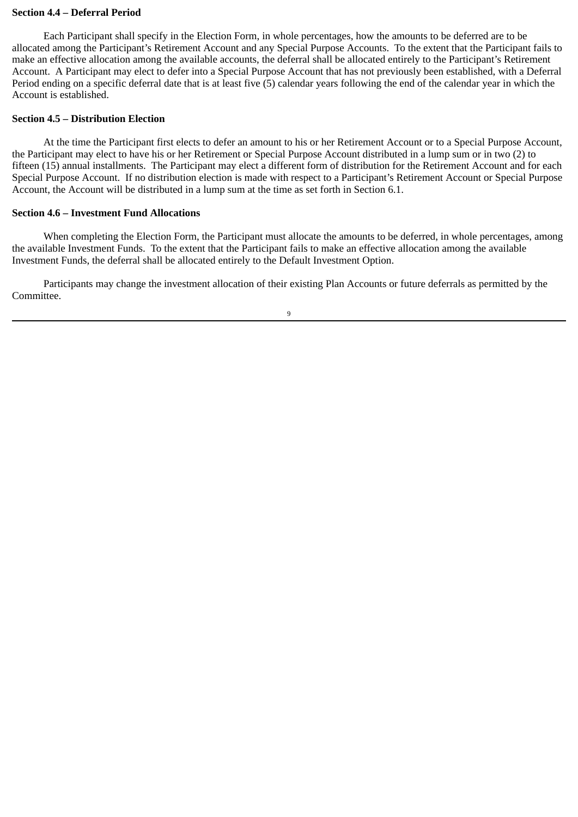# **Section 4.4 – Deferral Period**

Each Participant shall specify in the Election Form, in whole percentages, how the amounts to be deferred are to be allocated among the Participant's Retirement Account and any Special Purpose Accounts. To the extent that the Participant fails to make an effective allocation among the available accounts, the deferral shall be allocated entirely to the Participant's Retirement Account. A Participant may elect to defer into a Special Purpose Account that has not previously been established, with a Deferral Period ending on a specific deferral date that is at least five (5) calendar years following the end of the calendar year in which the Account is established.

# **Section 4.5 – Distribution Election**

At the time the Participant first elects to defer an amount to his or her Retirement Account or to a Special Purpose Account, the Participant may elect to have his or her Retirement or Special Purpose Account distributed in a lump sum or in two (2) to fifteen (15) annual installments. The Participant may elect a different form of distribution for the Retirement Account and for each Special Purpose Account. If no distribution election is made with respect to a Participant's Retirement Account or Special Purpose Account, the Account will be distributed in a lump sum at the time as set forth in Section 6.1.

# **Section 4.6 – Investment Fund Allocations**

When completing the Election Form, the Participant must allocate the amounts to be deferred, in whole percentages, among the available Investment Funds. To the extent that the Participant fails to make an effective allocation among the available Investment Funds, the deferral shall be allocated entirely to the Default Investment Option.

Participants may change the investment allocation of their existing Plan Accounts or future deferrals as permitted by the Committee.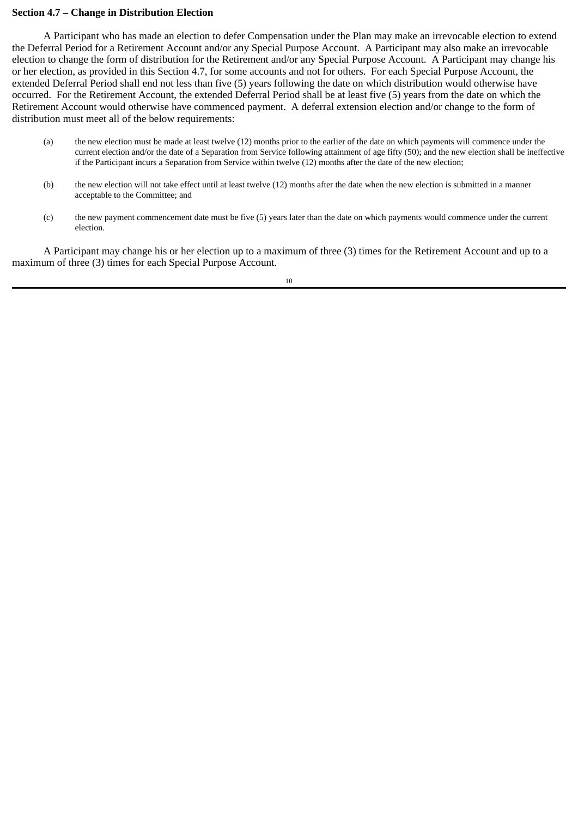# **Section 4.7 – Change in Distribution Election**

A Participant who has made an election to defer Compensation under the Plan may make an irrevocable election to extend the Deferral Period for a Retirement Account and/or any Special Purpose Account. A Participant may also make an irrevocable election to change the form of distribution for the Retirement and/or any Special Purpose Account. A Participant may change his or her election, as provided in this Section 4.7, for some accounts and not for others. For each Special Purpose Account, the extended Deferral Period shall end not less than five (5) years following the date on which distribution would otherwise have occurred. For the Retirement Account, the extended Deferral Period shall be at least five (5) years from the date on which the Retirement Account would otherwise have commenced payment. A deferral extension election and/or change to the form of distribution must meet all of the below requirements:

- (a) the new election must be made at least twelve (12) months prior to the earlier of the date on which payments will commence under the current election and/or the date of a Separation from Service following attainment of age fifty (50); and the new election shall be ineffective if the Participant incurs a Separation from Service within twelve (12) months after the date of the new election;
- (b) the new election will not take effect until at least twelve (12) months after the date when the new election is submitted in a manner acceptable to the Committee; and
- (c) the new payment commencement date must be five (5) years later than the date on which payments would commence under the current election.

A Participant may change his or her election up to a maximum of three (3) times for the Retirement Account and up to a maximum of three (3) times for each Special Purpose Account.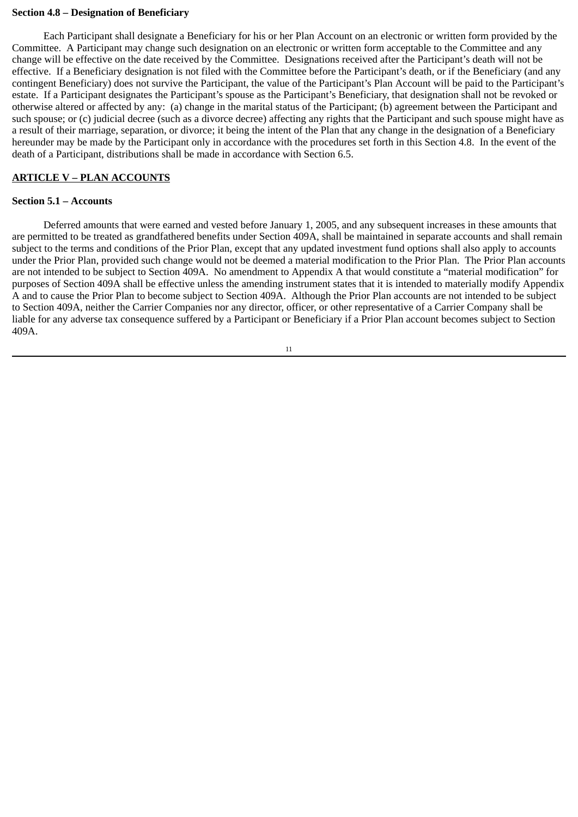### **Section 4.8 – Designation of Beneficiary**

Each Participant shall designate a Beneficiary for his or her Plan Account on an electronic or written form provided by the Committee. A Participant may change such designation on an electronic or written form acceptable to the Committee and any change will be effective on the date received by the Committee. Designations received after the Participant's death will not be effective. If a Beneficiary designation is not filed with the Committee before the Participant's death, or if the Beneficiary (and any contingent Beneficiary) does not survive the Participant, the value of the Participant's Plan Account will be paid to the Participant's estate. If a Participant designates the Participant's spouse as the Participant's Beneficiary, that designation shall not be revoked or otherwise altered or affected by any: (a) change in the marital status of the Participant; (b) agreement between the Participant and such spouse; or (c) judicial decree (such as a divorce decree) affecting any rights that the Participant and such spouse might have as a result of their marriage, separation, or divorce; it being the intent of the Plan that any change in the designation of a Beneficiary hereunder may be made by the Participant only in accordance with the procedures set forth in this Section 4.8. In the event of the death of a Participant, distributions shall be made in accordance with Section 6.5.

# **ARTICLE V – PLAN ACCOUNTS**

# **Section 5.1 – Accounts**

Deferred amounts that were earned and vested before January 1, 2005, and any subsequent increases in these amounts that are permitted to be treated as grandfathered benefits under Section 409A, shall be maintained in separate accounts and shall remain subject to the terms and conditions of the Prior Plan, except that any updated investment fund options shall also apply to accounts under the Prior Plan, provided such change would not be deemed a material modification to the Prior Plan. The Prior Plan accounts are not intended to be subject to Section 409A. No amendment to Appendix A that would constitute a "material modification" for purposes of Section 409A shall be effective unless the amending instrument states that it is intended to materially modify Appendix A and to cause the Prior Plan to become subject to Section 409A. Although the Prior Plan accounts are not intended to be subject to Section 409A, neither the Carrier Companies nor any director, officer, or other representative of a Carrier Company shall be liable for any adverse tax consequence suffered by a Participant or Beneficiary if a Prior Plan account becomes subject to Section 409A.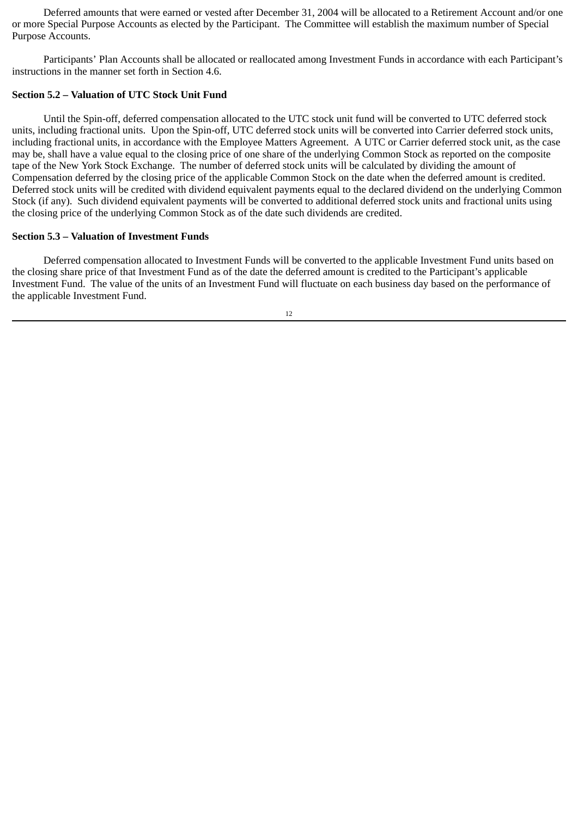Deferred amounts that were earned or vested after December 31, 2004 will be allocated to a Retirement Account and/or one or more Special Purpose Accounts as elected by the Participant. The Committee will establish the maximum number of Special Purpose Accounts.

Participants' Plan Accounts shall be allocated or reallocated among Investment Funds in accordance with each Participant's instructions in the manner set forth in Section 4.6.

# **Section 5.2 – Valuation of UTC Stock Unit Fund**

Until the Spin-off, deferred compensation allocated to the UTC stock unit fund will be converted to UTC deferred stock units, including fractional units. Upon the Spin-off, UTC deferred stock units will be converted into Carrier deferred stock units, including fractional units, in accordance with the Employee Matters Agreement. A UTC or Carrier deferred stock unit, as the case may be, shall have a value equal to the closing price of one share of the underlying Common Stock as reported on the composite tape of the New York Stock Exchange. The number of deferred stock units will be calculated by dividing the amount of Compensation deferred by the closing price of the applicable Common Stock on the date when the deferred amount is credited. Deferred stock units will be credited with dividend equivalent payments equal to the declared dividend on the underlying Common Stock (if any). Such dividend equivalent payments will be converted to additional deferred stock units and fractional units using the closing price of the underlying Common Stock as of the date such dividends are credited.

# **Section 5.3 – Valuation of Investment Funds**

Deferred compensation allocated to Investment Funds will be converted to the applicable Investment Fund units based on the closing share price of that Investment Fund as of the date the deferred amount is credited to the Participant's applicable Investment Fund. The value of the units of an Investment Fund will fluctuate on each business day based on the performance of the applicable Investment Fund.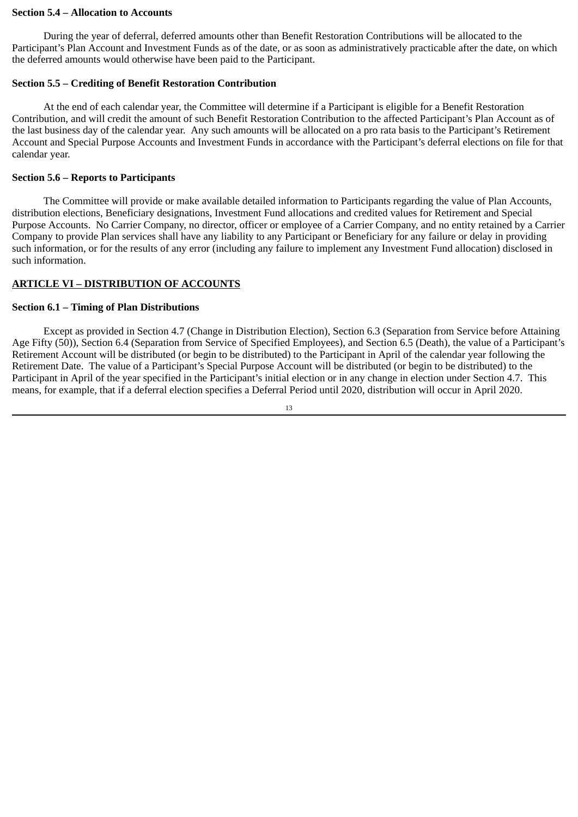# **Section 5.4 – Allocation to Accounts**

During the year of deferral, deferred amounts other than Benefit Restoration Contributions will be allocated to the Participant's Plan Account and Investment Funds as of the date, or as soon as administratively practicable after the date, on which the deferred amounts would otherwise have been paid to the Participant.

# **Section 5.5 – Crediting of Benefit Restoration Contribution**

At the end of each calendar year, the Committee will determine if a Participant is eligible for a Benefit Restoration Contribution, and will credit the amount of such Benefit Restoration Contribution to the affected Participant's Plan Account as of the last business day of the calendar year. Any such amounts will be allocated on a pro rata basis to the Participant's Retirement Account and Special Purpose Accounts and Investment Funds in accordance with the Participant's deferral elections on file for that calendar year.

# **Section 5.6 – Reports to Participants**

The Committee will provide or make available detailed information to Participants regarding the value of Plan Accounts, distribution elections, Beneficiary designations, Investment Fund allocations and credited values for Retirement and Special Purpose Accounts. No Carrier Company, no director, officer or employee of a Carrier Company, and no entity retained by a Carrier Company to provide Plan services shall have any liability to any Participant or Beneficiary for any failure or delay in providing such information, or for the results of any error (including any failure to implement any Investment Fund allocation) disclosed in such information.

# **ARTICLE VI – DISTRIBUTION OF ACCOUNTS**

# **Section 6.1 – Timing of Plan Distributions**

Except as provided in Section 4.7 (Change in Distribution Election), Section 6.3 (Separation from Service before Attaining Age Fifty (50)), Section 6.4 (Separation from Service of Specified Employees), and Section 6.5 (Death), the value of a Participant's Retirement Account will be distributed (or begin to be distributed) to the Participant in April of the calendar year following the Retirement Date. The value of a Participant's Special Purpose Account will be distributed (or begin to be distributed) to the Participant in April of the year specified in the Participant's initial election or in any change in election under Section 4.7. This means, for example, that if a deferral election specifies a Deferral Period until 2020, distribution will occur in April 2020.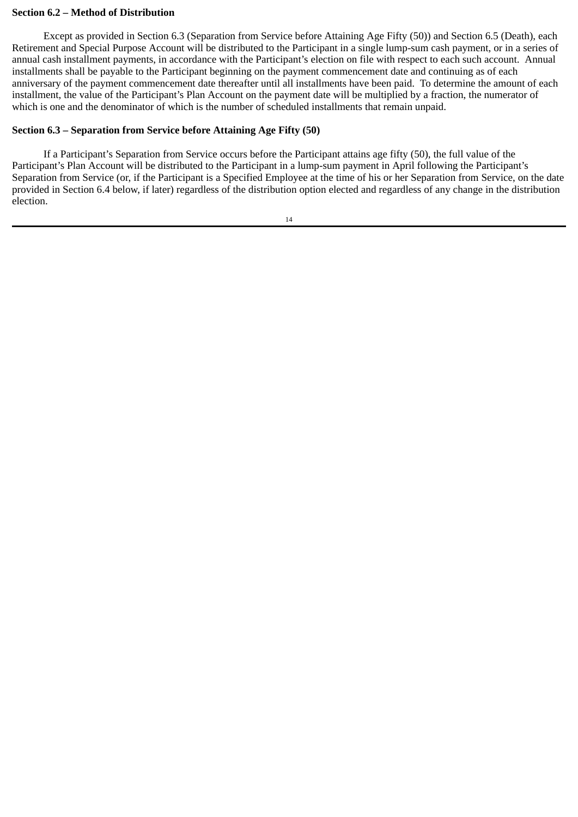# **Section 6.2 – Method of Distribution**

Except as provided in Section 6.3 (Separation from Service before Attaining Age Fifty (50)) and Section 6.5 (Death), each Retirement and Special Purpose Account will be distributed to the Participant in a single lump-sum cash payment, or in a series of annual cash installment payments, in accordance with the Participant's election on file with respect to each such account. Annual installments shall be payable to the Participant beginning on the payment commencement date and continuing as of each anniversary of the payment commencement date thereafter until all installments have been paid. To determine the amount of each installment, the value of the Participant's Plan Account on the payment date will be multiplied by a fraction, the numerator of which is one and the denominator of which is the number of scheduled installments that remain unpaid.

# **Section 6.3 – Separation from Service before Attaining Age Fifty (50)**

If a Participant's Separation from Service occurs before the Participant attains age fifty (50), the full value of the Participant's Plan Account will be distributed to the Participant in a lump-sum payment in April following the Participant's Separation from Service (or, if the Participant is a Specified Employee at the time of his or her Separation from Service, on the date provided in Section 6.4 below, if later) regardless of the distribution option elected and regardless of any change in the distribution election.

| × |  |
|---|--|
|   |  |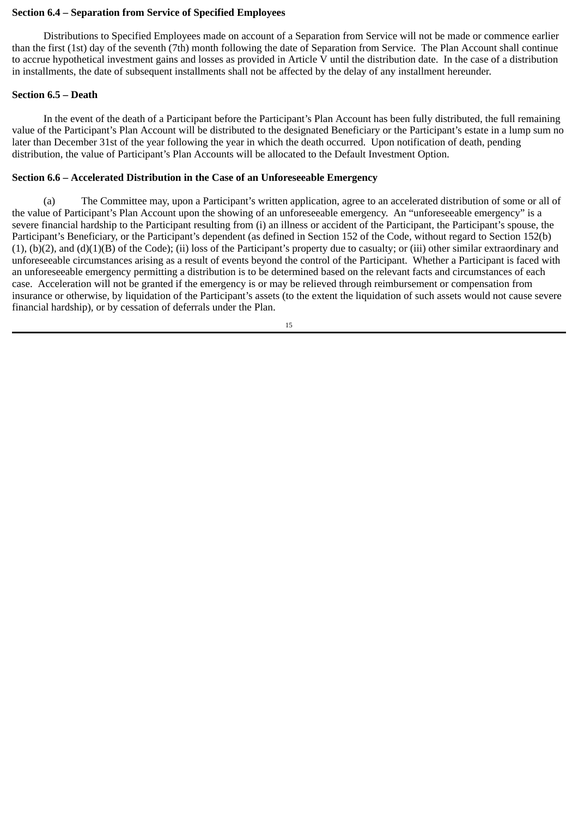# **Section 6.4 – Separation from Service of Specified Employees**

Distributions to Specified Employees made on account of a Separation from Service will not be made or commence earlier than the first (1st) day of the seventh (7th) month following the date of Separation from Service. The Plan Account shall continue to accrue hypothetical investment gains and losses as provided in Article V until the distribution date. In the case of a distribution in installments, the date of subsequent installments shall not be affected by the delay of any installment hereunder.

# **Section 6.5 – Death**

In the event of the death of a Participant before the Participant's Plan Account has been fully distributed, the full remaining value of the Participant's Plan Account will be distributed to the designated Beneficiary or the Participant's estate in a lump sum no later than December 31st of the year following the year in which the death occurred. Upon notification of death, pending distribution, the value of Participant's Plan Accounts will be allocated to the Default Investment Option.

# **Section 6.6 – Accelerated Distribution in the Case of an Unforeseeable Emergency**

(a) The Committee may, upon a Participant's written application, agree to an accelerated distribution of some or all of the value of Participant's Plan Account upon the showing of an unforeseeable emergency. An "unforeseeable emergency" is a severe financial hardship to the Participant resulting from (i) an illness or accident of the Participant, the Participant's spouse, the Participant's Beneficiary, or the Participant's dependent (as defined in Section 152 of the Code, without regard to Section 152(b)  $(1)$ ,  $(b)(2)$ , and  $(d)(1)(B)$  of the Code); (ii) loss of the Participant's property due to casualty; or (iii) other similar extraordinary and unforeseeable circumstances arising as a result of events beyond the control of the Participant. Whether a Participant is faced with an unforeseeable emergency permitting a distribution is to be determined based on the relevant facts and circumstances of each case. Acceleration will not be granted if the emergency is or may be relieved through reimbursement or compensation from insurance or otherwise, by liquidation of the Participant's assets (to the extent the liquidation of such assets would not cause severe financial hardship), or by cessation of deferrals under the Plan.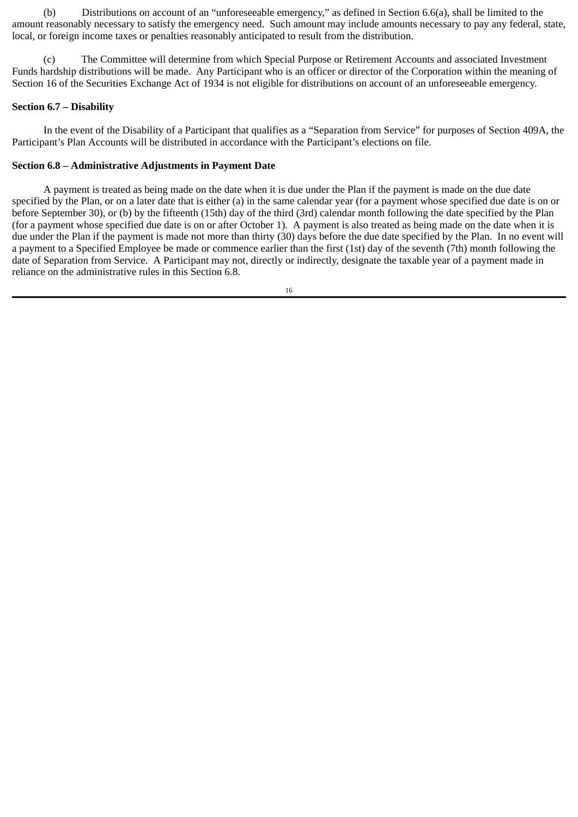(b) Distributions on account of an "unforeseeable emergency," as defined in Section 6.6(a), shall be limited to the amount reasonably necessary to satisfy the emergency need. Such amount may include amounts necessary to pay any federal, state, local, or foreign income taxes or penalties reasonably anticipated to result from the distribution.

(c) The Committee will determine from which Special Purpose or Retirement Accounts and associated Investment Funds hardship distributions will be made. Any Participant who is an officer or director of the Corporation within the meaning of Section 16 of the Securities Exchange Act of 1934 is not eligible for distributions on account of an unforeseeable emergency.

# **Section 6.7 – Disability**

In the event of the Disability of a Participant that qualifies as a "Separation from Service" for purposes of Section 409A, the Participant's Plan Accounts will be distributed in accordance with the Participant's elections on file.

# **Section 6.8 – Administrative Adjustments in Payment Date**

A payment is treated as being made on the date when it is due under the Plan if the payment is made on the due date specified by the Plan, or on a later date that is either (a) in the same calendar year (for a payment whose specified due date is on or before September 30), or (b) by the fifteenth (15th) day of the third (3rd) calendar month following the date specified by the Plan (for a payment whose specified due date is on or after October 1). A payment is also treated as being made on the date when it is due under the Plan if the payment is made not more than thirty (30) days before the due date specified by the Plan. In no event will a payment to a Specified Employee be made or commence earlier than the first (1st) day of the seventh (7th) month following the date of Separation from Service. A Participant may not, directly or indirectly, designate the taxable year of a payment made in reliance on the administrative rules in this Section 6.8.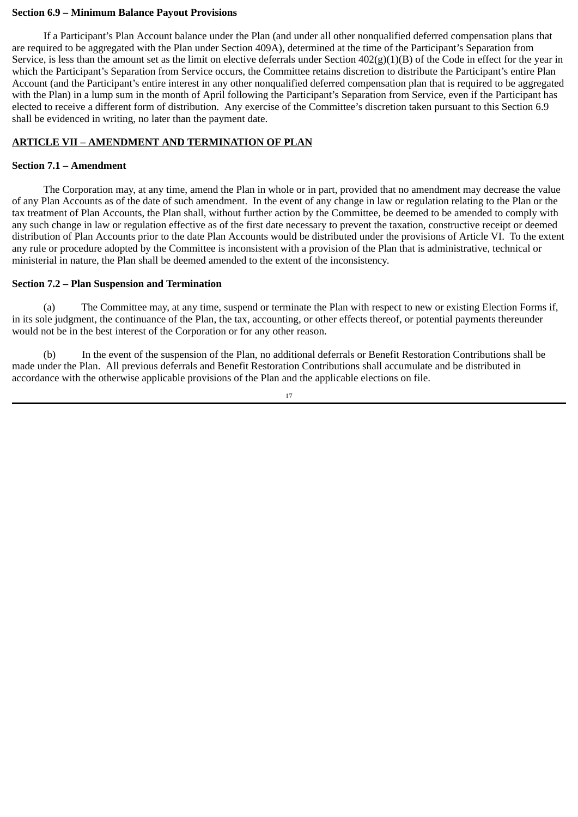### **Section 6.9 – Minimum Balance Payout Provisions**

If a Participant's Plan Account balance under the Plan (and under all other nonqualified deferred compensation plans that are required to be aggregated with the Plan under Section 409A), determined at the time of the Participant's Separation from Service, is less than the amount set as the limit on elective deferrals under Section 402(g)(1)(B) of the Code in effect for the year in which the Participant's Separation from Service occurs, the Committee retains discretion to distribute the Participant's entire Plan Account (and the Participant's entire interest in any other nonqualified deferred compensation plan that is required to be aggregated with the Plan) in a lump sum in the month of April following the Participant's Separation from Service, even if the Participant has elected to receive a different form of distribution. Any exercise of the Committee's discretion taken pursuant to this Section 6.9 shall be evidenced in writing, no later than the payment date.

# **ARTICLE VII – AMENDMENT AND TERMINATION OF PLAN**

# **Section 7.1 – Amendment**

The Corporation may, at any time, amend the Plan in whole or in part, provided that no amendment may decrease the value of any Plan Accounts as of the date of such amendment. In the event of any change in law or regulation relating to the Plan or the tax treatment of Plan Accounts, the Plan shall, without further action by the Committee, be deemed to be amended to comply with any such change in law or regulation effective as of the first date necessary to prevent the taxation, constructive receipt or deemed distribution of Plan Accounts prior to the date Plan Accounts would be distributed under the provisions of Article VI. To the extent any rule or procedure adopted by the Committee is inconsistent with a provision of the Plan that is administrative, technical or ministerial in nature, the Plan shall be deemed amended to the extent of the inconsistency.

# **Section 7.2 – Plan Suspension and Termination**

(a) The Committee may, at any time, suspend or terminate the Plan with respect to new or existing Election Forms if, in its sole judgment, the continuance of the Plan, the tax, accounting, or other effects thereof, or potential payments thereunder would not be in the best interest of the Corporation or for any other reason.

(b) In the event of the suspension of the Plan, no additional deferrals or Benefit Restoration Contributions shall be made under the Plan. All previous deferrals and Benefit Restoration Contributions shall accumulate and be distributed in accordance with the otherwise applicable provisions of the Plan and the applicable elections on file.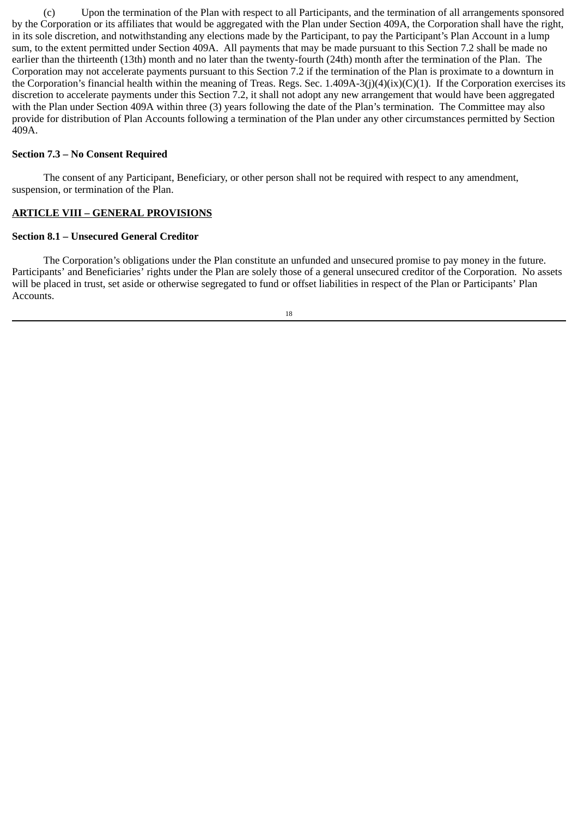(c) Upon the termination of the Plan with respect to all Participants, and the termination of all arrangements sponsored by the Corporation or its affiliates that would be aggregated with the Plan under Section 409A, the Corporation shall have the right, in its sole discretion, and notwithstanding any elections made by the Participant, to pay the Participant's Plan Account in a lump sum, to the extent permitted under Section 409A. All payments that may be made pursuant to this Section 7.2 shall be made no earlier than the thirteenth (13th) month and no later than the twenty-fourth (24th) month after the termination of the Plan. The Corporation may not accelerate payments pursuant to this Section 7.2 if the termination of the Plan is proximate to a downturn in the Corporation's financial health within the meaning of Treas. Regs. Sec. 1.409A-3(j)(4)(ix)(C)(1). If the Corporation exercises its discretion to accelerate payments under this Section 7.2, it shall not adopt any new arrangement that would have been aggregated with the Plan under Section 409A within three (3) years following the date of the Plan's termination. The Committee may also provide for distribution of Plan Accounts following a termination of the Plan under any other circumstances permitted by Section 409A.

# **Section 7.3 – No Consent Required**

The consent of any Participant, Beneficiary, or other person shall not be required with respect to any amendment, suspension, or termination of the Plan.

# **ARTICLE VIII – GENERAL PROVISIONS**

# **Section 8.1 – Unsecured General Creditor**

The Corporation's obligations under the Plan constitute an unfunded and unsecured promise to pay money in the future. Participants' and Beneficiaries' rights under the Plan are solely those of a general unsecured creditor of the Corporation. No assets will be placed in trust, set aside or otherwise segregated to fund or offset liabilities in respect of the Plan or Participants' Plan Accounts.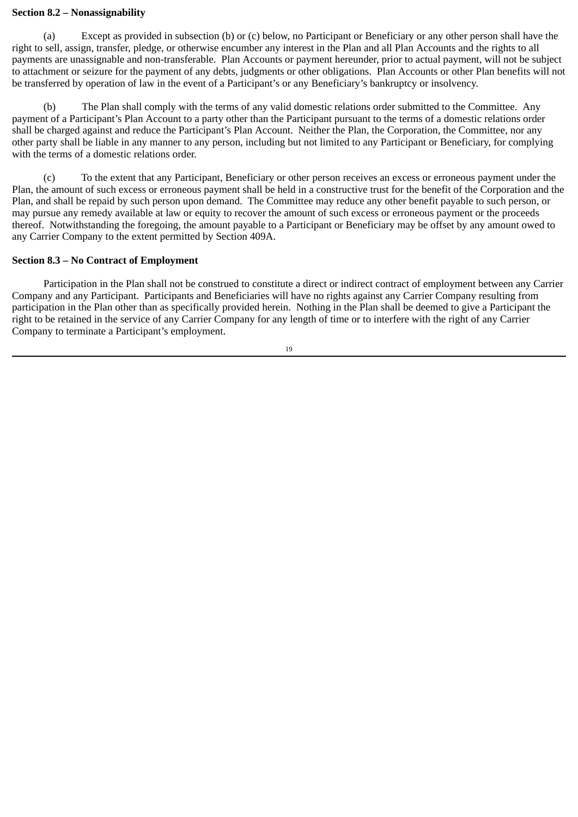# **Section 8.2 – Nonassignability**

(a) Except as provided in subsection (b) or (c) below, no Participant or Beneficiary or any other person shall have the right to sell, assign, transfer, pledge, or otherwise encumber any interest in the Plan and all Plan Accounts and the rights to all payments are unassignable and non-transferable. Plan Accounts or payment hereunder, prior to actual payment, will not be subject to attachment or seizure for the payment of any debts, judgments or other obligations. Plan Accounts or other Plan benefits will not be transferred by operation of law in the event of a Participant's or any Beneficiary's bankruptcy or insolvency.

(b) The Plan shall comply with the terms of any valid domestic relations order submitted to the Committee. Any payment of a Participant's Plan Account to a party other than the Participant pursuant to the terms of a domestic relations order shall be charged against and reduce the Participant's Plan Account. Neither the Plan, the Corporation, the Committee, nor any other party shall be liable in any manner to any person, including but not limited to any Participant or Beneficiary, for complying with the terms of a domestic relations order.

(c) To the extent that any Participant, Beneficiary or other person receives an excess or erroneous payment under the Plan, the amount of such excess or erroneous payment shall be held in a constructive trust for the benefit of the Corporation and the Plan, and shall be repaid by such person upon demand. The Committee may reduce any other benefit payable to such person, or may pursue any remedy available at law or equity to recover the amount of such excess or erroneous payment or the proceeds thereof. Notwithstanding the foregoing, the amount payable to a Participant or Beneficiary may be offset by any amount owed to any Carrier Company to the extent permitted by Section 409A.

# **Section 8.3 – No Contract of Employment**

Participation in the Plan shall not be construed to constitute a direct or indirect contract of employment between any Carrier Company and any Participant. Participants and Beneficiaries will have no rights against any Carrier Company resulting from participation in the Plan other than as specifically provided herein. Nothing in the Plan shall be deemed to give a Participant the right to be retained in the service of any Carrier Company for any length of time or to interfere with the right of any Carrier Company to terminate a Participant's employment.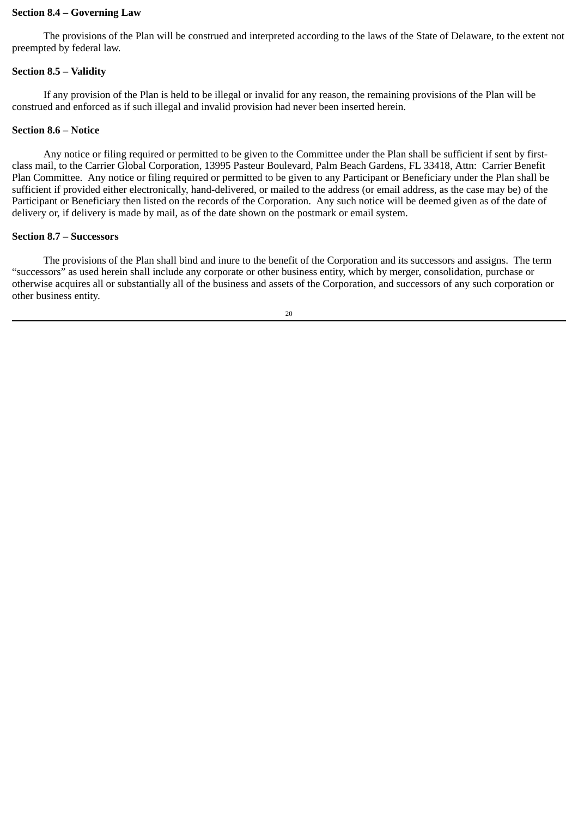# **Section 8.4 – Governing Law**

The provisions of the Plan will be construed and interpreted according to the laws of the State of Delaware, to the extent not preempted by federal law.

# **Section 8.5 – Validity**

If any provision of the Plan is held to be illegal or invalid for any reason, the remaining provisions of the Plan will be construed and enforced as if such illegal and invalid provision had never been inserted herein.

# **Section 8.6 – Notice**

Any notice or filing required or permitted to be given to the Committee under the Plan shall be sufficient if sent by firstclass mail, to the Carrier Global Corporation, 13995 Pasteur Boulevard, Palm Beach Gardens, FL 33418, Attn: Carrier Benefit Plan Committee. Any notice or filing required or permitted to be given to any Participant or Beneficiary under the Plan shall be sufficient if provided either electronically, hand-delivered, or mailed to the address (or email address, as the case may be) of the Participant or Beneficiary then listed on the records of the Corporation. Any such notice will be deemed given as of the date of delivery or, if delivery is made by mail, as of the date shown on the postmark or email system.

# **Section 8.7 – Successors**

The provisions of the Plan shall bind and inure to the benefit of the Corporation and its successors and assigns. The term "successors" as used herein shall include any corporate or other business entity, which by merger, consolidation, purchase or otherwise acquires all or substantially all of the business and assets of the Corporation, and successors of any such corporation or other business entity.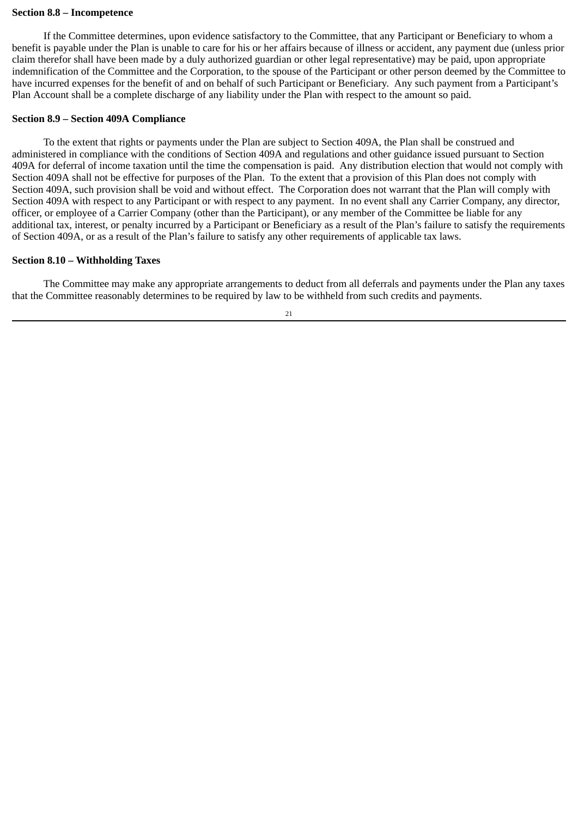### **Section 8.8 – Incompetence**

If the Committee determines, upon evidence satisfactory to the Committee, that any Participant or Beneficiary to whom a benefit is payable under the Plan is unable to care for his or her affairs because of illness or accident, any payment due (unless prior claim therefor shall have been made by a duly authorized guardian or other legal representative) may be paid, upon appropriate indemnification of the Committee and the Corporation, to the spouse of the Participant or other person deemed by the Committee to have incurred expenses for the benefit of and on behalf of such Participant or Beneficiary. Any such payment from a Participant's Plan Account shall be a complete discharge of any liability under the Plan with respect to the amount so paid.

# **Section 8.9 – Section 409A Compliance**

To the extent that rights or payments under the Plan are subject to Section 409A, the Plan shall be construed and administered in compliance with the conditions of Section 409A and regulations and other guidance issued pursuant to Section 409A for deferral of income taxation until the time the compensation is paid. Any distribution election that would not comply with Section 409A shall not be effective for purposes of the Plan. To the extent that a provision of this Plan does not comply with Section 409A, such provision shall be void and without effect. The Corporation does not warrant that the Plan will comply with Section 409A with respect to any Participant or with respect to any payment. In no event shall any Carrier Company, any director, officer, or employee of a Carrier Company (other than the Participant), or any member of the Committee be liable for any additional tax, interest, or penalty incurred by a Participant or Beneficiary as a result of the Plan's failure to satisfy the requirements of Section 409A, or as a result of the Plan's failure to satisfy any other requirements of applicable tax laws.

# **Section 8.10 – Withholding Taxes**

The Committee may make any appropriate arrangements to deduct from all deferrals and payments under the Plan any taxes that the Committee reasonably determines to be required by law to be withheld from such credits and payments.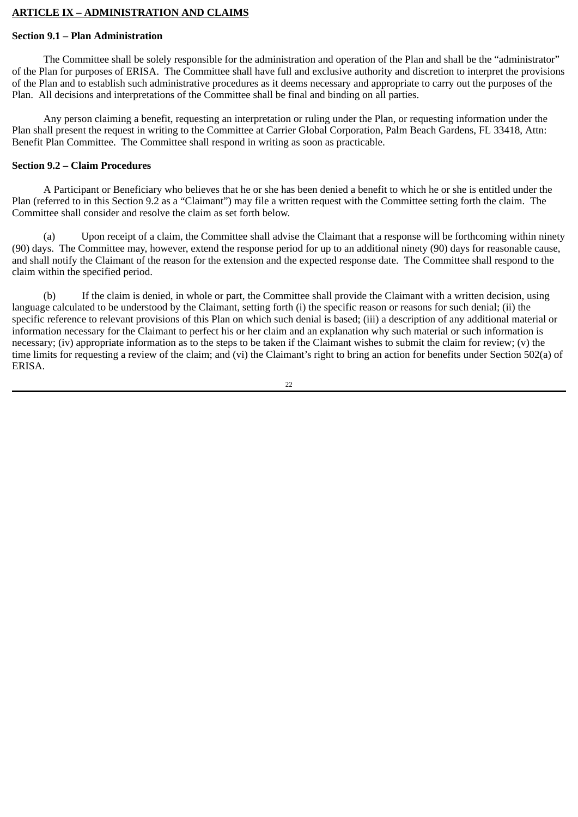# **ARTICLE IX – ADMINISTRATION AND CLAIMS**

# **Section 9.1 – Plan Administration**

The Committee shall be solely responsible for the administration and operation of the Plan and shall be the "administrator" of the Plan for purposes of ERISA. The Committee shall have full and exclusive authority and discretion to interpret the provisions of the Plan and to establish such administrative procedures as it deems necessary and appropriate to carry out the purposes of the Plan. All decisions and interpretations of the Committee shall be final and binding on all parties.

Any person claiming a benefit, requesting an interpretation or ruling under the Plan, or requesting information under the Plan shall present the request in writing to the Committee at Carrier Global Corporation, Palm Beach Gardens, FL 33418, Attn: Benefit Plan Committee. The Committee shall respond in writing as soon as practicable.

# **Section 9.2 – Claim Procedures**

A Participant or Beneficiary who believes that he or she has been denied a benefit to which he or she is entitled under the Plan (referred to in this Section 9.2 as a "Claimant") may file a written request with the Committee setting forth the claim. The Committee shall consider and resolve the claim as set forth below.

(a) Upon receipt of a claim, the Committee shall advise the Claimant that a response will be forthcoming within ninety (90) days. The Committee may, however, extend the response period for up to an additional ninety (90) days for reasonable cause, and shall notify the Claimant of the reason for the extension and the expected response date. The Committee shall respond to the claim within the specified period.

(b) If the claim is denied, in whole or part, the Committee shall provide the Claimant with a written decision, using language calculated to be understood by the Claimant, setting forth (i) the specific reason or reasons for such denial; (ii) the specific reference to relevant provisions of this Plan on which such denial is based; (iii) a description of any additional material or information necessary for the Claimant to perfect his or her claim and an explanation why such material or such information is necessary; (iv) appropriate information as to the steps to be taken if the Claimant wishes to submit the claim for review; (v) the time limits for requesting a review of the claim; and (vi) the Claimant's right to bring an action for benefits under Section 502(a) of ERISA.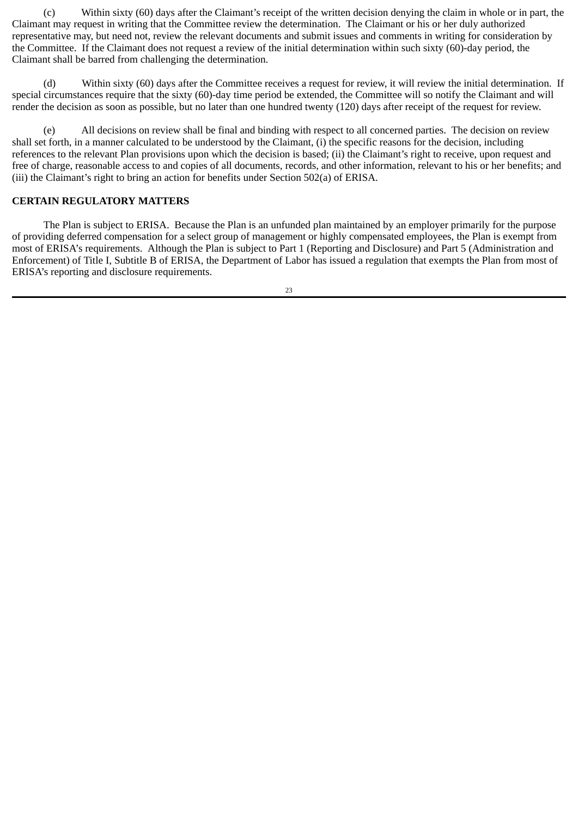(c) Within sixty (60) days after the Claimant's receipt of the written decision denying the claim in whole or in part, the Claimant may request in writing that the Committee review the determination. The Claimant or his or her duly authorized representative may, but need not, review the relevant documents and submit issues and comments in writing for consideration by the Committee. If the Claimant does not request a review of the initial determination within such sixty (60)-day period, the Claimant shall be barred from challenging the determination.

(d) Within sixty (60) days after the Committee receives a request for review, it will review the initial determination. If special circumstances require that the sixty (60)-day time period be extended, the Committee will so notify the Claimant and will render the decision as soon as possible, but no later than one hundred twenty (120) days after receipt of the request for review.

(e) All decisions on review shall be final and binding with respect to all concerned parties. The decision on review shall set forth, in a manner calculated to be understood by the Claimant, (i) the specific reasons for the decision, including references to the relevant Plan provisions upon which the decision is based; (ii) the Claimant's right to receive, upon request and free of charge, reasonable access to and copies of all documents, records, and other information, relevant to his or her benefits; and (iii) the Claimant's right to bring an action for benefits under Section 502(a) of ERISA.

# **CERTAIN REGULATORY MATTERS**

The Plan is subject to ERISA. Because the Plan is an unfunded plan maintained by an employer primarily for the purpose of providing deferred compensation for a select group of management or highly compensated employees, the Plan is exempt from most of ERISA's requirements. Although the Plan is subject to Part 1 (Reporting and Disclosure) and Part 5 (Administration and Enforcement) of Title I, Subtitle B of ERISA, the Department of Labor has issued a regulation that exempts the Plan from most of ERISA's reporting and disclosure requirements.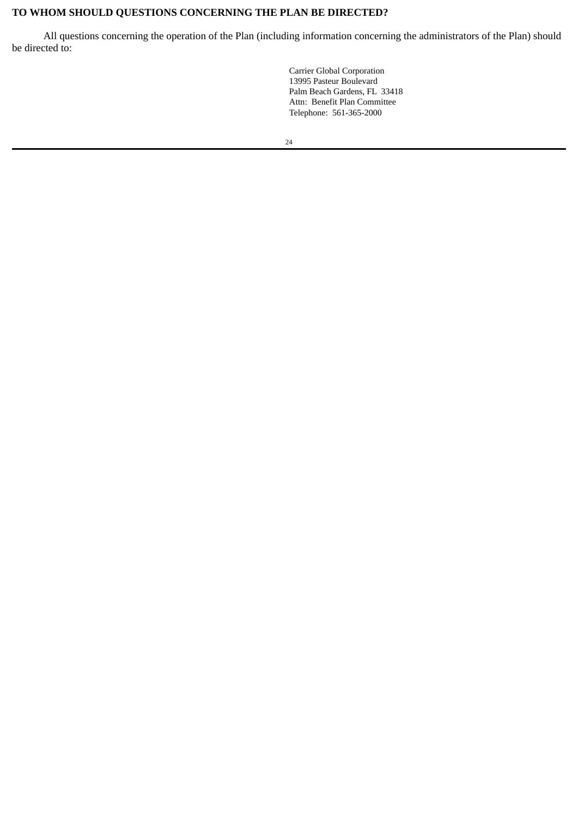# **TO WHOM SHOULD QUESTIONS CONCERNING THE PLAN BE DIRECTED?**

All questions concerning the operation of the Plan (including information concerning the administrators of the Plan) should be directed to:

> Carrier Global Corporation 13995 Pasteur Boulevard Palm Beach Gardens, FL 33418 Attn: Benefit Plan Committee Telephone: 561-365-2000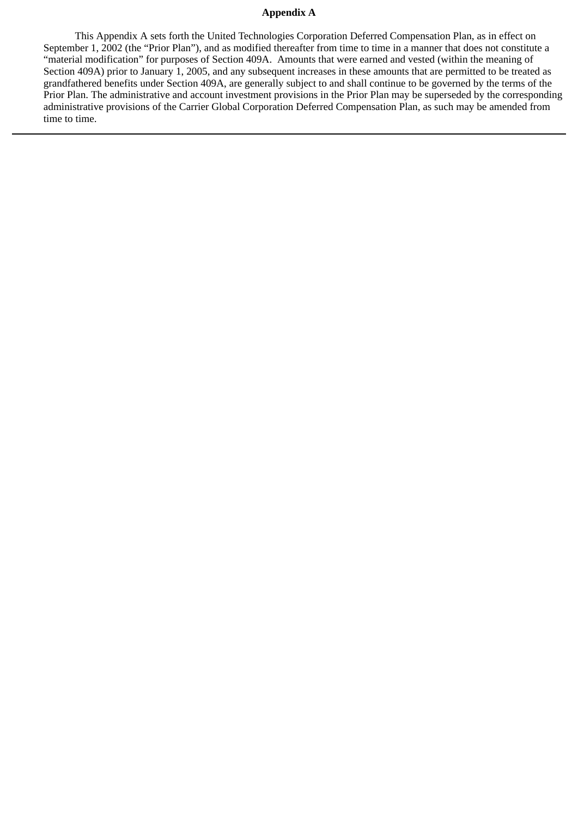# **Appendix A**

This Appendix A sets forth the United Technologies Corporation Deferred Compensation Plan, as in effect on September 1, 2002 (the "Prior Plan"), and as modified thereafter from time to time in a manner that does not constitute a "material modification" for purposes of Section 409A. Amounts that were earned and vested (within the meaning of Section 409A) prior to January 1, 2005, and any subsequent increases in these amounts that are permitted to be treated as grandfathered benefits under Section 409A, are generally subject to and shall continue to be governed by the terms of the Prior Plan. The administrative and account investment provisions in the Prior Plan may be superseded by the corresponding administrative provisions of the Carrier Global Corporation Deferred Compensation Plan, as such may be amended from time to time.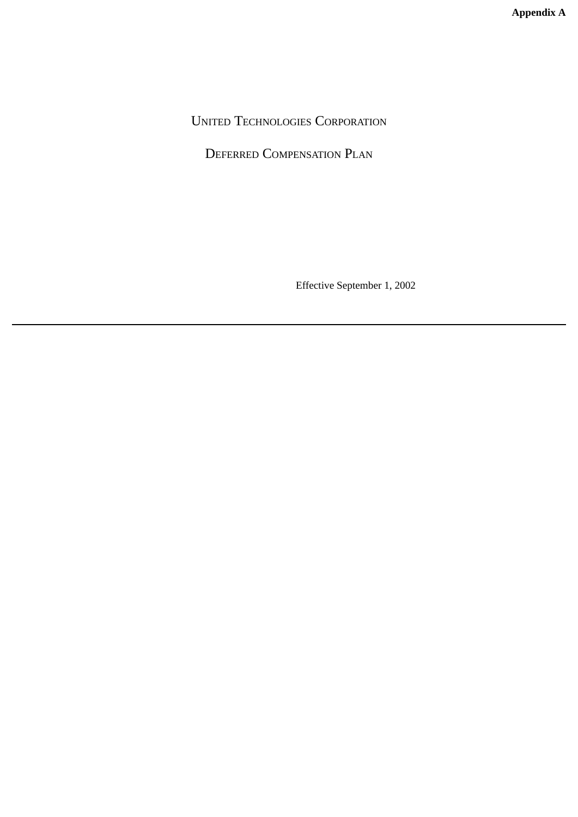UNITED TECHNOLOGIES CORPORATION

DEFERRED COMPENSATION PLAN

Effective September 1, 2002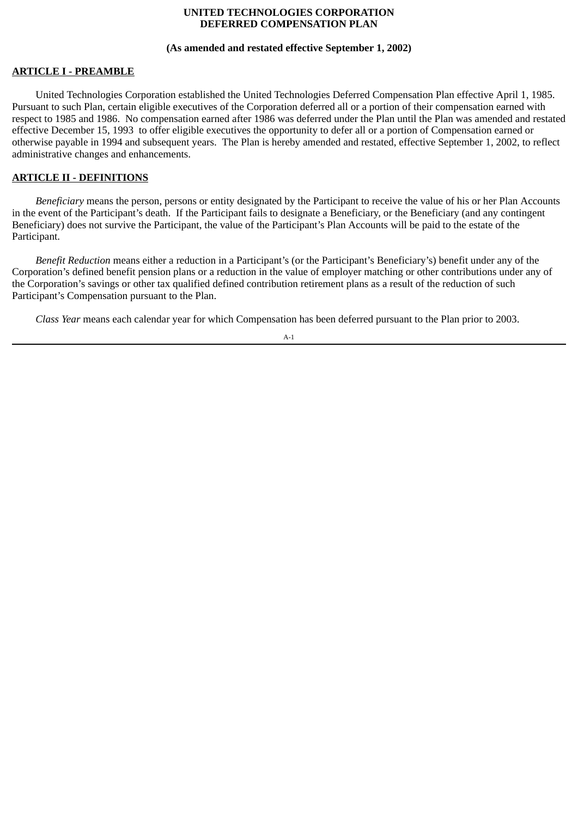# **UNITED TECHNOLOGIES CORPORATION DEFERRED COMPENSATION PLAN**

# **(As amended and restated effective September 1, 2002)**

# **ARTICLE I - PREAMBLE**

United Technologies Corporation established the United Technologies Deferred Compensation Plan effective April 1, 1985. Pursuant to such Plan, certain eligible executives of the Corporation deferred all or a portion of their compensation earned with respect to 1985 and 1986. No compensation earned after 1986 was deferred under the Plan until the Plan was amended and restated effective December 15, 1993 to offer eligible executives the opportunity to defer all or a portion of Compensation earned or otherwise payable in 1994 and subsequent years. The Plan is hereby amended and restated, effective September 1, 2002, to reflect administrative changes and enhancements.

# **ARTICLE II - DEFINITIONS**

*Beneficiary* means the person, persons or entity designated by the Participant to receive the value of his or her Plan Accounts in the event of the Participant's death. If the Participant fails to designate a Beneficiary, or the Beneficiary (and any contingent Beneficiary) does not survive the Participant, the value of the Participant's Plan Accounts will be paid to the estate of the Participant.

*Benefit Reduction* means either a reduction in a Participant's (or the Participant's Beneficiary's) benefit under any of the Corporation's defined benefit pension plans or a reduction in the value of employer matching or other contributions under any of the Corporation's savings or other tax qualified defined contribution retirement plans as a result of the reduction of such Participant's Compensation pursuant to the Plan.

*Class Year* means each calendar year for which Compensation has been deferred pursuant to the Plan prior to 2003.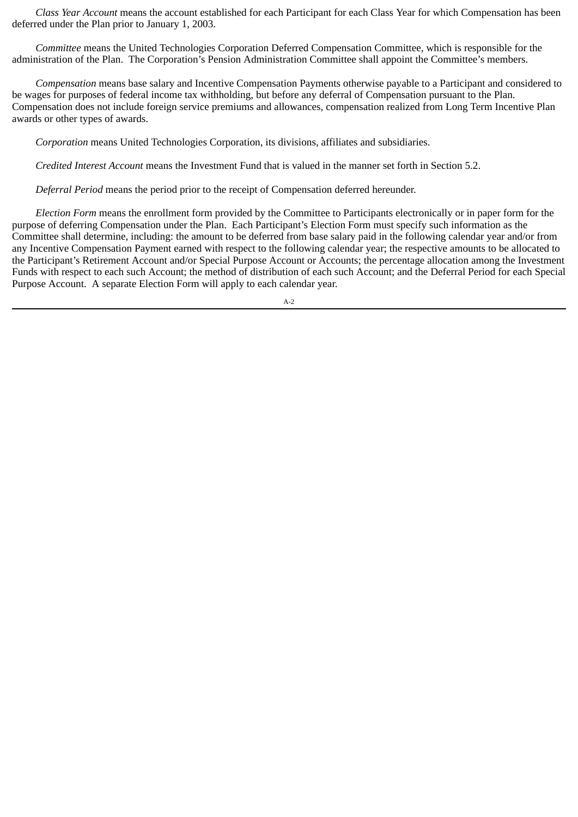*Class Year Account* means the account established for each Participant for each Class Year for which Compensation has been deferred under the Plan prior to January 1, 2003.

*Committee* means the United Technologies Corporation Deferred Compensation Committee, which is responsible for the administration of the Plan. The Corporation's Pension Administration Committee shall appoint the Committee's members.

*Compensation* means base salary and Incentive Compensation Payments otherwise payable to a Participant and considered to be wages for purposes of federal income tax withholding, but before any deferral of Compensation pursuant to the Plan. Compensation does not include foreign service premiums and allowances, compensation realized from Long Term Incentive Plan awards or other types of awards.

*Corporation* means United Technologies Corporation, its divisions, affiliates and subsidiaries.

*Credited Interest Account* means the Investment Fund that is valued in the manner set forth in Section 5.2.

*Deferral Period* means the period prior to the receipt of Compensation deferred hereunder.

*Election Form* means the enrollment form provided by the Committee to Participants electronically or in paper form for the purpose of deferring Compensation under the Plan. Each Participant's Election Form must specify such information as the Committee shall determine, including: the amount to be deferred from base salary paid in the following calendar year and/or from any Incentive Compensation Payment earned with respect to the following calendar year; the respective amounts to be allocated to the Participant's Retirement Account and/or Special Purpose Account or Accounts; the percentage allocation among the Investment Funds with respect to each such Account; the method of distribution of each such Account; and the Deferral Period for each Special Purpose Account. A separate Election Form will apply to each calendar year.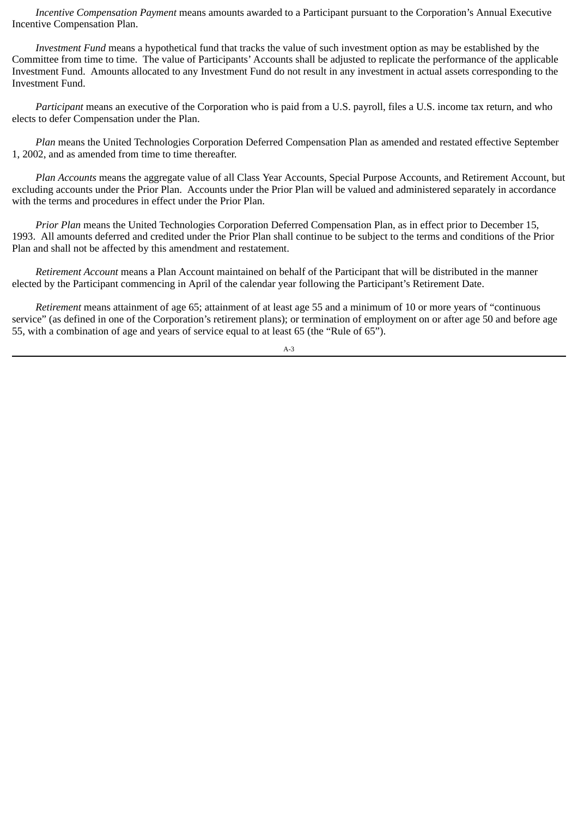*Incentive Compensation Payment* means amounts awarded to a Participant pursuant to the Corporation's Annual Executive Incentive Compensation Plan.

*Investment Fund* means a hypothetical fund that tracks the value of such investment option as may be established by the Committee from time to time. The value of Participants' Accounts shall be adjusted to replicate the performance of the applicable Investment Fund. Amounts allocated to any Investment Fund do not result in any investment in actual assets corresponding to the Investment Fund.

*Participant* means an executive of the Corporation who is paid from a U.S. payroll, files a U.S. income tax return, and who elects to defer Compensation under the Plan.

*Plan* means the United Technologies Corporation Deferred Compensation Plan as amended and restated effective September 1, 2002, and as amended from time to time thereafter.

*Plan Accounts* means the aggregate value of all Class Year Accounts, Special Purpose Accounts, and Retirement Account, but excluding accounts under the Prior Plan. Accounts under the Prior Plan will be valued and administered separately in accordance with the terms and procedures in effect under the Prior Plan.

*Prior Plan* means the United Technologies Corporation Deferred Compensation Plan, as in effect prior to December 15, 1993. All amounts deferred and credited under the Prior Plan shall continue to be subject to the terms and conditions of the Prior Plan and shall not be affected by this amendment and restatement.

*Retirement Account* means a Plan Account maintained on behalf of the Participant that will be distributed in the manner elected by the Participant commencing in April of the calendar year following the Participant's Retirement Date.

*Retirement* means attainment of age 65; attainment of at least age 55 and a minimum of 10 or more years of "continuous service" (as defined in one of the Corporation's retirement plans); or termination of employment on or after age 50 and before age 55, with a combination of age and years of service equal to at least 65 (the "Rule of 65").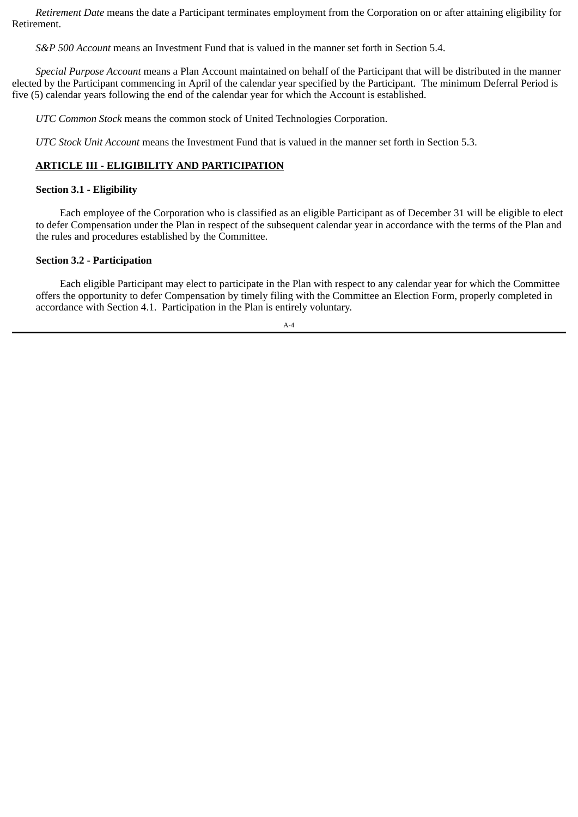*Retirement Date* means the date a Participant terminates employment from the Corporation on or after attaining eligibility for Retirement.

*S&P 500 Account* means an Investment Fund that is valued in the manner set forth in Section 5.4.

*Special Purpose Account* means a Plan Account maintained on behalf of the Participant that will be distributed in the manner elected by the Participant commencing in April of the calendar year specified by the Participant. The minimum Deferral Period is five (5) calendar years following the end of the calendar year for which the Account is established.

*UTC Common Stock* means the common stock of United Technologies Corporation.

*UTC Stock Unit Account* means the Investment Fund that is valued in the manner set forth in Section 5.3.

# **ARTICLE III - ELIGIBILITY AND PARTICIPATION**

# **Section 3.1 - Eligibility**

Each employee of the Corporation who is classified as an eligible Participant as of December 31 will be eligible to elect to defer Compensation under the Plan in respect of the subsequent calendar year in accordance with the terms of the Plan and the rules and procedures established by the Committee.

# **Section 3.2 - Participation**

Each eligible Participant may elect to participate in the Plan with respect to any calendar year for which the Committee offers the opportunity to defer Compensation by timely filing with the Committee an Election Form, properly completed in accordance with Section 4.1. Participation in the Plan is entirely voluntary.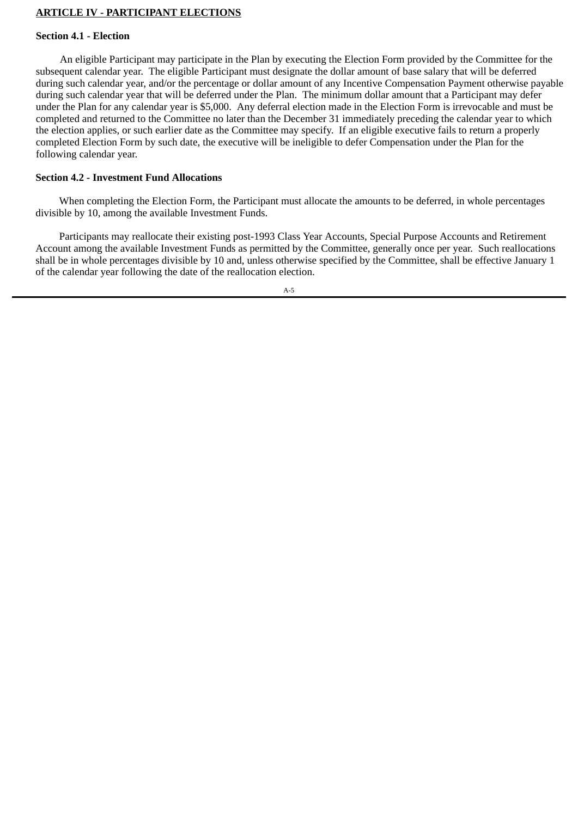# **ARTICLE IV - PARTICIPANT ELECTIONS**

# **Section 4.1 - Election**

An eligible Participant may participate in the Plan by executing the Election Form provided by the Committee for the subsequent calendar year. The eligible Participant must designate the dollar amount of base salary that will be deferred during such calendar year, and/or the percentage or dollar amount of any Incentive Compensation Payment otherwise payable during such calendar year that will be deferred under the Plan. The minimum dollar amount that a Participant may defer under the Plan for any calendar year is \$5,000. Any deferral election made in the Election Form is irrevocable and must be completed and returned to the Committee no later than the December 31 immediately preceding the calendar year to which the election applies, or such earlier date as the Committee may specify. If an eligible executive fails to return a properly completed Election Form by such date, the executive will be ineligible to defer Compensation under the Plan for the following calendar year.

# **Section 4.2 - Investment Fund Allocations**

When completing the Election Form, the Participant must allocate the amounts to be deferred, in whole percentages divisible by 10, among the available Investment Funds.

Participants may reallocate their existing post-1993 Class Year Accounts, Special Purpose Accounts and Retirement Account among the available Investment Funds as permitted by the Committee, generally once per year. Such reallocations shall be in whole percentages divisible by 10 and, unless otherwise specified by the Committee, shall be effective January 1 of the calendar year following the date of the reallocation election.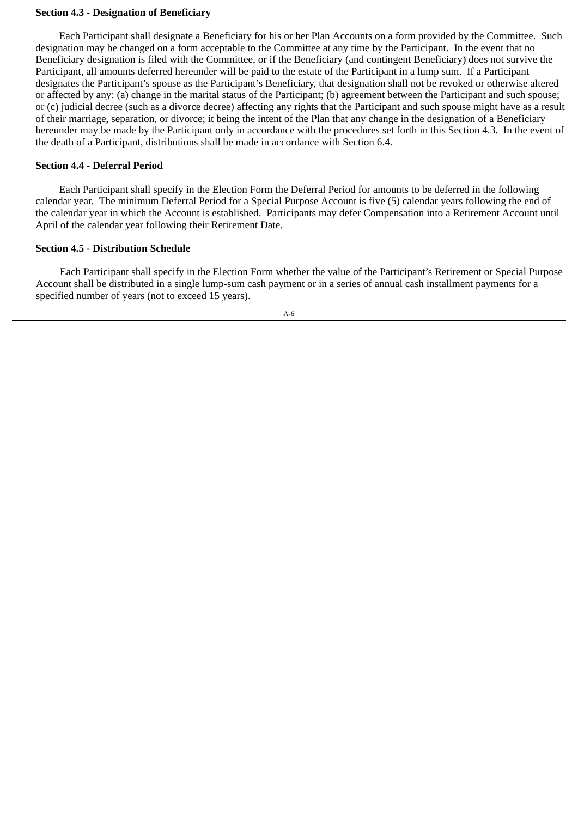### **Section 4.3 - Designation of Beneficiary**

Each Participant shall designate a Beneficiary for his or her Plan Accounts on a form provided by the Committee. Such designation may be changed on a form acceptable to the Committee at any time by the Participant. In the event that no Beneficiary designation is filed with the Committee, or if the Beneficiary (and contingent Beneficiary) does not survive the Participant, all amounts deferred hereunder will be paid to the estate of the Participant in a lump sum. If a Participant designates the Participant's spouse as the Participant's Beneficiary, that designation shall not be revoked or otherwise altered or affected by any: (a) change in the marital status of the Participant; (b) agreement between the Participant and such spouse; or (c) judicial decree (such as a divorce decree) affecting any rights that the Participant and such spouse might have as a result of their marriage, separation, or divorce; it being the intent of the Plan that any change in the designation of a Beneficiary hereunder may be made by the Participant only in accordance with the procedures set forth in this Section 4.3. In the event of the death of a Participant, distributions shall be made in accordance with Section 6.4.

## **Section 4.4 - Deferral Period**

Each Participant shall specify in the Election Form the Deferral Period for amounts to be deferred in the following calendar year. The minimum Deferral Period for a Special Purpose Account is five (5) calendar years following the end of the calendar year in which the Account is established. Participants may defer Compensation into a Retirement Account until April of the calendar year following their Retirement Date.

## **Section 4.5 - Distribution Schedule**

Each Participant shall specify in the Election Form whether the value of the Participant's Retirement or Special Purpose Account shall be distributed in a single lump-sum cash payment or in a series of annual cash installment payments for a specified number of years (not to exceed 15 years).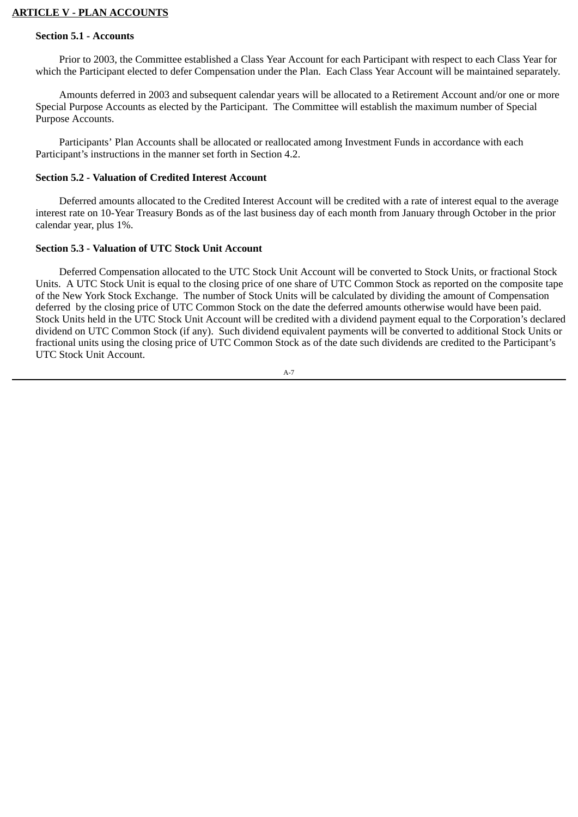## **ARTICLE V - PLAN ACCOUNTS**

## **Section 5.1 - Accounts**

Prior to 2003, the Committee established a Class Year Account for each Participant with respect to each Class Year for which the Participant elected to defer Compensation under the Plan. Each Class Year Account will be maintained separately.

Amounts deferred in 2003 and subsequent calendar years will be allocated to a Retirement Account and/or one or more Special Purpose Accounts as elected by the Participant. The Committee will establish the maximum number of Special Purpose Accounts.

Participants' Plan Accounts shall be allocated or reallocated among Investment Funds in accordance with each Participant's instructions in the manner set forth in Section 4.2.

## **Section 5.2 - Valuation of Credited Interest Account**

Deferred amounts allocated to the Credited Interest Account will be credited with a rate of interest equal to the average interest rate on 10-Year Treasury Bonds as of the last business day of each month from January through October in the prior calendar year, plus 1%.

## **Section 5.3 - Valuation of UTC Stock Unit Account**

Deferred Compensation allocated to the UTC Stock Unit Account will be converted to Stock Units, or fractional Stock Units. A UTC Stock Unit is equal to the closing price of one share of UTC Common Stock as reported on the composite tape of the New York Stock Exchange. The number of Stock Units will be calculated by dividing the amount of Compensation deferred by the closing price of UTC Common Stock on the date the deferred amounts otherwise would have been paid. Stock Units held in the UTC Stock Unit Account will be credited with a dividend payment equal to the Corporation's declared dividend on UTC Common Stock (if any). Such dividend equivalent payments will be converted to additional Stock Units or fractional units using the closing price of UTC Common Stock as of the date such dividends are credited to the Participant's UTC Stock Unit Account.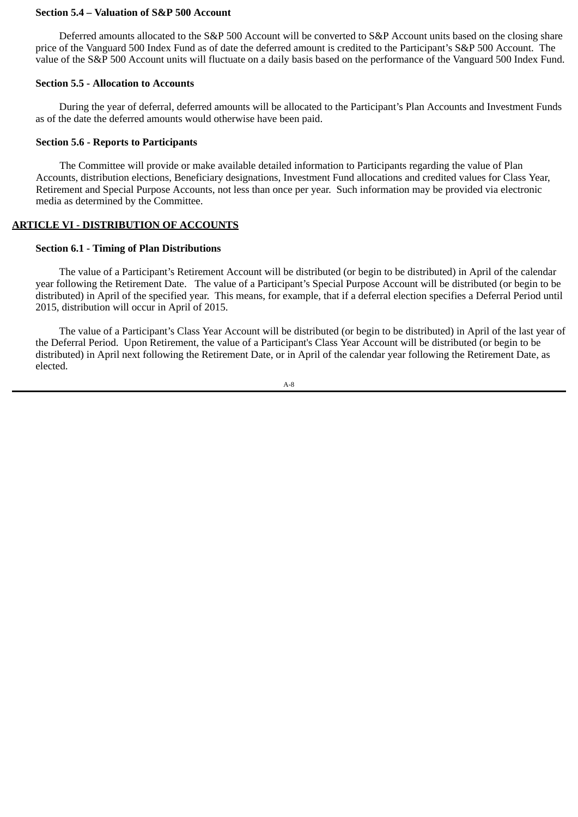#### **Section 5.4 – Valuation of S&P 500 Account**

Deferred amounts allocated to the S&P 500 Account will be converted to S&P Account units based on the closing share price of the Vanguard 500 Index Fund as of date the deferred amount is credited to the Participant's S&P 500 Account. The value of the S&P 500 Account units will fluctuate on a daily basis based on the performance of the Vanguard 500 Index Fund.

#### **Section 5.5 - Allocation to Accounts**

During the year of deferral, deferred amounts will be allocated to the Participant's Plan Accounts and Investment Funds as of the date the deferred amounts would otherwise have been paid.

#### **Section 5.6 - Reports to Participants**

The Committee will provide or make available detailed information to Participants regarding the value of Plan Accounts, distribution elections, Beneficiary designations, Investment Fund allocations and credited values for Class Year, Retirement and Special Purpose Accounts, not less than once per year. Such information may be provided via electronic media as determined by the Committee.

## **ARTICLE VI - DISTRIBUTION OF ACCOUNTS**

#### **Section 6.1 - Timing of Plan Distributions**

The value of a Participant's Retirement Account will be distributed (or begin to be distributed) in April of the calendar year following the Retirement Date. The value of a Participant's Special Purpose Account will be distributed (or begin to be distributed) in April of the specified year. This means, for example, that if a deferral election specifies a Deferral Period until 2015, distribution will occur in April of 2015.

The value of a Participant's Class Year Account will be distributed (or begin to be distributed) in April of the last year of the Deferral Period. Upon Retirement, the value of a Participant's Class Year Account will be distributed (or begin to be distributed) in April next following the Retirement Date, or in April of the calendar year following the Retirement Date, as elected.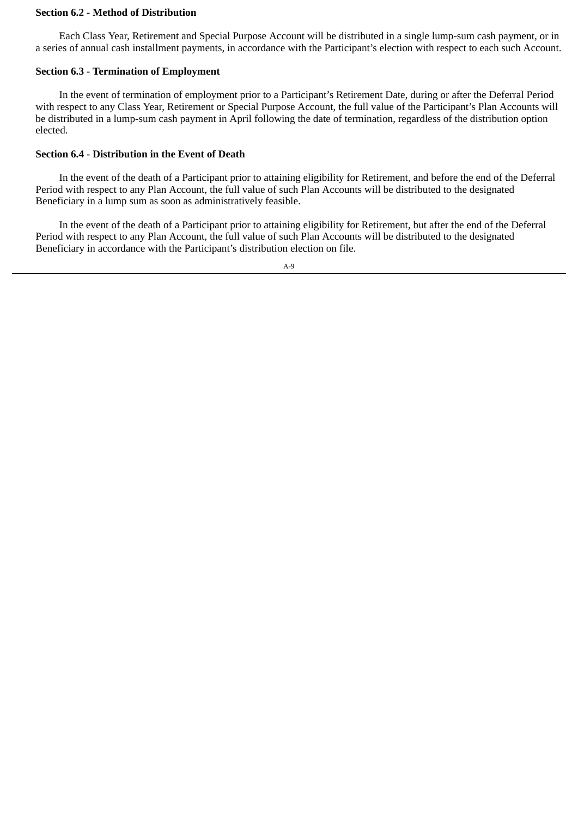## **Section 6.2 - Method of Distribution**

Each Class Year, Retirement and Special Purpose Account will be distributed in a single lump-sum cash payment, or in a series of annual cash installment payments, in accordance with the Participant's election with respect to each such Account.

## **Section 6.3 - Termination of Employment**

In the event of termination of employment prior to a Participant's Retirement Date, during or after the Deferral Period with respect to any Class Year, Retirement or Special Purpose Account, the full value of the Participant's Plan Accounts will be distributed in a lump-sum cash payment in April following the date of termination, regardless of the distribution option elected.

# **Section 6.4 - Distribution in the Event of Death**

In the event of the death of a Participant prior to attaining eligibility for Retirement, and before the end of the Deferral Period with respect to any Plan Account, the full value of such Plan Accounts will be distributed to the designated Beneficiary in a lump sum as soon as administratively feasible.

In the event of the death of a Participant prior to attaining eligibility for Retirement, but after the end of the Deferral Period with respect to any Plan Account, the full value of such Plan Accounts will be distributed to the designated Beneficiary in accordance with the Participant's distribution election on file.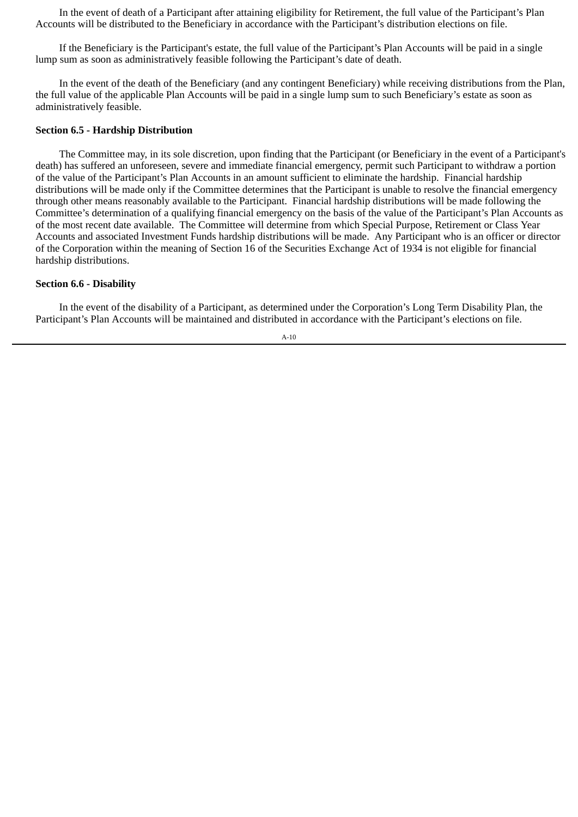In the event of death of a Participant after attaining eligibility for Retirement, the full value of the Participant's Plan Accounts will be distributed to the Beneficiary in accordance with the Participant's distribution elections on file.

If the Beneficiary is the Participant's estate, the full value of the Participant's Plan Accounts will be paid in a single lump sum as soon as administratively feasible following the Participant's date of death.

In the event of the death of the Beneficiary (and any contingent Beneficiary) while receiving distributions from the Plan, the full value of the applicable Plan Accounts will be paid in a single lump sum to such Beneficiary's estate as soon as administratively feasible.

#### **Section 6.5 - Hardship Distribution**

The Committee may, in its sole discretion, upon finding that the Participant (or Beneficiary in the event of a Participant's death) has suffered an unforeseen, severe and immediate financial emergency, permit such Participant to withdraw a portion of the value of the Participant's Plan Accounts in an amount sufficient to eliminate the hardship. Financial hardship distributions will be made only if the Committee determines that the Participant is unable to resolve the financial emergency through other means reasonably available to the Participant. Financial hardship distributions will be made following the Committee's determination of a qualifying financial emergency on the basis of the value of the Participant's Plan Accounts as of the most recent date available. The Committee will determine from which Special Purpose, Retirement or Class Year Accounts and associated Investment Funds hardship distributions will be made. Any Participant who is an officer or director of the Corporation within the meaning of Section 16 of the Securities Exchange Act of 1934 is not eligible for financial hardship distributions.

#### **Section 6.6 - Disability**

In the event of the disability of a Participant, as determined under the Corporation's Long Term Disability Plan, the Participant's Plan Accounts will be maintained and distributed in accordance with the Participant's elections on file.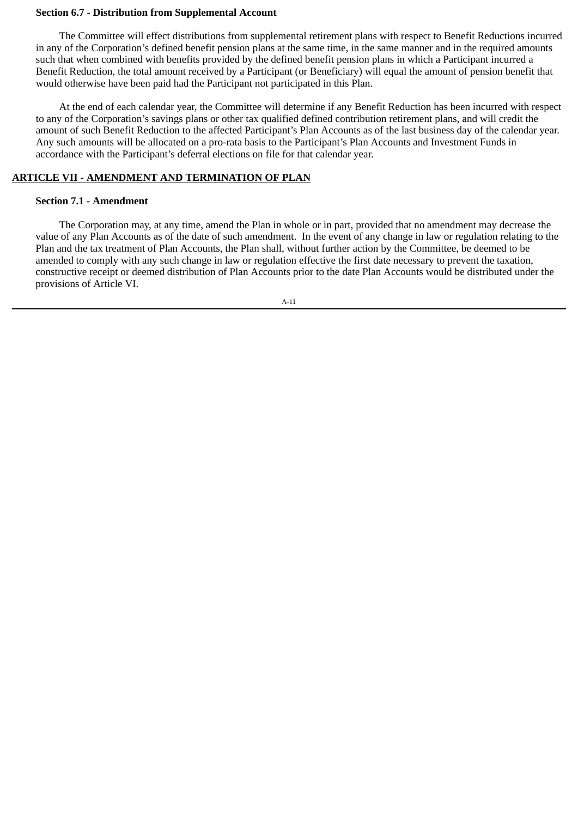## **Section 6.7 - Distribution from Supplemental Account**

The Committee will effect distributions from supplemental retirement plans with respect to Benefit Reductions incurred in any of the Corporation's defined benefit pension plans at the same time, in the same manner and in the required amounts such that when combined with benefits provided by the defined benefit pension plans in which a Participant incurred a Benefit Reduction, the total amount received by a Participant (or Beneficiary) will equal the amount of pension benefit that would otherwise have been paid had the Participant not participated in this Plan.

At the end of each calendar year, the Committee will determine if any Benefit Reduction has been incurred with respect to any of the Corporation's savings plans or other tax qualified defined contribution retirement plans, and will credit the amount of such Benefit Reduction to the affected Participant's Plan Accounts as of the last business day of the calendar year. Any such amounts will be allocated on a pro-rata basis to the Participant's Plan Accounts and Investment Funds in accordance with the Participant's deferral elections on file for that calendar year.

# **ARTICLE VII - AMENDMENT AND TERMINATION OF PLAN**

## **Section 7.1 - Amendment**

The Corporation may, at any time, amend the Plan in whole or in part, provided that no amendment may decrease the value of any Plan Accounts as of the date of such amendment. In the event of any change in law or regulation relating to the Plan and the tax treatment of Plan Accounts, the Plan shall, without further action by the Committee, be deemed to be amended to comply with any such change in law or regulation effective the first date necessary to prevent the taxation, constructive receipt or deemed distribution of Plan Accounts prior to the date Plan Accounts would be distributed under the provisions of Article VI.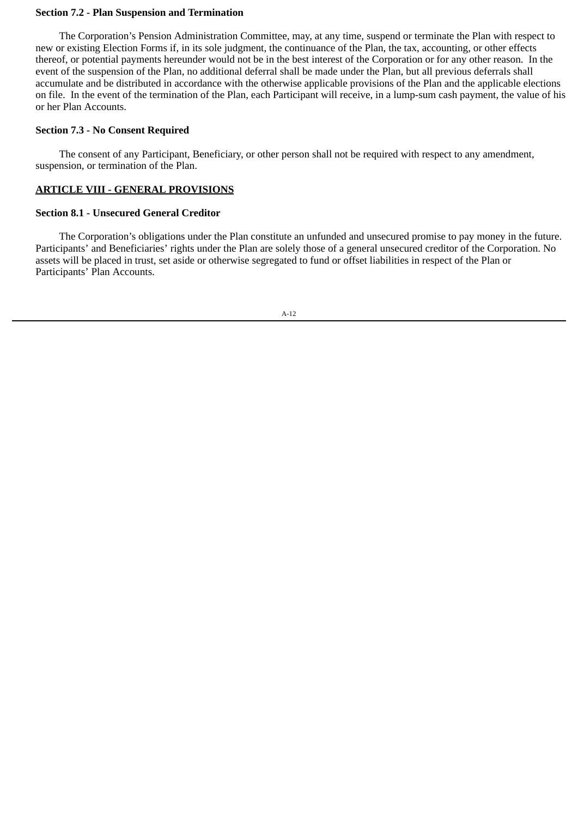## **Section 7.2 - Plan Suspension and Termination**

The Corporation's Pension Administration Committee, may, at any time, suspend or terminate the Plan with respect to new or existing Election Forms if, in its sole judgment, the continuance of the Plan, the tax, accounting, or other effects thereof, or potential payments hereunder would not be in the best interest of the Corporation or for any other reason. In the event of the suspension of the Plan, no additional deferral shall be made under the Plan, but all previous deferrals shall accumulate and be distributed in accordance with the otherwise applicable provisions of the Plan and the applicable elections on file. In the event of the termination of the Plan, each Participant will receive, in a lump-sum cash payment, the value of his or her Plan Accounts.

## **Section 7.3 - No Consent Required**

The consent of any Participant, Beneficiary, or other person shall not be required with respect to any amendment, suspension, or termination of the Plan.

## **ARTICLE VIII - GENERAL PROVISIONS**

## **Section 8.1 - Unsecured General Creditor**

The Corporation's obligations under the Plan constitute an unfunded and unsecured promise to pay money in the future. Participants' and Beneficiaries' rights under the Plan are solely those of a general unsecured creditor of the Corporation. No assets will be placed in trust, set aside or otherwise segregated to fund or offset liabilities in respect of the Plan or Participants' Plan Accounts.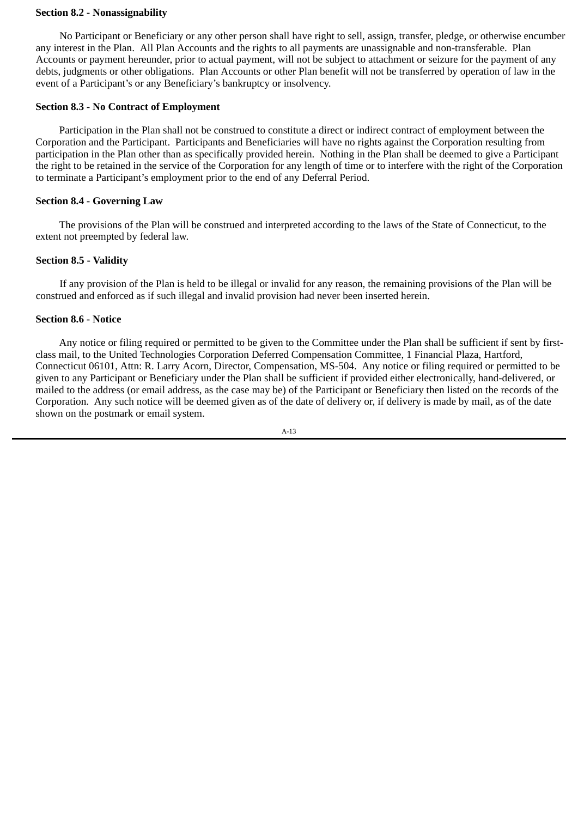#### **Section 8.2 - Nonassignability**

No Participant or Beneficiary or any other person shall have right to sell, assign, transfer, pledge, or otherwise encumber any interest in the Plan. All Plan Accounts and the rights to all payments are unassignable and non-transferable. Plan Accounts or payment hereunder, prior to actual payment, will not be subject to attachment or seizure for the payment of any debts, judgments or other obligations. Plan Accounts or other Plan benefit will not be transferred by operation of law in the event of a Participant's or any Beneficiary's bankruptcy or insolvency.

## **Section 8.3 - No Contract of Employment**

Participation in the Plan shall not be construed to constitute a direct or indirect contract of employment between the Corporation and the Participant. Participants and Beneficiaries will have no rights against the Corporation resulting from participation in the Plan other than as specifically provided herein. Nothing in the Plan shall be deemed to give a Participant the right to be retained in the service of the Corporation for any length of time or to interfere with the right of the Corporation to terminate a Participant's employment prior to the end of any Deferral Period.

## **Section 8.4 - Governing Law**

The provisions of the Plan will be construed and interpreted according to the laws of the State of Connecticut, to the extent not preempted by federal law.

## **Section 8.5 - Validity**

If any provision of the Plan is held to be illegal or invalid for any reason, the remaining provisions of the Plan will be construed and enforced as if such illegal and invalid provision had never been inserted herein.

## **Section 8.6 - Notice**

Any notice or filing required or permitted to be given to the Committee under the Plan shall be sufficient if sent by firstclass mail, to the United Technologies Corporation Deferred Compensation Committee, 1 Financial Plaza, Hartford, Connecticut 06101, Attn: R. Larry Acorn, Director, Compensation, MS-504. Any notice or filing required or permitted to be given to any Participant or Beneficiary under the Plan shall be sufficient if provided either electronically, hand-delivered, or mailed to the address (or email address, as the case may be) of the Participant or Beneficiary then listed on the records of the Corporation. Any such notice will be deemed given as of the date of delivery or, if delivery is made by mail, as of the date shown on the postmark or email system.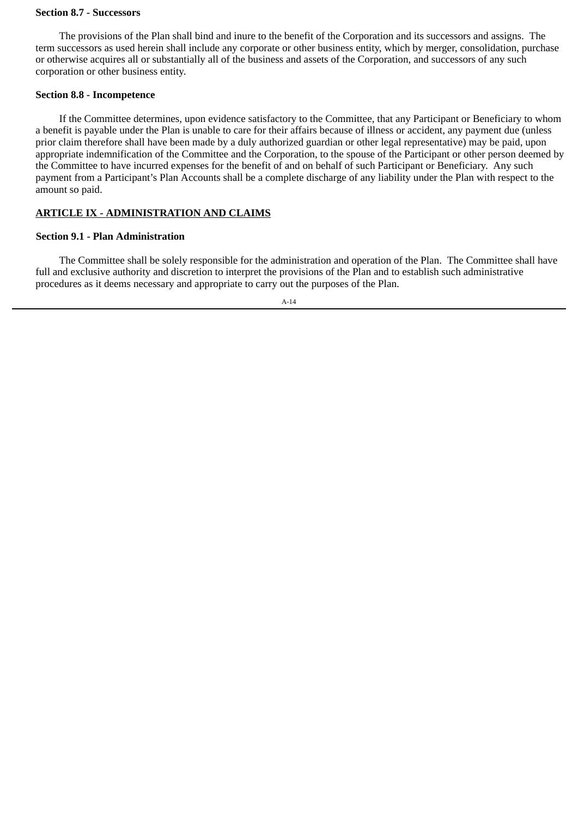#### **Section 8.7 - Successors**

The provisions of the Plan shall bind and inure to the benefit of the Corporation and its successors and assigns. The term successors as used herein shall include any corporate or other business entity, which by merger, consolidation, purchase or otherwise acquires all or substantially all of the business and assets of the Corporation, and successors of any such corporation or other business entity.

## **Section 8.8 - Incompetence**

If the Committee determines, upon evidence satisfactory to the Committee, that any Participant or Beneficiary to whom a benefit is payable under the Plan is unable to care for their affairs because of illness or accident, any payment due (unless prior claim therefore shall have been made by a duly authorized guardian or other legal representative) may be paid, upon appropriate indemnification of the Committee and the Corporation, to the spouse of the Participant or other person deemed by the Committee to have incurred expenses for the benefit of and on behalf of such Participant or Beneficiary. Any such payment from a Participant's Plan Accounts shall be a complete discharge of any liability under the Plan with respect to the amount so paid.

# **ARTICLE IX - ADMINISTRATION AND CLAIMS**

# **Section 9.1 - Plan Administration**

The Committee shall be solely responsible for the administration and operation of the Plan. The Committee shall have full and exclusive authority and discretion to interpret the provisions of the Plan and to establish such administrative procedures as it deems necessary and appropriate to carry out the purposes of the Plan.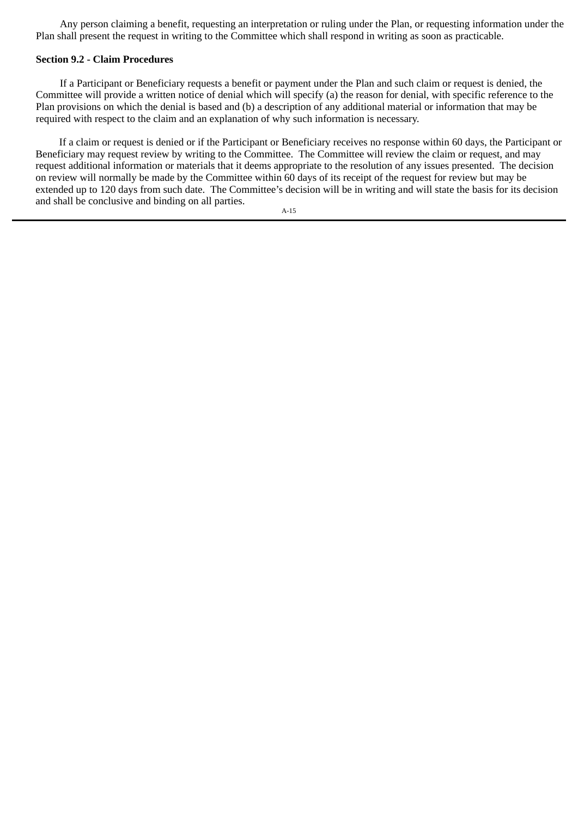Any person claiming a benefit, requesting an interpretation or ruling under the Plan, or requesting information under the Plan shall present the request in writing to the Committee which shall respond in writing as soon as practicable.

## **Section 9.2 - Claim Procedures**

If a Participant or Beneficiary requests a benefit or payment under the Plan and such claim or request is denied, the Committee will provide a written notice of denial which will specify (a) the reason for denial, with specific reference to the Plan provisions on which the denial is based and (b) a description of any additional material or information that may be required with respect to the claim and an explanation of why such information is necessary.

If a claim or request is denied or if the Participant or Beneficiary receives no response within 60 days, the Participant or Beneficiary may request review by writing to the Committee. The Committee will review the claim or request, and may request additional information or materials that it deems appropriate to the resolution of any issues presented. The decision on review will normally be made by the Committee within 60 days of its receipt of the request for review but may be extended up to 120 days from such date. The Committee's decision will be in writing and will state the basis for its decision and shall be conclusive and binding on all parties.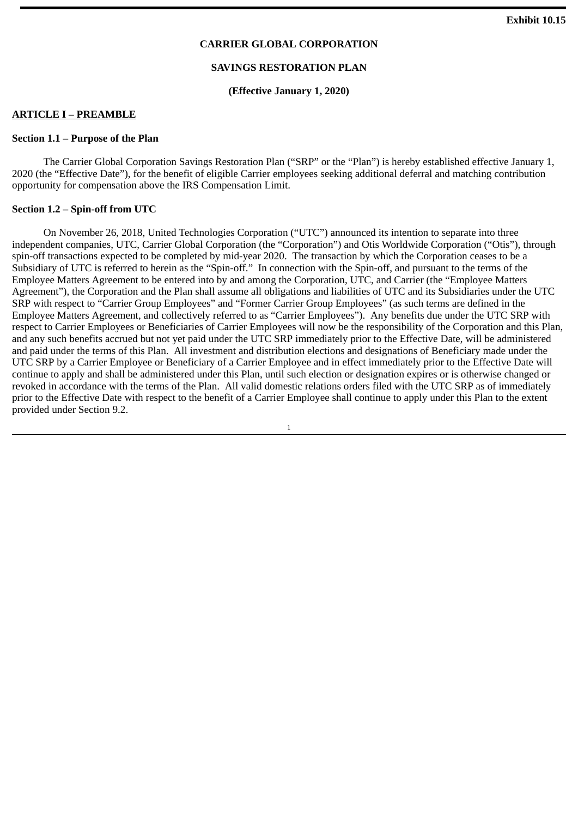## **CARRIER GLOBAL CORPORATION**

# **SAVINGS RESTORATION PLAN**

**(Effective January 1, 2020)**

## **ARTICLE I – PREAMBLE**

### **Section 1.1 – Purpose of the Plan**

The Carrier Global Corporation Savings Restoration Plan ("SRP" or the "Plan") is hereby established effective January 1, 2020 (the "Effective Date"), for the benefit of eligible Carrier employees seeking additional deferral and matching contribution opportunity for compensation above the IRS Compensation Limit.

## **Section 1.2 – Spin-off from UTC**

On November 26, 2018, United Technologies Corporation ("UTC") announced its intention to separate into three independent companies, UTC, Carrier Global Corporation (the "Corporation") and Otis Worldwide Corporation ("Otis"), through spin-off transactions expected to be completed by mid-year 2020. The transaction by which the Corporation ceases to be a Subsidiary of UTC is referred to herein as the "Spin-off." In connection with the Spin-off, and pursuant to the terms of the Employee Matters Agreement to be entered into by and among the Corporation, UTC, and Carrier (the "Employee Matters Agreement"), the Corporation and the Plan shall assume all obligations and liabilities of UTC and its Subsidiaries under the UTC SRP with respect to "Carrier Group Employees" and "Former Carrier Group Employees" (as such terms are defined in the Employee Matters Agreement, and collectively referred to as "Carrier Employees"). Any benefits due under the UTC SRP with respect to Carrier Employees or Beneficiaries of Carrier Employees will now be the responsibility of the Corporation and this Plan, and any such benefits accrued but not yet paid under the UTC SRP immediately prior to the Effective Date, will be administered and paid under the terms of this Plan. All investment and distribution elections and designations of Beneficiary made under the UTC SRP by a Carrier Employee or Beneficiary of a Carrier Employee and in effect immediately prior to the Effective Date will continue to apply and shall be administered under this Plan, until such election or designation expires or is otherwise changed or revoked in accordance with the terms of the Plan. All valid domestic relations orders filed with the UTC SRP as of immediately prior to the Effective Date with respect to the benefit of a Carrier Employee shall continue to apply under this Plan to the extent provided under Section 9.2.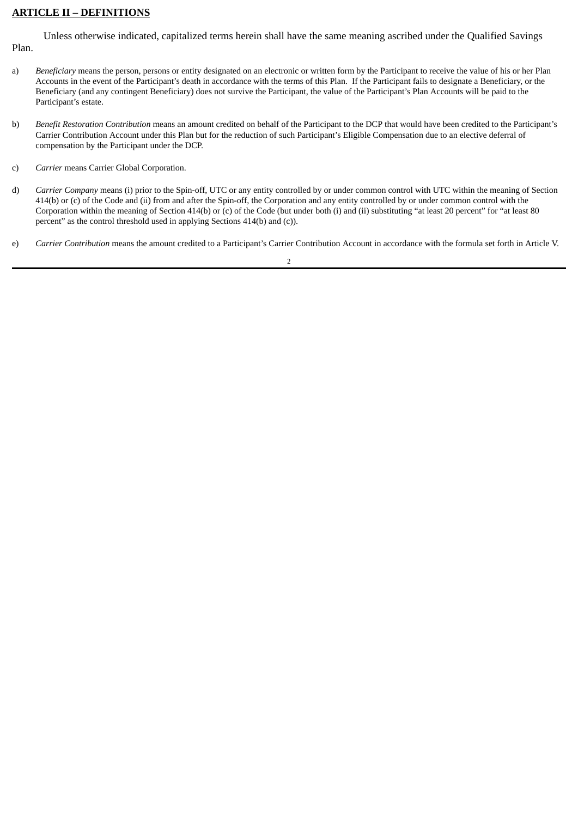# **ARTICLE II – DEFINITIONS**

Unless otherwise indicated, capitalized terms herein shall have the same meaning ascribed under the Qualified Savings Plan.

- a) *Beneficiary* means the person, persons or entity designated on an electronic or written form by the Participant to receive the value of his or her Plan Accounts in the event of the Participant's death in accordance with the terms of this Plan. If the Participant fails to designate a Beneficiary, or the Beneficiary (and any contingent Beneficiary) does not survive the Participant, the value of the Participant's Plan Accounts will be paid to the Participant's estate.
- b) *Benefit Restoration Contribution* means an amount credited on behalf of the Participant to the DCP that would have been credited to the Participant's Carrier Contribution Account under this Plan but for the reduction of such Participant's Eligible Compensation due to an elective deferral of compensation by the Participant under the DCP.
- c) *Carrier* means Carrier Global Corporation.
- d) *Carrier Company* means (i) prior to the Spin-off, UTC or any entity controlled by or under common control with UTC within the meaning of Section 414(b) or (c) of the Code and (ii) from and after the Spin-off, the Corporation and any entity controlled by or under common control with the Corporation within the meaning of Section 414(b) or (c) of the Code (but under both (i) and (ii) substituting "at least 20 percent" for "at least 80 percent" as the control threshold used in applying Sections 414(b) and (c)).
- e) *Carrier Contribution* means the amount credited to a Participant's Carrier Contribution Account in accordance with the formula set forth in Article V. 2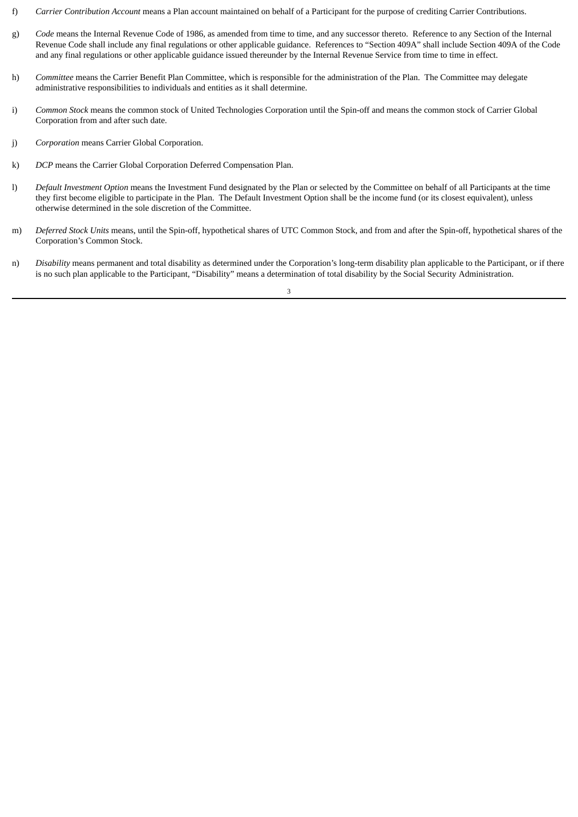- f) *Carrier Contribution Account* means a Plan account maintained on behalf of a Participant for the purpose of crediting Carrier Contributions.
- g) *Code* means the Internal Revenue Code of 1986, as amended from time to time, and any successor thereto. Reference to any Section of the Internal Revenue Code shall include any final regulations or other applicable guidance. References to "Section 409A" shall include Section 409A of the Code and any final regulations or other applicable guidance issued thereunder by the Internal Revenue Service from time to time in effect.
- h) *Committee* means the Carrier Benefit Plan Committee, which is responsible for the administration of the Plan. The Committee may delegate administrative responsibilities to individuals and entities as it shall determine.
- i) *Common Stock* means the common stock of United Technologies Corporation until the Spin-off and means the common stock of Carrier Global Corporation from and after such date.
- j) *Corporation* means Carrier Global Corporation.
- k) *DCP* means the Carrier Global Corporation Deferred Compensation Plan.
- l) *Default Investment Option* means the Investment Fund designated by the Plan or selected by the Committee on behalf of all Participants at the time they first become eligible to participate in the Plan. The Default Investment Option shall be the income fund (or its closest equivalent), unless otherwise determined in the sole discretion of the Committee.
- m) *Deferred Stock Units* means, until the Spin-off, hypothetical shares of UTC Common Stock, and from and after the Spin-off, hypothetical shares of the Corporation's Common Stock.
- n) *Disability* means permanent and total disability as determined under the Corporation's long-term disability plan applicable to the Participant, or if there is no such plan applicable to the Participant, "Disability" means a determination of total disability by the Social Security Administration.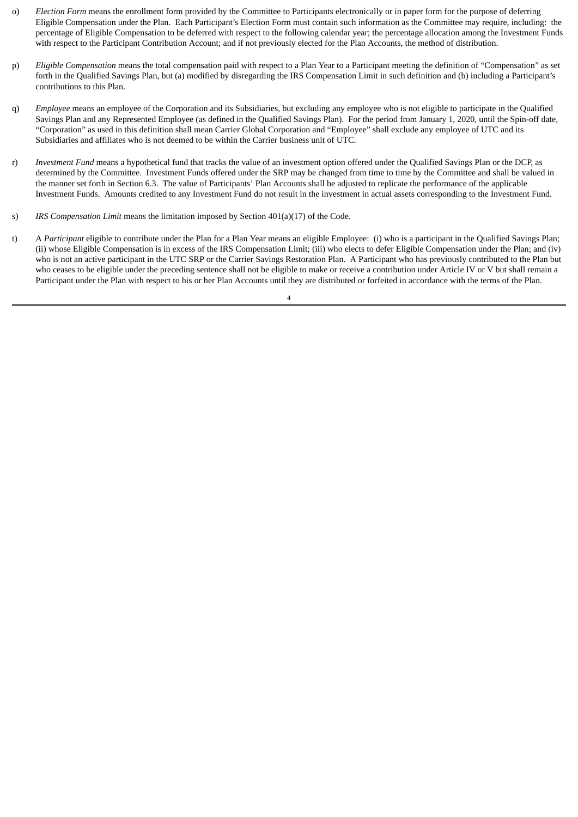- o) *Election Form* means the enrollment form provided by the Committee to Participants electronically or in paper form for the purpose of deferring Eligible Compensation under the Plan. Each Participant's Election Form must contain such information as the Committee may require, including: the percentage of Eligible Compensation to be deferred with respect to the following calendar year; the percentage allocation among the Investment Funds with respect to the Participant Contribution Account; and if not previously elected for the Plan Accounts, the method of distribution.
- p) *Eligible Compensation* means the total compensation paid with respect to a Plan Year to a Participant meeting the definition of "Compensation" as set forth in the Qualified Savings Plan, but (a) modified by disregarding the IRS Compensation Limit in such definition and (b) including a Participant's contributions to this Plan.
- q) *Employee* means an employee of the Corporation and its Subsidiaries, but excluding any employee who is not eligible to participate in the Qualified Savings Plan and any Represented Employee (as defined in the Qualified Savings Plan). For the period from January 1, 2020, until the Spin-off date, "Corporation" as used in this definition shall mean Carrier Global Corporation and "Employee" shall exclude any employee of UTC and its Subsidiaries and affiliates who is not deemed to be within the Carrier business unit of UTC.
- r) *Investment Fund* means a hypothetical fund that tracks the value of an investment option offered under the Qualified Savings Plan or the DCP, as determined by the Committee. Investment Funds offered under the SRP may be changed from time to time by the Committee and shall be valued in the manner set forth in Section 6.3. The value of Participants' Plan Accounts shall be adjusted to replicate the performance of the applicable Investment Funds. Amounts credited to any Investment Fund do not result in the investment in actual assets corresponding to the Investment Fund.
- s) *IRS Compensation Limit* means the limitation imposed by Section 401(a)(17) of the Code.
- t) A *Participant* eligible to contribute under the Plan for a Plan Year means an eligible Employee: (i) who is a participant in the Qualified Savings Plan; (ii) whose Eligible Compensation is in excess of the IRS Compensation Limit; (iii) who elects to defer Eligible Compensation under the Plan; and (iv) who is not an active participant in the UTC SRP or the Carrier Savings Restoration Plan. A Participant who has previously contributed to the Plan but who ceases to be eligible under the preceding sentence shall not be eligible to make or receive a contribution under Article IV or V but shall remain a Participant under the Plan with respect to his or her Plan Accounts until they are distributed or forfeited in accordance with the terms of the Plan.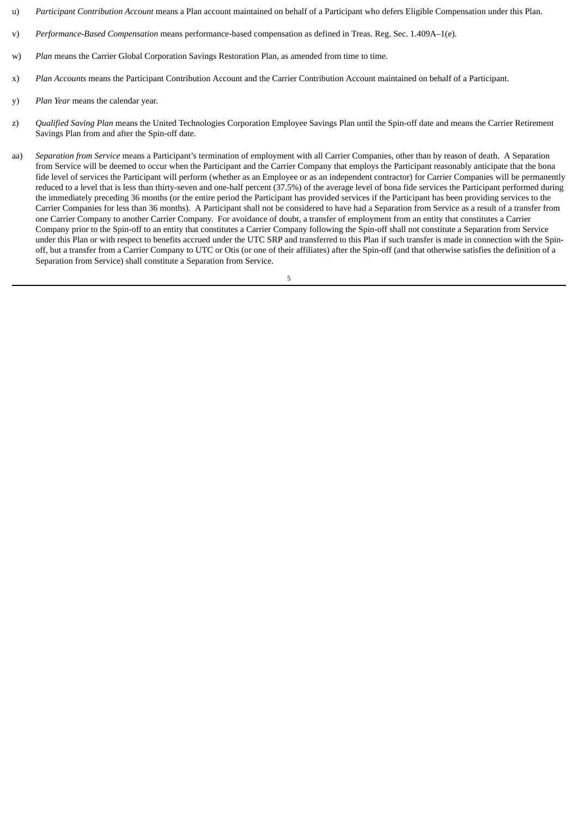- u) *Participant Contribution Account* means a Plan account maintained on behalf of a Participant who defers Eligible Compensation under this Plan.
- v) *Performance-Based Compensation* means performance-based compensation as defined in Treas. Reg. Sec. 1.409A–1(e).
- w) *Plan* means the Carrier Global Corporation Savings Restoration Plan, as amended from time to time.
- x) *Plan Accounts* means the Participant Contribution Account and the Carrier Contribution Account maintained on behalf of a Participant.
- y) *Plan Year* means the calendar year.
- z) *Qualified Saving Plan* means the United Technologies Corporation Employee Savings Plan until the Spin-off date and means the Carrier Retirement Savings Plan from and after the Spin-off date.
- aa) *Separation from Service* means a Participant's termination of employment with all Carrier Companies, other than by reason of death. A Separation from Service will be deemed to occur when the Participant and the Carrier Company that employs the Participant reasonably anticipate that the bona fide level of services the Participant will perform (whether as an Employee or as an independent contractor) for Carrier Companies will be permanently reduced to a level that is less than thirty-seven and one-half percent (37.5%) of the average level of bona fide services the Participant performed during the immediately preceding 36 months (or the entire period the Participant has provided services if the Participant has been providing services to the Carrier Companies for less than 36 months). A Participant shall not be considered to have had a Separation from Service as a result of a transfer from one Carrier Company to another Carrier Company. For avoidance of doubt, a transfer of employment from an entity that constitutes a Carrier Company prior to the Spin-off to an entity that constitutes a Carrier Company following the Spin-off shall not constitute a Separation from Service under this Plan or with respect to benefits accrued under the UTC SRP and transferred to this Plan if such transfer is made in connection with the Spinoff, but a transfer from a Carrier Company to UTC or Otis (or one of their affiliates) after the Spin-off (and that otherwise satisfies the definition of a Separation from Service) shall constitute a Separation from Service.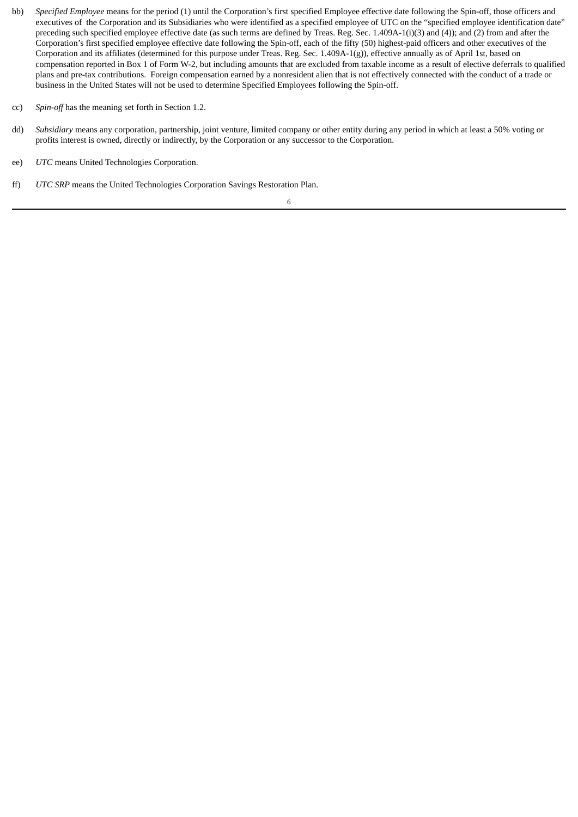- bb) *Specified Employee* means for the period (1) until the Corporation's first specified Employee effective date following the Spin-off, those officers and executives of the Corporation and its Subsidiaries who were identified as a specified employee of UTC on the "specified employee identification date" preceding such specified employee effective date (as such terms are defined by Treas. Reg. Sec. 1.409A-1(i)(3) and (4)); and (2) from and after the Corporation's first specified employee effective date following the Spin-off, each of the fifty (50) highest-paid officers and other executives of the Corporation and its affiliates (determined for this purpose under Treas. Reg. Sec. 1.409A-1(g)), effective annually as of April 1st, based on compensation reported in Box 1 of Form W-2, but including amounts that are excluded from taxable income as a result of elective deferrals to qualified plans and pre-tax contributions. Foreign compensation earned by a nonresident alien that is not effectively connected with the conduct of a trade or business in the United States will not be used to determine Specified Employees following the Spin-off.
- cc) *Spin-off* has the meaning set forth in Section 1.2.
- dd) *Subsidiary* means any corporation, partnership, joint venture, limited company or other entity during any period in which at least a 50% voting or profits interest is owned, directly or indirectly, by the Corporation or any successor to the Corporation.
- ee) *UTC* means United Technologies Corporation.
- ff) *UTC SRP* means the United Technologies Corporation Savings Restoration Plan.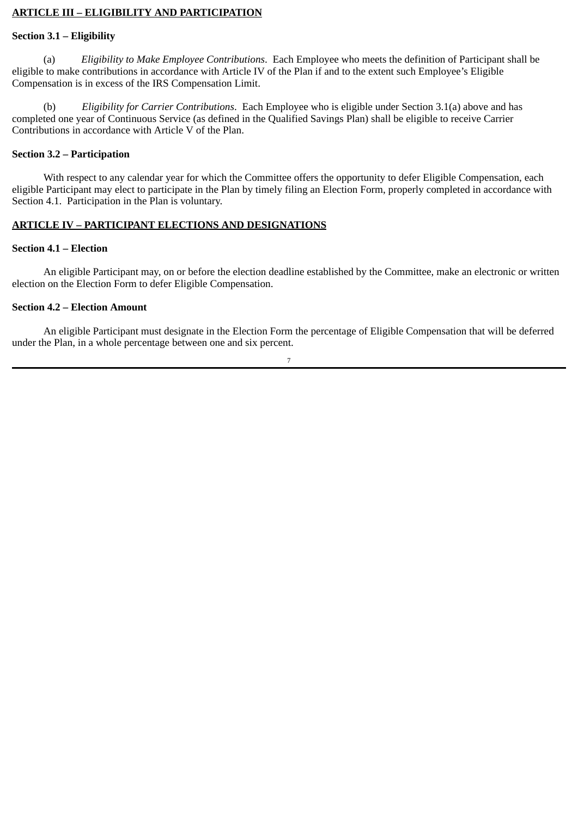# **ARTICLE III – ELIGIBILITY AND PARTICIPATION**

#### **Section 3.1 – Eligibility**

(a) *Eligibility to Make Employee Contributions*. Each Employee who meets the definition of Participant shall be eligible to make contributions in accordance with Article IV of the Plan if and to the extent such Employee's Eligible Compensation is in excess of the IRS Compensation Limit.

(b) *Eligibility for Carrier Contributions*. Each Employee who is eligible under Section 3.1(a) above and has completed one year of Continuous Service (as defined in the Qualified Savings Plan) shall be eligible to receive Carrier Contributions in accordance with Article V of the Plan.

## **Section 3.2 – Participation**

With respect to any calendar year for which the Committee offers the opportunity to defer Eligible Compensation, each eligible Participant may elect to participate in the Plan by timely filing an Election Form, properly completed in accordance with Section 4.1. Participation in the Plan is voluntary.

# **ARTICLE IV – PARTICIPANT ELECTIONS AND DESIGNATIONS**

#### **Section 4.1 – Election**

An eligible Participant may, on or before the election deadline established by the Committee, make an electronic or written election on the Election Form to defer Eligible Compensation.

#### **Section 4.2 – Election Amount**

An eligible Participant must designate in the Election Form the percentage of Eligible Compensation that will be deferred under the Plan, in a whole percentage between one and six percent.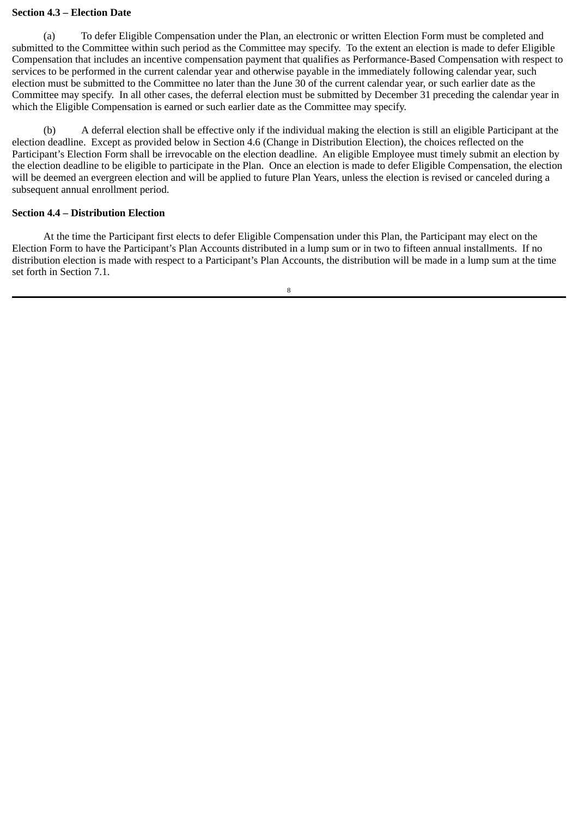## **Section 4.3 – Election Date**

(a) To defer Eligible Compensation under the Plan, an electronic or written Election Form must be completed and submitted to the Committee within such period as the Committee may specify. To the extent an election is made to defer Eligible Compensation that includes an incentive compensation payment that qualifies as Performance-Based Compensation with respect to services to be performed in the current calendar year and otherwise payable in the immediately following calendar year, such election must be submitted to the Committee no later than the June 30 of the current calendar year, or such earlier date as the Committee may specify. In all other cases, the deferral election must be submitted by December 31 preceding the calendar year in which the Eligible Compensation is earned or such earlier date as the Committee may specify.

(b) A deferral election shall be effective only if the individual making the election is still an eligible Participant at the election deadline. Except as provided below in Section 4.6 (Change in Distribution Election), the choices reflected on the Participant's Election Form shall be irrevocable on the election deadline. An eligible Employee must timely submit an election by the election deadline to be eligible to participate in the Plan. Once an election is made to defer Eligible Compensation, the election will be deemed an evergreen election and will be applied to future Plan Years, unless the election is revised or canceled during a subsequent annual enrollment period.

## **Section 4.4 – Distribution Election**

At the time the Participant first elects to defer Eligible Compensation under this Plan, the Participant may elect on the Election Form to have the Participant's Plan Accounts distributed in a lump sum or in two to fifteen annual installments. If no distribution election is made with respect to a Participant's Plan Accounts, the distribution will be made in a lump sum at the time set forth in Section 7.1.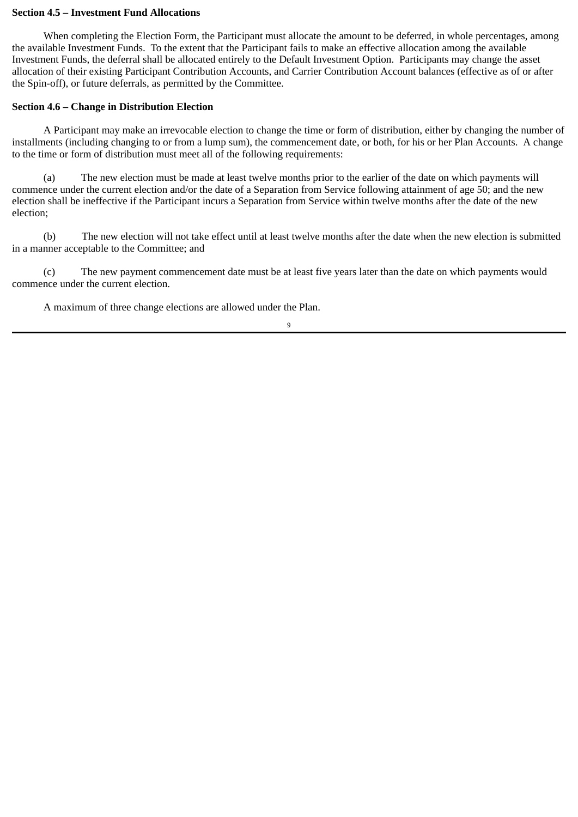## **Section 4.5 – Investment Fund Allocations**

When completing the Election Form, the Participant must allocate the amount to be deferred, in whole percentages, among the available Investment Funds. To the extent that the Participant fails to make an effective allocation among the available Investment Funds, the deferral shall be allocated entirely to the Default Investment Option. Participants may change the asset allocation of their existing Participant Contribution Accounts, and Carrier Contribution Account balances (effective as of or after the Spin-off), or future deferrals, as permitted by the Committee.

# **Section 4.6 – Change in Distribution Election**

A Participant may make an irrevocable election to change the time or form of distribution, either by changing the number of installments (including changing to or from a lump sum), the commencement date, or both, for his or her Plan Accounts. A change to the time or form of distribution must meet all of the following requirements:

(a) The new election must be made at least twelve months prior to the earlier of the date on which payments will commence under the current election and/or the date of a Separation from Service following attainment of age 50; and the new election shall be ineffective if the Participant incurs a Separation from Service within twelve months after the date of the new election;

(b) The new election will not take effect until at least twelve months after the date when the new election is submitted in a manner acceptable to the Committee; and

(c) The new payment commencement date must be at least five years later than the date on which payments would commence under the current election.

A maximum of three change elections are allowed under the Plan.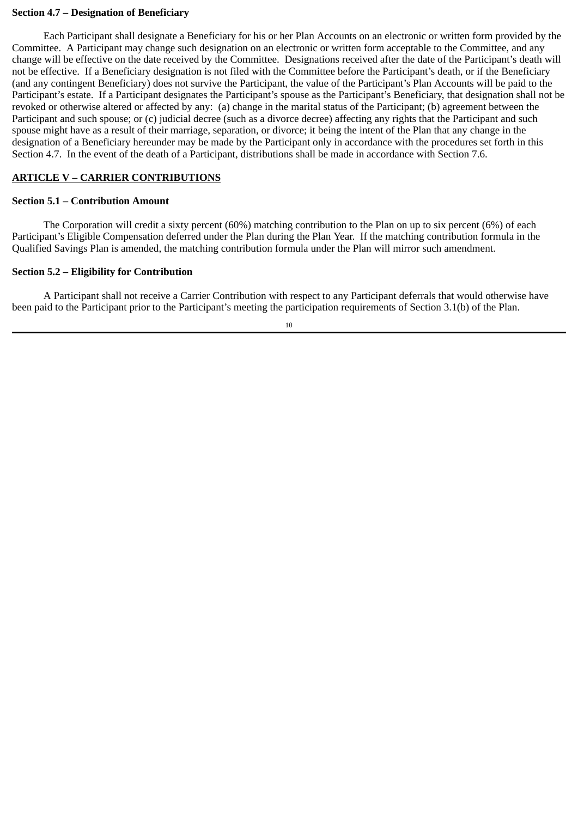### **Section 4.7 – Designation of Beneficiary**

Each Participant shall designate a Beneficiary for his or her Plan Accounts on an electronic or written form provided by the Committee. A Participant may change such designation on an electronic or written form acceptable to the Committee, and any change will be effective on the date received by the Committee. Designations received after the date of the Participant's death will not be effective. If a Beneficiary designation is not filed with the Committee before the Participant's death, or if the Beneficiary (and any contingent Beneficiary) does not survive the Participant, the value of the Participant's Plan Accounts will be paid to the Participant's estate. If a Participant designates the Participant's spouse as the Participant's Beneficiary, that designation shall not be revoked or otherwise altered or affected by any: (a) change in the marital status of the Participant; (b) agreement between the Participant and such spouse; or (c) judicial decree (such as a divorce decree) affecting any rights that the Participant and such spouse might have as a result of their marriage, separation, or divorce; it being the intent of the Plan that any change in the designation of a Beneficiary hereunder may be made by the Participant only in accordance with the procedures set forth in this Section 4.7. In the event of the death of a Participant, distributions shall be made in accordance with Section 7.6.

# **ARTICLE V – CARRIER CONTRIBUTIONS**

## **Section 5.1 – Contribution Amount**

The Corporation will credit a sixty percent (60%) matching contribution to the Plan on up to six percent (6%) of each Participant's Eligible Compensation deferred under the Plan during the Plan Year. If the matching contribution formula in the Qualified Savings Plan is amended, the matching contribution formula under the Plan will mirror such amendment.

## **Section 5.2 – Eligibility for Contribution**

A Participant shall not receive a Carrier Contribution with respect to any Participant deferrals that would otherwise have been paid to the Participant prior to the Participant's meeting the participation requirements of Section 3.1(b) of the Plan.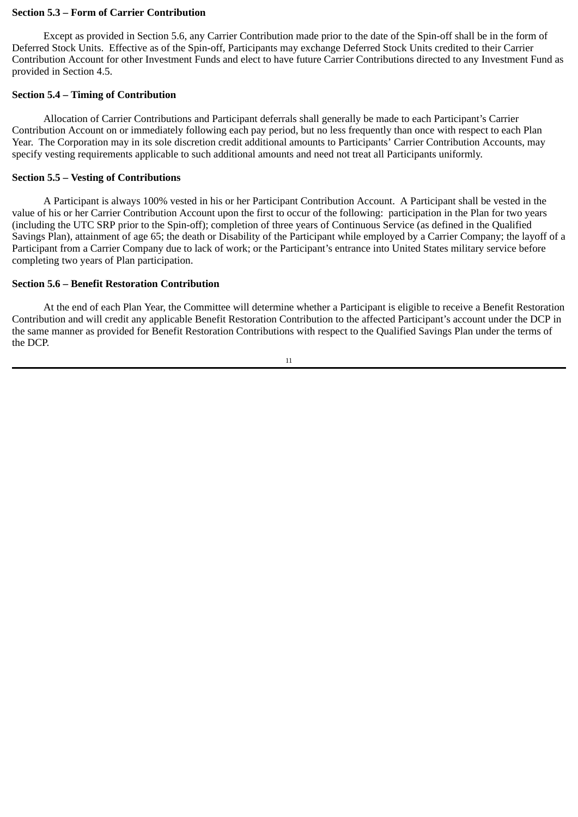#### **Section 5.3 – Form of Carrier Contribution**

Except as provided in Section 5.6, any Carrier Contribution made prior to the date of the Spin-off shall be in the form of Deferred Stock Units. Effective as of the Spin-off, Participants may exchange Deferred Stock Units credited to their Carrier Contribution Account for other Investment Funds and elect to have future Carrier Contributions directed to any Investment Fund as provided in Section 4.5.

## **Section 5.4 – Timing of Contribution**

Allocation of Carrier Contributions and Participant deferrals shall generally be made to each Participant's Carrier Contribution Account on or immediately following each pay period, but no less frequently than once with respect to each Plan Year. The Corporation may in its sole discretion credit additional amounts to Participants' Carrier Contribution Accounts, may specify vesting requirements applicable to such additional amounts and need not treat all Participants uniformly.

## **Section 5.5 – Vesting of Contributions**

A Participant is always 100% vested in his or her Participant Contribution Account. A Participant shall be vested in the value of his or her Carrier Contribution Account upon the first to occur of the following: participation in the Plan for two years (including the UTC SRP prior to the Spin-off); completion of three years of Continuous Service (as defined in the Qualified Savings Plan), attainment of age 65; the death or Disability of the Participant while employed by a Carrier Company; the layoff of a Participant from a Carrier Company due to lack of work; or the Participant's entrance into United States military service before completing two years of Plan participation.

## **Section 5.6 – Benefit Restoration Contribution**

At the end of each Plan Year, the Committee will determine whether a Participant is eligible to receive a Benefit Restoration Contribution and will credit any applicable Benefit Restoration Contribution to the affected Participant's account under the DCP in the same manner as provided for Benefit Restoration Contributions with respect to the Qualified Savings Plan under the terms of the DCP.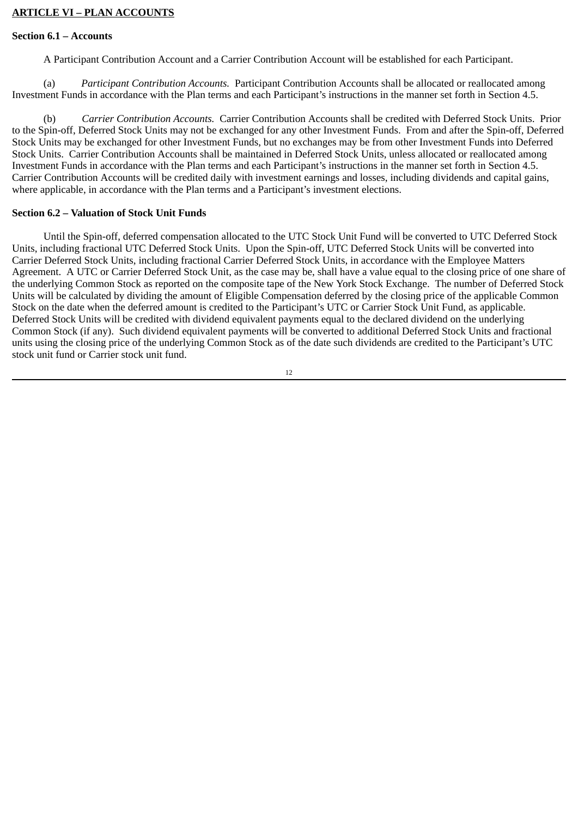## **ARTICLE VI – PLAN ACCOUNTS**

#### **Section 6.1 – Accounts**

A Participant Contribution Account and a Carrier Contribution Account will be established for each Participant.

(a) *Participant Contribution Accounts.* Participant Contribution Accounts shall be allocated or reallocated among Investment Funds in accordance with the Plan terms and each Participant's instructions in the manner set forth in Section 4.5.

(b) *Carrier Contribution Accounts.* Carrier Contribution Accounts shall be credited with Deferred Stock Units. Prior to the Spin-off, Deferred Stock Units may not be exchanged for any other Investment Funds. From and after the Spin-off, Deferred Stock Units may be exchanged for other Investment Funds, but no exchanges may be from other Investment Funds into Deferred Stock Units. Carrier Contribution Accounts shall be maintained in Deferred Stock Units, unless allocated or reallocated among Investment Funds in accordance with the Plan terms and each Participant's instructions in the manner set forth in Section 4.5. Carrier Contribution Accounts will be credited daily with investment earnings and losses, including dividends and capital gains, where applicable, in accordance with the Plan terms and a Participant's investment elections.

### **Section 6.2 – Valuation of Stock Unit Funds**

Until the Spin-off, deferred compensation allocated to the UTC Stock Unit Fund will be converted to UTC Deferred Stock Units, including fractional UTC Deferred Stock Units. Upon the Spin-off, UTC Deferred Stock Units will be converted into Carrier Deferred Stock Units, including fractional Carrier Deferred Stock Units, in accordance with the Employee Matters Agreement. A UTC or Carrier Deferred Stock Unit, as the case may be, shall have a value equal to the closing price of one share of the underlying Common Stock as reported on the composite tape of the New York Stock Exchange. The number of Deferred Stock Units will be calculated by dividing the amount of Eligible Compensation deferred by the closing price of the applicable Common Stock on the date when the deferred amount is credited to the Participant's UTC or Carrier Stock Unit Fund, as applicable. Deferred Stock Units will be credited with dividend equivalent payments equal to the declared dividend on the underlying Common Stock (if any). Such dividend equivalent payments will be converted to additional Deferred Stock Units and fractional units using the closing price of the underlying Common Stock as of the date such dividends are credited to the Participant's UTC stock unit fund or Carrier stock unit fund.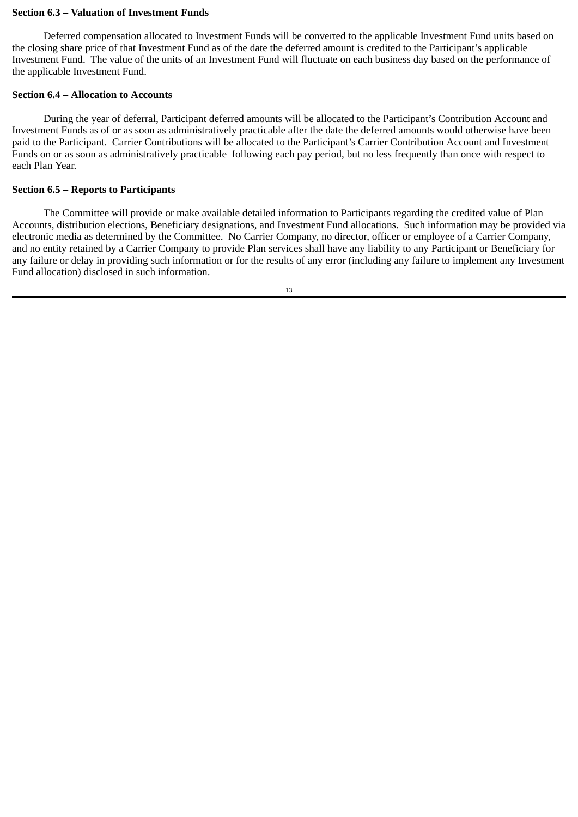## **Section 6.3 – Valuation of Investment Funds**

Deferred compensation allocated to Investment Funds will be converted to the applicable Investment Fund units based on the closing share price of that Investment Fund as of the date the deferred amount is credited to the Participant's applicable Investment Fund. The value of the units of an Investment Fund will fluctuate on each business day based on the performance of the applicable Investment Fund.

## **Section 6.4 – Allocation to Accounts**

During the year of deferral, Participant deferred amounts will be allocated to the Participant's Contribution Account and Investment Funds as of or as soon as administratively practicable after the date the deferred amounts would otherwise have been paid to the Participant. Carrier Contributions will be allocated to the Participant's Carrier Contribution Account and Investment Funds on or as soon as administratively practicable following each pay period, but no less frequently than once with respect to each Plan Year.

# **Section 6.5 – Reports to Participants**

The Committee will provide or make available detailed information to Participants regarding the credited value of Plan Accounts, distribution elections, Beneficiary designations, and Investment Fund allocations. Such information may be provided via electronic media as determined by the Committee. No Carrier Company, no director, officer or employee of a Carrier Company, and no entity retained by a Carrier Company to provide Plan services shall have any liability to any Participant or Beneficiary for any failure or delay in providing such information or for the results of any error (including any failure to implement any Investment Fund allocation) disclosed in such information.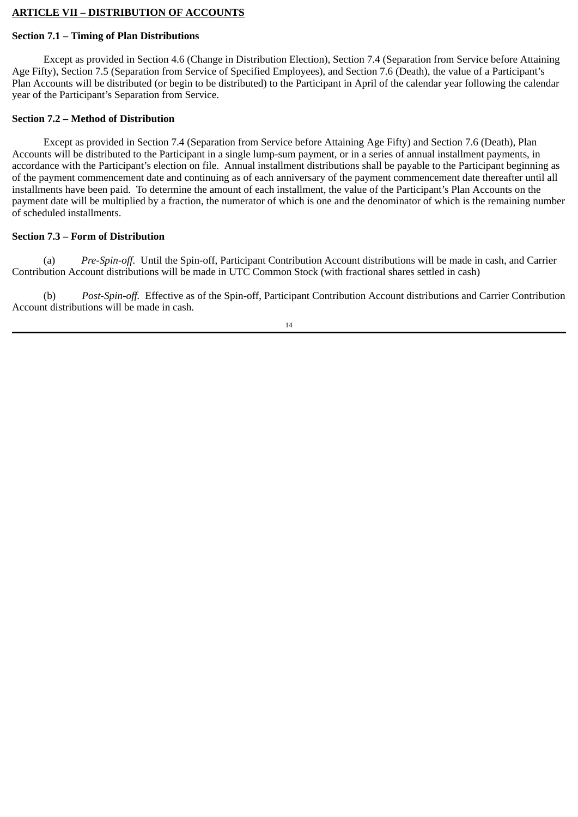# **ARTICLE VII – DISTRIBUTION OF ACCOUNTS**

# **Section 7.1 – Timing of Plan Distributions**

Except as provided in Section 4.6 (Change in Distribution Election), Section 7.4 (Separation from Service before Attaining Age Fifty), Section 7.5 (Separation from Service of Specified Employees), and Section 7.6 (Death), the value of a Participant's Plan Accounts will be distributed (or begin to be distributed) to the Participant in April of the calendar year following the calendar year of the Participant's Separation from Service.

# **Section 7.2 – Method of Distribution**

Except as provided in Section 7.4 (Separation from Service before Attaining Age Fifty) and Section 7.6 (Death), Plan Accounts will be distributed to the Participant in a single lump-sum payment, or in a series of annual installment payments, in accordance with the Participant's election on file. Annual installment distributions shall be payable to the Participant beginning as of the payment commencement date and continuing as of each anniversary of the payment commencement date thereafter until all installments have been paid. To determine the amount of each installment, the value of the Participant's Plan Accounts on the payment date will be multiplied by a fraction, the numerator of which is one and the denominator of which is the remaining number of scheduled installments.

# **Section 7.3 – Form of Distribution**

(a) *Pre-Spin-off.* Until the Spin-off, Participant Contribution Account distributions will be made in cash, and Carrier Contribution Account distributions will be made in UTC Common Stock (with fractional shares settled in cash)

(b) *Post-Spin-off.* Effective as of the Spin-off, Participant Contribution Account distributions and Carrier Contribution Account distributions will be made in cash.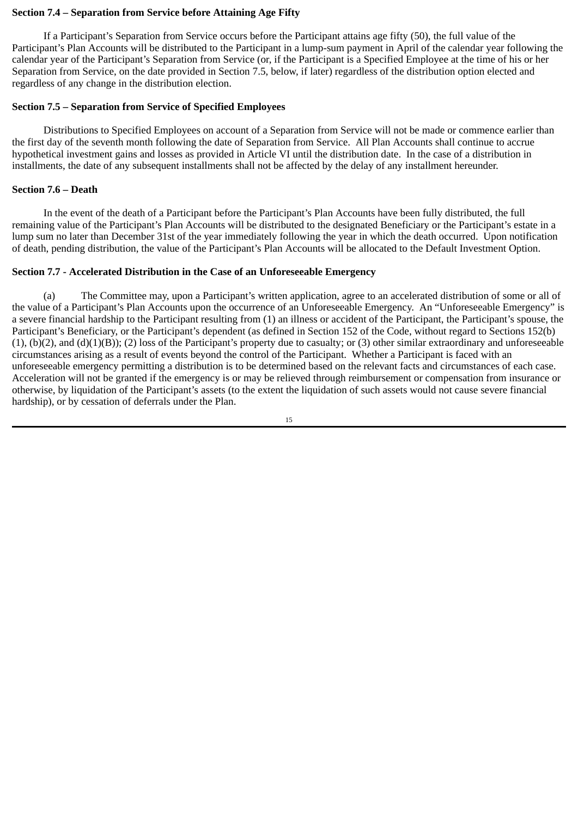## **Section 7.4 – Separation from Service before Attaining Age Fifty**

If a Participant's Separation from Service occurs before the Participant attains age fifty (50), the full value of the Participant's Plan Accounts will be distributed to the Participant in a lump-sum payment in April of the calendar year following the calendar year of the Participant's Separation from Service (or, if the Participant is a Specified Employee at the time of his or her Separation from Service, on the date provided in Section 7.5, below, if later) regardless of the distribution option elected and regardless of any change in the distribution election.

## **Section 7.5 – Separation from Service of Specified Employees**

Distributions to Specified Employees on account of a Separation from Service will not be made or commence earlier than the first day of the seventh month following the date of Separation from Service. All Plan Accounts shall continue to accrue hypothetical investment gains and losses as provided in Article VI until the distribution date. In the case of a distribution in installments, the date of any subsequent installments shall not be affected by the delay of any installment hereunder.

## **Section 7.6 – Death**

In the event of the death of a Participant before the Participant's Plan Accounts have been fully distributed, the full remaining value of the Participant's Plan Accounts will be distributed to the designated Beneficiary or the Participant's estate in a lump sum no later than December 31st of the year immediately following the year in which the death occurred. Upon notification of death, pending distribution, the value of the Participant's Plan Accounts will be allocated to the Default Investment Option.

### **Section 7.7 - Accelerated Distribution in the Case of an Unforeseeable Emergency**

(a) The Committee may, upon a Participant's written application, agree to an accelerated distribution of some or all of the value of a Participant's Plan Accounts upon the occurrence of an Unforeseeable Emergency. An "Unforeseeable Emergency" is a severe financial hardship to the Participant resulting from (1) an illness or accident of the Participant, the Participant's spouse, the Participant's Beneficiary, or the Participant's dependent (as defined in Section 152 of the Code, without regard to Sections 152(b)  $(1)$ ,  $(b)(2)$ , and  $(d)(1)(B)$ ;  $(2)$  loss of the Participant's property due to casualty; or  $(3)$  other similar extraordinary and unforeseeable circumstances arising as a result of events beyond the control of the Participant. Whether a Participant is faced with an unforeseeable emergency permitting a distribution is to be determined based on the relevant facts and circumstances of each case. Acceleration will not be granted if the emergency is or may be relieved through reimbursement or compensation from insurance or otherwise, by liquidation of the Participant's assets (to the extent the liquidation of such assets would not cause severe financial hardship), or by cessation of deferrals under the Plan.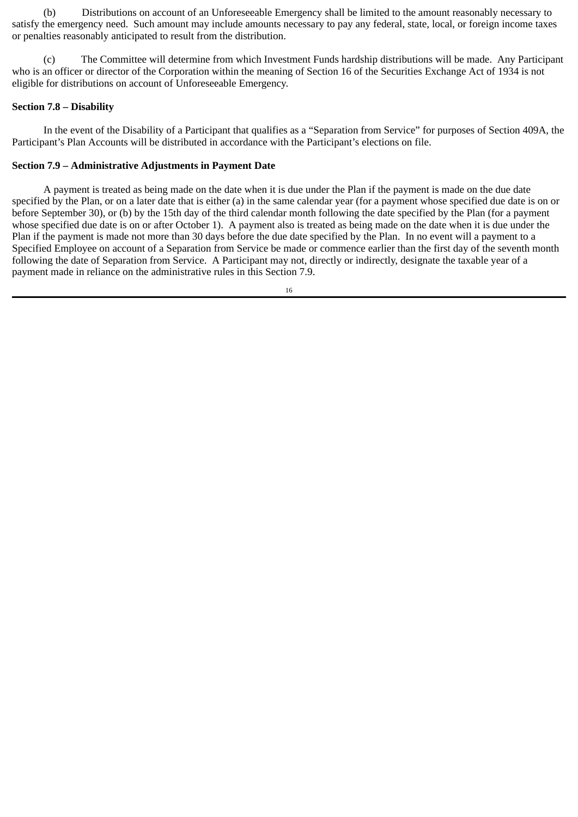(b) Distributions on account of an Unforeseeable Emergency shall be limited to the amount reasonably necessary to satisfy the emergency need. Such amount may include amounts necessary to pay any federal, state, local, or foreign income taxes or penalties reasonably anticipated to result from the distribution.

(c) The Committee will determine from which Investment Funds hardship distributions will be made. Any Participant who is an officer or director of the Corporation within the meaning of Section 16 of the Securities Exchange Act of 1934 is not eligible for distributions on account of Unforeseeable Emergency.

# **Section 7.8 – Disability**

In the event of the Disability of a Participant that qualifies as a "Separation from Service" for purposes of Section 409A, the Participant's Plan Accounts will be distributed in accordance with the Participant's elections on file.

# **Section 7.9 – Administrative Adjustments in Payment Date**

A payment is treated as being made on the date when it is due under the Plan if the payment is made on the due date specified by the Plan, or on a later date that is either (a) in the same calendar year (for a payment whose specified due date is on or before September 30), or (b) by the 15th day of the third calendar month following the date specified by the Plan (for a payment whose specified due date is on or after October 1). A payment also is treated as being made on the date when it is due under the Plan if the payment is made not more than 30 days before the due date specified by the Plan. In no event will a payment to a Specified Employee on account of a Separation from Service be made or commence earlier than the first day of the seventh month following the date of Separation from Service. A Participant may not, directly or indirectly, designate the taxable year of a payment made in reliance on the administrative rules in this Section 7.9.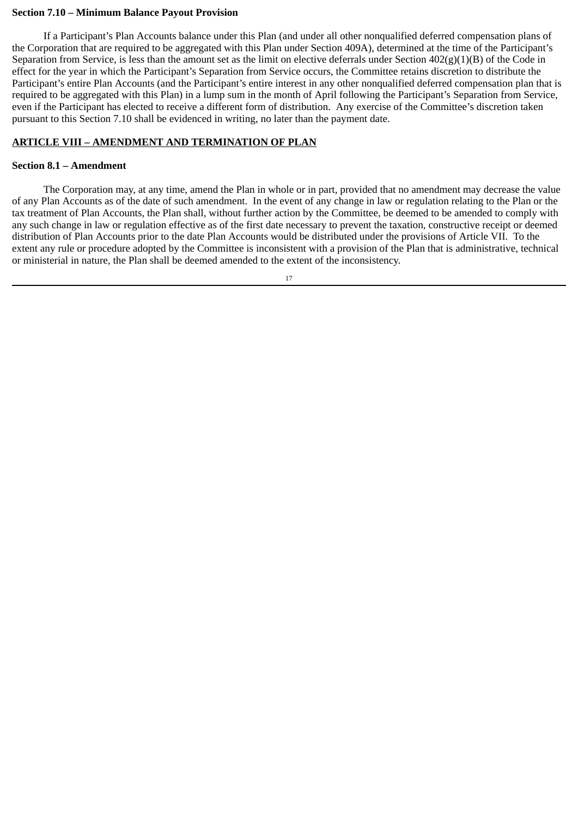## **Section 7.10 – Minimum Balance Payout Provision**

If a Participant's Plan Accounts balance under this Plan (and under all other nonqualified deferred compensation plans of the Corporation that are required to be aggregated with this Plan under Section 409A), determined at the time of the Participant's Separation from Service, is less than the amount set as the limit on elective deferrals under Section 402(g)(1)(B) of the Code in effect for the year in which the Participant's Separation from Service occurs, the Committee retains discretion to distribute the Participant's entire Plan Accounts (and the Participant's entire interest in any other nonqualified deferred compensation plan that is required to be aggregated with this Plan) in a lump sum in the month of April following the Participant's Separation from Service, even if the Participant has elected to receive a different form of distribution. Any exercise of the Committee's discretion taken pursuant to this Section 7.10 shall be evidenced in writing, no later than the payment date.

# **ARTICLE VIII – AMENDMENT AND TERMINATION OF PLAN**

# **Section 8.1 – Amendment**

The Corporation may, at any time, amend the Plan in whole or in part, provided that no amendment may decrease the value of any Plan Accounts as of the date of such amendment. In the event of any change in law or regulation relating to the Plan or the tax treatment of Plan Accounts, the Plan shall, without further action by the Committee, be deemed to be amended to comply with any such change in law or regulation effective as of the first date necessary to prevent the taxation, constructive receipt or deemed distribution of Plan Accounts prior to the date Plan Accounts would be distributed under the provisions of Article VII. To the extent any rule or procedure adopted by the Committee is inconsistent with a provision of the Plan that is administrative, technical or ministerial in nature, the Plan shall be deemed amended to the extent of the inconsistency.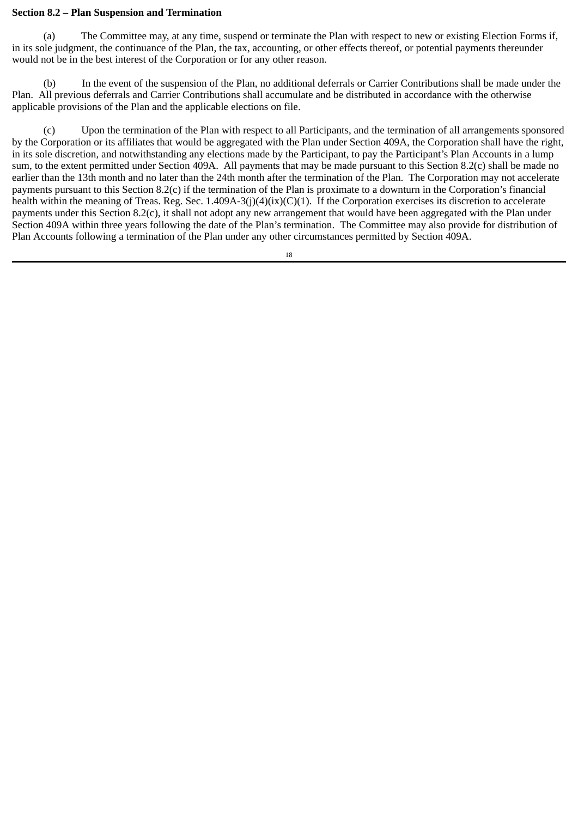## **Section 8.2 – Plan Suspension and Termination**

(a) The Committee may, at any time, suspend or terminate the Plan with respect to new or existing Election Forms if, in its sole judgment, the continuance of the Plan, the tax, accounting, or other effects thereof, or potential payments thereunder would not be in the best interest of the Corporation or for any other reason.

In the event of the suspension of the Plan, no additional deferrals or Carrier Contributions shall be made under the Plan. All previous deferrals and Carrier Contributions shall accumulate and be distributed in accordance with the otherwise applicable provisions of the Plan and the applicable elections on file.

(c) Upon the termination of the Plan with respect to all Participants, and the termination of all arrangements sponsored by the Corporation or its affiliates that would be aggregated with the Plan under Section 409A, the Corporation shall have the right, in its sole discretion, and notwithstanding any elections made by the Participant, to pay the Participant's Plan Accounts in a lump sum, to the extent permitted under Section 409A. All payments that may be made pursuant to this Section 8.2(c) shall be made no earlier than the 13th month and no later than the 24th month after the termination of the Plan. The Corporation may not accelerate payments pursuant to this Section 8.2(c) if the termination of the Plan is proximate to a downturn in the Corporation's financial health within the meaning of Treas. Reg. Sec.  $1.409A-3(j)(4)(ix)(C)(1)$ . If the Corporation exercises its discretion to accelerate payments under this Section 8.2(c), it shall not adopt any new arrangement that would have been aggregated with the Plan under Section 409A within three years following the date of the Plan's termination. The Committee may also provide for distribution of Plan Accounts following a termination of the Plan under any other circumstances permitted by Section 409A.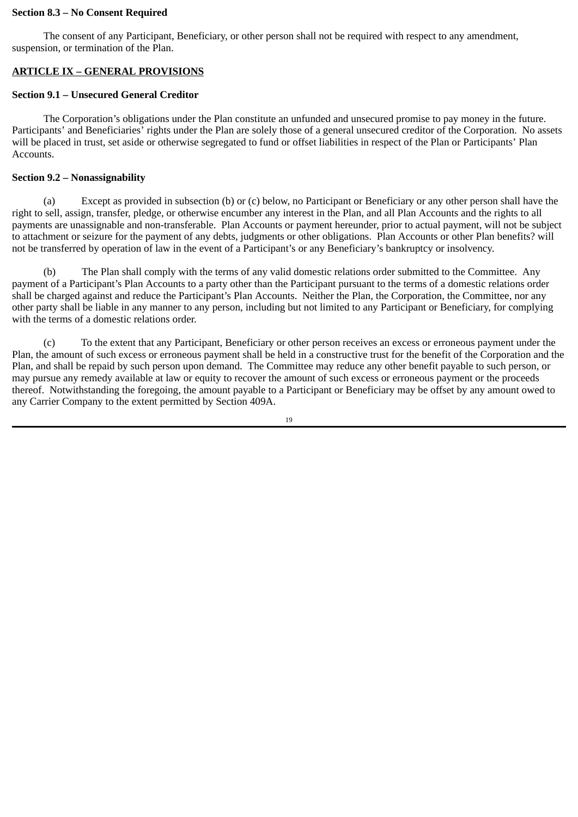## **Section 8.3 – No Consent Required**

The consent of any Participant, Beneficiary, or other person shall not be required with respect to any amendment, suspension, or termination of the Plan.

# **ARTICLE IX – GENERAL PROVISIONS**

# **Section 9.1 – Unsecured General Creditor**

The Corporation's obligations under the Plan constitute an unfunded and unsecured promise to pay money in the future. Participants' and Beneficiaries' rights under the Plan are solely those of a general unsecured creditor of the Corporation. No assets will be placed in trust, set aside or otherwise segregated to fund or offset liabilities in respect of the Plan or Participants' Plan Accounts.

# **Section 9.2 – Nonassignability**

(a) Except as provided in subsection (b) or (c) below, no Participant or Beneficiary or any other person shall have the right to sell, assign, transfer, pledge, or otherwise encumber any interest in the Plan, and all Plan Accounts and the rights to all payments are unassignable and non-transferable. Plan Accounts or payment hereunder, prior to actual payment, will not be subject to attachment or seizure for the payment of any debts, judgments or other obligations. Plan Accounts or other Plan benefits? will not be transferred by operation of law in the event of a Participant's or any Beneficiary's bankruptcy or insolvency.

(b) The Plan shall comply with the terms of any valid domestic relations order submitted to the Committee. Any payment of a Participant's Plan Accounts to a party other than the Participant pursuant to the terms of a domestic relations order shall be charged against and reduce the Participant's Plan Accounts. Neither the Plan, the Corporation, the Committee, nor any other party shall be liable in any manner to any person, including but not limited to any Participant or Beneficiary, for complying with the terms of a domestic relations order.

(c) To the extent that any Participant, Beneficiary or other person receives an excess or erroneous payment under the Plan, the amount of such excess or erroneous payment shall be held in a constructive trust for the benefit of the Corporation and the Plan, and shall be repaid by such person upon demand. The Committee may reduce any other benefit payable to such person, or may pursue any remedy available at law or equity to recover the amount of such excess or erroneous payment or the proceeds thereof. Notwithstanding the foregoing, the amount payable to a Participant or Beneficiary may be offset by any amount owed to any Carrier Company to the extent permitted by Section 409A.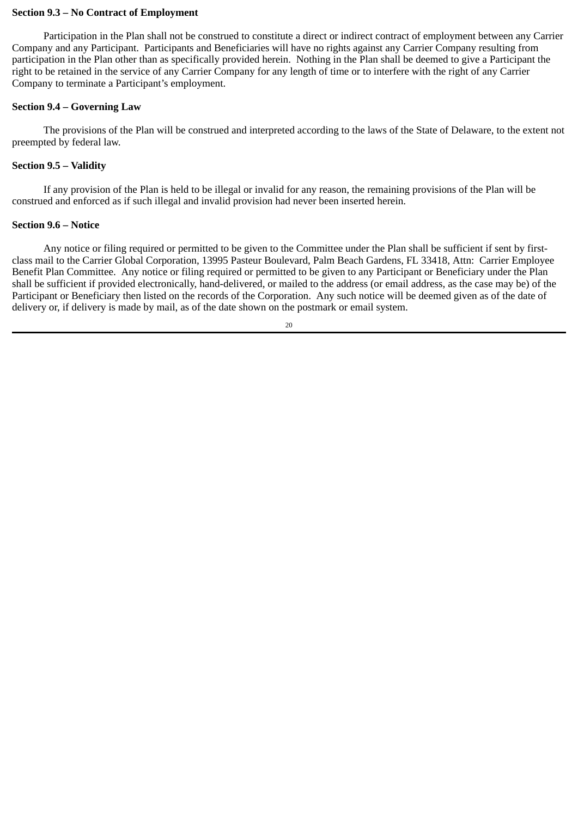### **Section 9.3 – No Contract of Employment**

Participation in the Plan shall not be construed to constitute a direct or indirect contract of employment between any Carrier Company and any Participant. Participants and Beneficiaries will have no rights against any Carrier Company resulting from participation in the Plan other than as specifically provided herein. Nothing in the Plan shall be deemed to give a Participant the right to be retained in the service of any Carrier Company for any length of time or to interfere with the right of any Carrier Company to terminate a Participant's employment.

## **Section 9.4 – Governing Law**

The provisions of the Plan will be construed and interpreted according to the laws of the State of Delaware, to the extent not preempted by federal law.

# **Section 9.5 – Validity**

If any provision of the Plan is held to be illegal or invalid for any reason, the remaining provisions of the Plan will be construed and enforced as if such illegal and invalid provision had never been inserted herein.

## **Section 9.6 – Notice**

Any notice or filing required or permitted to be given to the Committee under the Plan shall be sufficient if sent by firstclass mail to the Carrier Global Corporation, 13995 Pasteur Boulevard, Palm Beach Gardens, FL 33418, Attn: Carrier Employee Benefit Plan Committee. Any notice or filing required or permitted to be given to any Participant or Beneficiary under the Plan shall be sufficient if provided electronically, hand-delivered, or mailed to the address (or email address, as the case may be) of the Participant or Beneficiary then listed on the records of the Corporation. Any such notice will be deemed given as of the date of delivery or, if delivery is made by mail, as of the date shown on the postmark or email system.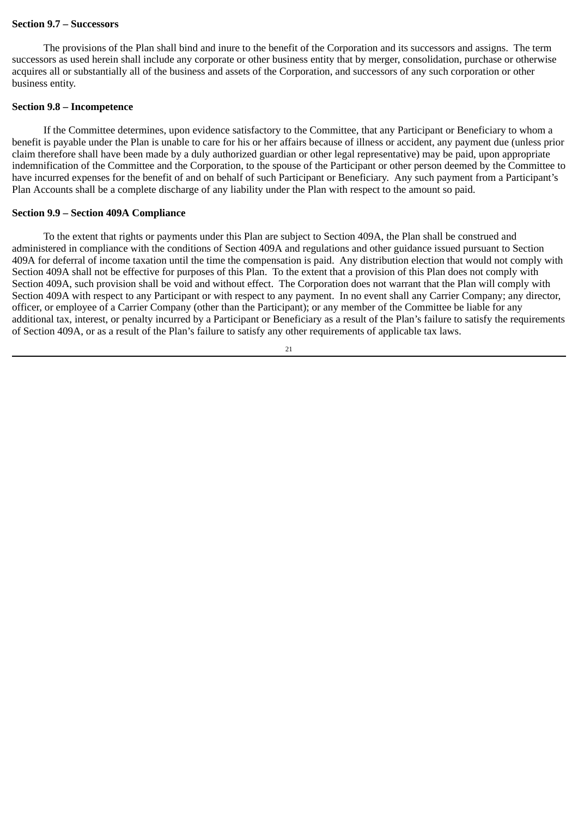#### **Section 9.7 – Successors**

The provisions of the Plan shall bind and inure to the benefit of the Corporation and its successors and assigns. The term successors as used herein shall include any corporate or other business entity that by merger, consolidation, purchase or otherwise acquires all or substantially all of the business and assets of the Corporation, and successors of any such corporation or other business entity.

#### **Section 9.8 – Incompetence**

If the Committee determines, upon evidence satisfactory to the Committee, that any Participant or Beneficiary to whom a benefit is payable under the Plan is unable to care for his or her affairs because of illness or accident, any payment due (unless prior claim therefore shall have been made by a duly authorized guardian or other legal representative) may be paid, upon appropriate indemnification of the Committee and the Corporation, to the spouse of the Participant or other person deemed by the Committee to have incurred expenses for the benefit of and on behalf of such Participant or Beneficiary. Any such payment from a Participant's Plan Accounts shall be a complete discharge of any liability under the Plan with respect to the amount so paid.

#### **Section 9.9 – Section 409A Compliance**

To the extent that rights or payments under this Plan are subject to Section 409A, the Plan shall be construed and administered in compliance with the conditions of Section 409A and regulations and other guidance issued pursuant to Section 409A for deferral of income taxation until the time the compensation is paid. Any distribution election that would not comply with Section 409A shall not be effective for purposes of this Plan. To the extent that a provision of this Plan does not comply with Section 409A, such provision shall be void and without effect. The Corporation does not warrant that the Plan will comply with Section 409A with respect to any Participant or with respect to any payment. In no event shall any Carrier Company; any director, officer, or employee of a Carrier Company (other than the Participant); or any member of the Committee be liable for any additional tax, interest, or penalty incurred by a Participant or Beneficiary as a result of the Plan's failure to satisfy the requirements of Section 409A, or as a result of the Plan's failure to satisfy any other requirements of applicable tax laws.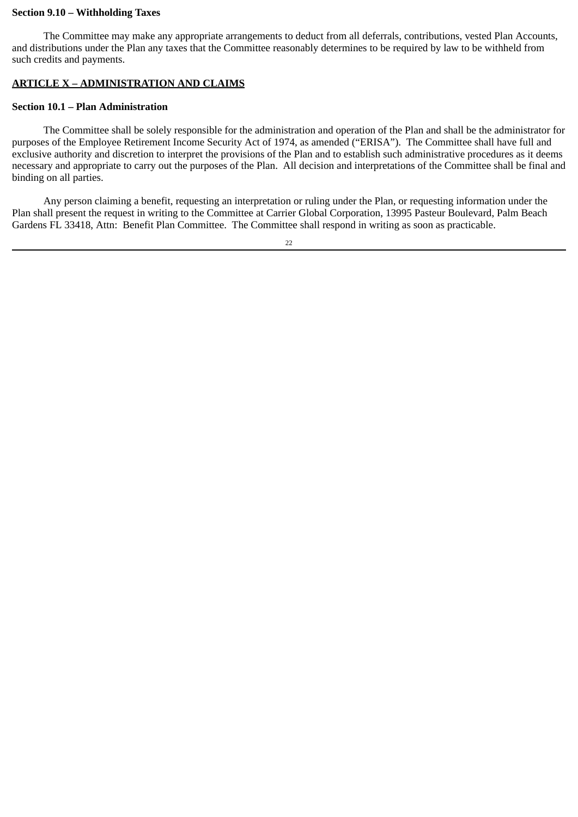## **Section 9.10 – Withholding Taxes**

The Committee may make any appropriate arrangements to deduct from all deferrals, contributions, vested Plan Accounts, and distributions under the Plan any taxes that the Committee reasonably determines to be required by law to be withheld from such credits and payments.

# **ARTICLE X – ADMINISTRATION AND CLAIMS**

### **Section 10.1 – Plan Administration**

The Committee shall be solely responsible for the administration and operation of the Plan and shall be the administrator for purposes of the Employee Retirement Income Security Act of 1974, as amended ("ERISA"). The Committee shall have full and exclusive authority and discretion to interpret the provisions of the Plan and to establish such administrative procedures as it deems necessary and appropriate to carry out the purposes of the Plan. All decision and interpretations of the Committee shall be final and binding on all parties.

Any person claiming a benefit, requesting an interpretation or ruling under the Plan, or requesting information under the Plan shall present the request in writing to the Committee at Carrier Global Corporation, 13995 Pasteur Boulevard, Palm Beach Gardens FL 33418, Attn: Benefit Plan Committee. The Committee shall respond in writing as soon as practicable.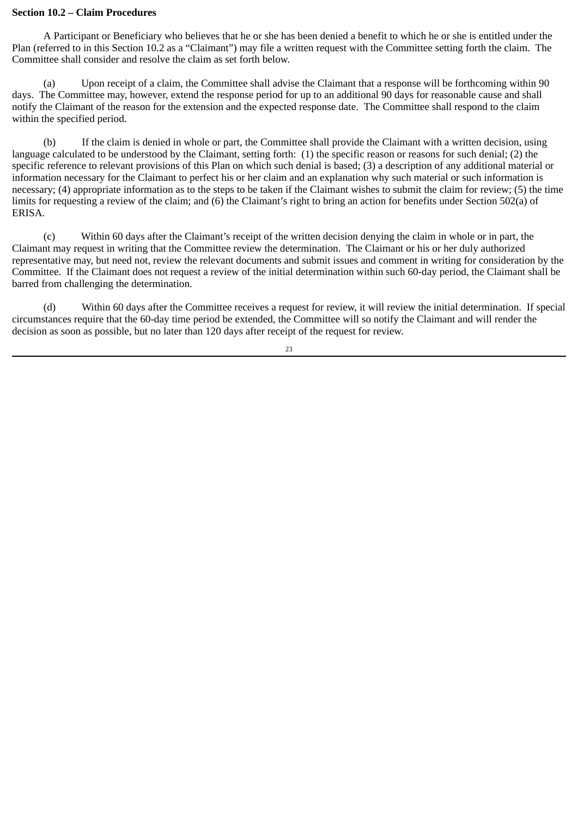#### **Section 10.2 – Claim Procedures**

A Participant or Beneficiary who believes that he or she has been denied a benefit to which he or she is entitled under the Plan (referred to in this Section 10.2 as a "Claimant") may file a written request with the Committee setting forth the claim. The Committee shall consider and resolve the claim as set forth below.

(a) Upon receipt of a claim, the Committee shall advise the Claimant that a response will be forthcoming within 90 days. The Committee may, however, extend the response period for up to an additional 90 days for reasonable cause and shall notify the Claimant of the reason for the extension and the expected response date. The Committee shall respond to the claim within the specified period.

(b) If the claim is denied in whole or part, the Committee shall provide the Claimant with a written decision, using language calculated to be understood by the Claimant, setting forth: (1) the specific reason or reasons for such denial; (2) the specific reference to relevant provisions of this Plan on which such denial is based; (3) a description of any additional material or information necessary for the Claimant to perfect his or her claim and an explanation why such material or such information is necessary; (4) appropriate information as to the steps to be taken if the Claimant wishes to submit the claim for review; (5) the time limits for requesting a review of the claim; and (6) the Claimant's right to bring an action for benefits under Section 502(a) of ERISA.

(c) Within 60 days after the Claimant's receipt of the written decision denying the claim in whole or in part, the Claimant may request in writing that the Committee review the determination. The Claimant or his or her duly authorized representative may, but need not, review the relevant documents and submit issues and comment in writing for consideration by the Committee. If the Claimant does not request a review of the initial determination within such 60-day period, the Claimant shall be barred from challenging the determination.

(d) Within 60 days after the Committee receives a request for review, it will review the initial determination. If special circumstances require that the 60-day time period be extended, the Committee will so notify the Claimant and will render the decision as soon as possible, but no later than 120 days after receipt of the request for review.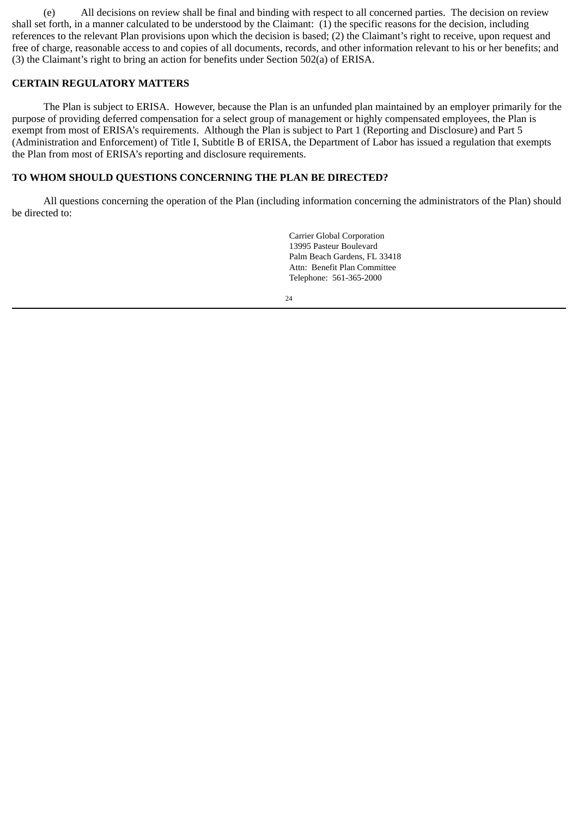(e) All decisions on review shall be final and binding with respect to all concerned parties. The decision on review shall set forth, in a manner calculated to be understood by the Claimant: (1) the specific reasons for the decision, including references to the relevant Plan provisions upon which the decision is based; (2) the Claimant's right to receive, upon request and free of charge, reasonable access to and copies of all documents, records, and other information relevant to his or her benefits; and (3) the Claimant's right to bring an action for benefits under Section 502(a) of ERISA.

# **CERTAIN REGULATORY MATTERS**

The Plan is subject to ERISA. However, because the Plan is an unfunded plan maintained by an employer primarily for the purpose of providing deferred compensation for a select group of management or highly compensated employees, the Plan is exempt from most of ERISA's requirements. Although the Plan is subject to Part 1 (Reporting and Disclosure) and Part 5 (Administration and Enforcement) of Title I, Subtitle B of ERISA, the Department of Labor has issued a regulation that exempts the Plan from most of ERISA's reporting and disclosure requirements.

# **TO WHOM SHOULD QUESTIONS CONCERNING THE PLAN BE DIRECTED?**

All questions concerning the operation of the Plan (including information concerning the administrators of the Plan) should be directed to:

> Carrier Global Corporation 13995 Pasteur Boulevard Palm Beach Gardens, FL 33418 Attn: Benefit Plan Committee Telephone: 561-365-2000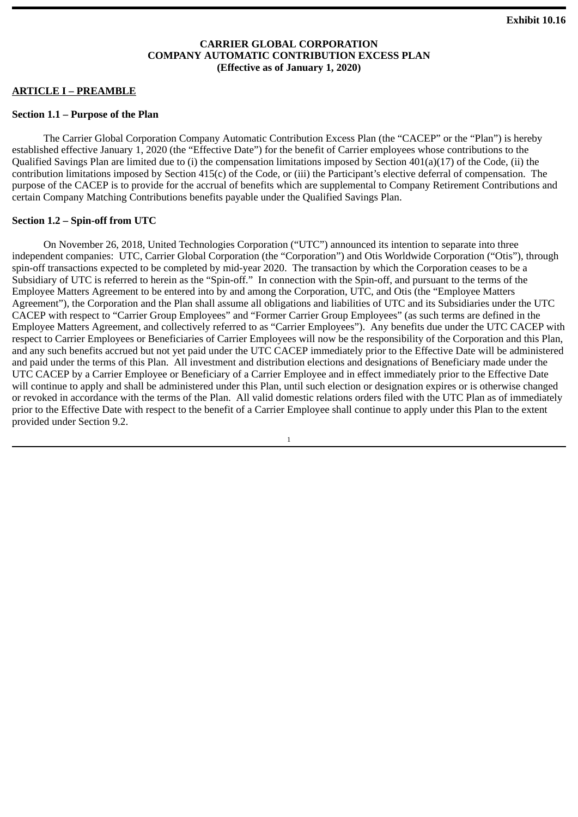# **CARRIER GLOBAL CORPORATION COMPANY AUTOMATIC CONTRIBUTION EXCESS PLAN (Effective as of January 1, 2020)**

# **ARTICLE I – PREAMBLE**

## **Section 1.1 – Purpose of the Plan**

The Carrier Global Corporation Company Automatic Contribution Excess Plan (the "CACEP" or the "Plan") is hereby established effective January 1, 2020 (the "Effective Date") for the benefit of Carrier employees whose contributions to the Qualified Savings Plan are limited due to (i) the compensation limitations imposed by Section 401(a)(17) of the Code, (ii) the contribution limitations imposed by Section 415(c) of the Code, or (iii) the Participant's elective deferral of compensation. The purpose of the CACEP is to provide for the accrual of benefits which are supplemental to Company Retirement Contributions and certain Company Matching Contributions benefits payable under the Qualified Savings Plan.

## **Section 1.2 – Spin-off from UTC**

On November 26, 2018, United Technologies Corporation ("UTC") announced its intention to separate into three independent companies: UTC, Carrier Global Corporation (the "Corporation") and Otis Worldwide Corporation ("Otis"), through spin-off transactions expected to be completed by mid-year 2020. The transaction by which the Corporation ceases to be a Subsidiary of UTC is referred to herein as the "Spin-off." In connection with the Spin-off, and pursuant to the terms of the Employee Matters Agreement to be entered into by and among the Corporation, UTC, and Otis (the "Employee Matters Agreement"), the Corporation and the Plan shall assume all obligations and liabilities of UTC and its Subsidiaries under the UTC CACEP with respect to "Carrier Group Employees" and "Former Carrier Group Employees" (as such terms are defined in the Employee Matters Agreement, and collectively referred to as "Carrier Employees"). Any benefits due under the UTC CACEP with respect to Carrier Employees or Beneficiaries of Carrier Employees will now be the responsibility of the Corporation and this Plan, and any such benefits accrued but not yet paid under the UTC CACEP immediately prior to the Effective Date will be administered and paid under the terms of this Plan. All investment and distribution elections and designations of Beneficiary made under the UTC CACEP by a Carrier Employee or Beneficiary of a Carrier Employee and in effect immediately prior to the Effective Date will continue to apply and shall be administered under this Plan, until such election or designation expires or is otherwise changed or revoked in accordance with the terms of the Plan. All valid domestic relations orders filed with the UTC Plan as of immediately prior to the Effective Date with respect to the benefit of a Carrier Employee shall continue to apply under this Plan to the extent provided under Section 9.2.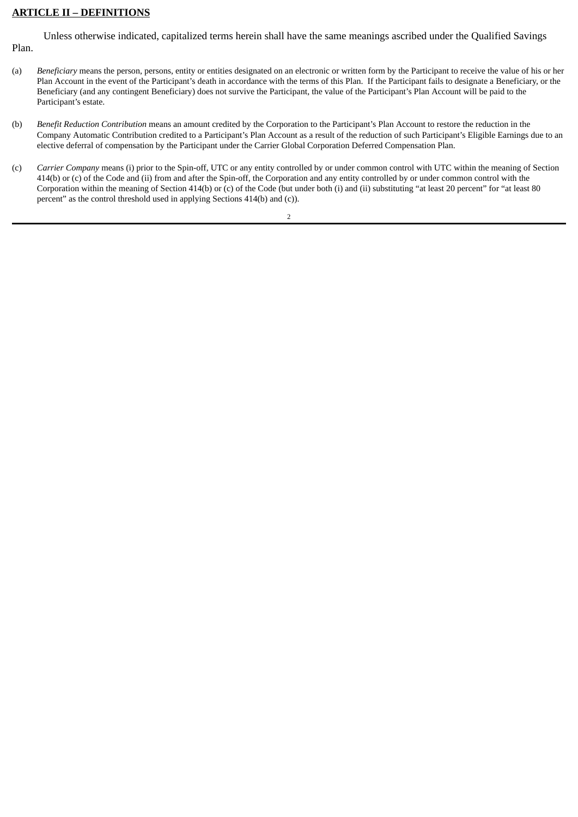# **ARTICLE II – DEFINITIONS**

Unless otherwise indicated, capitalized terms herein shall have the same meanings ascribed under the Qualified Savings Plan.

- (a) *Beneficiary* means the person, persons, entity or entities designated on an electronic or written form by the Participant to receive the value of his or her Plan Account in the event of the Participant's death in accordance with the terms of this Plan. If the Participant fails to designate a Beneficiary, or the Beneficiary (and any contingent Beneficiary) does not survive the Participant, the value of the Participant's Plan Account will be paid to the Participant's estate.
- (b) *Benefit Reduction Contribution* means an amount credited by the Corporation to the Participant's Plan Account to restore the reduction in the Company Automatic Contribution credited to a Participant's Plan Account as a result of the reduction of such Participant's Eligible Earnings due to an elective deferral of compensation by the Participant under the Carrier Global Corporation Deferred Compensation Plan.
- (c) *Carrier Company* means (i) prior to the Spin-off, UTC or any entity controlled by or under common control with UTC within the meaning of Section 414(b) or (c) of the Code and (ii) from and after the Spin-off, the Corporation and any entity controlled by or under common control with the Corporation within the meaning of Section 414(b) or (c) of the Code (but under both (i) and (ii) substituting "at least 20 percent" for "at least 80 percent" as the control threshold used in applying Sections 414(b) and (c)).

| v<br>× |  |
|--------|--|
| I      |  |
|        |  |
|        |  |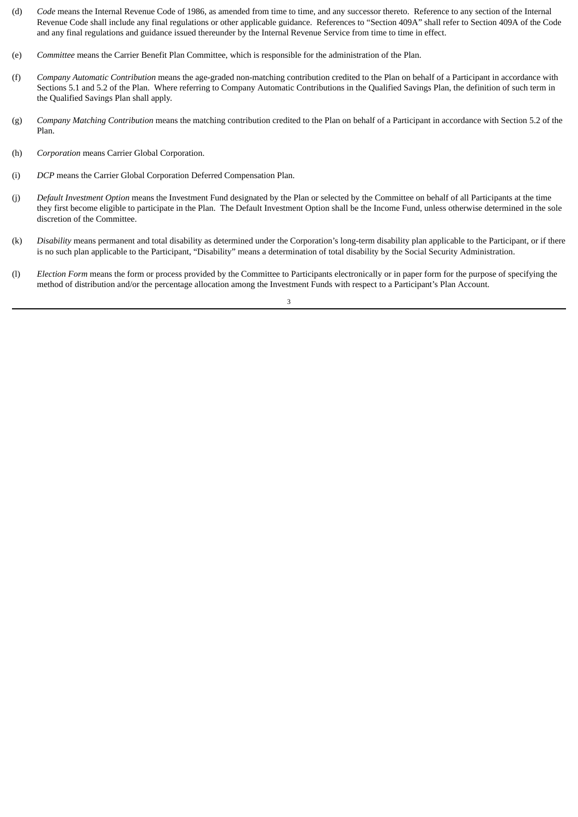- (d) *Code* means the Internal Revenue Code of 1986, as amended from time to time, and any successor thereto. Reference to any section of the Internal Revenue Code shall include any final regulations or other applicable guidance. References to "Section 409A" shall refer to Section 409A of the Code and any final regulations and guidance issued thereunder by the Internal Revenue Service from time to time in effect.
- (e) *Committee* means the Carrier Benefit Plan Committee, which is responsible for the administration of the Plan.
- (f) *Company Automatic Contribution* means the age-graded non-matching contribution credited to the Plan on behalf of a Participant in accordance with Sections 5.1 and 5.2 of the Plan. Where referring to Company Automatic Contributions in the Qualified Savings Plan, the definition of such term in the Qualified Savings Plan shall apply.
- (g) *Company Matching Contribution* means the matching contribution credited to the Plan on behalf of a Participant in accordance with Section 5.2 of the Plan.
- (h) *Corporation* means Carrier Global Corporation.
- (i) *DCP* means the Carrier Global Corporation Deferred Compensation Plan.
- (j) *Default Investment Option* means the Investment Fund designated by the Plan or selected by the Committee on behalf of all Participants at the time they first become eligible to participate in the Plan. The Default Investment Option shall be the Income Fund, unless otherwise determined in the sole discretion of the Committee.
- (k) *Disability* means permanent and total disability as determined under the Corporation's long-term disability plan applicable to the Participant, or if there is no such plan applicable to the Participant, "Disability" means a determination of total disability by the Social Security Administration.
- (l) *Election Form* means the form or process provided by the Committee to Participants electronically or in paper form for the purpose of specifying the method of distribution and/or the percentage allocation among the Investment Funds with respect to a Participant's Plan Account.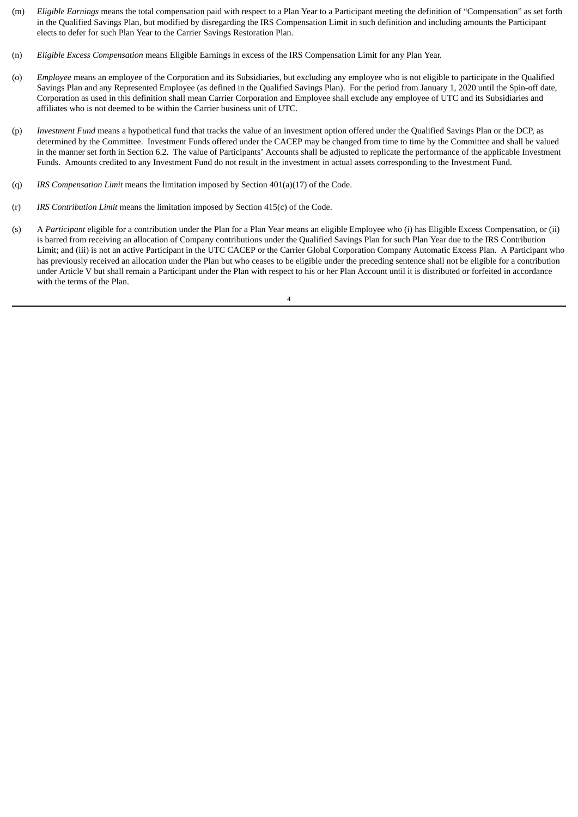- (m) *Eligible Earnings* means the total compensation paid with respect to a Plan Year to a Participant meeting the definition of "Compensation" as set forth in the Qualified Savings Plan, but modified by disregarding the IRS Compensation Limit in such definition and including amounts the Participant elects to defer for such Plan Year to the Carrier Savings Restoration Plan.
- (n) *Eligible Excess Compensation* means Eligible Earnings in excess of the IRS Compensation Limit for any Plan Year.
- (o) *Employee* means an employee of the Corporation and its Subsidiaries, but excluding any employee who is not eligible to participate in the Qualified Savings Plan and any Represented Employee (as defined in the Qualified Savings Plan). For the period from January 1, 2020 until the Spin-off date, Corporation as used in this definition shall mean Carrier Corporation and Employee shall exclude any employee of UTC and its Subsidiaries and affiliates who is not deemed to be within the Carrier business unit of UTC.
- (p) *Investment Fund* means a hypothetical fund that tracks the value of an investment option offered under the Qualified Savings Plan or the DCP, as determined by the Committee. Investment Funds offered under the CACEP may be changed from time to time by the Committee and shall be valued in the manner set forth in Section 6.2. The value of Participants' Accounts shall be adjusted to replicate the performance of the applicable Investment Funds. Amounts credited to any Investment Fund do not result in the investment in actual assets corresponding to the Investment Fund.
- (q) *IRS Compensation Limit* means the limitation imposed by Section 401(a)(17) of the Code.
- (r) *IRS Contribution Limit* means the limitation imposed by Section 415(c) of the Code.
- (s) A *Participant* eligible for a contribution under the Plan for a Plan Year means an eligible Employee who (i) has Eligible Excess Compensation, or (ii) is barred from receiving an allocation of Company contributions under the Qualified Savings Plan for such Plan Year due to the IRS Contribution Limit; and (iii) is not an active Participant in the UTC CACEP or the Carrier Global Corporation Company Automatic Excess Plan. A Participant who has previously received an allocation under the Plan but who ceases to be eligible under the preceding sentence shall not be eligible for a contribution under Article V but shall remain a Participant under the Plan with respect to his or her Plan Account until it is distributed or forfeited in accordance with the terms of the Plan.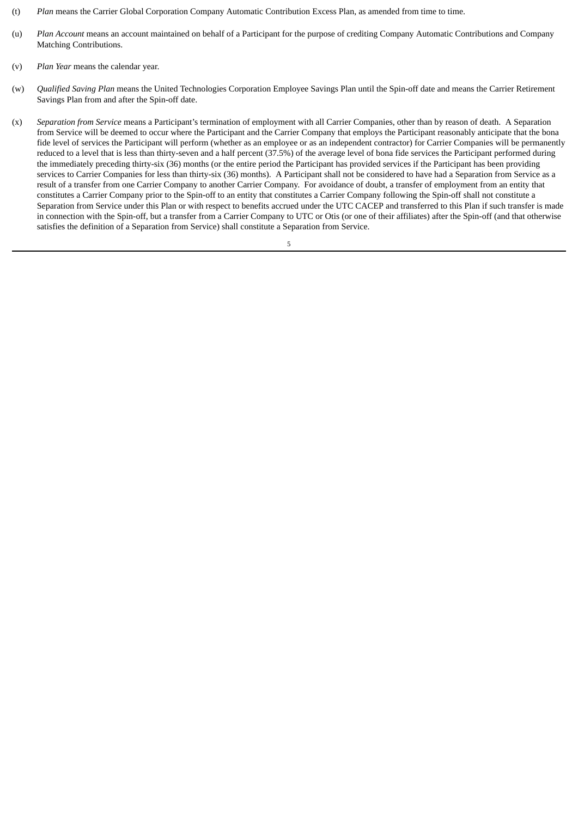- (t) *Plan* means the Carrier Global Corporation Company Automatic Contribution Excess Plan, as amended from time to time.
- (u) *Plan Account* means an account maintained on behalf of a Participant for the purpose of crediting Company Automatic Contributions and Company Matching Contributions.
- (v) *Plan Year* means the calendar year.
- (w) *Qualified Saving Plan* means the United Technologies Corporation Employee Savings Plan until the Spin-off date and means the Carrier Retirement Savings Plan from and after the Spin-off date.
- (x) *Separation from Service* means a Participant's termination of employment with all Carrier Companies, other than by reason of death. A Separation from Service will be deemed to occur where the Participant and the Carrier Company that employs the Participant reasonably anticipate that the bona fide level of services the Participant will perform (whether as an employee or as an independent contractor) for Carrier Companies will be permanently reduced to a level that is less than thirty-seven and a half percent (37.5%) of the average level of bona fide services the Participant performed during the immediately preceding thirty-six (36) months (or the entire period the Participant has provided services if the Participant has been providing services to Carrier Companies for less than thirty-six (36) months). A Participant shall not be considered to have had a Separation from Service as a result of a transfer from one Carrier Company to another Carrier Company. For avoidance of doubt, a transfer of employment from an entity that constitutes a Carrier Company prior to the Spin-off to an entity that constitutes a Carrier Company following the Spin-off shall not constitute a Separation from Service under this Plan or with respect to benefits accrued under the UTC CACEP and transferred to this Plan if such transfer is made in connection with the Spin-off, but a transfer from a Carrier Company to UTC or Otis (or one of their affiliates) after the Spin-off (and that otherwise satisfies the definition of a Separation from Service) shall constitute a Separation from Service.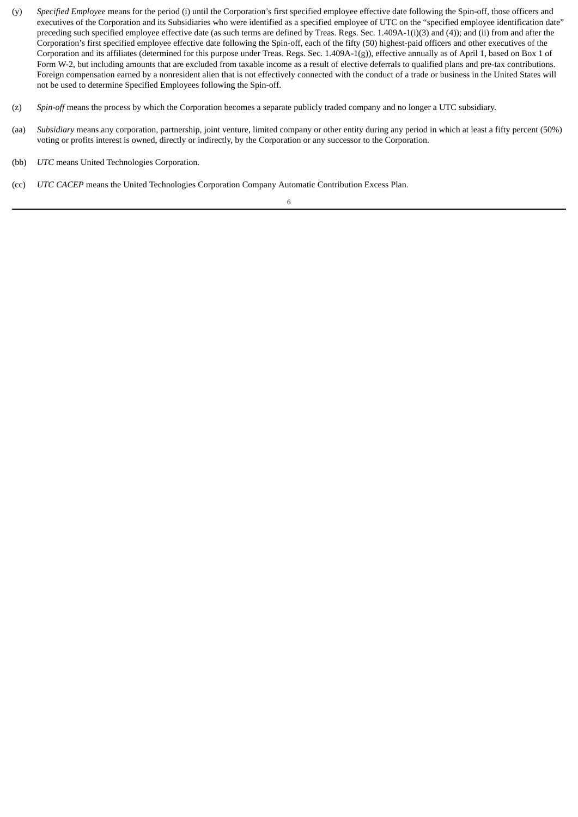- (y) *Specified Employee* means for the period (i) until the Corporation's first specified employee effective date following the Spin-off, those officers and executives of the Corporation and its Subsidiaries who were identified as a specified employee of UTC on the "specified employee identification date" preceding such specified employee effective date (as such terms are defined by Treas. Regs. Sec. 1.409A-1(i)(3) and (4)); and (ii) from and after the Corporation's first specified employee effective date following the Spin-off, each of the fifty (50) highest-paid officers and other executives of the Corporation and its affiliates (determined for this purpose under Treas. Regs. Sec. 1.409A-1(g)), effective annually as of April 1, based on Box 1 of Form W-2, but including amounts that are excluded from taxable income as a result of elective deferrals to qualified plans and pre-tax contributions. Foreign compensation earned by a nonresident alien that is not effectively connected with the conduct of a trade or business in the United States will not be used to determine Specified Employees following the Spin-off.
- (z) *Spin-off* means the process by which the Corporation becomes a separate publicly traded company and no longer a UTC subsidiary.
- (aa) *Subsidiary* means any corporation, partnership, joint venture, limited company or other entity during any period in which at least a fifty percent (50%) voting or profits interest is owned, directly or indirectly, by the Corporation or any successor to the Corporation.
- (bb) *UTC* means United Technologies Corporation.
- (cc) *UTC CACEP* means the United Technologies Corporation Company Automatic Contribution Excess Plan.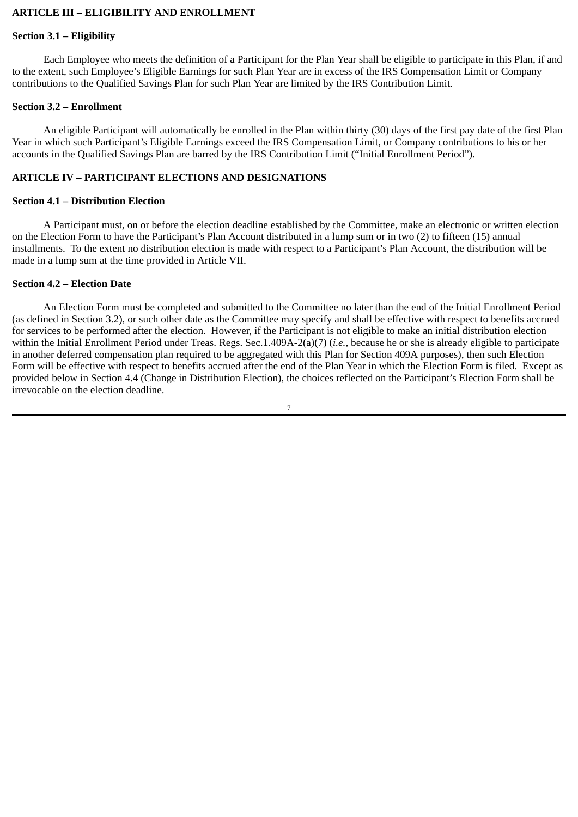# **ARTICLE III – ELIGIBILITY AND ENROLLMENT**

### **Section 3.1 – Eligibility**

Each Employee who meets the definition of a Participant for the Plan Year shall be eligible to participate in this Plan, if and to the extent, such Employee's Eligible Earnings for such Plan Year are in excess of the IRS Compensation Limit or Company contributions to the Qualified Savings Plan for such Plan Year are limited by the IRS Contribution Limit.

### **Section 3.2 – Enrollment**

An eligible Participant will automatically be enrolled in the Plan within thirty (30) days of the first pay date of the first Plan Year in which such Participant's Eligible Earnings exceed the IRS Compensation Limit, or Company contributions to his or her accounts in the Qualified Savings Plan are barred by the IRS Contribution Limit ("Initial Enrollment Period").

### **ARTICLE IV – PARTICIPANT ELECTIONS AND DESIGNATIONS**

### **Section 4.1 – Distribution Election**

A Participant must, on or before the election deadline established by the Committee, make an electronic or written election on the Election Form to have the Participant's Plan Account distributed in a lump sum or in two (2) to fifteen (15) annual installments. To the extent no distribution election is made with respect to a Participant's Plan Account, the distribution will be made in a lump sum at the time provided in Article VII.

# **Section 4.2 – Election Date**

An Election Form must be completed and submitted to the Committee no later than the end of the Initial Enrollment Period (as defined in Section 3.2), or such other date as the Committee may specify and shall be effective with respect to benefits accrued for services to be performed after the election. However, if the Participant is not eligible to make an initial distribution election within the Initial Enrollment Period under Treas. Regs. Sec.1.409A-2(a)(7) (*i.e.*, because he or she is already eligible to participate in another deferred compensation plan required to be aggregated with this Plan for Section 409A purposes), then such Election Form will be effective with respect to benefits accrued after the end of the Plan Year in which the Election Form is filed. Except as provided below in Section 4.4 (Change in Distribution Election), the choices reflected on the Participant's Election Form shall be irrevocable on the election deadline.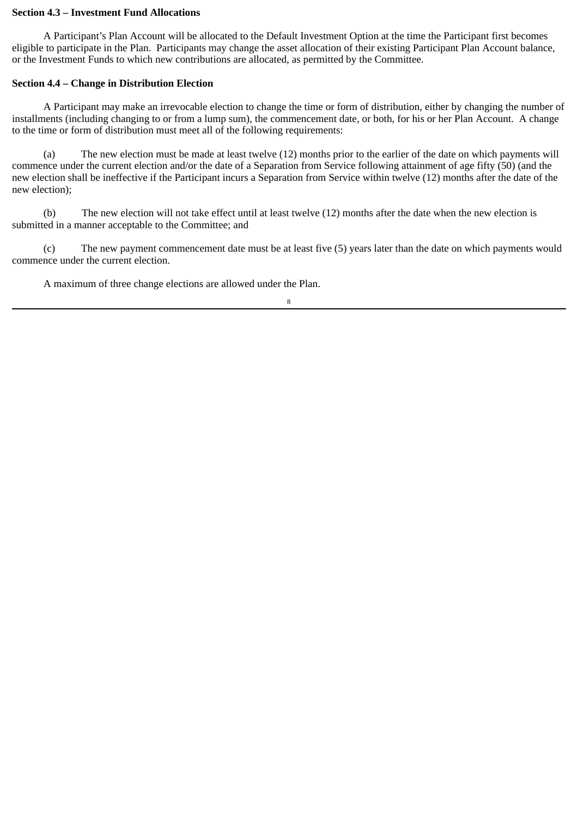### **Section 4.3 – Investment Fund Allocations**

A Participant's Plan Account will be allocated to the Default Investment Option at the time the Participant first becomes eligible to participate in the Plan. Participants may change the asset allocation of their existing Participant Plan Account balance, or the Investment Funds to which new contributions are allocated, as permitted by the Committee.

## **Section 4.4 – Change in Distribution Election**

A Participant may make an irrevocable election to change the time or form of distribution, either by changing the number of installments (including changing to or from a lump sum), the commencement date, or both, for his or her Plan Account. A change to the time or form of distribution must meet all of the following requirements:

(a) The new election must be made at least twelve (12) months prior to the earlier of the date on which payments will commence under the current election and/or the date of a Separation from Service following attainment of age fifty (50) (and the new election shall be ineffective if the Participant incurs a Separation from Service within twelve (12) months after the date of the new election);

(b) The new election will not take effect until at least twelve (12) months after the date when the new election is submitted in a manner acceptable to the Committee; and

(c) The new payment commencement date must be at least five (5) years later than the date on which payments would commence under the current election.

A maximum of three change elections are allowed under the Plan.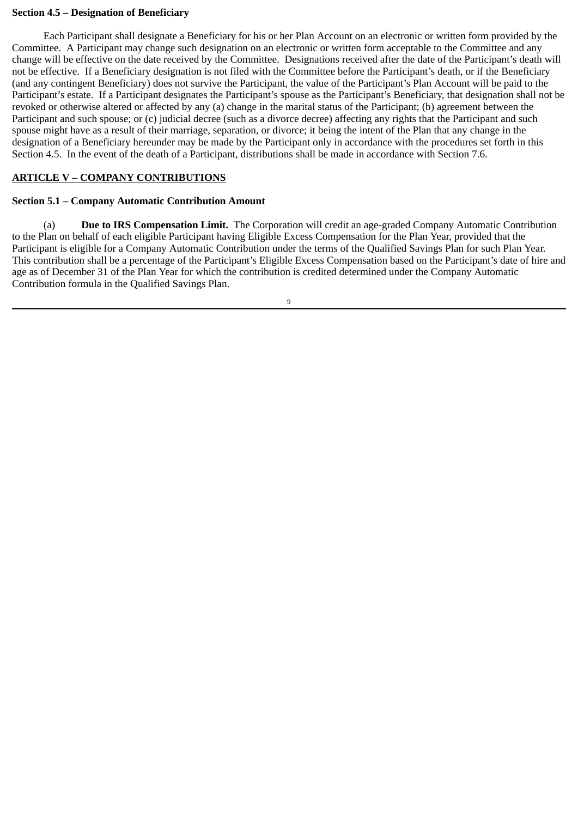## **Section 4.5 – Designation of Beneficiary**

Each Participant shall designate a Beneficiary for his or her Plan Account on an electronic or written form provided by the Committee. A Participant may change such designation on an electronic or written form acceptable to the Committee and any change will be effective on the date received by the Committee. Designations received after the date of the Participant's death will not be effective. If a Beneficiary designation is not filed with the Committee before the Participant's death, or if the Beneficiary (and any contingent Beneficiary) does not survive the Participant, the value of the Participant's Plan Account will be paid to the Participant's estate. If a Participant designates the Participant's spouse as the Participant's Beneficiary, that designation shall not be revoked or otherwise altered or affected by any (a) change in the marital status of the Participant; (b) agreement between the Participant and such spouse; or (c) judicial decree (such as a divorce decree) affecting any rights that the Participant and such spouse might have as a result of their marriage, separation, or divorce; it being the intent of the Plan that any change in the designation of a Beneficiary hereunder may be made by the Participant only in accordance with the procedures set forth in this Section 4.5. In the event of the death of a Participant, distributions shall be made in accordance with Section 7.6.

# **ARTICLE V – COMPANY CONTRIBUTIONS**

# **Section 5.1 – Company Automatic Contribution Amount**

(a) **Due to IRS Compensation Limit.** The Corporation will credit an age-graded Company Automatic Contribution to the Plan on behalf of each eligible Participant having Eligible Excess Compensation for the Plan Year, provided that the Participant is eligible for a Company Automatic Contribution under the terms of the Qualified Savings Plan for such Plan Year. This contribution shall be a percentage of the Participant's Eligible Excess Compensation based on the Participant's date of hire and age as of December 31 of the Plan Year for which the contribution is credited determined under the Company Automatic Contribution formula in the Qualified Savings Plan.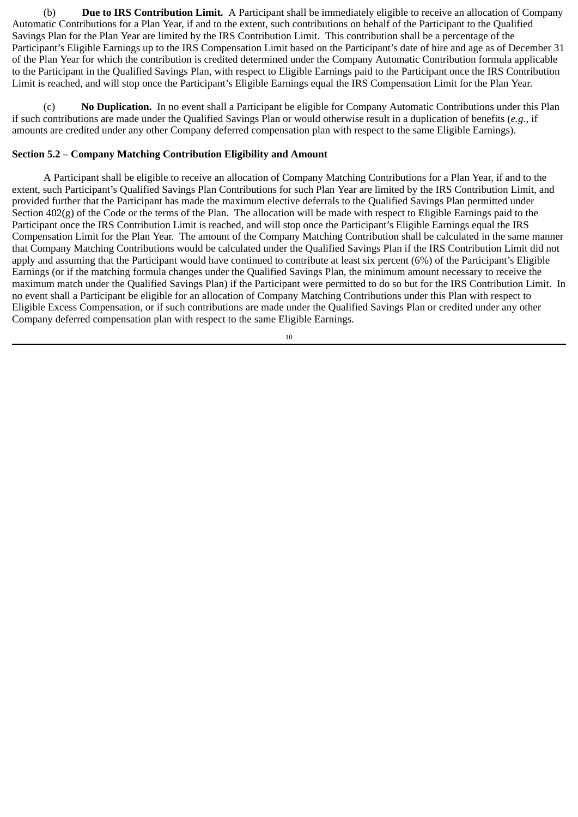(b) **Due to IRS Contribution Limit.** A Participant shall be immediately eligible to receive an allocation of Company Automatic Contributions for a Plan Year, if and to the extent, such contributions on behalf of the Participant to the Qualified Savings Plan for the Plan Year are limited by the IRS Contribution Limit. This contribution shall be a percentage of the Participant's Eligible Earnings up to the IRS Compensation Limit based on the Participant's date of hire and age as of December 31 of the Plan Year for which the contribution is credited determined under the Company Automatic Contribution formula applicable to the Participant in the Qualified Savings Plan, with respect to Eligible Earnings paid to the Participant once the IRS Contribution Limit is reached, and will stop once the Participant's Eligible Earnings equal the IRS Compensation Limit for the Plan Year.

(c) **No Duplication.** In no event shall a Participant be eligible for Company Automatic Contributions under this Plan if such contributions are made under the Qualified Savings Plan or would otherwise result in a duplication of benefits (*e.g.*, if amounts are credited under any other Company deferred compensation plan with respect to the same Eligible Earnings).

# **Section 5.2 – Company Matching Contribution Eligibility and Amount**

A Participant shall be eligible to receive an allocation of Company Matching Contributions for a Plan Year, if and to the extent, such Participant's Qualified Savings Plan Contributions for such Plan Year are limited by the IRS Contribution Limit, and provided further that the Participant has made the maximum elective deferrals to the Qualified Savings Plan permitted under Section 402(g) of the Code or the terms of the Plan. The allocation will be made with respect to Eligible Earnings paid to the Participant once the IRS Contribution Limit is reached, and will stop once the Participant's Eligible Earnings equal the IRS Compensation Limit for the Plan Year. The amount of the Company Matching Contribution shall be calculated in the same manner that Company Matching Contributions would be calculated under the Qualified Savings Plan if the IRS Contribution Limit did not apply and assuming that the Participant would have continued to contribute at least six percent (6%) of the Participant's Eligible Earnings (or if the matching formula changes under the Qualified Savings Plan, the minimum amount necessary to receive the maximum match under the Qualified Savings Plan) if the Participant were permitted to do so but for the IRS Contribution Limit. In no event shall a Participant be eligible for an allocation of Company Matching Contributions under this Plan with respect to Eligible Excess Compensation, or if such contributions are made under the Qualified Savings Plan or credited under any other Company deferred compensation plan with respect to the same Eligible Earnings.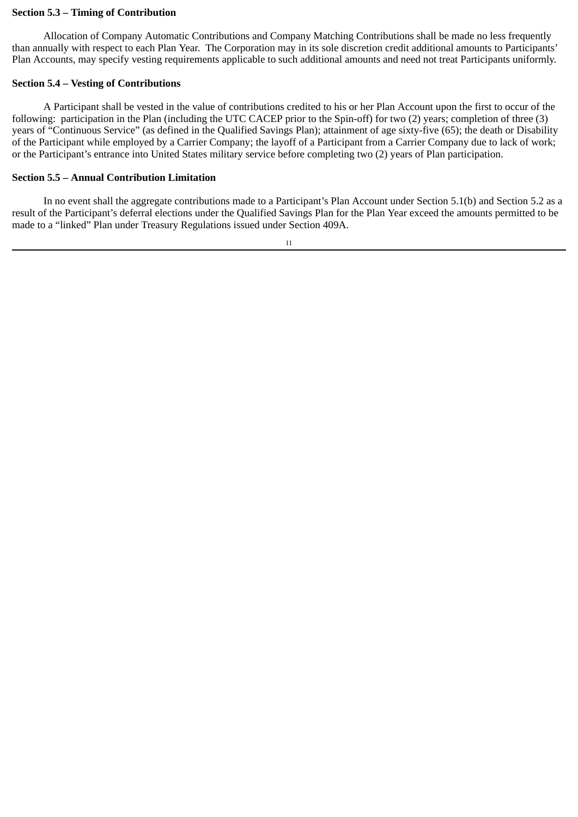#### **Section 5.3 – Timing of Contribution**

Allocation of Company Automatic Contributions and Company Matching Contributions shall be made no less frequently than annually with respect to each Plan Year. The Corporation may in its sole discretion credit additional amounts to Participants' Plan Accounts, may specify vesting requirements applicable to such additional amounts and need not treat Participants uniformly.

# **Section 5.4 – Vesting of Contributions**

A Participant shall be vested in the value of contributions credited to his or her Plan Account upon the first to occur of the following: participation in the Plan (including the UTC CACEP prior to the Spin-off) for two (2) years; completion of three (3) years of "Continuous Service" (as defined in the Qualified Savings Plan); attainment of age sixty-five (65); the death or Disability of the Participant while employed by a Carrier Company; the layoff of a Participant from a Carrier Company due to lack of work; or the Participant's entrance into United States military service before completing two (2) years of Plan participation.

## **Section 5.5 – Annual Contribution Limitation**

In no event shall the aggregate contributions made to a Participant's Plan Account under Section 5.1(b) and Section 5.2 as a result of the Participant's deferral elections under the Qualified Savings Plan for the Plan Year exceed the amounts permitted to be made to a "linked" Plan under Treasury Regulations issued under Section 409A.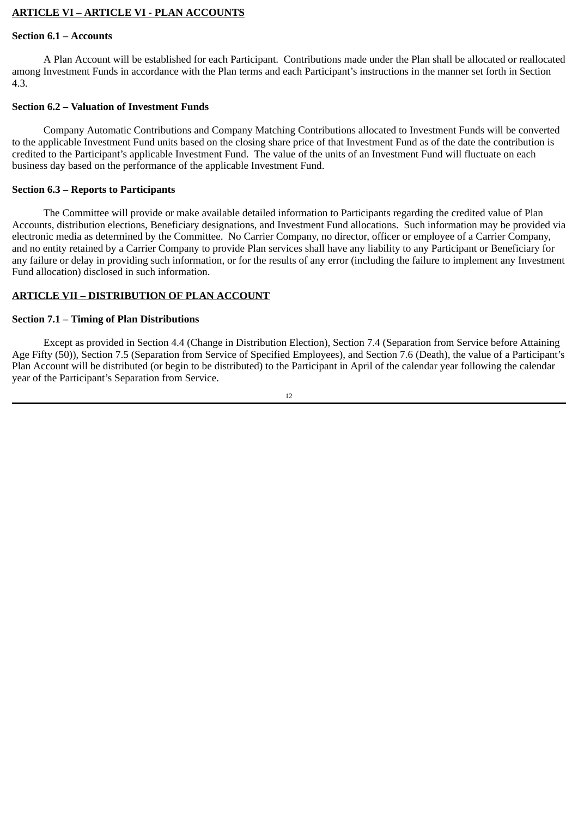# **ARTICLE VI – ARTICLE VI - PLAN ACCOUNTS**

## **Section 6.1 – Accounts**

A Plan Account will be established for each Participant. Contributions made under the Plan shall be allocated or reallocated among Investment Funds in accordance with the Plan terms and each Participant's instructions in the manner set forth in Section 4.3.

# **Section 6.2 – Valuation of Investment Funds**

Company Automatic Contributions and Company Matching Contributions allocated to Investment Funds will be converted to the applicable Investment Fund units based on the closing share price of that Investment Fund as of the date the contribution is credited to the Participant's applicable Investment Fund. The value of the units of an Investment Fund will fluctuate on each business day based on the performance of the applicable Investment Fund.

# **Section 6.3 – Reports to Participants**

The Committee will provide or make available detailed information to Participants regarding the credited value of Plan Accounts, distribution elections, Beneficiary designations, and Investment Fund allocations. Such information may be provided via electronic media as determined by the Committee. No Carrier Company, no director, officer or employee of a Carrier Company, and no entity retained by a Carrier Company to provide Plan services shall have any liability to any Participant or Beneficiary for any failure or delay in providing such information, or for the results of any error (including the failure to implement any Investment Fund allocation) disclosed in such information.

# **ARTICLE VII – DISTRIBUTION OF PLAN ACCOUNT**

# **Section 7.1 – Timing of Plan Distributions**

Except as provided in Section 4.4 (Change in Distribution Election), Section 7.4 (Separation from Service before Attaining Age Fifty (50)), Section 7.5 (Separation from Service of Specified Employees), and Section 7.6 (Death), the value of a Participant's Plan Account will be distributed (or begin to be distributed) to the Participant in April of the calendar year following the calendar year of the Participant's Separation from Service.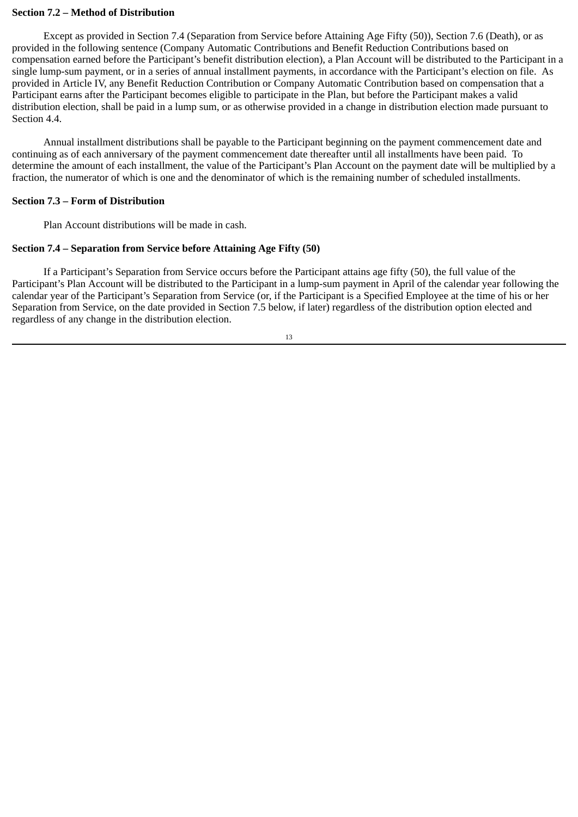#### **Section 7.2 – Method of Distribution**

Except as provided in Section 7.4 (Separation from Service before Attaining Age Fifty (50)), Section 7.6 (Death), or as provided in the following sentence (Company Automatic Contributions and Benefit Reduction Contributions based on compensation earned before the Participant's benefit distribution election), a Plan Account will be distributed to the Participant in a single lump-sum payment, or in a series of annual installment payments, in accordance with the Participant's election on file. As provided in Article IV, any Benefit Reduction Contribution or Company Automatic Contribution based on compensation that a Participant earns after the Participant becomes eligible to participate in the Plan, but before the Participant makes a valid distribution election, shall be paid in a lump sum, or as otherwise provided in a change in distribution election made pursuant to Section 4.4.

Annual installment distributions shall be payable to the Participant beginning on the payment commencement date and continuing as of each anniversary of the payment commencement date thereafter until all installments have been paid. To determine the amount of each installment, the value of the Participant's Plan Account on the payment date will be multiplied by a fraction, the numerator of which is one and the denominator of which is the remaining number of scheduled installments.

### **Section 7.3 – Form of Distribution**

Plan Account distributions will be made in cash.

# **Section 7.4 – Separation from Service before Attaining Age Fifty (50)**

If a Participant's Separation from Service occurs before the Participant attains age fifty (50), the full value of the Participant's Plan Account will be distributed to the Participant in a lump-sum payment in April of the calendar year following the calendar year of the Participant's Separation from Service (or, if the Participant is a Specified Employee at the time of his or her Separation from Service, on the date provided in Section 7.5 below, if later) regardless of the distribution option elected and regardless of any change in the distribution election.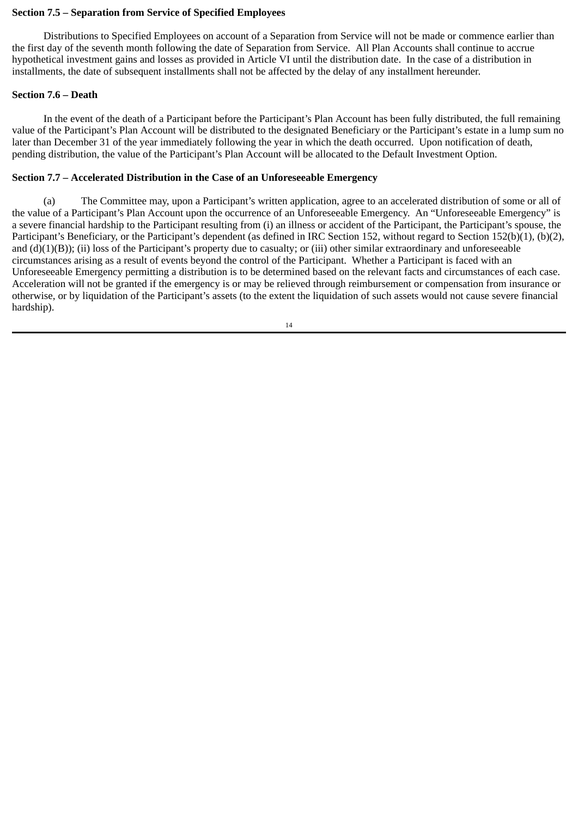# **Section 7.5 – Separation from Service of Specified Employees**

Distributions to Specified Employees on account of a Separation from Service will not be made or commence earlier than the first day of the seventh month following the date of Separation from Service. All Plan Accounts shall continue to accrue hypothetical investment gains and losses as provided in Article VI until the distribution date. In the case of a distribution in installments, the date of subsequent installments shall not be affected by the delay of any installment hereunder.

# **Section 7.6 – Death**

In the event of the death of a Participant before the Participant's Plan Account has been fully distributed, the full remaining value of the Participant's Plan Account will be distributed to the designated Beneficiary or the Participant's estate in a lump sum no later than December 31 of the year immediately following the year in which the death occurred. Upon notification of death, pending distribution, the value of the Participant's Plan Account will be allocated to the Default Investment Option.

# **Section 7.7 – Accelerated Distribution in the Case of an Unforeseeable Emergency**

(a) The Committee may, upon a Participant's written application, agree to an accelerated distribution of some or all of the value of a Participant's Plan Account upon the occurrence of an Unforeseeable Emergency. An "Unforeseeable Emergency" is a severe financial hardship to the Participant resulting from (i) an illness or accident of the Participant, the Participant's spouse, the Participant's Beneficiary, or the Participant's dependent (as defined in IRC Section 152, without regard to Section 152(b)(1), (b)(2), and  $(d)(1)(B)$ ; (ii) loss of the Participant's property due to casualty; or (iii) other similar extraordinary and unforeseeable circumstances arising as a result of events beyond the control of the Participant. Whether a Participant is faced with an Unforeseeable Emergency permitting a distribution is to be determined based on the relevant facts and circumstances of each case. Acceleration will not be granted if the emergency is or may be relieved through reimbursement or compensation from insurance or otherwise, or by liquidation of the Participant's assets (to the extent the liquidation of such assets would not cause severe financial hardship).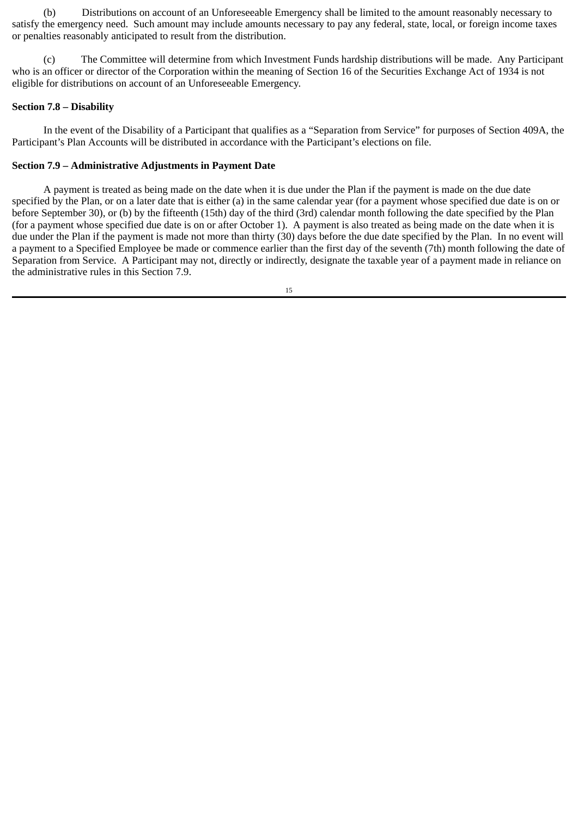(b) Distributions on account of an Unforeseeable Emergency shall be limited to the amount reasonably necessary to satisfy the emergency need. Such amount may include amounts necessary to pay any federal, state, local, or foreign income taxes or penalties reasonably anticipated to result from the distribution.

(c) The Committee will determine from which Investment Funds hardship distributions will be made. Any Participant who is an officer or director of the Corporation within the meaning of Section 16 of the Securities Exchange Act of 1934 is not eligible for distributions on account of an Unforeseeable Emergency.

# **Section 7.8 – Disability**

In the event of the Disability of a Participant that qualifies as a "Separation from Service" for purposes of Section 409A, the Participant's Plan Accounts will be distributed in accordance with the Participant's elections on file.

# **Section 7.9 – Administrative Adjustments in Payment Date**

A payment is treated as being made on the date when it is due under the Plan if the payment is made on the due date specified by the Plan, or on a later date that is either (a) in the same calendar year (for a payment whose specified due date is on or before September 30), or (b) by the fifteenth (15th) day of the third (3rd) calendar month following the date specified by the Plan (for a payment whose specified due date is on or after October 1). A payment is also treated as being made on the date when it is due under the Plan if the payment is made not more than thirty (30) days before the due date specified by the Plan. In no event will a payment to a Specified Employee be made or commence earlier than the first day of the seventh (7th) month following the date of Separation from Service. A Participant may not, directly or indirectly, designate the taxable year of a payment made in reliance on the administrative rules in this Section 7.9.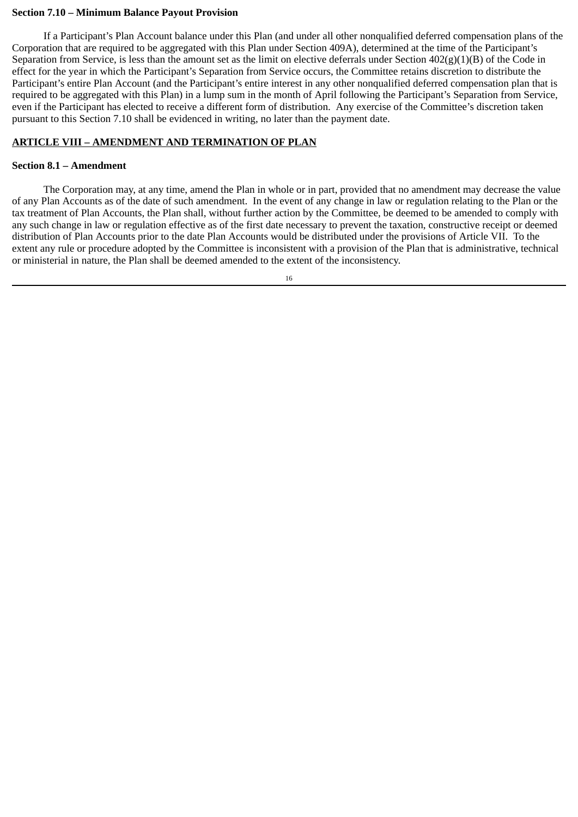### **Section 7.10 – Minimum Balance Payout Provision**

If a Participant's Plan Account balance under this Plan (and under all other nonqualified deferred compensation plans of the Corporation that are required to be aggregated with this Plan under Section 409A), determined at the time of the Participant's Separation from Service, is less than the amount set as the limit on elective deferrals under Section 402(g)(1)(B) of the Code in effect for the year in which the Participant's Separation from Service occurs, the Committee retains discretion to distribute the Participant's entire Plan Account (and the Participant's entire interest in any other nonqualified deferred compensation plan that is required to be aggregated with this Plan) in a lump sum in the month of April following the Participant's Separation from Service, even if the Participant has elected to receive a different form of distribution. Any exercise of the Committee's discretion taken pursuant to this Section 7.10 shall be evidenced in writing, no later than the payment date.

# **ARTICLE VIII – AMENDMENT AND TERMINATION OF PLAN**

# **Section 8.1 – Amendment**

The Corporation may, at any time, amend the Plan in whole or in part, provided that no amendment may decrease the value of any Plan Accounts as of the date of such amendment. In the event of any change in law or regulation relating to the Plan or the tax treatment of Plan Accounts, the Plan shall, without further action by the Committee, be deemed to be amended to comply with any such change in law or regulation effective as of the first date necessary to prevent the taxation, constructive receipt or deemed distribution of Plan Accounts prior to the date Plan Accounts would be distributed under the provisions of Article VII. To the extent any rule or procedure adopted by the Committee is inconsistent with a provision of the Plan that is administrative, technical or ministerial in nature, the Plan shall be deemed amended to the extent of the inconsistency.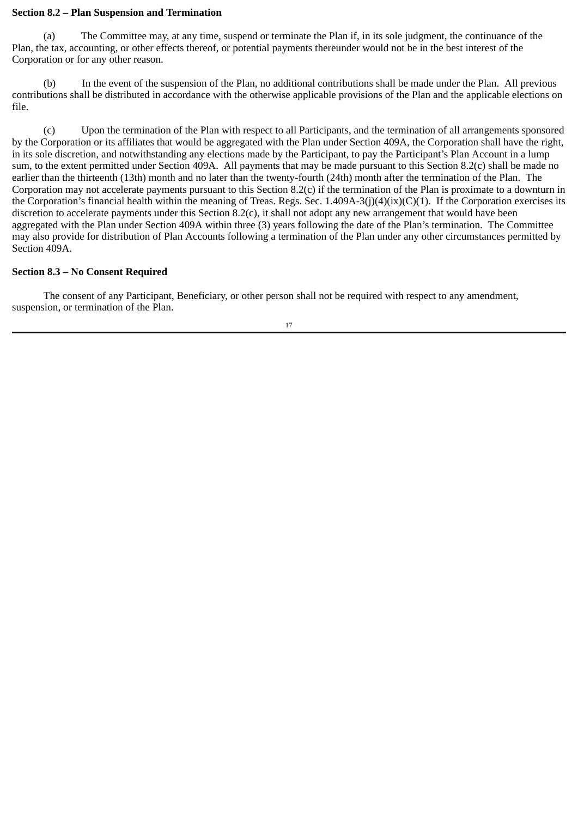#### **Section 8.2 – Plan Suspension and Termination**

(a) The Committee may, at any time, suspend or terminate the Plan if, in its sole judgment, the continuance of the Plan, the tax, accounting, or other effects thereof, or potential payments thereunder would not be in the best interest of the Corporation or for any other reason.

(b) In the event of the suspension of the Plan, no additional contributions shall be made under the Plan. All previous contributions shall be distributed in accordance with the otherwise applicable provisions of the Plan and the applicable elections on file.

(c) Upon the termination of the Plan with respect to all Participants, and the termination of all arrangements sponsored by the Corporation or its affiliates that would be aggregated with the Plan under Section 409A, the Corporation shall have the right, in its sole discretion, and notwithstanding any elections made by the Participant, to pay the Participant's Plan Account in a lump sum, to the extent permitted under Section 409A. All payments that may be made pursuant to this Section 8.2(c) shall be made no earlier than the thirteenth (13th) month and no later than the twenty-fourth (24th) month after the termination of the Plan. The Corporation may not accelerate payments pursuant to this Section 8.2(c) if the termination of the Plan is proximate to a downturn in the Corporation's financial health within the meaning of Treas. Regs. Sec. 1.409A-3(j)(4)(ix)(C)(1). If the Corporation exercises its discretion to accelerate payments under this Section 8.2(c), it shall not adopt any new arrangement that would have been aggregated with the Plan under Section 409A within three (3) years following the date of the Plan's termination. The Committee may also provide for distribution of Plan Accounts following a termination of the Plan under any other circumstances permitted by Section 409A.

# **Section 8.3 – No Consent Required**

The consent of any Participant, Beneficiary, or other person shall not be required with respect to any amendment, suspension, or termination of the Plan.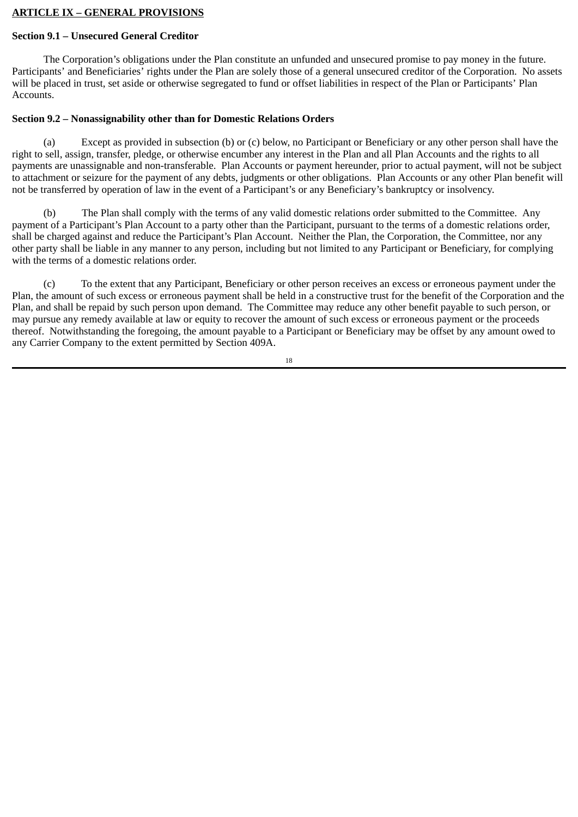# **ARTICLE IX – GENERAL PROVISIONS**

### **Section 9.1 – Unsecured General Creditor**

The Corporation's obligations under the Plan constitute an unfunded and unsecured promise to pay money in the future. Participants' and Beneficiaries' rights under the Plan are solely those of a general unsecured creditor of the Corporation. No assets will be placed in trust, set aside or otherwise segregated to fund or offset liabilities in respect of the Plan or Participants' Plan Accounts.

### **Section 9.2 – Nonassignability other than for Domestic Relations Orders**

(a) Except as provided in subsection (b) or (c) below, no Participant or Beneficiary or any other person shall have the right to sell, assign, transfer, pledge, or otherwise encumber any interest in the Plan and all Plan Accounts and the rights to all payments are unassignable and non-transferable. Plan Accounts or payment hereunder, prior to actual payment, will not be subject to attachment or seizure for the payment of any debts, judgments or other obligations. Plan Accounts or any other Plan benefit will not be transferred by operation of law in the event of a Participant's or any Beneficiary's bankruptcy or insolvency.

(b) The Plan shall comply with the terms of any valid domestic relations order submitted to the Committee. Any payment of a Participant's Plan Account to a party other than the Participant, pursuant to the terms of a domestic relations order, shall be charged against and reduce the Participant's Plan Account. Neither the Plan, the Corporation, the Committee, nor any other party shall be liable in any manner to any person, including but not limited to any Participant or Beneficiary, for complying with the terms of a domestic relations order.

(c) To the extent that any Participant, Beneficiary or other person receives an excess or erroneous payment under the Plan, the amount of such excess or erroneous payment shall be held in a constructive trust for the benefit of the Corporation and the Plan, and shall be repaid by such person upon demand. The Committee may reduce any other benefit payable to such person, or may pursue any remedy available at law or equity to recover the amount of such excess or erroneous payment or the proceeds thereof. Notwithstanding the foregoing, the amount payable to a Participant or Beneficiary may be offset by any amount owed to any Carrier Company to the extent permitted by Section 409A.

$$
18\quad
$$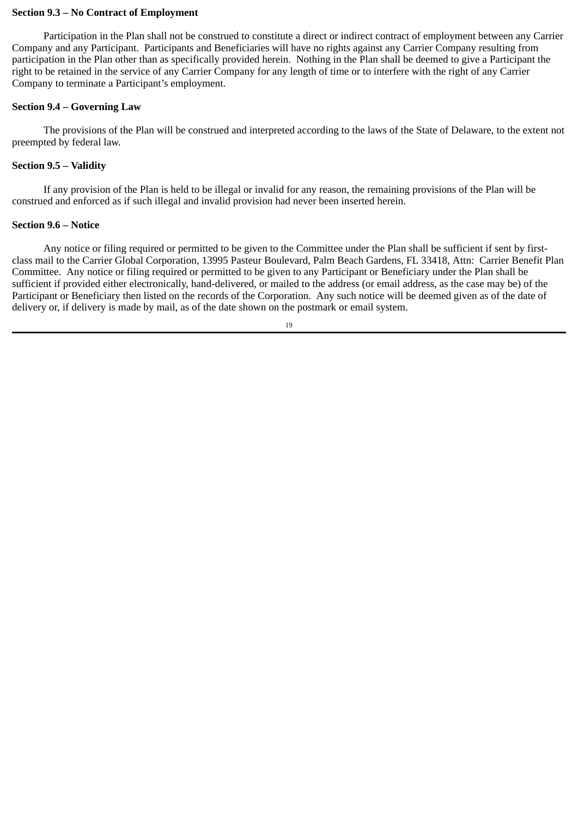#### **Section 9.3 – No Contract of Employment**

Participation in the Plan shall not be construed to constitute a direct or indirect contract of employment between any Carrier Company and any Participant. Participants and Beneficiaries will have no rights against any Carrier Company resulting from participation in the Plan other than as specifically provided herein. Nothing in the Plan shall be deemed to give a Participant the right to be retained in the service of any Carrier Company for any length of time or to interfere with the right of any Carrier Company to terminate a Participant's employment.

## **Section 9.4 – Governing Law**

The provisions of the Plan will be construed and interpreted according to the laws of the State of Delaware, to the extent not preempted by federal law.

# **Section 9.5 – Validity**

If any provision of the Plan is held to be illegal or invalid for any reason, the remaining provisions of the Plan will be construed and enforced as if such illegal and invalid provision had never been inserted herein.

### **Section 9.6 – Notice**

Any notice or filing required or permitted to be given to the Committee under the Plan shall be sufficient if sent by firstclass mail to the Carrier Global Corporation, 13995 Pasteur Boulevard, Palm Beach Gardens, FL 33418, Attn: Carrier Benefit Plan Committee. Any notice or filing required or permitted to be given to any Participant or Beneficiary under the Plan shall be sufficient if provided either electronically, hand-delivered, or mailed to the address (or email address, as the case may be) of the Participant or Beneficiary then listed on the records of the Corporation. Any such notice will be deemed given as of the date of delivery or, if delivery is made by mail, as of the date shown on the postmark or email system.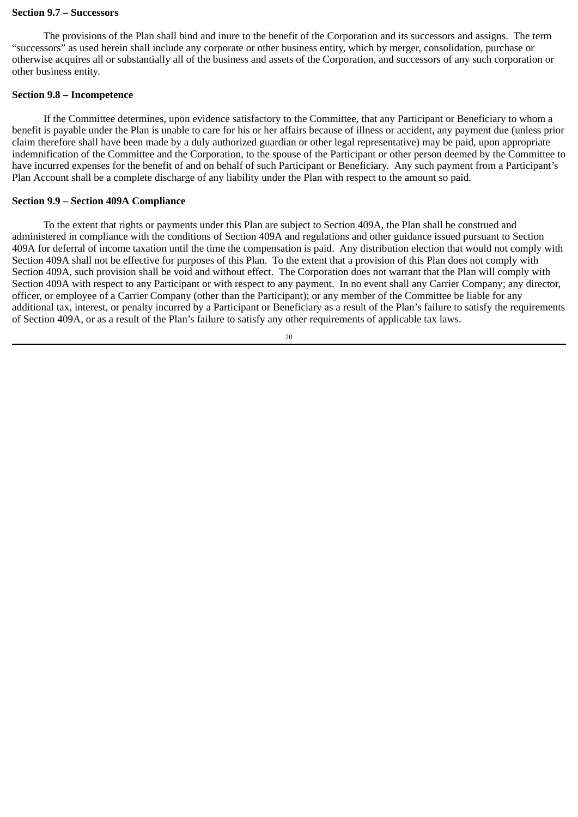#### **Section 9.7 – Successors**

The provisions of the Plan shall bind and inure to the benefit of the Corporation and its successors and assigns. The term "successors" as used herein shall include any corporate or other business entity, which by merger, consolidation, purchase or otherwise acquires all or substantially all of the business and assets of the Corporation, and successors of any such corporation or other business entity.

### **Section 9.8 – Incompetence**

If the Committee determines, upon evidence satisfactory to the Committee, that any Participant or Beneficiary to whom a benefit is payable under the Plan is unable to care for his or her affairs because of illness or accident, any payment due (unless prior claim therefore shall have been made by a duly authorized guardian or other legal representative) may be paid, upon appropriate indemnification of the Committee and the Corporation, to the spouse of the Participant or other person deemed by the Committee to have incurred expenses for the benefit of and on behalf of such Participant or Beneficiary. Any such payment from a Participant's Plan Account shall be a complete discharge of any liability under the Plan with respect to the amount so paid.

### **Section 9.9 – Section 409A Compliance**

To the extent that rights or payments under this Plan are subject to Section 409A, the Plan shall be construed and administered in compliance with the conditions of Section 409A and regulations and other guidance issued pursuant to Section 409A for deferral of income taxation until the time the compensation is paid. Any distribution election that would not comply with Section 409A shall not be effective for purposes of this Plan. To the extent that a provision of this Plan does not comply with Section 409A, such provision shall be void and without effect. The Corporation does not warrant that the Plan will comply with Section 409A with respect to any Participant or with respect to any payment. In no event shall any Carrier Company; any director, officer, or employee of a Carrier Company (other than the Participant); or any member of the Committee be liable for any additional tax, interest, or penalty incurred by a Participant or Beneficiary as a result of the Plan's failure to satisfy the requirements of Section 409A, or as a result of the Plan's failure to satisfy any other requirements of applicable tax laws.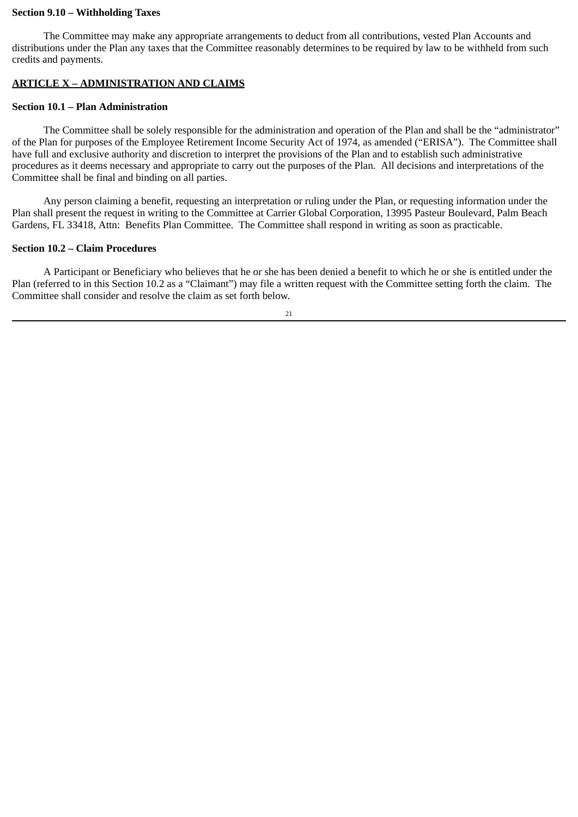### **Section 9.10 – Withholding Taxes**

The Committee may make any appropriate arrangements to deduct from all contributions, vested Plan Accounts and distributions under the Plan any taxes that the Committee reasonably determines to be required by law to be withheld from such credits and payments.

# **ARTICLE X – ADMINISTRATION AND CLAIMS**

# **Section 10.1 – Plan Administration**

The Committee shall be solely responsible for the administration and operation of the Plan and shall be the "administrator" of the Plan for purposes of the Employee Retirement Income Security Act of 1974, as amended ("ERISA"). The Committee shall have full and exclusive authority and discretion to interpret the provisions of the Plan and to establish such administrative procedures as it deems necessary and appropriate to carry out the purposes of the Plan. All decisions and interpretations of the Committee shall be final and binding on all parties.

Any person claiming a benefit, requesting an interpretation or ruling under the Plan, or requesting information under the Plan shall present the request in writing to the Committee at Carrier Global Corporation, 13995 Pasteur Boulevard, Palm Beach Gardens, FL 33418, Attn: Benefits Plan Committee. The Committee shall respond in writing as soon as practicable.

# **Section 10.2 – Claim Procedures**

A Participant or Beneficiary who believes that he or she has been denied a benefit to which he or she is entitled under the Plan (referred to in this Section 10.2 as a "Claimant") may file a written request with the Committee setting forth the claim. The Committee shall consider and resolve the claim as set forth below.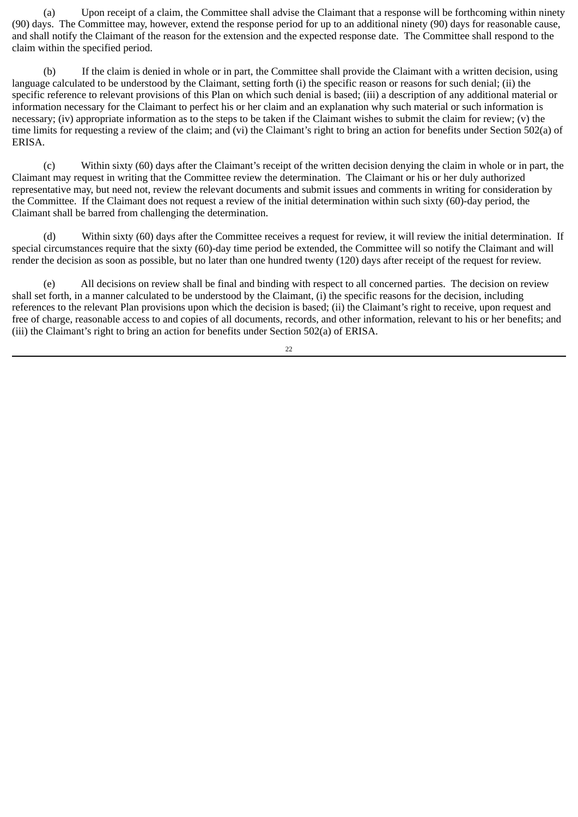(a) Upon receipt of a claim, the Committee shall advise the Claimant that a response will be forthcoming within ninety (90) days. The Committee may, however, extend the response period for up to an additional ninety (90) days for reasonable cause, and shall notify the Claimant of the reason for the extension and the expected response date. The Committee shall respond to the claim within the specified period.

(b) If the claim is denied in whole or in part, the Committee shall provide the Claimant with a written decision, using language calculated to be understood by the Claimant, setting forth (i) the specific reason or reasons for such denial; (ii) the specific reference to relevant provisions of this Plan on which such denial is based; (iii) a description of any additional material or information necessary for the Claimant to perfect his or her claim and an explanation why such material or such information is necessary; (iv) appropriate information as to the steps to be taken if the Claimant wishes to submit the claim for review; (v) the time limits for requesting a review of the claim; and (vi) the Claimant's right to bring an action for benefits under Section 502(a) of ERISA.

(c) Within sixty (60) days after the Claimant's receipt of the written decision denying the claim in whole or in part, the Claimant may request in writing that the Committee review the determination. The Claimant or his or her duly authorized representative may, but need not, review the relevant documents and submit issues and comments in writing for consideration by the Committee. If the Claimant does not request a review of the initial determination within such sixty (60)-day period, the Claimant shall be barred from challenging the determination.

Within sixty (60) days after the Committee receives a request for review, it will review the initial determination. If special circumstances require that the sixty (60)-day time period be extended, the Committee will so notify the Claimant and will render the decision as soon as possible, but no later than one hundred twenty (120) days after receipt of the request for review.

(e) All decisions on review shall be final and binding with respect to all concerned parties. The decision on review shall set forth, in a manner calculated to be understood by the Claimant, (i) the specific reasons for the decision, including references to the relevant Plan provisions upon which the decision is based; (ii) the Claimant's right to receive, upon request and free of charge, reasonable access to and copies of all documents, records, and other information, relevant to his or her benefits; and (iii) the Claimant's right to bring an action for benefits under Section 502(a) of ERISA.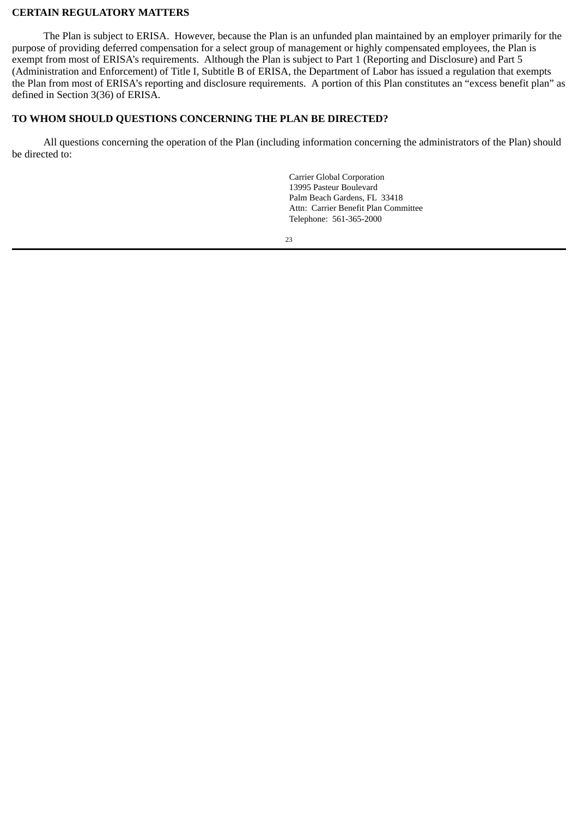#### **CERTAIN REGULATORY MATTERS**

The Plan is subject to ERISA. However, because the Plan is an unfunded plan maintained by an employer primarily for the purpose of providing deferred compensation for a select group of management or highly compensated employees, the Plan is exempt from most of ERISA's requirements. Although the Plan is subject to Part 1 (Reporting and Disclosure) and Part 5 (Administration and Enforcement) of Title I, Subtitle B of ERISA, the Department of Labor has issued a regulation that exempts the Plan from most of ERISA's reporting and disclosure requirements. A portion of this Plan constitutes an "excess benefit plan" as defined in Section 3(36) of ERISA.

### **TO WHOM SHOULD QUESTIONS CONCERNING THE PLAN BE DIRECTED?**

All questions concerning the operation of the Plan (including information concerning the administrators of the Plan) should be directed to:

> Carrier Global Corporation 13995 Pasteur Boulevard Palm Beach Gardens, FL 33418 Attn: Carrier Benefit Plan Committee Telephone: 561-365-2000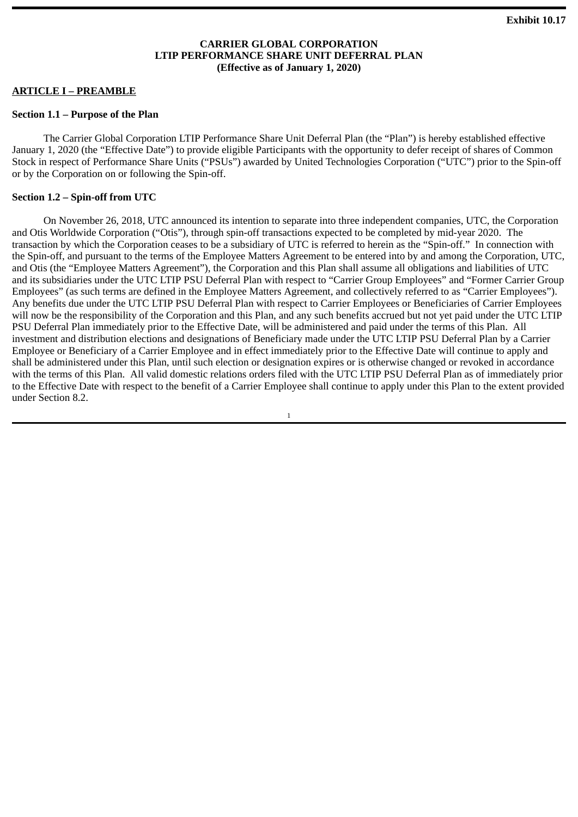# **CARRIER GLOBAL CORPORATION LTIP PERFORMANCE SHARE UNIT DEFERRAL PLAN (Effective as of January 1, 2020)**

# **ARTICLE I – PREAMBLE**

#### **Section 1.1 – Purpose of the Plan**

The Carrier Global Corporation LTIP Performance Share Unit Deferral Plan (the "Plan") is hereby established effective January 1, 2020 (the "Effective Date") to provide eligible Participants with the opportunity to defer receipt of shares of Common Stock in respect of Performance Share Units ("PSUs") awarded by United Technologies Corporation ("UTC") prior to the Spin-off or by the Corporation on or following the Spin-off.

## **Section 1.2 – Spin-off from UTC**

On November 26, 2018, UTC announced its intention to separate into three independent companies, UTC, the Corporation and Otis Worldwide Corporation ("Otis"), through spin-off transactions expected to be completed by mid-year 2020. The transaction by which the Corporation ceases to be a subsidiary of UTC is referred to herein as the "Spin-off." In connection with the Spin-off, and pursuant to the terms of the Employee Matters Agreement to be entered into by and among the Corporation, UTC, and Otis (the "Employee Matters Agreement"), the Corporation and this Plan shall assume all obligations and liabilities of UTC and its subsidiaries under the UTC LTIP PSU Deferral Plan with respect to "Carrier Group Employees" and "Former Carrier Group Employees" (as such terms are defined in the Employee Matters Agreement, and collectively referred to as "Carrier Employees"). Any benefits due under the UTC LTIP PSU Deferral Plan with respect to Carrier Employees or Beneficiaries of Carrier Employees will now be the responsibility of the Corporation and this Plan, and any such benefits accrued but not yet paid under the UTC LTIP PSU Deferral Plan immediately prior to the Effective Date, will be administered and paid under the terms of this Plan. All investment and distribution elections and designations of Beneficiary made under the UTC LTIP PSU Deferral Plan by a Carrier Employee or Beneficiary of a Carrier Employee and in effect immediately prior to the Effective Date will continue to apply and shall be administered under this Plan, until such election or designation expires or is otherwise changed or revoked in accordance with the terms of this Plan. All valid domestic relations orders filed with the UTC LTIP PSU Deferral Plan as of immediately prior to the Effective Date with respect to the benefit of a Carrier Employee shall continue to apply under this Plan to the extent provided under Section 8.2.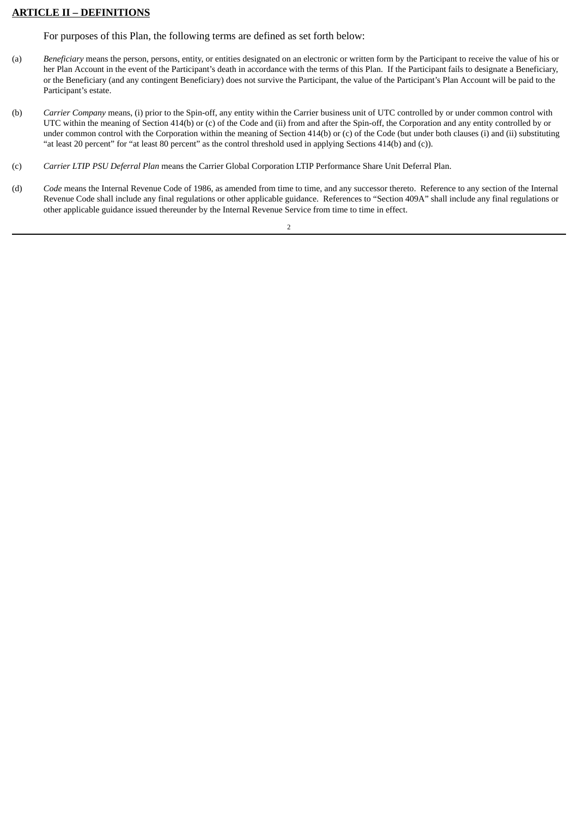# **ARTICLE II – DEFINITIONS**

For purposes of this Plan, the following terms are defined as set forth below:

- (a) *Beneficiary* means the person, persons, entity, or entities designated on an electronic or written form by the Participant to receive the value of his or her Plan Account in the event of the Participant's death in accordance with the terms of this Plan. If the Participant fails to designate a Beneficiary, or the Beneficiary (and any contingent Beneficiary) does not survive the Participant, the value of the Participant's Plan Account will be paid to the Participant's estate.
- (b) *Carrier Company* means, (i) prior to the Spin-off, any entity within the Carrier business unit of UTC controlled by or under common control with UTC within the meaning of Section 414(b) or (c) of the Code and (ii) from and after the Spin-off, the Corporation and any entity controlled by or under common control with the Corporation within the meaning of Section 414(b) or (c) of the Code (but under both clauses (i) and (ii) substituting "at least 20 percent" for "at least 80 percent" as the control threshold used in applying Sections 414(b) and (c)).
- (c) *Carrier LTIP PSU Deferral Plan* means the Carrier Global Corporation LTIP Performance Share Unit Deferral Plan.
- (d) *Code* means the Internal Revenue Code of 1986, as amended from time to time, and any successor thereto. Reference to any section of the Internal Revenue Code shall include any final regulations or other applicable guidance. References to "Section 409A" shall include any final regulations or other applicable guidance issued thereunder by the Internal Revenue Service from time to time in effect.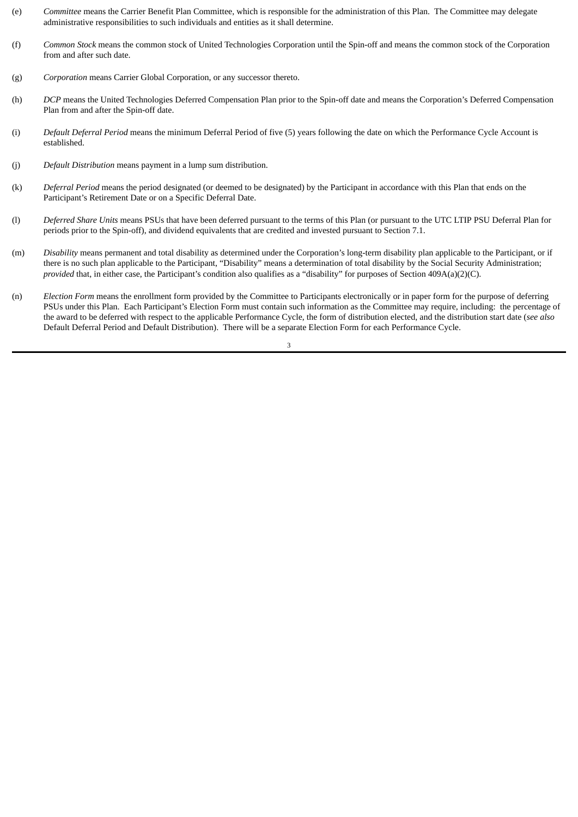- (e) *Committee* means the Carrier Benefit Plan Committee, which is responsible for the administration of this Plan. The Committee may delegate administrative responsibilities to such individuals and entities as it shall determine.
- (f) *Common Stock* means the common stock of United Technologies Corporation until the Spin-off and means the common stock of the Corporation from and after such date.
- (g) *Corporation* means Carrier Global Corporation, or any successor thereto.
- (h) *DCP* means the United Technologies Deferred Compensation Plan prior to the Spin-off date and means the Corporation's Deferred Compensation Plan from and after the Spin-off date.
- (i) *Default Deferral Period* means the minimum Deferral Period of five (5) years following the date on which the Performance Cycle Account is established.
- (j) *Default Distribution* means payment in a lump sum distribution.
- (k) *Deferral Period* means the period designated (or deemed to be designated) by the Participant in accordance with this Plan that ends on the Participant's Retirement Date or on a Specific Deferral Date.
- (l) *Deferred Share Units* means PSUs that have been deferred pursuant to the terms of this Plan (or pursuant to the UTC LTIP PSU Deferral Plan for periods prior to the Spin-off), and dividend equivalents that are credited and invested pursuant to Section 7.1.
- (m) *Disability* means permanent and total disability as determined under the Corporation's long-term disability plan applicable to the Participant, or if there is no such plan applicable to the Participant, "Disability" means a determination of total disability by the Social Security Administration; *provided* that, in either case, the Participant's condition also qualifies as a "disability" for purposes of Section 409A(a)(2)(C).
- (n) *Election Form* means the enrollment form provided by the Committee to Participants electronically or in paper form for the purpose of deferring PSUs under this Plan. Each Participant's Election Form must contain such information as the Committee may require, including: the percentage of the award to be deferred with respect to the applicable Performance Cycle, the form of distribution elected, and the distribution start date (*see also* Default Deferral Period and Default Distribution). There will be a separate Election Form for each Performance Cycle.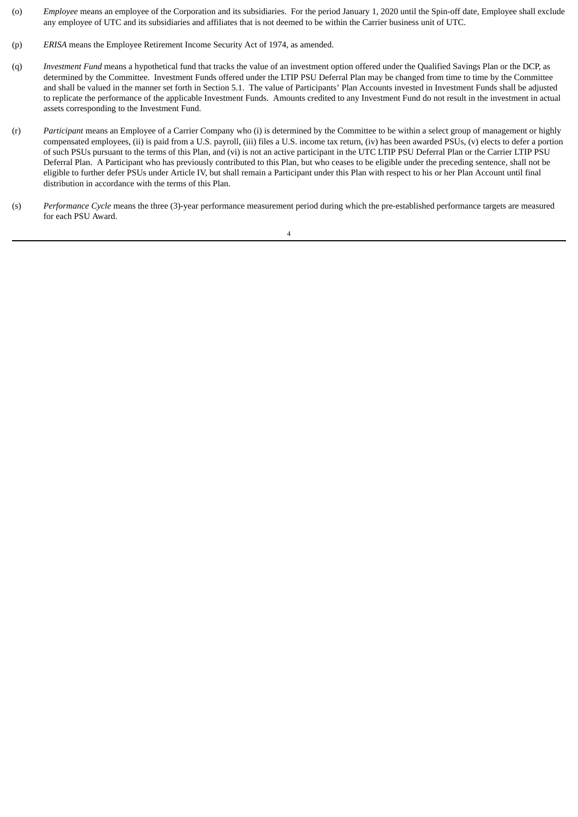- (o) *Employee* means an employee of the Corporation and its subsidiaries. For the period January 1, 2020 until the Spin-off date, Employee shall exclude any employee of UTC and its subsidiaries and affiliates that is not deemed to be within the Carrier business unit of UTC.
- (p) *ERISA* means the Employee Retirement Income Security Act of 1974, as amended.
- (q) *Investment Fund* means a hypothetical fund that tracks the value of an investment option offered under the Qualified Savings Plan or the DCP, as determined by the Committee. Investment Funds offered under the LTIP PSU Deferral Plan may be changed from time to time by the Committee and shall be valued in the manner set forth in Section 5.1. The value of Participants' Plan Accounts invested in Investment Funds shall be adjusted to replicate the performance of the applicable Investment Funds. Amounts credited to any Investment Fund do not result in the investment in actual assets corresponding to the Investment Fund.
- (r) *Participant* means an Employee of a Carrier Company who (i) is determined by the Committee to be within a select group of management or highly compensated employees, (ii) is paid from a U.S. payroll, (iii) files a U.S. income tax return, (iv) has been awarded PSUs, (v) elects to defer a portion of such PSUs pursuant to the terms of this Plan, and (vi) is not an active participant in the UTC LTIP PSU Deferral Plan or the Carrier LTIP PSU Deferral Plan. A Participant who has previously contributed to this Plan, but who ceases to be eligible under the preceding sentence, shall not be eligible to further defer PSUs under Article IV, but shall remain a Participant under this Plan with respect to his or her Plan Account until final distribution in accordance with the terms of this Plan.
- (s) *Performance Cycle* means the three (3)-year performance measurement period during which the pre-established performance targets are measured for each PSU Award.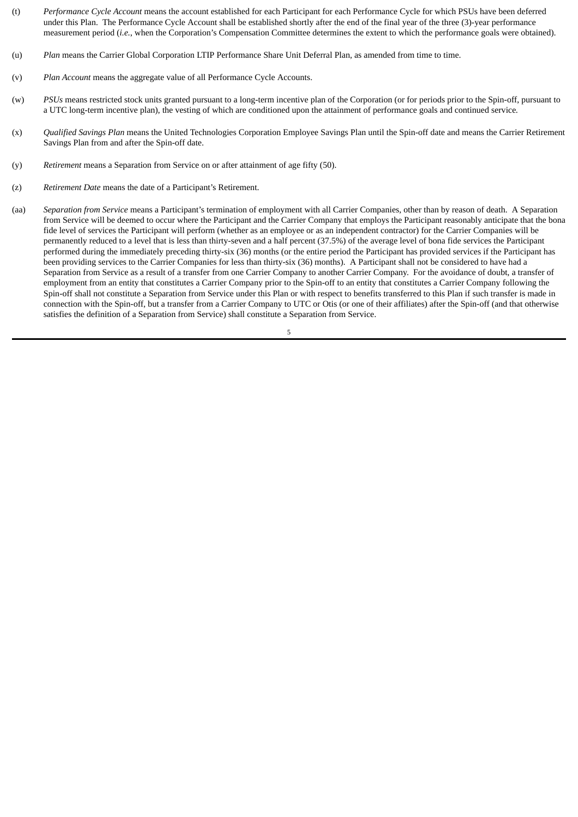- (t) *Performance Cycle Account* means the account established for each Participant for each Performance Cycle for which PSUs have been deferred under this Plan. The Performance Cycle Account shall be established shortly after the end of the final year of the three (3)-year performance measurement period (*i.e.*, when the Corporation's Compensation Committee determines the extent to which the performance goals were obtained).
- (u) *Plan* means the Carrier Global Corporation LTIP Performance Share Unit Deferral Plan, as amended from time to time.
- (v) *Plan Account* means the aggregate value of all Performance Cycle Accounts.
- (w) *PSUs* means restricted stock units granted pursuant to a long-term incentive plan of the Corporation (or for periods prior to the Spin-off, pursuant to a UTC long-term incentive plan), the vesting of which are conditioned upon the attainment of performance goals and continued service*.*
- (x) *Qualified Savings Plan* means the United Technologies Corporation Employee Savings Plan until the Spin-off date and means the Carrier Retirement Savings Plan from and after the Spin-off date.
- (y) *Retirement* means a Separation from Service on or after attainment of age fifty (50).
- (z) *Retirement Date* means the date of a Participant's Retirement.
- (aa) *Separation from Service* means a Participant's termination of employment with all Carrier Companies, other than by reason of death. A Separation from Service will be deemed to occur where the Participant and the Carrier Company that employs the Participant reasonably anticipate that the bona fide level of services the Participant will perform (whether as an employee or as an independent contractor) for the Carrier Companies will be permanently reduced to a level that is less than thirty-seven and a half percent (37.5%) of the average level of bona fide services the Participant performed during the immediately preceding thirty-six (36) months (or the entire period the Participant has provided services if the Participant has been providing services to the Carrier Companies for less than thirty-six (36) months). A Participant shall not be considered to have had a Separation from Service as a result of a transfer from one Carrier Company to another Carrier Company. For the avoidance of doubt, a transfer of employment from an entity that constitutes a Carrier Company prior to the Spin-off to an entity that constitutes a Carrier Company following the Spin-off shall not constitute a Separation from Service under this Plan or with respect to benefits transferred to this Plan if such transfer is made in connection with the Spin-off, but a transfer from a Carrier Company to UTC or Otis (or one of their affiliates) after the Spin-off (and that otherwise satisfies the definition of a Separation from Service) shall constitute a Separation from Service.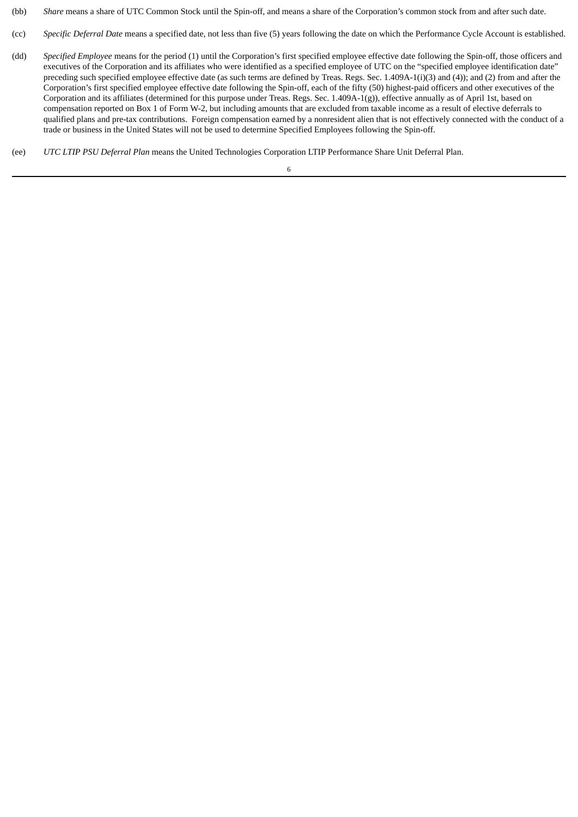- (bb) *Share* means a share of UTC Common Stock until the Spin-off, and means a share of the Corporation's common stock from and after such date.
- (cc) *Specific Deferral Date* means a specified date, not less than five (5) years following the date on which the Performance Cycle Account is established.
- (dd) *Specified Employee* means for the period (1) until the Corporation's first specified employee effective date following the Spin-off, those officers and executives of the Corporation and its affiliates who were identified as a specified employee of UTC on the "specified employee identification date" preceding such specified employee effective date (as such terms are defined by Treas. Regs. Sec. 1.409A-1(i)(3) and (4)); and (2) from and after the Corporation's first specified employee effective date following the Spin-off, each of the fifty (50) highest-paid officers and other executives of the Corporation and its affiliates (determined for this purpose under Treas. Regs. Sec. 1.409A-1(g)), effective annually as of April 1st, based on compensation reported on Box 1 of Form W-2, but including amounts that are excluded from taxable income as a result of elective deferrals to qualified plans and pre-tax contributions. Foreign compensation earned by a nonresident alien that is not effectively connected with the conduct of a trade or business in the United States will not be used to determine Specified Employees following the Spin-off.
- (ee) *UTC LTIP PSU Deferral Plan* means the United Technologies Corporation LTIP Performance Share Unit Deferral Plan.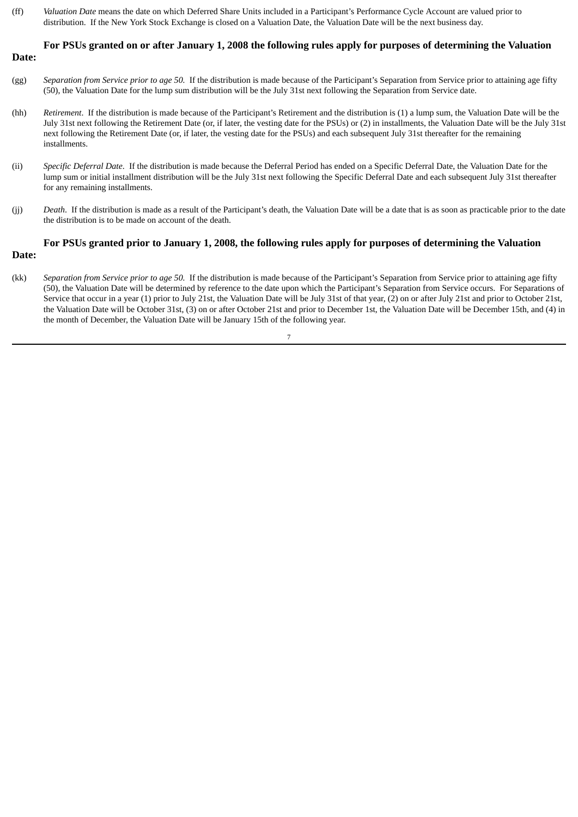(ff) *Valuation Date* means the date on which Deferred Share Units included in a Participant's Performance Cycle Account are valued prior to distribution. If the New York Stock Exchange is closed on a Valuation Date, the Valuation Date will be the next business day.

#### **For PSUs granted on or after January 1, 2008 the following rules apply for purposes of determining the Valuation Date:**

- (gg) *Separation from Service prior to age 50.* If the distribution is made because of the Participant's Separation from Service prior to attaining age fifty (50), the Valuation Date for the lump sum distribution will be the July 31st next following the Separation from Service date.
- (hh) *Retirement*. If the distribution is made because of the Participant's Retirement and the distribution is (1) a lump sum, the Valuation Date will be the July 31st next following the Retirement Date (or, if later, the vesting date for the PSUs) or (2) in installments, the Valuation Date will be the July 31st next following the Retirement Date (or, if later, the vesting date for the PSUs) and each subsequent July 31st thereafter for the remaining installments.
- (ii) *Specific Deferral Date*. If the distribution is made because the Deferral Period has ended on a Specific Deferral Date, the Valuation Date for the lump sum or initial installment distribution will be the July 31st next following the Specific Deferral Date and each subsequent July 31st thereafter for any remaining installments.
- (jj) *Death*. If the distribution is made as a result of the Participant's death, the Valuation Date will be a date that is as soon as practicable prior to the date the distribution is to be made on account of the death.

#### **For PSUs granted prior to January 1, 2008, the following rules apply for purposes of determining the Valuation Date:**

(kk) *Separation from Service prior to age 50.* If the distribution is made because of the Participant's Separation from Service prior to attaining age fifty (50), the Valuation Date will be determined by reference to the date upon which the Participant's Separation from Service occurs. For Separations of Service that occur in a year (1) prior to July 21st, the Valuation Date will be July 31st of that year, (2) on or after July 21st and prior to October 21st, the Valuation Date will be October 31st, (3) on or after October 21st and prior to December 1st, the Valuation Date will be December 15th, and (4) in the month of December, the Valuation Date will be January 15th of the following year.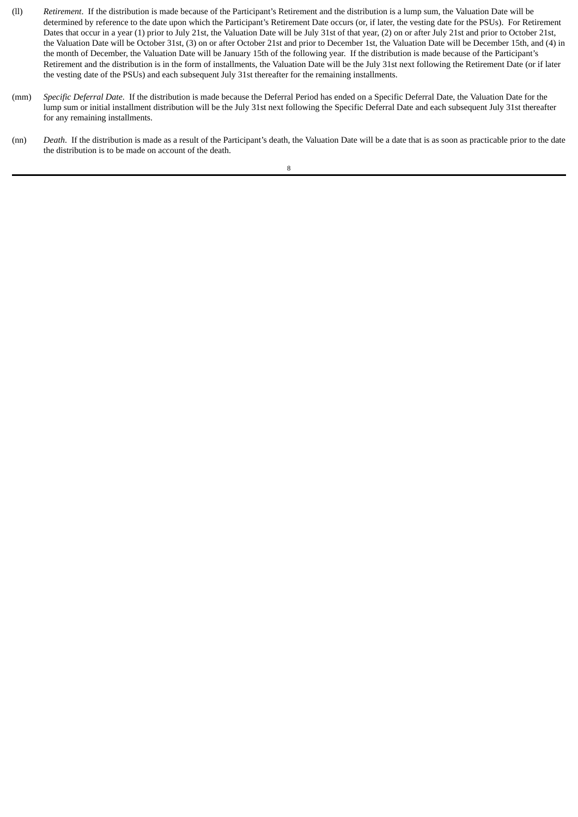- (ll) *Retirement*. If the distribution is made because of the Participant's Retirement and the distribution is a lump sum, the Valuation Date will be determined by reference to the date upon which the Participant's Retirement Date occurs (or, if later, the vesting date for the PSUs). For Retirement Dates that occur in a year (1) prior to July 21st, the Valuation Date will be July 31st of that year, (2) on or after July 21st and prior to October 21st, the Valuation Date will be October 31st, (3) on or after October 21st and prior to December 1st, the Valuation Date will be December 15th, and (4) in the month of December, the Valuation Date will be January 15th of the following year. If the distribution is made because of the Participant's Retirement and the distribution is in the form of installments, the Valuation Date will be the July 31st next following the Retirement Date (or if later the vesting date of the PSUs) and each subsequent July 31st thereafter for the remaining installments.
- (mm) *Specific Deferral Date*. If the distribution is made because the Deferral Period has ended on a Specific Deferral Date, the Valuation Date for the lump sum or initial installment distribution will be the July 31st next following the Specific Deferral Date and each subsequent July 31st thereafter for any remaining installments.
- (nn) *Death*. If the distribution is made as a result of the Participant's death, the Valuation Date will be a date that is as soon as practicable prior to the date the distribution is to be made on account of the death.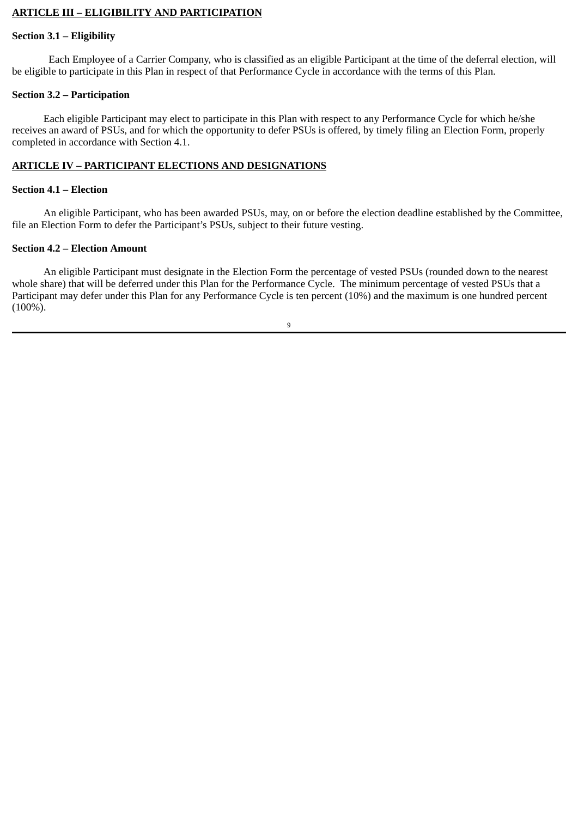# **ARTICLE III – ELIGIBILITY AND PARTICIPATION**

### **Section 3.1 – Eligibility**

 Each Employee of a Carrier Company, who is classified as an eligible Participant at the time of the deferral election, will be eligible to participate in this Plan in respect of that Performance Cycle in accordance with the terms of this Plan.

# **Section 3.2 – Participation**

Each eligible Participant may elect to participate in this Plan with respect to any Performance Cycle for which he/she receives an award of PSUs, and for which the opportunity to defer PSUs is offered, by timely filing an Election Form, properly completed in accordance with Section 4.1.

# **ARTICLE IV – PARTICIPANT ELECTIONS AND DESIGNATIONS**

### **Section 4.1 – Election**

An eligible Participant, who has been awarded PSUs, may, on or before the election deadline established by the Committee, file an Election Form to defer the Participant's PSUs, subject to their future vesting.

### **Section 4.2 – Election Amount**

An eligible Participant must designate in the Election Form the percentage of vested PSUs (rounded down to the nearest whole share) that will be deferred under this Plan for the Performance Cycle. The minimum percentage of vested PSUs that a Participant may defer under this Plan for any Performance Cycle is ten percent (10%) and the maximum is one hundred percent (100%).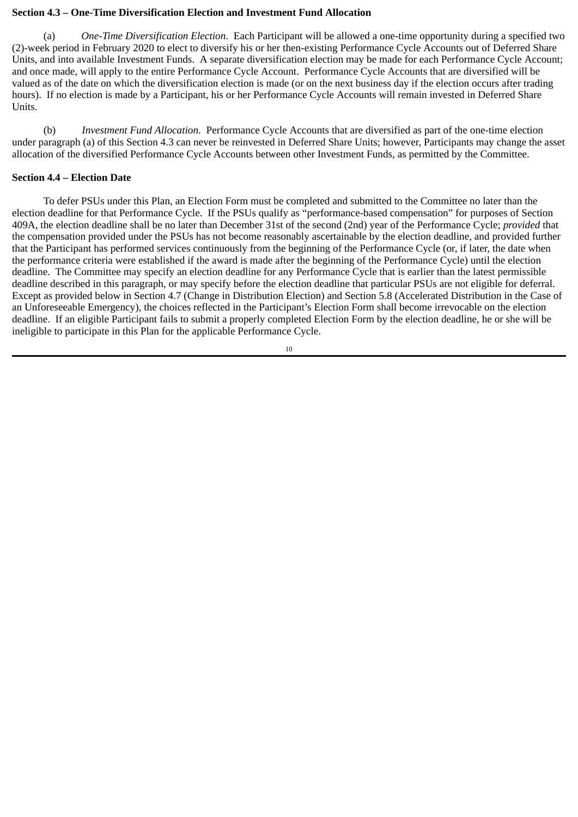#### **Section 4.3 – One-Time Diversification Election and Investment Fund Allocation**

(a) *One-Time Diversification Election*. Each Participant will be allowed a one-time opportunity during a specified two (2)-week period in February 2020 to elect to diversify his or her then-existing Performance Cycle Accounts out of Deferred Share Units, and into available Investment Funds. A separate diversification election may be made for each Performance Cycle Account; and once made, will apply to the entire Performance Cycle Account. Performance Cycle Accounts that are diversified will be valued as of the date on which the diversification election is made (or on the next business day if the election occurs after trading hours). If no election is made by a Participant, his or her Performance Cycle Accounts will remain invested in Deferred Share Units.

(b) *Investment Fund Allocation*. Performance Cycle Accounts that are diversified as part of the one-time election under paragraph (a) of this Section 4.3 can never be reinvested in Deferred Share Units; however, Participants may change the asset allocation of the diversified Performance Cycle Accounts between other Investment Funds, as permitted by the Committee.

#### **Section 4.4 – Election Date**

To defer PSUs under this Plan, an Election Form must be completed and submitted to the Committee no later than the election deadline for that Performance Cycle. If the PSUs qualify as "performance-based compensation" for purposes of Section 409A, the election deadline shall be no later than December 31st of the second (2nd) year of the Performance Cycle; *provided* that the compensation provided under the PSUs has not become reasonably ascertainable by the election deadline, and provided further that the Participant has performed services continuously from the beginning of the Performance Cycle (or, if later, the date when the performance criteria were established if the award is made after the beginning of the Performance Cycle) until the election deadline. The Committee may specify an election deadline for any Performance Cycle that is earlier than the latest permissible deadline described in this paragraph, or may specify before the election deadline that particular PSUs are not eligible for deferral. Except as provided below in Section 4.7 (Change in Distribution Election) and Section 5.8 (Accelerated Distribution in the Case of an Unforeseeable Emergency), the choices reflected in the Participant's Election Form shall become irrevocable on the election deadline. If an eligible Participant fails to submit a properly completed Election Form by the election deadline, he or she will be ineligible to participate in this Plan for the applicable Performance Cycle.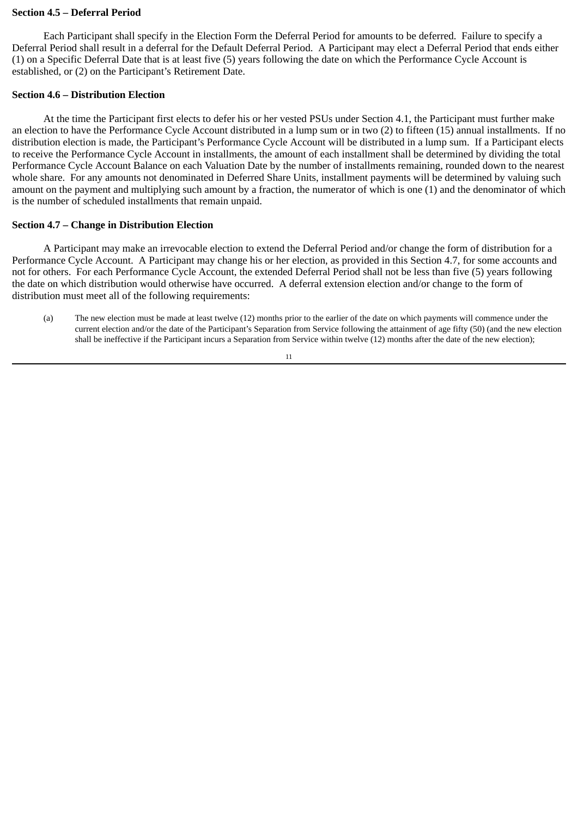#### **Section 4.5 – Deferral Period**

Each Participant shall specify in the Election Form the Deferral Period for amounts to be deferred. Failure to specify a Deferral Period shall result in a deferral for the Default Deferral Period. A Participant may elect a Deferral Period that ends either (1) on a Specific Deferral Date that is at least five (5) years following the date on which the Performance Cycle Account is established, or (2) on the Participant's Retirement Date.

### **Section 4.6 – Distribution Election**

At the time the Participant first elects to defer his or her vested PSUs under Section 4.1, the Participant must further make an election to have the Performance Cycle Account distributed in a lump sum or in two (2) to fifteen (15) annual installments. If no distribution election is made, the Participant's Performance Cycle Account will be distributed in a lump sum. If a Participant elects to receive the Performance Cycle Account in installments, the amount of each installment shall be determined by dividing the total Performance Cycle Account Balance on each Valuation Date by the number of installments remaining, rounded down to the nearest whole share. For any amounts not denominated in Deferred Share Units, installment payments will be determined by valuing such amount on the payment and multiplying such amount by a fraction, the numerator of which is one (1) and the denominator of which is the number of scheduled installments that remain unpaid.

#### **Section 4.7 – Change in Distribution Election**

A Participant may make an irrevocable election to extend the Deferral Period and/or change the form of distribution for a Performance Cycle Account. A Participant may change his or her election, as provided in this Section 4.7, for some accounts and not for others. For each Performance Cycle Account, the extended Deferral Period shall not be less than five (5) years following the date on which distribution would otherwise have occurred. A deferral extension election and/or change to the form of distribution must meet all of the following requirements:

(a) The new election must be made at least twelve (12) months prior to the earlier of the date on which payments will commence under the current election and/or the date of the Participant's Separation from Service following the attainment of age fifty (50) (and the new election shall be ineffective if the Participant incurs a Separation from Service within twelve (12) months after the date of the new election);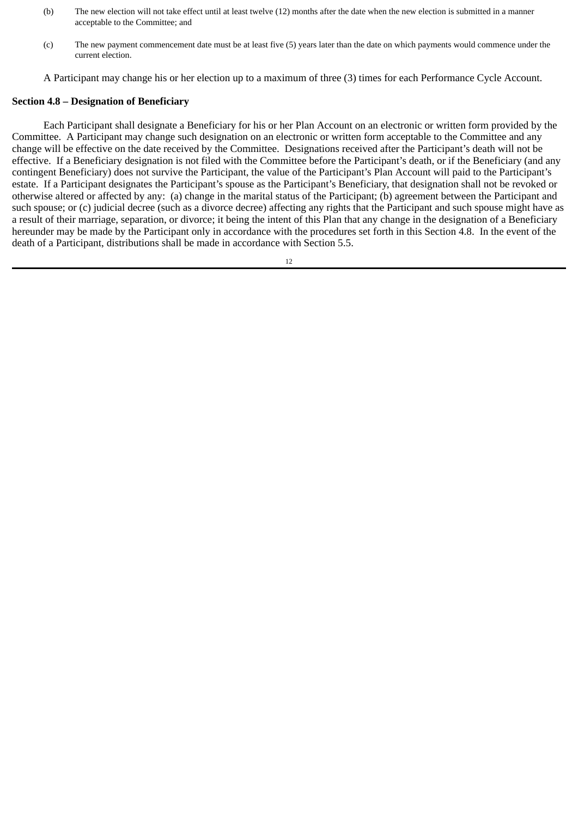- (b) The new election will not take effect until at least twelve (12) months after the date when the new election is submitted in a manner acceptable to the Committee; and
- (c) The new payment commencement date must be at least five (5) years later than the date on which payments would commence under the current election.

A Participant may change his or her election up to a maximum of three (3) times for each Performance Cycle Account.

## **Section 4.8 – Designation of Beneficiary**

Each Participant shall designate a Beneficiary for his or her Plan Account on an electronic or written form provided by the Committee. A Participant may change such designation on an electronic or written form acceptable to the Committee and any change will be effective on the date received by the Committee. Designations received after the Participant's death will not be effective. If a Beneficiary designation is not filed with the Committee before the Participant's death, or if the Beneficiary (and any contingent Beneficiary) does not survive the Participant, the value of the Participant's Plan Account will paid to the Participant's estate. If a Participant designates the Participant's spouse as the Participant's Beneficiary, that designation shall not be revoked or otherwise altered or affected by any: (a) change in the marital status of the Participant; (b) agreement between the Participant and such spouse; or (c) judicial decree (such as a divorce decree) affecting any rights that the Participant and such spouse might have as a result of their marriage, separation, or divorce; it being the intent of this Plan that any change in the designation of a Beneficiary hereunder may be made by the Participant only in accordance with the procedures set forth in this Section 4.8. In the event of the death of a Participant, distributions shall be made in accordance with Section 5.5.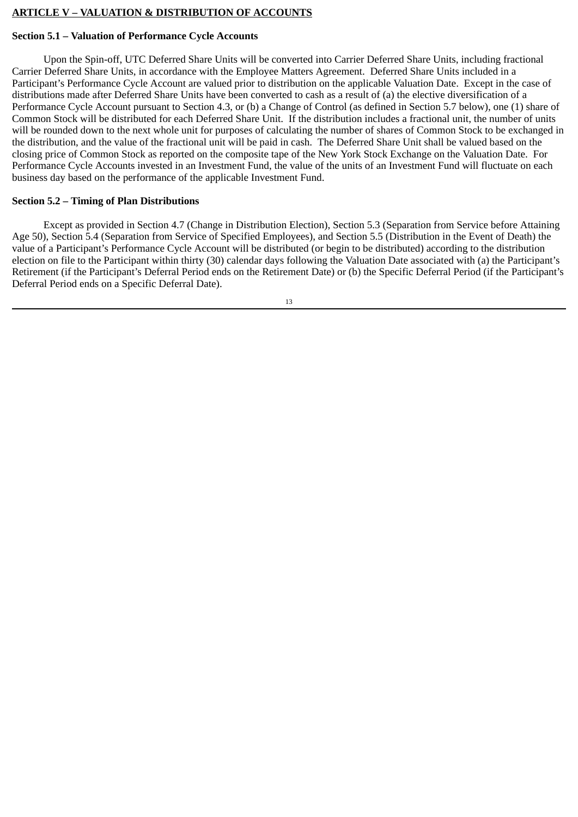# **ARTICLE V – VALUATION & DISTRIBUTION OF ACCOUNTS**

## **Section 5.1 – Valuation of Performance Cycle Accounts**

Upon the Spin-off, UTC Deferred Share Units will be converted into Carrier Deferred Share Units, including fractional Carrier Deferred Share Units, in accordance with the Employee Matters Agreement. Deferred Share Units included in a Participant's Performance Cycle Account are valued prior to distribution on the applicable Valuation Date. Except in the case of distributions made after Deferred Share Units have been converted to cash as a result of (a) the elective diversification of a Performance Cycle Account pursuant to Section 4.3, or (b) a Change of Control (as defined in Section 5.7 below), one (1) share of Common Stock will be distributed for each Deferred Share Unit. If the distribution includes a fractional unit, the number of units will be rounded down to the next whole unit for purposes of calculating the number of shares of Common Stock to be exchanged in the distribution, and the value of the fractional unit will be paid in cash. The Deferred Share Unit shall be valued based on the closing price of Common Stock as reported on the composite tape of the New York Stock Exchange on the Valuation Date. For Performance Cycle Accounts invested in an Investment Fund, the value of the units of an Investment Fund will fluctuate on each business day based on the performance of the applicable Investment Fund.

## **Section 5.2 – Timing of Plan Distributions**

Except as provided in Section 4.7 (Change in Distribution Election), Section 5.3 (Separation from Service before Attaining Age 50), Section 5.4 (Separation from Service of Specified Employees), and Section 5.5 (Distribution in the Event of Death) the value of a Participant's Performance Cycle Account will be distributed (or begin to be distributed) according to the distribution election on file to the Participant within thirty (30) calendar days following the Valuation Date associated with (a) the Participant's Retirement (if the Participant's Deferral Period ends on the Retirement Date) or (b) the Specific Deferral Period (if the Participant's Deferral Period ends on a Specific Deferral Date).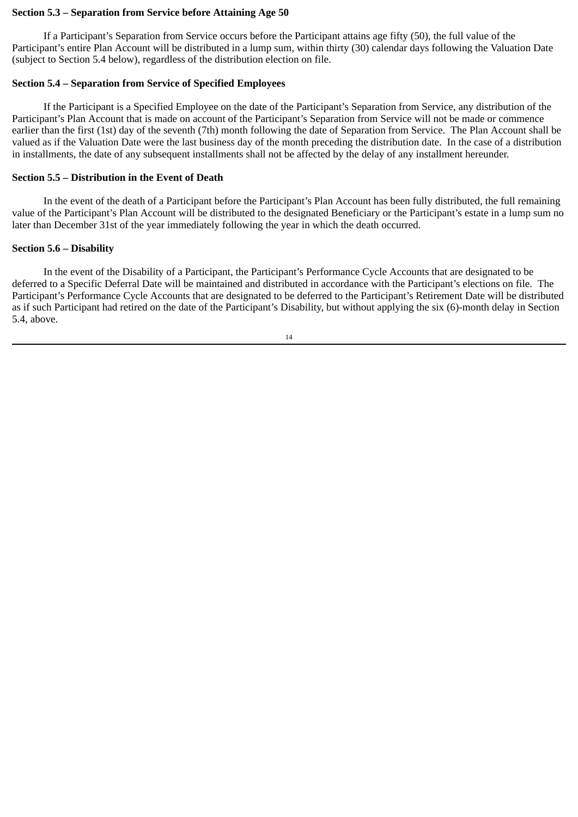### **Section 5.3 – Separation from Service before Attaining Age 50**

If a Participant's Separation from Service occurs before the Participant attains age fifty (50), the full value of the Participant's entire Plan Account will be distributed in a lump sum, within thirty (30) calendar days following the Valuation Date (subject to Section 5.4 below), regardless of the distribution election on file.

#### **Section 5.4 – Separation from Service of Specified Employees**

If the Participant is a Specified Employee on the date of the Participant's Separation from Service, any distribution of the Participant's Plan Account that is made on account of the Participant's Separation from Service will not be made or commence earlier than the first (1st) day of the seventh (7th) month following the date of Separation from Service. The Plan Account shall be valued as if the Valuation Date were the last business day of the month preceding the distribution date. In the case of a distribution in installments, the date of any subsequent installments shall not be affected by the delay of any installment hereunder.

### **Section 5.5 – Distribution in the Event of Death**

In the event of the death of a Participant before the Participant's Plan Account has been fully distributed, the full remaining value of the Participant's Plan Account will be distributed to the designated Beneficiary or the Participant's estate in a lump sum no later than December 31st of the year immediately following the year in which the death occurred.

### **Section 5.6 – Disability**

In the event of the Disability of a Participant, the Participant's Performance Cycle Accounts that are designated to be deferred to a Specific Deferral Date will be maintained and distributed in accordance with the Participant's elections on file. The Participant's Performance Cycle Accounts that are designated to be deferred to the Participant's Retirement Date will be distributed as if such Participant had retired on the date of the Participant's Disability, but without applying the six (6)-month delay in Section 5.4, above.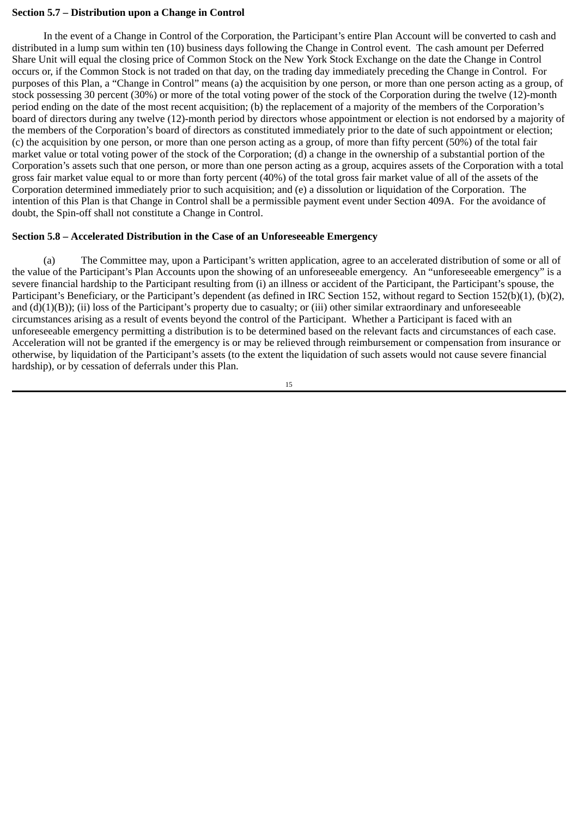#### **Section 5.7 – Distribution upon a Change in Control**

In the event of a Change in Control of the Corporation, the Participant's entire Plan Account will be converted to cash and distributed in a lump sum within ten (10) business days following the Change in Control event. The cash amount per Deferred Share Unit will equal the closing price of Common Stock on the New York Stock Exchange on the date the Change in Control occurs or, if the Common Stock is not traded on that day, on the trading day immediately preceding the Change in Control. For purposes of this Plan, a "Change in Control" means (a) the acquisition by one person, or more than one person acting as a group, of stock possessing 30 percent (30%) or more of the total voting power of the stock of the Corporation during the twelve (12)-month period ending on the date of the most recent acquisition; (b) the replacement of a majority of the members of the Corporation's board of directors during any twelve (12)-month period by directors whose appointment or election is not endorsed by a majority of the members of the Corporation's board of directors as constituted immediately prior to the date of such appointment or election; (c) the acquisition by one person, or more than one person acting as a group, of more than fifty percent (50%) of the total fair market value or total voting power of the stock of the Corporation; (d) a change in the ownership of a substantial portion of the Corporation's assets such that one person, or more than one person acting as a group, acquires assets of the Corporation with a total gross fair market value equal to or more than forty percent (40%) of the total gross fair market value of all of the assets of the Corporation determined immediately prior to such acquisition; and (e) a dissolution or liquidation of the Corporation. The intention of this Plan is that Change in Control shall be a permissible payment event under Section 409A. For the avoidance of doubt, the Spin-off shall not constitute a Change in Control.

# **Section 5.8 – Accelerated Distribution in the Case of an Unforeseeable Emergency**

(a) The Committee may, upon a Participant's written application, agree to an accelerated distribution of some or all of the value of the Participant's Plan Accounts upon the showing of an unforeseeable emergency. An "unforeseeable emergency" is a severe financial hardship to the Participant resulting from (i) an illness or accident of the Participant, the Participant's spouse, the Participant's Beneficiary, or the Participant's dependent (as defined in IRC Section 152, without regard to Section 152(b)(1), (b)(2), and (d)(1)(B)); (ii) loss of the Participant's property due to casualty; or (iii) other similar extraordinary and unforeseeable circumstances arising as a result of events beyond the control of the Participant. Whether a Participant is faced with an unforeseeable emergency permitting a distribution is to be determined based on the relevant facts and circumstances of each case. Acceleration will not be granted if the emergency is or may be relieved through reimbursement or compensation from insurance or otherwise, by liquidation of the Participant's assets (to the extent the liquidation of such assets would not cause severe financial hardship), or by cessation of deferrals under this Plan.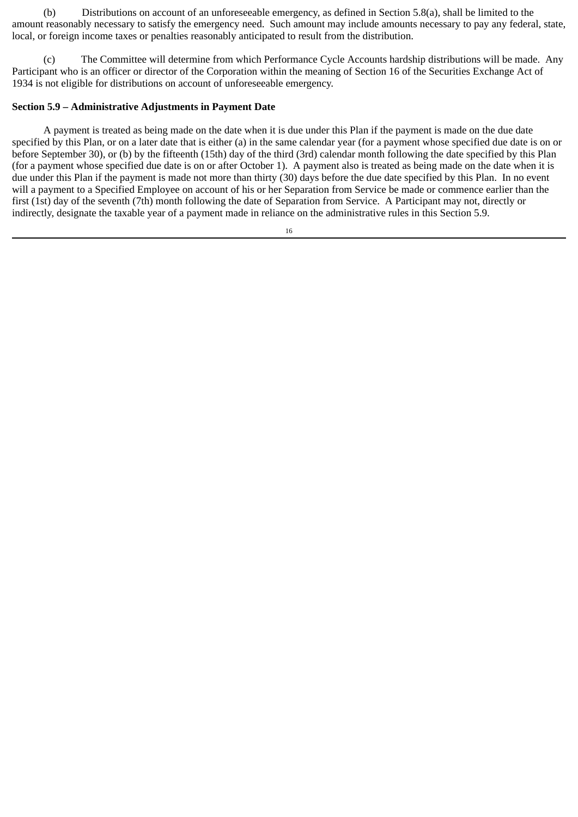(b) Distributions on account of an unforeseeable emergency, as defined in Section 5.8(a), shall be limited to the amount reasonably necessary to satisfy the emergency need. Such amount may include amounts necessary to pay any federal, state, local, or foreign income taxes or penalties reasonably anticipated to result from the distribution.

(c) The Committee will determine from which Performance Cycle Accounts hardship distributions will be made. Any Participant who is an officer or director of the Corporation within the meaning of Section 16 of the Securities Exchange Act of 1934 is not eligible for distributions on account of unforeseeable emergency.

### **Section 5.9 – Administrative Adjustments in Payment Date**

A payment is treated as being made on the date when it is due under this Plan if the payment is made on the due date specified by this Plan, or on a later date that is either (a) in the same calendar year (for a payment whose specified due date is on or before September 30), or (b) by the fifteenth (15th) day of the third (3rd) calendar month following the date specified by this Plan (for a payment whose specified due date is on or after October 1). A payment also is treated as being made on the date when it is due under this Plan if the payment is made not more than thirty (30) days before the due date specified by this Plan. In no event will a payment to a Specified Employee on account of his or her Separation from Service be made or commence earlier than the first (1st) day of the seventh (7th) month following the date of Separation from Service. A Participant may not, directly or indirectly, designate the taxable year of a payment made in reliance on the administrative rules in this Section 5.9.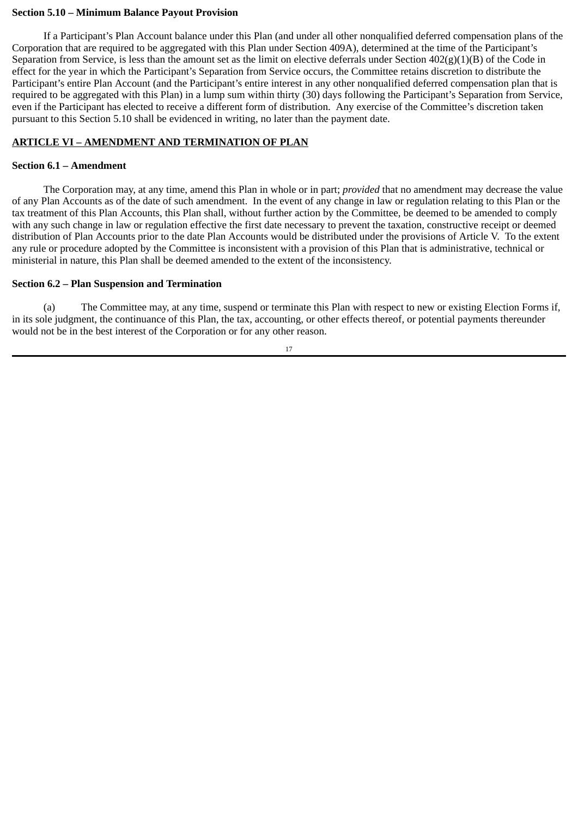### **Section 5.10 – Minimum Balance Payout Provision**

If a Participant's Plan Account balance under this Plan (and under all other nonqualified deferred compensation plans of the Corporation that are required to be aggregated with this Plan under Section 409A), determined at the time of the Participant's Separation from Service, is less than the amount set as the limit on elective deferrals under Section 402(g)(1)(B) of the Code in effect for the year in which the Participant's Separation from Service occurs, the Committee retains discretion to distribute the Participant's entire Plan Account (and the Participant's entire interest in any other nonqualified deferred compensation plan that is required to be aggregated with this Plan) in a lump sum within thirty (30) days following the Participant's Separation from Service, even if the Participant has elected to receive a different form of distribution. Any exercise of the Committee's discretion taken pursuant to this Section 5.10 shall be evidenced in writing, no later than the payment date.

### **ARTICLE VI – AMENDMENT AND TERMINATION OF PLAN**

### **Section 6.1 – Amendment**

The Corporation may, at any time, amend this Plan in whole or in part; *provided* that no amendment may decrease the value of any Plan Accounts as of the date of such amendment. In the event of any change in law or regulation relating to this Plan or the tax treatment of this Plan Accounts, this Plan shall, without further action by the Committee, be deemed to be amended to comply with any such change in law or regulation effective the first date necessary to prevent the taxation, constructive receipt or deemed distribution of Plan Accounts prior to the date Plan Accounts would be distributed under the provisions of Article V. To the extent any rule or procedure adopted by the Committee is inconsistent with a provision of this Plan that is administrative, technical or ministerial in nature, this Plan shall be deemed amended to the extent of the inconsistency.

### **Section 6.2 – Plan Suspension and Termination**

(a) The Committee may, at any time, suspend or terminate this Plan with respect to new or existing Election Forms if, in its sole judgment, the continuance of this Plan, the tax, accounting, or other effects thereof, or potential payments thereunder would not be in the best interest of the Corporation or for any other reason.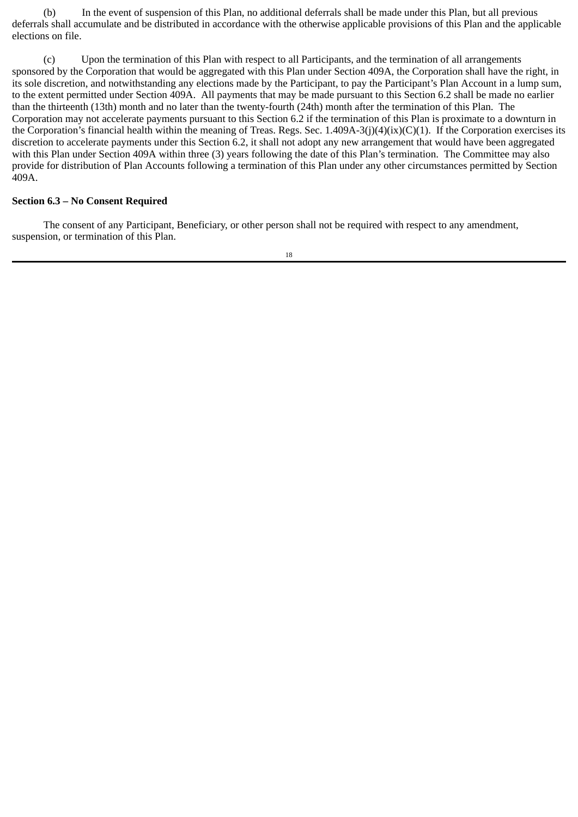(b) In the event of suspension of this Plan, no additional deferrals shall be made under this Plan, but all previous deferrals shall accumulate and be distributed in accordance with the otherwise applicable provisions of this Plan and the applicable elections on file.

(c) Upon the termination of this Plan with respect to all Participants, and the termination of all arrangements sponsored by the Corporation that would be aggregated with this Plan under Section 409A, the Corporation shall have the right, in its sole discretion, and notwithstanding any elections made by the Participant, to pay the Participant's Plan Account in a lump sum, to the extent permitted under Section 409A. All payments that may be made pursuant to this Section 6.2 shall be made no earlier than the thirteenth (13th) month and no later than the twenty-fourth (24th) month after the termination of this Plan. The Corporation may not accelerate payments pursuant to this Section 6.2 if the termination of this Plan is proximate to a downturn in the Corporation's financial health within the meaning of Treas. Regs. Sec.  $1.409A-3(j)(4)(ix)(C)(1)$ . If the Corporation exercises its discretion to accelerate payments under this Section 6.2, it shall not adopt any new arrangement that would have been aggregated with this Plan under Section 409A within three (3) years following the date of this Plan's termination. The Committee may also provide for distribution of Plan Accounts following a termination of this Plan under any other circumstances permitted by Section 409A.

### **Section 6.3 – No Consent Required**

The consent of any Participant, Beneficiary, or other person shall not be required with respect to any amendment, suspension, or termination of this Plan.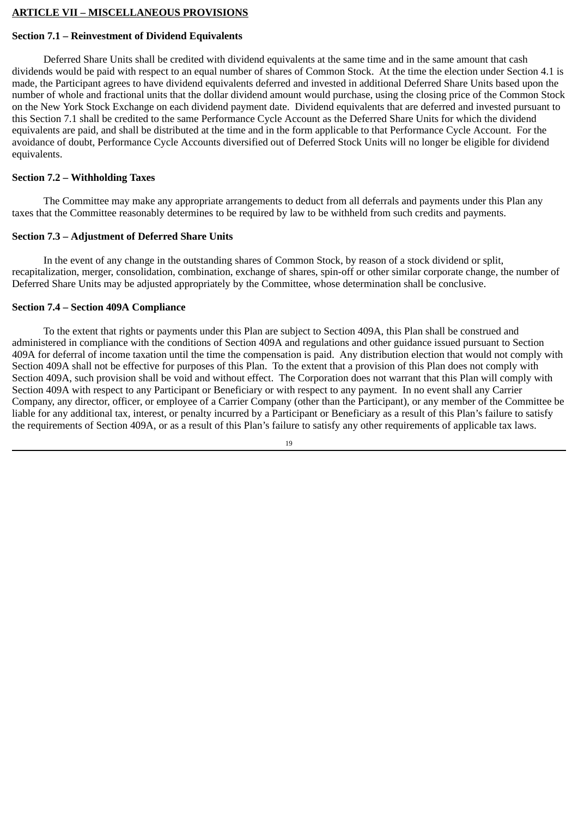# **ARTICLE VII – MISCELLANEOUS PROVISIONS**

### **Section 7.1 – Reinvestment of Dividend Equivalents**

Deferred Share Units shall be credited with dividend equivalents at the same time and in the same amount that cash dividends would be paid with respect to an equal number of shares of Common Stock. At the time the election under Section 4.1 is made, the Participant agrees to have dividend equivalents deferred and invested in additional Deferred Share Units based upon the number of whole and fractional units that the dollar dividend amount would purchase, using the closing price of the Common Stock on the New York Stock Exchange on each dividend payment date. Dividend equivalents that are deferred and invested pursuant to this Section 7.1 shall be credited to the same Performance Cycle Account as the Deferred Share Units for which the dividend equivalents are paid, and shall be distributed at the time and in the form applicable to that Performance Cycle Account. For the avoidance of doubt, Performance Cycle Accounts diversified out of Deferred Stock Units will no longer be eligible for dividend equivalents.

## **Section 7.2 – Withholding Taxes**

The Committee may make any appropriate arrangements to deduct from all deferrals and payments under this Plan any taxes that the Committee reasonably determines to be required by law to be withheld from such credits and payments.

### **Section 7.3 – Adjustment of Deferred Share Units**

In the event of any change in the outstanding shares of Common Stock, by reason of a stock dividend or split, recapitalization, merger, consolidation, combination, exchange of shares, spin-off or other similar corporate change, the number of Deferred Share Units may be adjusted appropriately by the Committee, whose determination shall be conclusive.

### **Section 7.4 – Section 409A Compliance**

To the extent that rights or payments under this Plan are subject to Section 409A, this Plan shall be construed and administered in compliance with the conditions of Section 409A and regulations and other guidance issued pursuant to Section 409A for deferral of income taxation until the time the compensation is paid. Any distribution election that would not comply with Section 409A shall not be effective for purposes of this Plan. To the extent that a provision of this Plan does not comply with Section 409A, such provision shall be void and without effect. The Corporation does not warrant that this Plan will comply with Section 409A with respect to any Participant or Beneficiary or with respect to any payment. In no event shall any Carrier Company, any director, officer, or employee of a Carrier Company (other than the Participant), or any member of the Committee be liable for any additional tax, interest, or penalty incurred by a Participant or Beneficiary as a result of this Plan's failure to satisfy the requirements of Section 409A, or as a result of this Plan's failure to satisfy any other requirements of applicable tax laws.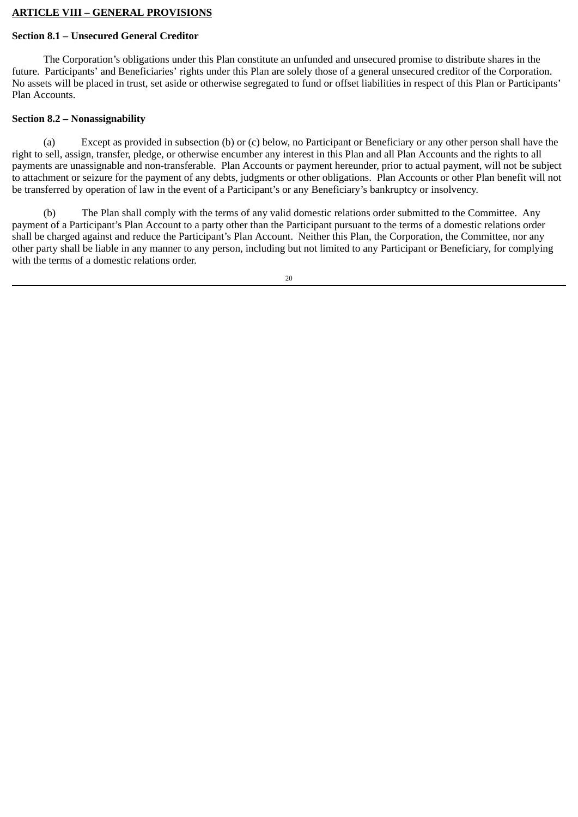# **ARTICLE VIII – GENERAL PROVISIONS**

# **Section 8.1 – Unsecured General Creditor**

The Corporation's obligations under this Plan constitute an unfunded and unsecured promise to distribute shares in the future. Participants' and Beneficiaries' rights under this Plan are solely those of a general unsecured creditor of the Corporation. No assets will be placed in trust, set aside or otherwise segregated to fund or offset liabilities in respect of this Plan or Participants' Plan Accounts.

### **Section 8.2 – Nonassignability**

(a) Except as provided in subsection (b) or (c) below, no Participant or Beneficiary or any other person shall have the right to sell, assign, transfer, pledge, or otherwise encumber any interest in this Plan and all Plan Accounts and the rights to all payments are unassignable and non-transferable. Plan Accounts or payment hereunder, prior to actual payment, will not be subject to attachment or seizure for the payment of any debts, judgments or other obligations. Plan Accounts or other Plan benefit will not be transferred by operation of law in the event of a Participant's or any Beneficiary's bankruptcy or insolvency.

(b) The Plan shall comply with the terms of any valid domestic relations order submitted to the Committee. Any payment of a Participant's Plan Account to a party other than the Participant pursuant to the terms of a domestic relations order shall be charged against and reduce the Participant's Plan Account. Neither this Plan, the Corporation, the Committee, nor any other party shall be liable in any manner to any person, including but not limited to any Participant or Beneficiary, for complying with the terms of a domestic relations order.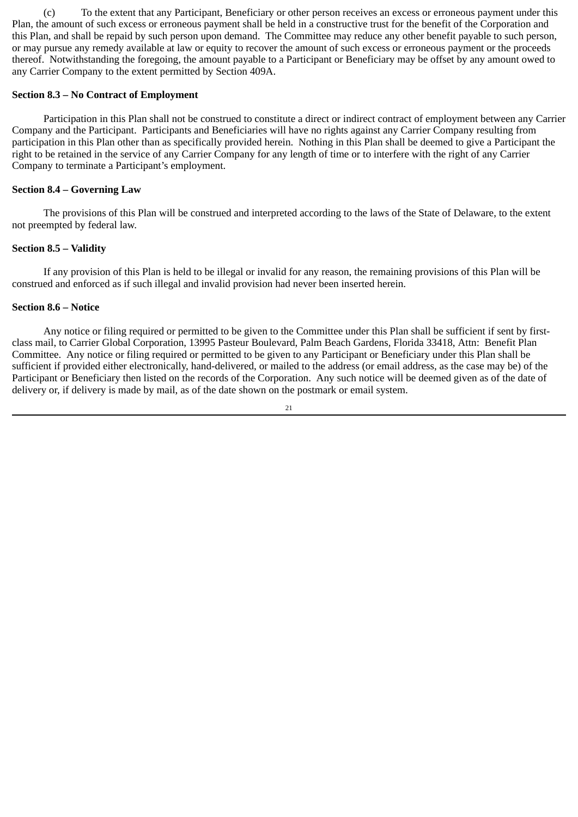(c) To the extent that any Participant, Beneficiary or other person receives an excess or erroneous payment under this Plan, the amount of such excess or erroneous payment shall be held in a constructive trust for the benefit of the Corporation and this Plan, and shall be repaid by such person upon demand. The Committee may reduce any other benefit payable to such person, or may pursue any remedy available at law or equity to recover the amount of such excess or erroneous payment or the proceeds thereof. Notwithstanding the foregoing, the amount payable to a Participant or Beneficiary may be offset by any amount owed to any Carrier Company to the extent permitted by Section 409A.

## **Section 8.3 – No Contract of Employment**

Participation in this Plan shall not be construed to constitute a direct or indirect contract of employment between any Carrier Company and the Participant. Participants and Beneficiaries will have no rights against any Carrier Company resulting from participation in this Plan other than as specifically provided herein. Nothing in this Plan shall be deemed to give a Participant the right to be retained in the service of any Carrier Company for any length of time or to interfere with the right of any Carrier Company to terminate a Participant's employment.

# **Section 8.4 – Governing Law**

The provisions of this Plan will be construed and interpreted according to the laws of the State of Delaware, to the extent not preempted by federal law.

### **Section 8.5 – Validity**

If any provision of this Plan is held to be illegal or invalid for any reason, the remaining provisions of this Plan will be construed and enforced as if such illegal and invalid provision had never been inserted herein.

### **Section 8.6 – Notice**

Any notice or filing required or permitted to be given to the Committee under this Plan shall be sufficient if sent by firstclass mail, to Carrier Global Corporation, 13995 Pasteur Boulevard, Palm Beach Gardens, Florida 33418, Attn: Benefit Plan Committee. Any notice or filing required or permitted to be given to any Participant or Beneficiary under this Plan shall be sufficient if provided either electronically, hand-delivered, or mailed to the address (or email address, as the case may be) of the Participant or Beneficiary then listed on the records of the Corporation. Any such notice will be deemed given as of the date of delivery or, if delivery is made by mail, as of the date shown on the postmark or email system.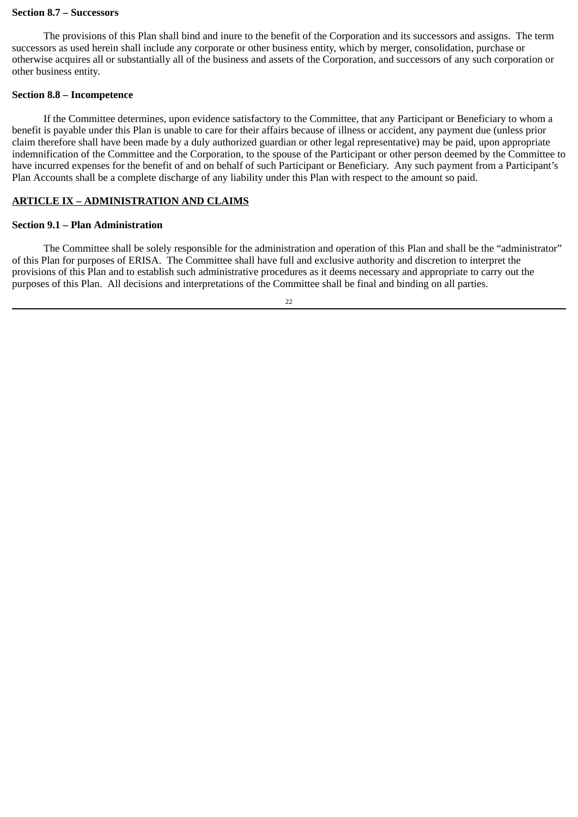### **Section 8.7 – Successors**

The provisions of this Plan shall bind and inure to the benefit of the Corporation and its successors and assigns. The term successors as used herein shall include any corporate or other business entity, which by merger, consolidation, purchase or otherwise acquires all or substantially all of the business and assets of the Corporation, and successors of any such corporation or other business entity.

### **Section 8.8 – Incompetence**

If the Committee determines, upon evidence satisfactory to the Committee, that any Participant or Beneficiary to whom a benefit is payable under this Plan is unable to care for their affairs because of illness or accident, any payment due (unless prior claim therefore shall have been made by a duly authorized guardian or other legal representative) may be paid, upon appropriate indemnification of the Committee and the Corporation, to the spouse of the Participant or other person deemed by the Committee to have incurred expenses for the benefit of and on behalf of such Participant or Beneficiary. Any such payment from a Participant's Plan Accounts shall be a complete discharge of any liability under this Plan with respect to the amount so paid.

## **ARTICLE IX – ADMINISTRATION AND CLAIMS**

### **Section 9.1 – Plan Administration**

The Committee shall be solely responsible for the administration and operation of this Plan and shall be the "administrator" of this Plan for purposes of ERISA. The Committee shall have full and exclusive authority and discretion to interpret the provisions of this Plan and to establish such administrative procedures as it deems necessary and appropriate to carry out the purposes of this Plan. All decisions and interpretations of the Committee shall be final and binding on all parties.

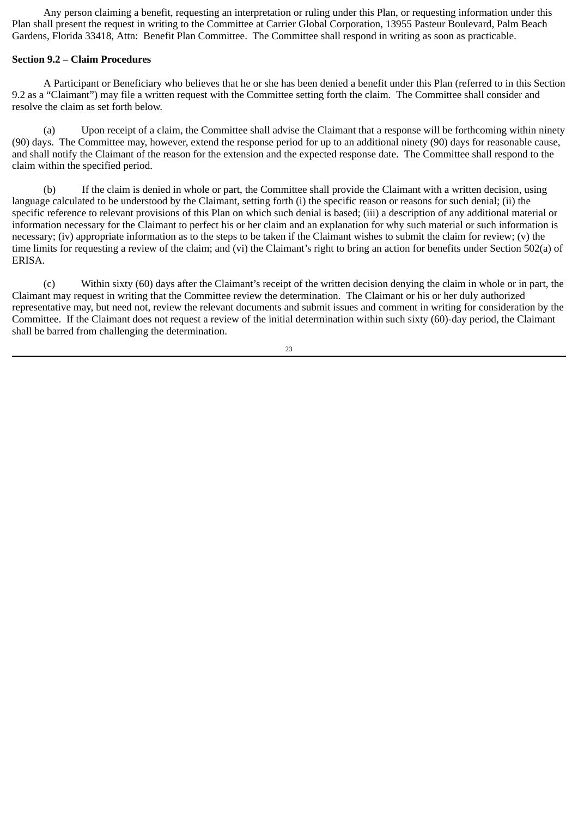Any person claiming a benefit, requesting an interpretation or ruling under this Plan, or requesting information under this Plan shall present the request in writing to the Committee at Carrier Global Corporation, 13955 Pasteur Boulevard, Palm Beach Gardens, Florida 33418, Attn: Benefit Plan Committee. The Committee shall respond in writing as soon as practicable.

### **Section 9.2 – Claim Procedures**

A Participant or Beneficiary who believes that he or she has been denied a benefit under this Plan (referred to in this Section 9.2 as a "Claimant") may file a written request with the Committee setting forth the claim. The Committee shall consider and resolve the claim as set forth below.

(a) Upon receipt of a claim, the Committee shall advise the Claimant that a response will be forthcoming within ninety (90) days. The Committee may, however, extend the response period for up to an additional ninety (90) days for reasonable cause, and shall notify the Claimant of the reason for the extension and the expected response date. The Committee shall respond to the claim within the specified period.

(b) If the claim is denied in whole or part, the Committee shall provide the Claimant with a written decision, using language calculated to be understood by the Claimant, setting forth (i) the specific reason or reasons for such denial; (ii) the specific reference to relevant provisions of this Plan on which such denial is based; (iii) a description of any additional material or information necessary for the Claimant to perfect his or her claim and an explanation for why such material or such information is necessary; (iv) appropriate information as to the steps to be taken if the Claimant wishes to submit the claim for review; (v) the time limits for requesting a review of the claim; and (vi) the Claimant's right to bring an action for benefits under Section 502(a) of ERISA.

(c) Within sixty (60) days after the Claimant's receipt of the written decision denying the claim in whole or in part, the Claimant may request in writing that the Committee review the determination. The Claimant or his or her duly authorized representative may, but need not, review the relevant documents and submit issues and comment in writing for consideration by the Committee. If the Claimant does not request a review of the initial determination within such sixty (60)-day period, the Claimant shall be barred from challenging the determination.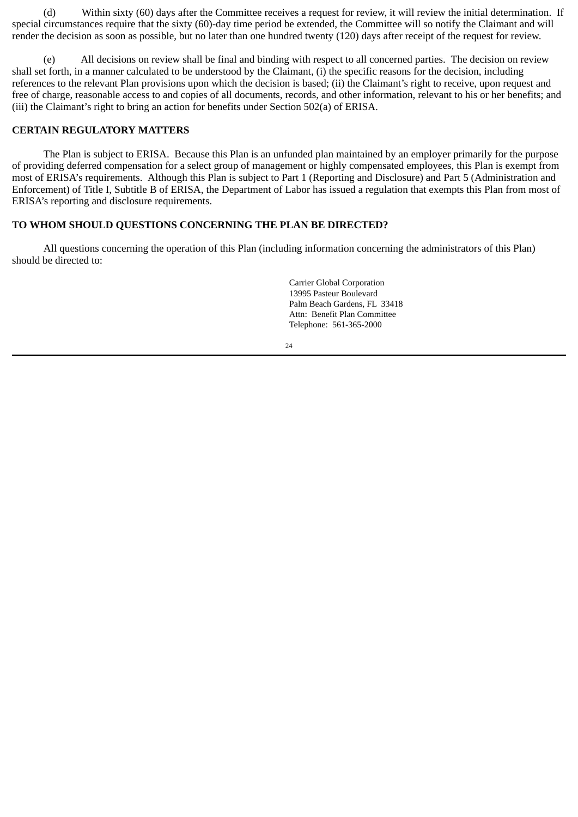(d) Within sixty (60) days after the Committee receives a request for review, it will review the initial determination. If special circumstances require that the sixty (60)-day time period be extended, the Committee will so notify the Claimant and will render the decision as soon as possible, but no later than one hundred twenty (120) days after receipt of the request for review.

(e) All decisions on review shall be final and binding with respect to all concerned parties. The decision on review shall set forth, in a manner calculated to be understood by the Claimant, (i) the specific reasons for the decision, including references to the relevant Plan provisions upon which the decision is based; (ii) the Claimant's right to receive, upon request and free of charge, reasonable access to and copies of all documents, records, and other information, relevant to his or her benefits; and (iii) the Claimant's right to bring an action for benefits under Section 502(a) of ERISA.

### **CERTAIN REGULATORY MATTERS**

The Plan is subject to ERISA. Because this Plan is an unfunded plan maintained by an employer primarily for the purpose of providing deferred compensation for a select group of management or highly compensated employees, this Plan is exempt from most of ERISA's requirements. Although this Plan is subject to Part 1 (Reporting and Disclosure) and Part 5 (Administration and Enforcement) of Title I, Subtitle B of ERISA, the Department of Labor has issued a regulation that exempts this Plan from most of ERISA's reporting and disclosure requirements.

## **TO WHOM SHOULD QUESTIONS CONCERNING THE PLAN BE DIRECTED?**

All questions concerning the operation of this Plan (including information concerning the administrators of this Plan) should be directed to:

> Carrier Global Corporation 13995 Pasteur Boulevard Palm Beach Gardens, FL 33418 Attn: Benefit Plan Committee Telephone: 561-365-2000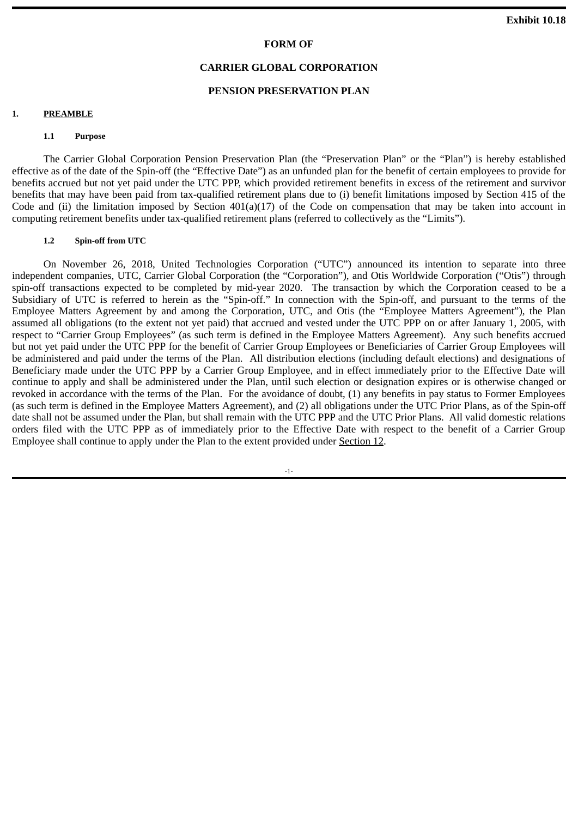#### **FORM OF**

### **CARRIER GLOBAL CORPORATION**

# **PENSION PRESERVATION PLAN**

#### **1. PREAMBLE**

#### **1.1 Purpose**

The Carrier Global Corporation Pension Preservation Plan (the "Preservation Plan" or the "Plan") is hereby established effective as of the date of the Spin-off (the "Effective Date") as an unfunded plan for the benefit of certain employees to provide for benefits accrued but not yet paid under the UTC PPP, which provided retirement benefits in excess of the retirement and survivor benefits that may have been paid from tax-qualified retirement plans due to (i) benefit limitations imposed by Section 415 of the Code and (ii) the limitation imposed by Section 401(a)(17) of the Code on compensation that may be taken into account in computing retirement benefits under tax-qualified retirement plans (referred to collectively as the "Limits").

#### **1.2 Spin-off from UTC**

On November 26, 2018, United Technologies Corporation ("UTC") announced its intention to separate into three independent companies, UTC, Carrier Global Corporation (the "Corporation"), and Otis Worldwide Corporation ("Otis") through spin-off transactions expected to be completed by mid-year 2020. The transaction by which the Corporation ceased to be a Subsidiary of UTC is referred to herein as the "Spin-off." In connection with the Spin-off, and pursuant to the terms of the Employee Matters Agreement by and among the Corporation, UTC, and Otis (the "Employee Matters Agreement"), the Plan assumed all obligations (to the extent not yet paid) that accrued and vested under the UTC PPP on or after January 1, 2005, with respect to "Carrier Group Employees" (as such term is defined in the Employee Matters Agreement). Any such benefits accrued but not yet paid under the UTC PPP for the benefit of Carrier Group Employees or Beneficiaries of Carrier Group Employees will be administered and paid under the terms of the Plan. All distribution elections (including default elections) and designations of Beneficiary made under the UTC PPP by a Carrier Group Employee, and in effect immediately prior to the Effective Date will continue to apply and shall be administered under the Plan, until such election or designation expires or is otherwise changed or revoked in accordance with the terms of the Plan. For the avoidance of doubt, (1) any benefits in pay status to Former Employees (as such term is defined in the Employee Matters Agreement), and (2) all obligations under the UTC Prior Plans, as of the Spin-off date shall not be assumed under the Plan, but shall remain with the UTC PPP and the UTC Prior Plans. All valid domestic relations orders filed with the UTC PPP as of immediately prior to the Effective Date with respect to the benefit of a Carrier Group Employee shall continue to apply under the Plan to the extent provided under Section 12.

-1-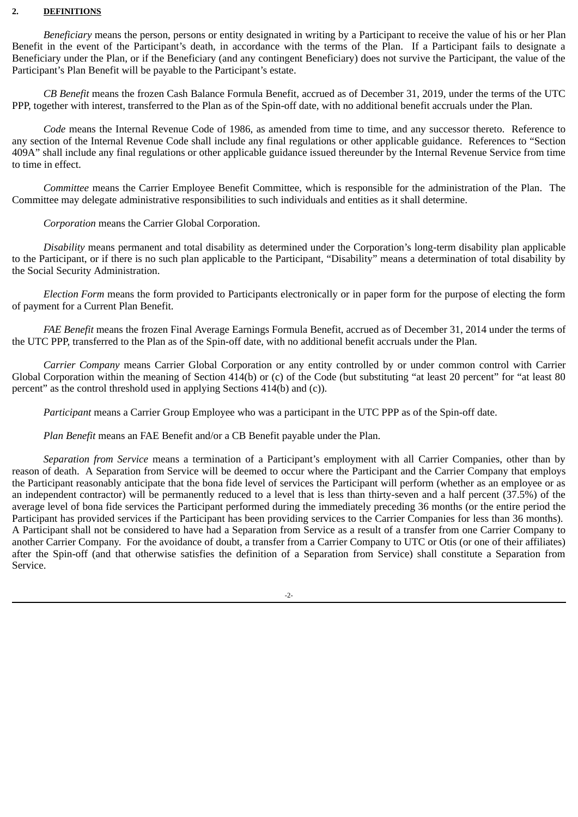#### **2. DEFINITIONS**

*Beneficiary* means the person, persons or entity designated in writing by a Participant to receive the value of his or her Plan Benefit in the event of the Participant's death, in accordance with the terms of the Plan. If a Participant fails to designate a Beneficiary under the Plan, or if the Beneficiary (and any contingent Beneficiary) does not survive the Participant, the value of the Participant's Plan Benefit will be payable to the Participant's estate.

*CB Benefit* means the frozen Cash Balance Formula Benefit, accrued as of December 31, 2019, under the terms of the UTC PPP, together with interest, transferred to the Plan as of the Spin-off date, with no additional benefit accruals under the Plan.

*Code* means the Internal Revenue Code of 1986, as amended from time to time, and any successor thereto. Reference to any section of the Internal Revenue Code shall include any final regulations or other applicable guidance. References to "Section 409A" shall include any final regulations or other applicable guidance issued thereunder by the Internal Revenue Service from time to time in effect.

*Committee* means the Carrier Employee Benefit Committee, which is responsible for the administration of the Plan. The Committee may delegate administrative responsibilities to such individuals and entities as it shall determine.

*Corporation* means the Carrier Global Corporation.

*Disability* means permanent and total disability as determined under the Corporation's long-term disability plan applicable to the Participant, or if there is no such plan applicable to the Participant, "Disability" means a determination of total disability by the Social Security Administration.

*Election Form* means the form provided to Participants electronically or in paper form for the purpose of electing the form of payment for a Current Plan Benefit.

*FAE Benefit* means the frozen Final Average Earnings Formula Benefit, accrued as of December 31, 2014 under the terms of the UTC PPP, transferred to the Plan as of the Spin-off date, with no additional benefit accruals under the Plan.

*Carrier Company* means Carrier Global Corporation or any entity controlled by or under common control with Carrier Global Corporation within the meaning of Section 414(b) or (c) of the Code (but substituting "at least 20 percent" for "at least 80 percent" as the control threshold used in applying Sections 414(b) and (c)).

*Participant* means a Carrier Group Employee who was a participant in the UTC PPP as of the Spin-off date.

*Plan Benefit* means an FAE Benefit and/or a CB Benefit payable under the Plan.

*Separation from Service* means a termination of a Participant's employment with all Carrier Companies, other than by reason of death. A Separation from Service will be deemed to occur where the Participant and the Carrier Company that employs the Participant reasonably anticipate that the bona fide level of services the Participant will perform (whether as an employee or as an independent contractor) will be permanently reduced to a level that is less than thirty-seven and a half percent (37.5%) of the average level of bona fide services the Participant performed during the immediately preceding 36 months (or the entire period the Participant has provided services if the Participant has been providing services to the Carrier Companies for less than 36 months). A Participant shall not be considered to have had a Separation from Service as a result of a transfer from one Carrier Company to another Carrier Company. For the avoidance of doubt, a transfer from a Carrier Company to UTC or Otis (or one of their affiliates) after the Spin-off (and that otherwise satisfies the definition of a Separation from Service) shall constitute a Separation from Service.

-2-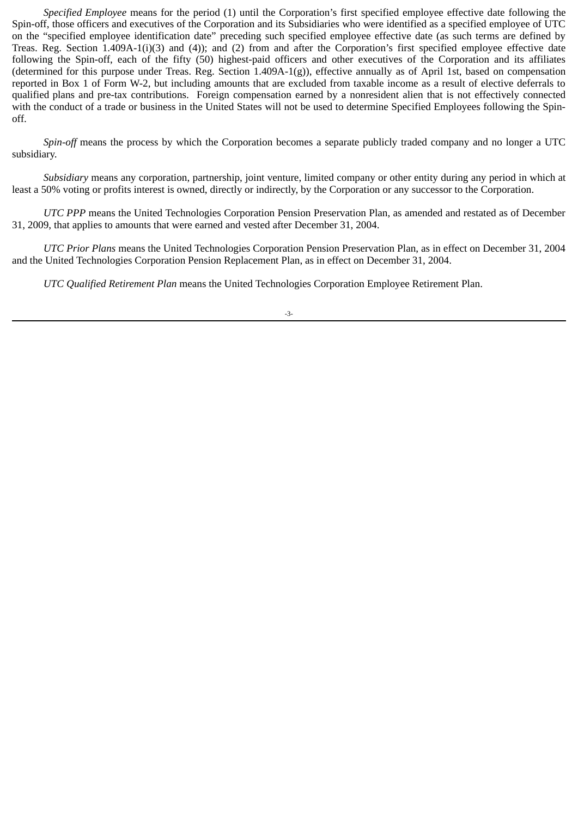*Specified Employee* means for the period (1) until the Corporation's first specified employee effective date following the Spin-off, those officers and executives of the Corporation and its Subsidiaries who were identified as a specified employee of UTC on the "specified employee identification date" preceding such specified employee effective date (as such terms are defined by Treas. Reg. Section 1.409A-1(i)(3) and (4)); and (2) from and after the Corporation's first specified employee effective date following the Spin-off, each of the fifty (50) highest-paid officers and other executives of the Corporation and its affiliates (determined for this purpose under Treas. Reg. Section 1.409A-1(g)), effective annually as of April 1st, based on compensation reported in Box 1 of Form W-2, but including amounts that are excluded from taxable income as a result of elective deferrals to qualified plans and pre-tax contributions. Foreign compensation earned by a nonresident alien that is not effectively connected with the conduct of a trade or business in the United States will not be used to determine Specified Employees following the Spinoff.

*Spin-off* means the process by which the Corporation becomes a separate publicly traded company and no longer a UTC subsidiary.

*Subsidiary* means any corporation, partnership, joint venture, limited company or other entity during any period in which at least a 50% voting or profits interest is owned, directly or indirectly, by the Corporation or any successor to the Corporation.

*UTC PPP* means the United Technologies Corporation Pension Preservation Plan, as amended and restated as of December 31, 2009, that applies to amounts that were earned and vested after December 31, 2004.

*UTC Prior Plans* means the United Technologies Corporation Pension Preservation Plan, as in effect on December 31, 2004 and the United Technologies Corporation Pension Replacement Plan, as in effect on December 31, 2004.

*UTC Qualified Retirement Plan* means the United Technologies Corporation Employee Retirement Plan.

-3-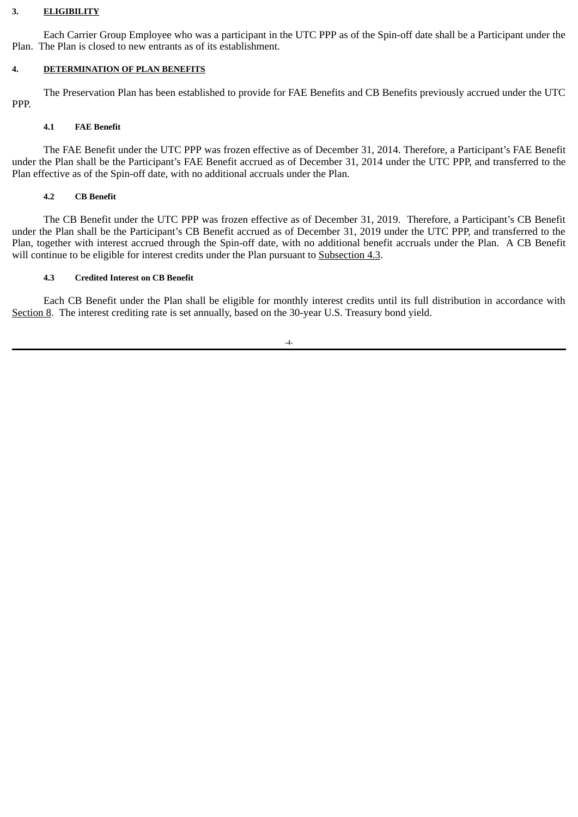#### **3. ELIGIBILITY**

Each Carrier Group Employee who was a participant in the UTC PPP as of the Spin-off date shall be a Participant under the Plan. The Plan is closed to new entrants as of its establishment.

### **4. DETERMINATION OF PLAN BENEFITS**

The Preservation Plan has been established to provide for FAE Benefits and CB Benefits previously accrued under the UTC PPP.

#### **4.1 FAE Benefit**

The FAE Benefit under the UTC PPP was frozen effective as of December 31, 2014. Therefore, a Participant's FAE Benefit under the Plan shall be the Participant's FAE Benefit accrued as of December 31, 2014 under the UTC PPP, and transferred to the Plan effective as of the Spin-off date, with no additional accruals under the Plan.

### **4.2 CB Benefit**

The CB Benefit under the UTC PPP was frozen effective as of December 31, 2019. Therefore, a Participant's CB Benefit under the Plan shall be the Participant's CB Benefit accrued as of December 31, 2019 under the UTC PPP, and transferred to the Plan, together with interest accrued through the Spin-off date, with no additional benefit accruals under the Plan. A CB Benefit will continue to be eligible for interest credits under the Plan pursuant to Subsection 4.3.

#### **4.3 Credited Interest on CB Benefit**

Each CB Benefit under the Plan shall be eligible for monthly interest credits until its full distribution in accordance with Section 8. The interest crediting rate is set annually, based on the 30-year U.S. Treasury bond yield.

-4-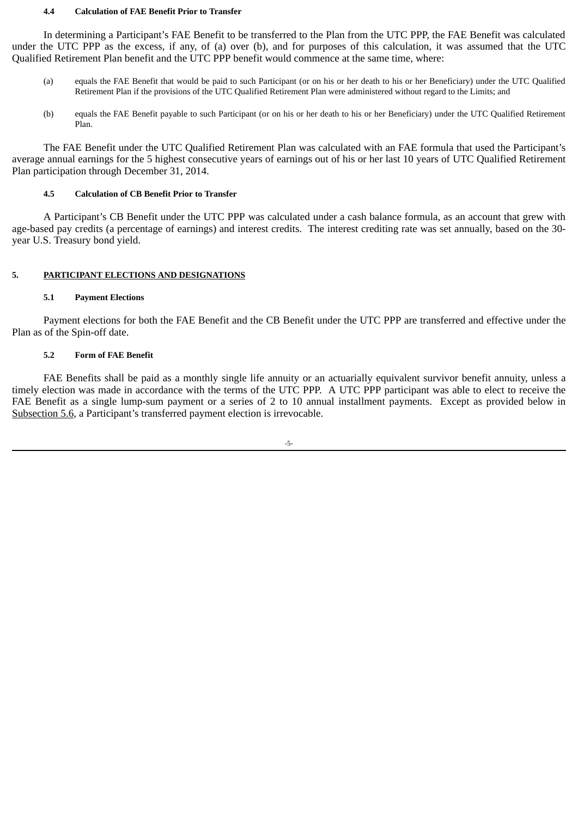#### **4.4 Calculation of FAE Benefit Prior to Transfer**

In determining a Participant's FAE Benefit to be transferred to the Plan from the UTC PPP, the FAE Benefit was calculated under the UTC PPP as the excess, if any, of (a) over (b), and for purposes of this calculation, it was assumed that the UTC Qualified Retirement Plan benefit and the UTC PPP benefit would commence at the same time, where:

- (a) equals the FAE Benefit that would be paid to such Participant (or on his or her death to his or her Beneficiary) under the UTC Qualified Retirement Plan if the provisions of the UTC Qualified Retirement Plan were administered without regard to the Limits; and
- (b) equals the FAE Benefit payable to such Participant (or on his or her death to his or her Beneficiary) under the UTC Qualified Retirement Plan.

The FAE Benefit under the UTC Qualified Retirement Plan was calculated with an FAE formula that used the Participant's average annual earnings for the 5 highest consecutive years of earnings out of his or her last 10 years of UTC Qualified Retirement Plan participation through December 31, 2014.

### **4.5 Calculation of CB Benefit Prior to Transfer**

A Participant's CB Benefit under the UTC PPP was calculated under a cash balance formula, as an account that grew with age-based pay credits (a percentage of earnings) and interest credits. The interest crediting rate was set annually, based on the 30 year U.S. Treasury bond yield.

#### **5. PARTICIPANT ELECTIONS AND DESIGNATIONS**

#### **5.1 Payment Elections**

Payment elections for both the FAE Benefit and the CB Benefit under the UTC PPP are transferred and effective under the Plan as of the Spin-off date.

### **5.2 Form of FAE Benefit**

FAE Benefits shall be paid as a monthly single life annuity or an actuarially equivalent survivor benefit annuity, unless a timely election was made in accordance with the terms of the UTC PPP. A UTC PPP participant was able to elect to receive the FAE Benefit as a single lump-sum payment or a series of 2 to 10 annual installment payments. Except as provided below in Subsection 5.6, a Participant's transferred payment election is irrevocable.

-5-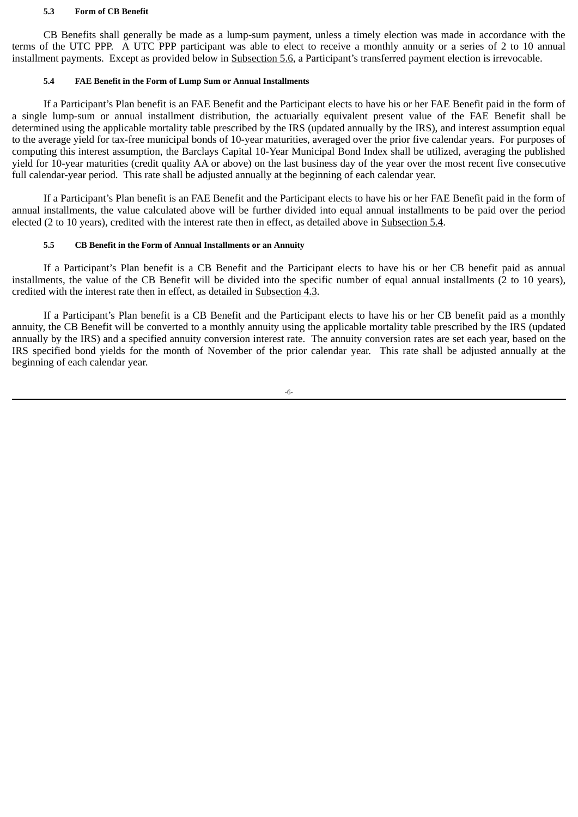#### **5.3 Form of CB Benefit**

CB Benefits shall generally be made as a lump-sum payment, unless a timely election was made in accordance with the terms of the UTC PPP. A UTC PPP participant was able to elect to receive a monthly annuity or a series of 2 to 10 annual installment payments. Except as provided below in Subsection 5.6, a Participant's transferred payment election is irrevocable.

#### **5.4 FAE Benefit in the Form of Lump Sum or Annual Installments**

If a Participant's Plan benefit is an FAE Benefit and the Participant elects to have his or her FAE Benefit paid in the form of a single lump-sum or annual installment distribution, the actuarially equivalent present value of the FAE Benefit shall be determined using the applicable mortality table prescribed by the IRS (updated annually by the IRS), and interest assumption equal to the average yield for tax-free municipal bonds of 10-year maturities, averaged over the prior five calendar years. For purposes of computing this interest assumption, the Barclays Capital 10-Year Municipal Bond Index shall be utilized, averaging the published yield for 10-year maturities (credit quality AA or above) on the last business day of the year over the most recent five consecutive full calendar-year period. This rate shall be adjusted annually at the beginning of each calendar year.

If a Participant's Plan benefit is an FAE Benefit and the Participant elects to have his or her FAE Benefit paid in the form of annual installments, the value calculated above will be further divided into equal annual installments to be paid over the period elected (2 to 10 years), credited with the interest rate then in effect, as detailed above in Subsection 5.4.

#### **5.5 CB Benefit in the Form of Annual Installments or an Annuity**

If a Participant's Plan benefit is a CB Benefit and the Participant elects to have his or her CB benefit paid as annual installments, the value of the CB Benefit will be divided into the specific number of equal annual installments (2 to 10 years), credited with the interest rate then in effect, as detailed in Subsection 4.3.

If a Participant's Plan benefit is a CB Benefit and the Participant elects to have his or her CB benefit paid as a monthly annuity, the CB Benefit will be converted to a monthly annuity using the applicable mortality table prescribed by the IRS (updated annually by the IRS) and a specified annuity conversion interest rate. The annuity conversion rates are set each year, based on the IRS specified bond yields for the month of November of the prior calendar year. This rate shall be adjusted annually at the beginning of each calendar year.

-6-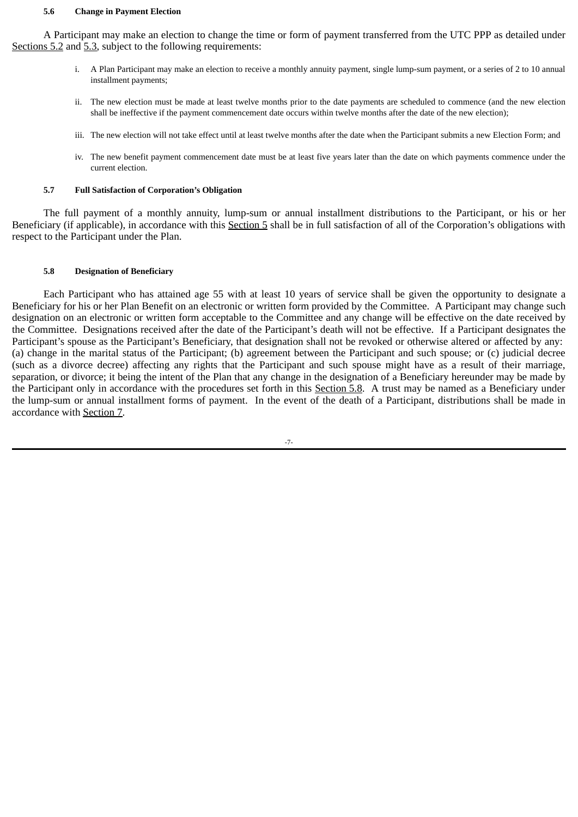#### **5.6 Change in Payment Election**

A Participant may make an election to change the time or form of payment transferred from the UTC PPP as detailed under Sections 5.2 and 5.3, subject to the following requirements:

- i. A Plan Participant may make an election to receive a monthly annuity payment, single lump-sum payment, or a series of 2 to 10 annual installment payments;
- ii. The new election must be made at least twelve months prior to the date payments are scheduled to commence (and the new election shall be ineffective if the payment commencement date occurs within twelve months after the date of the new election);
- iii. The new election will not take effect until at least twelve months after the date when the Participant submits a new Election Form; and
- iv. The new benefit payment commencement date must be at least five years later than the date on which payments commence under the current election.

#### **5.7 Full Satisfaction of Corporation's Obligation**

The full payment of a monthly annuity, lump-sum or annual installment distributions to the Participant, or his or her Beneficiary (if applicable), in accordance with this Section 5 shall be in full satisfaction of all of the Corporation's obligations with respect to the Participant under the Plan.

#### **5.8 Designation of Beneficiary**

Each Participant who has attained age 55 with at least 10 years of service shall be given the opportunity to designate a Beneficiary for his or her Plan Benefit on an electronic or written form provided by the Committee. A Participant may change such designation on an electronic or written form acceptable to the Committee and any change will be effective on the date received by the Committee. Designations received after the date of the Participant's death will not be effective. If a Participant designates the Participant's spouse as the Participant's Beneficiary, that designation shall not be revoked or otherwise altered or affected by any: (a) change in the marital status of the Participant; (b) agreement between the Participant and such spouse; or (c) judicial decree (such as a divorce decree) affecting any rights that the Participant and such spouse might have as a result of their marriage, separation, or divorce; it being the intent of the Plan that any change in the designation of a Beneficiary hereunder may be made by the Participant only in accordance with the procedures set forth in this Section 5.8. A trust may be named as a Beneficiary under the lump-sum or annual installment forms of payment. In the event of the death of a Participant, distributions shall be made in accordance with Section 7.

-7-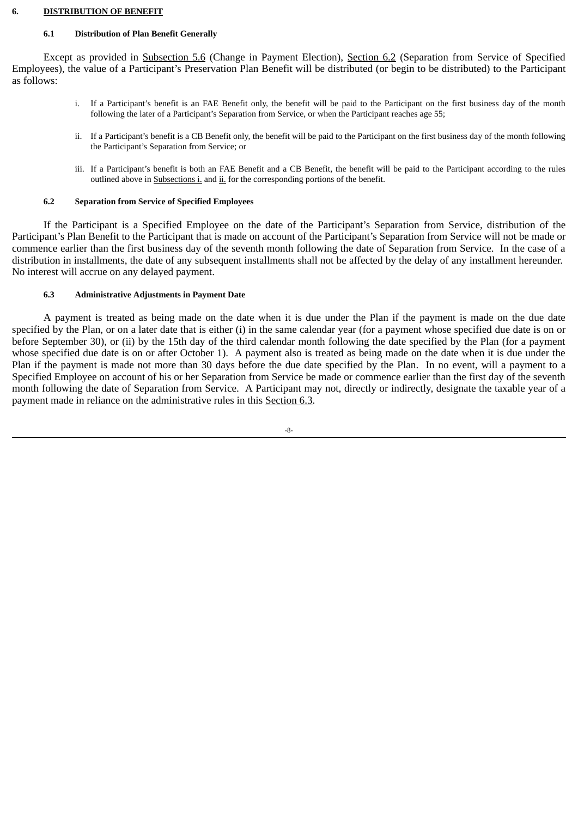#### **6. DISTRIBUTION OF BENEFIT**

# **6.1 Distribution of Plan Benefit Generally**

Except as provided in Subsection 5.6 (Change in Payment Election), Section 6.2 (Separation from Service of Specified Employees), the value of a Participant's Preservation Plan Benefit will be distributed (or begin to be distributed) to the Participant as follows:

- i. If a Participant's benefit is an FAE Benefit only, the benefit will be paid to the Participant on the first business day of the month following the later of a Participant's Separation from Service, or when the Participant reaches age 55;
- ii. If a Participant's benefit is a CB Benefit only, the benefit will be paid to the Participant on the first business day of the month following the Participant's Separation from Service; or
- iii. If a Participant's benefit is both an FAE Benefit and a CB Benefit, the benefit will be paid to the Participant according to the rules outlined above in Subsections i. and ii. for the corresponding portions of the benefit.

# **6.2 Separation from Service of Specified Employees**

If the Participant is a Specified Employee on the date of the Participant's Separation from Service, distribution of the Participant's Plan Benefit to the Participant that is made on account of the Participant's Separation from Service will not be made or commence earlier than the first business day of the seventh month following the date of Separation from Service. In the case of a distribution in installments, the date of any subsequent installments shall not be affected by the delay of any installment hereunder. No interest will accrue on any delayed payment.

# **6.3 Administrative Adjustments in Payment Date**

A payment is treated as being made on the date when it is due under the Plan if the payment is made on the due date specified by the Plan, or on a later date that is either (i) in the same calendar year (for a payment whose specified due date is on or before September 30), or (ii) by the 15th day of the third calendar month following the date specified by the Plan (for a payment whose specified due date is on or after October 1). A payment also is treated as being made on the date when it is due under the Plan if the payment is made not more than 30 days before the due date specified by the Plan. In no event, will a payment to a Specified Employee on account of his or her Separation from Service be made or commence earlier than the first day of the seventh month following the date of Separation from Service. A Participant may not, directly or indirectly, designate the taxable year of a payment made in reliance on the administrative rules in this Section 6.3.

-8-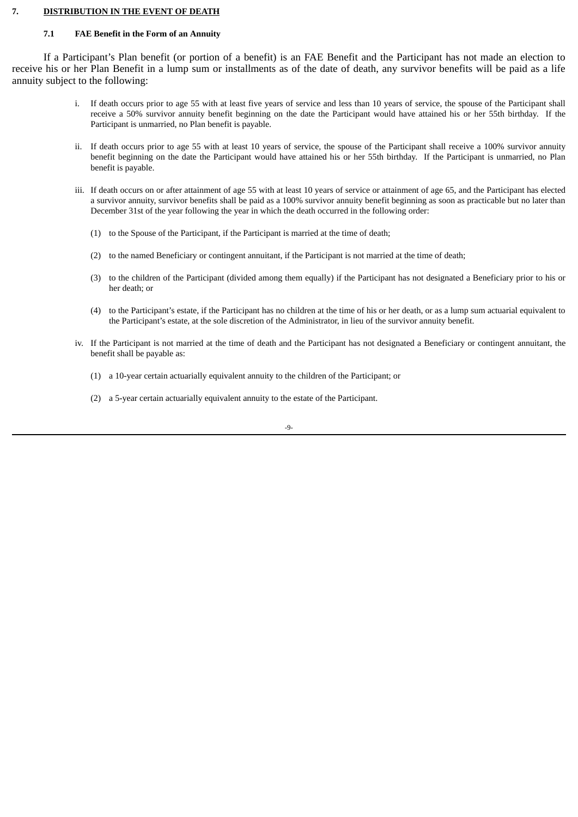#### **7. DISTRIBUTION IN THE EVENT OF DEATH**

#### **7.1 FAE Benefit in the Form of an Annuity**

If a Participant's Plan benefit (or portion of a benefit) is an FAE Benefit and the Participant has not made an election to receive his or her Plan Benefit in a lump sum or installments as of the date of death, any survivor benefits will be paid as a life annuity subject to the following:

- i. If death occurs prior to age 55 with at least five years of service and less than 10 years of service, the spouse of the Participant shall receive a 50% survivor annuity benefit beginning on the date the Participant would have attained his or her 55th birthday. If the Participant is unmarried, no Plan benefit is payable.
- ii. If death occurs prior to age 55 with at least 10 years of service, the spouse of the Participant shall receive a 100% survivor annuity benefit beginning on the date the Participant would have attained his or her 55th birthday. If the Participant is unmarried, no Plan benefit is payable.
- iii. If death occurs on or after attainment of age 55 with at least 10 years of service or attainment of age 65, and the Participant has elected a survivor annuity, survivor benefits shall be paid as a 100% survivor annuity benefit beginning as soon as practicable but no later than December 31st of the year following the year in which the death occurred in the following order:
	- (1) to the Spouse of the Participant, if the Participant is married at the time of death;
	- (2) to the named Beneficiary or contingent annuitant, if the Participant is not married at the time of death;
	- (3) to the children of the Participant (divided among them equally) if the Participant has not designated a Beneficiary prior to his or her death; or
	- (4) to the Participant's estate, if the Participant has no children at the time of his or her death, or as a lump sum actuarial equivalent to the Participant's estate, at the sole discretion of the Administrator, in lieu of the survivor annuity benefit.
- iv. If the Participant is not married at the time of death and the Participant has not designated a Beneficiary or contingent annuitant, the benefit shall be payable as:
	- (1) a 10-year certain actuarially equivalent annuity to the children of the Participant; or
	- (2) a 5-year certain actuarially equivalent annuity to the estate of the Participant.

-9-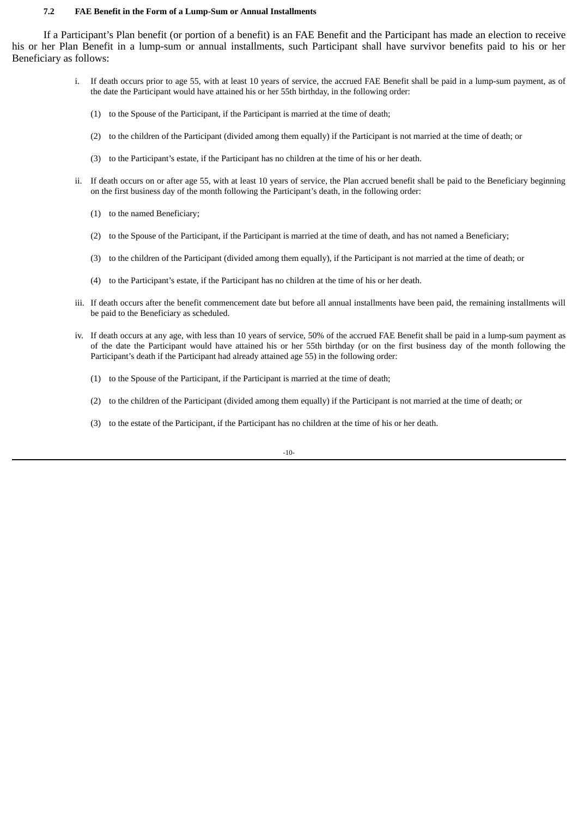#### **7.2 FAE Benefit in the Form of a Lump-Sum or Annual Installments**

If a Participant's Plan benefit (or portion of a benefit) is an FAE Benefit and the Participant has made an election to receive his or her Plan Benefit in a lump-sum or annual installments, such Participant shall have survivor benefits paid to his or her Beneficiary as follows:

- i. If death occurs prior to age 55, with at least 10 years of service, the accrued FAE Benefit shall be paid in a lump-sum payment, as of the date the Participant would have attained his or her 55th birthday, in the following order:
	- (1) to the Spouse of the Participant, if the Participant is married at the time of death;
	- (2) to the children of the Participant (divided among them equally) if the Participant is not married at the time of death; or
	- (3) to the Participant's estate, if the Participant has no children at the time of his or her death.
- ii. If death occurs on or after age 55, with at least 10 years of service, the Plan accrued benefit shall be paid to the Beneficiary beginning on the first business day of the month following the Participant's death, in the following order:
	- (1) to the named Beneficiary;
	- (2) to the Spouse of the Participant, if the Participant is married at the time of death, and has not named a Beneficiary;
	- (3) to the children of the Participant (divided among them equally), if the Participant is not married at the time of death; or
	- (4) to the Participant's estate, if the Participant has no children at the time of his or her death.
- iii. If death occurs after the benefit commencement date but before all annual installments have been paid, the remaining installments will be paid to the Beneficiary as scheduled.
- iv. If death occurs at any age, with less than 10 years of service, 50% of the accrued FAE Benefit shall be paid in a lump-sum payment as of the date the Participant would have attained his or her 55th birthday (or on the first business day of the month following the Participant's death if the Participant had already attained age 55) in the following order:
	- (1) to the Spouse of the Participant, if the Participant is married at the time of death;
	- (2) to the children of the Participant (divided among them equally) if the Participant is not married at the time of death; or
	- (3) to the estate of the Participant, if the Participant has no children at the time of his or her death.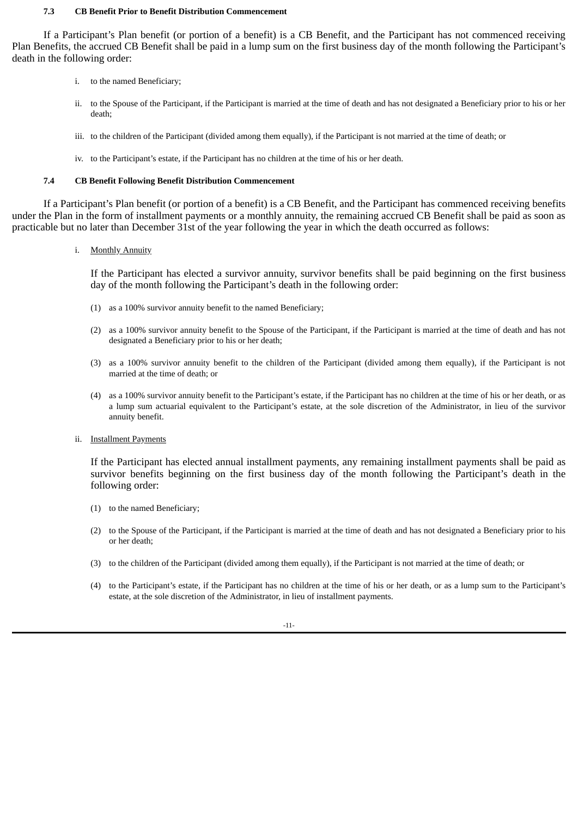#### **7.3 CB Benefit Prior to Benefit Distribution Commencement**

If a Participant's Plan benefit (or portion of a benefit) is a CB Benefit, and the Participant has not commenced receiving Plan Benefits, the accrued CB Benefit shall be paid in a lump sum on the first business day of the month following the Participant's death in the following order:

- i. to the named Beneficiary;
- ii. to the Spouse of the Participant, if the Participant is married at the time of death and has not designated a Beneficiary prior to his or her death;
- iii. to the children of the Participant (divided among them equally), if the Participant is not married at the time of death; or
- iv. to the Participant's estate, if the Participant has no children at the time of his or her death.

#### **7.4 CB Benefit Following Benefit Distribution Commencement**

If a Participant's Plan benefit (or portion of a benefit) is a CB Benefit, and the Participant has commenced receiving benefits under the Plan in the form of installment payments or a monthly annuity, the remaining accrued CB Benefit shall be paid as soon as practicable but no later than December 31st of the year following the year in which the death occurred as follows:

i. Monthly Annuity

If the Participant has elected a survivor annuity, survivor benefits shall be paid beginning on the first business day of the month following the Participant's death in the following order:

- (1) as a 100% survivor annuity benefit to the named Beneficiary;
- (2) as a 100% survivor annuity benefit to the Spouse of the Participant, if the Participant is married at the time of death and has not designated a Beneficiary prior to his or her death;
- (3) as a 100% survivor annuity benefit to the children of the Participant (divided among them equally), if the Participant is not married at the time of death; or
- (4) as a 100% survivor annuity benefit to the Participant's estate, if the Participant has no children at the time of his or her death, or as a lump sum actuarial equivalent to the Participant's estate, at the sole discretion of the Administrator, in lieu of the survivor annuity benefit.
- ii. Installment Payments

If the Participant has elected annual installment payments, any remaining installment payments shall be paid as survivor benefits beginning on the first business day of the month following the Participant's death in the following order:

- (1) to the named Beneficiary;
- (2) to the Spouse of the Participant, if the Participant is married at the time of death and has not designated a Beneficiary prior to his or her death;
- (3) to the children of the Participant (divided among them equally), if the Participant is not married at the time of death; or
- (4) to the Participant's estate, if the Participant has no children at the time of his or her death, or as a lump sum to the Participant's estate, at the sole discretion of the Administrator, in lieu of installment payments.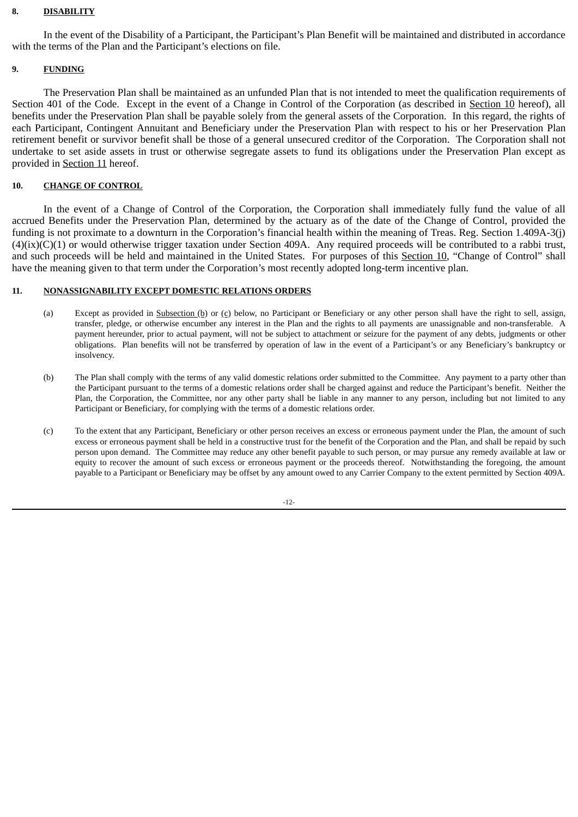#### **8. DISABILITY**

In the event of the Disability of a Participant, the Participant's Plan Benefit will be maintained and distributed in accordance with the terms of the Plan and the Participant's elections on file.

#### **9. FUNDING**

The Preservation Plan shall be maintained as an unfunded Plan that is not intended to meet the qualification requirements of Section 401 of the Code. Except in the event of a Change in Control of the Corporation (as described in Section 10 hereof), all benefits under the Preservation Plan shall be payable solely from the general assets of the Corporation. In this regard, the rights of each Participant, Contingent Annuitant and Beneficiary under the Preservation Plan with respect to his or her Preservation Plan retirement benefit or survivor benefit shall be those of a general unsecured creditor of the Corporation. The Corporation shall not undertake to set aside assets in trust or otherwise segregate assets to fund its obligations under the Preservation Plan except as provided in Section 11 hereof.

### **10. CHANGE OF CONTROL**

In the event of a Change of Control of the Corporation, the Corporation shall immediately fully fund the value of all accrued Benefits under the Preservation Plan, determined by the actuary as of the date of the Change of Control, provided the funding is not proximate to a downturn in the Corporation's financial health within the meaning of Treas. Reg. Section 1.409A-3(j)  $(4)(ix)(C)(1)$  or would otherwise trigger taxation under Section 409A. Any required proceeds will be contributed to a rabbi trust, and such proceeds will be held and maintained in the United States. For purposes of this Section 10, "Change of Control" shall have the meaning given to that term under the Corporation's most recently adopted long-term incentive plan.

#### **11. NONASSIGNABILITY EXCEPT DOMESTIC RELATIONS ORDERS**

- (a) Except as provided in Subsection (b) or  $(c)$  below, no Participant or Beneficiary or any other person shall have the right to sell, assign, transfer, pledge, or otherwise encumber any interest in the Plan and the rights to all payments are unassignable and non-transferable. A payment hereunder, prior to actual payment, will not be subject to attachment or seizure for the payment of any debts, judgments or other obligations. Plan benefits will not be transferred by operation of law in the event of a Participant's or any Beneficiary's bankruptcy or insolvency.
- (b) The Plan shall comply with the terms of any valid domestic relations order submitted to the Committee. Any payment to a party other than the Participant pursuant to the terms of a domestic relations order shall be charged against and reduce the Participant's benefit. Neither the Plan, the Corporation, the Committee, nor any other party shall be liable in any manner to any person, including but not limited to any Participant or Beneficiary, for complying with the terms of a domestic relations order.
- (c) To the extent that any Participant, Beneficiary or other person receives an excess or erroneous payment under the Plan, the amount of such excess or erroneous payment shall be held in a constructive trust for the benefit of the Corporation and the Plan, and shall be repaid by such person upon demand. The Committee may reduce any other benefit payable to such person, or may pursue any remedy available at law or equity to recover the amount of such excess or erroneous payment or the proceeds thereof. Notwithstanding the foregoing, the amount payable to a Participant or Beneficiary may be offset by any amount owed to any Carrier Company to the extent permitted by Section 409A.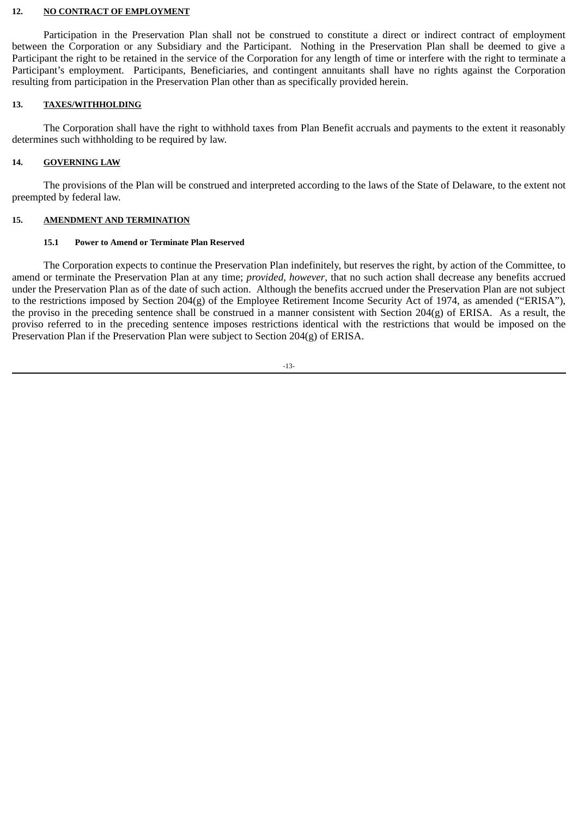#### **12. NO CONTRACT OF EMPLOYMENT**

Participation in the Preservation Plan shall not be construed to constitute a direct or indirect contract of employment between the Corporation or any Subsidiary and the Participant. Nothing in the Preservation Plan shall be deemed to give a Participant the right to be retained in the service of the Corporation for any length of time or interfere with the right to terminate a Participant's employment. Participants, Beneficiaries, and contingent annuitants shall have no rights against the Corporation resulting from participation in the Preservation Plan other than as specifically provided herein.

### **13. TAXES/WITHHOLDING**

The Corporation shall have the right to withhold taxes from Plan Benefit accruals and payments to the extent it reasonably determines such withholding to be required by law.

### **14. GOVERNING LAW**

The provisions of the Plan will be construed and interpreted according to the laws of the State of Delaware, to the extent not preempted by federal law.

#### **15. AMENDMENT AND TERMINATION**

### **15.1 Power to Amend or Terminate Plan Reserved**

The Corporation expects to continue the Preservation Plan indefinitely, but reserves the right, by action of the Committee, to amend or terminate the Preservation Plan at any time; *provided*, *however*, that no such action shall decrease any benefits accrued under the Preservation Plan as of the date of such action. Although the benefits accrued under the Preservation Plan are not subject to the restrictions imposed by Section 204(g) of the Employee Retirement Income Security Act of 1974, as amended ("ERISA"), the proviso in the preceding sentence shall be construed in a manner consistent with Section 204(g) of ERISA. As a result, the proviso referred to in the preceding sentence imposes restrictions identical with the restrictions that would be imposed on the Preservation Plan if the Preservation Plan were subject to Section 204(g) of ERISA.

-13-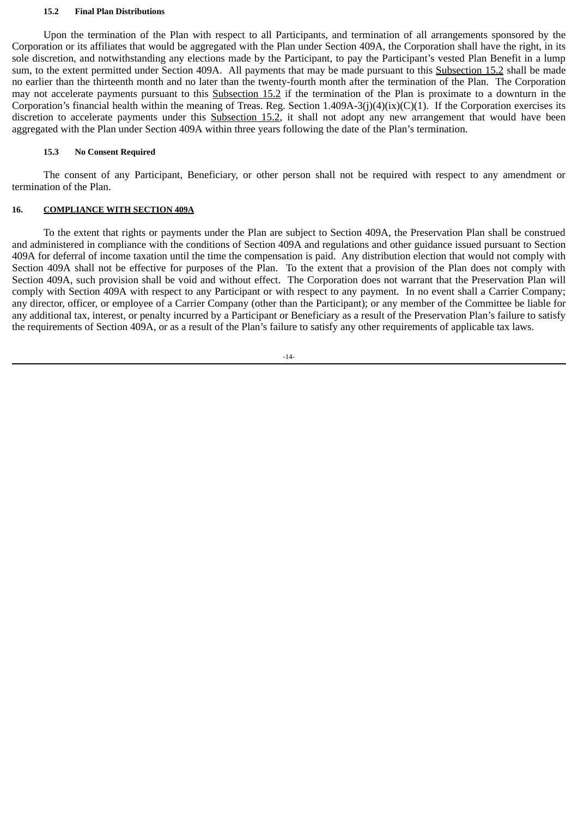#### **15.2 Final Plan Distributions**

Upon the termination of the Plan with respect to all Participants, and termination of all arrangements sponsored by the Corporation or its affiliates that would be aggregated with the Plan under Section 409A, the Corporation shall have the right, in its sole discretion, and notwithstanding any elections made by the Participant, to pay the Participant's vested Plan Benefit in a lump sum, to the extent permitted under Section 409A. All payments that may be made pursuant to this Subsection 15.2 shall be made no earlier than the thirteenth month and no later than the twenty-fourth month after the termination of the Plan. The Corporation may not accelerate payments pursuant to this Subsection 15.2 if the termination of the Plan is proximate to a downturn in the Corporation's financial health within the meaning of Treas. Reg. Section  $1.409A-3(i)(4)(ix)(C)(1)$ . If the Corporation exercises its discretion to accelerate payments under this Subsection 15.2, it shall not adopt any new arrangement that would have been aggregated with the Plan under Section 409A within three years following the date of the Plan's termination.

#### **15.3 No Consent Required**

The consent of any Participant, Beneficiary, or other person shall not be required with respect to any amendment or termination of the Plan.

#### **16. COMPLIANCE WITH SECTION 409A**

To the extent that rights or payments under the Plan are subject to Section 409A, the Preservation Plan shall be construed and administered in compliance with the conditions of Section 409A and regulations and other guidance issued pursuant to Section 409A for deferral of income taxation until the time the compensation is paid. Any distribution election that would not comply with Section 409A shall not be effective for purposes of the Plan. To the extent that a provision of the Plan does not comply with Section 409A, such provision shall be void and without effect. The Corporation does not warrant that the Preservation Plan will comply with Section 409A with respect to any Participant or with respect to any payment. In no event shall a Carrier Company; any director, officer, or employee of a Carrier Company (other than the Participant); or any member of the Committee be liable for any additional tax, interest, or penalty incurred by a Participant or Beneficiary as a result of the Preservation Plan's failure to satisfy the requirements of Section 409A, or as a result of the Plan's failure to satisfy any other requirements of applicable tax laws.

-14-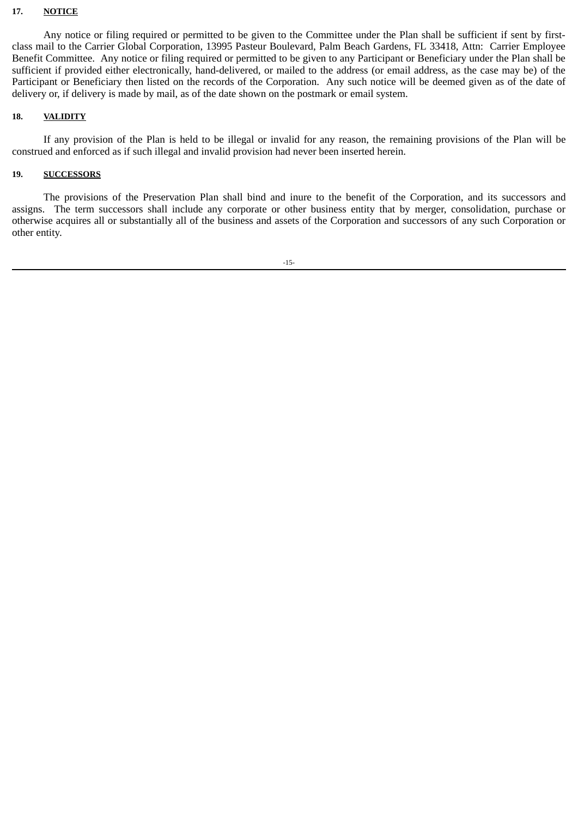### **17. NOTICE**

Any notice or filing required or permitted to be given to the Committee under the Plan shall be sufficient if sent by firstclass mail to the Carrier Global Corporation, 13995 Pasteur Boulevard, Palm Beach Gardens, FL 33418, Attn: Carrier Employee Benefit Committee. Any notice or filing required or permitted to be given to any Participant or Beneficiary under the Plan shall be sufficient if provided either electronically, hand-delivered, or mailed to the address (or email address, as the case may be) of the Participant or Beneficiary then listed on the records of the Corporation. Any such notice will be deemed given as of the date of delivery or, if delivery is made by mail, as of the date shown on the postmark or email system.

### **18. VALIDITY**

If any provision of the Plan is held to be illegal or invalid for any reason, the remaining provisions of the Plan will be construed and enforced as if such illegal and invalid provision had never been inserted herein.

### **19. SUCCESSORS**

The provisions of the Preservation Plan shall bind and inure to the benefit of the Corporation, and its successors and assigns. The term successors shall include any corporate or other business entity that by merger, consolidation, purchase or otherwise acquires all or substantially all of the business and assets of the Corporation and successors of any such Corporation or other entity.

-15-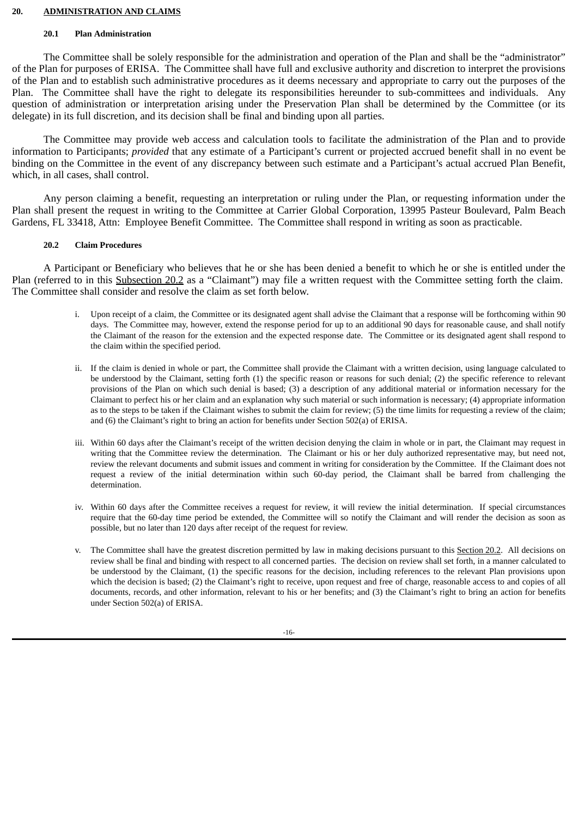#### **20. ADMINISTRATION AND CLAIMS**

# **20.1 Plan Administration**

The Committee shall be solely responsible for the administration and operation of the Plan and shall be the "administrator" of the Plan for purposes of ERISA. The Committee shall have full and exclusive authority and discretion to interpret the provisions of the Plan and to establish such administrative procedures as it deems necessary and appropriate to carry out the purposes of the Plan. The Committee shall have the right to delegate its responsibilities hereunder to sub-committees and individuals. Any question of administration or interpretation arising under the Preservation Plan shall be determined by the Committee (or its delegate) in its full discretion, and its decision shall be final and binding upon all parties.

The Committee may provide web access and calculation tools to facilitate the administration of the Plan and to provide information to Participants; *provided* that any estimate of a Participant's current or projected accrued benefit shall in no event be binding on the Committee in the event of any discrepancy between such estimate and a Participant's actual accrued Plan Benefit, which, in all cases, shall control.

Any person claiming a benefit, requesting an interpretation or ruling under the Plan, or requesting information under the Plan shall present the request in writing to the Committee at Carrier Global Corporation, 13995 Pasteur Boulevard, Palm Beach Gardens, FL 33418, Attn: Employee Benefit Committee. The Committee shall respond in writing as soon as practicable.

#### **20.2 Claim Procedures**

A Participant or Beneficiary who believes that he or she has been denied a benefit to which he or she is entitled under the Plan (referred to in this Subsection 20.2 as a "Claimant") may file a written request with the Committee setting forth the claim. The Committee shall consider and resolve the claim as set forth below.

- i. Upon receipt of a claim, the Committee or its designated agent shall advise the Claimant that a response will be forthcoming within 90 days. The Committee may, however, extend the response period for up to an additional 90 days for reasonable cause, and shall notify the Claimant of the reason for the extension and the expected response date. The Committee or its designated agent shall respond to the claim within the specified period.
- ii. If the claim is denied in whole or part, the Committee shall provide the Claimant with a written decision, using language calculated to be understood by the Claimant, setting forth (1) the specific reason or reasons for such denial; (2) the specific reference to relevant provisions of the Plan on which such denial is based; (3) a description of any additional material or information necessary for the Claimant to perfect his or her claim and an explanation why such material or such information is necessary; (4) appropriate information as to the steps to be taken if the Claimant wishes to submit the claim for review; (5) the time limits for requesting a review of the claim; and (6) the Claimant's right to bring an action for benefits under Section 502(a) of ERISA.
- iii. Within 60 days after the Claimant's receipt of the written decision denying the claim in whole or in part, the Claimant may request in writing that the Committee review the determination. The Claimant or his or her duly authorized representative may, but need not, review the relevant documents and submit issues and comment in writing for consideration by the Committee. If the Claimant does not request a review of the initial determination within such 60-day period, the Claimant shall be barred from challenging the determination.
- iv. Within 60 days after the Committee receives a request for review, it will review the initial determination. If special circumstances require that the 60-day time period be extended, the Committee will so notify the Claimant and will render the decision as soon as possible, but no later than 120 days after receipt of the request for review.
- v. The Committee shall have the greatest discretion permitted by law in making decisions pursuant to this Section 20.2. All decisions on review shall be final and binding with respect to all concerned parties. The decision on review shall set forth, in a manner calculated to be understood by the Claimant, (1) the specific reasons for the decision, including references to the relevant Plan provisions upon which the decision is based; (2) the Claimant's right to receive, upon request and free of charge, reasonable access to and copies of all documents, records, and other information, relevant to his or her benefits; and (3) the Claimant's right to bring an action for benefits under Section 502(a) of ERISA.

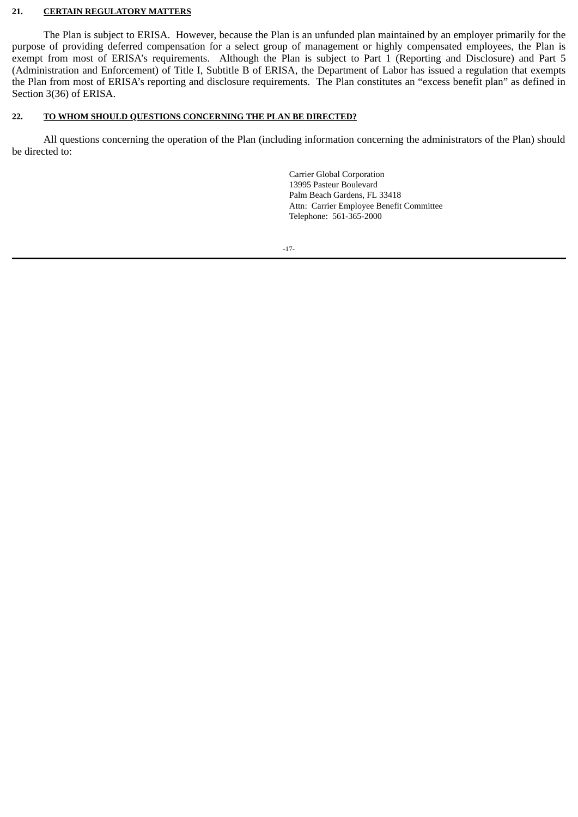### **21. CERTAIN REGULATORY MATTERS**

The Plan is subject to ERISA. However, because the Plan is an unfunded plan maintained by an employer primarily for the purpose of providing deferred compensation for a select group of management or highly compensated employees, the Plan is exempt from most of ERISA's requirements. Although the Plan is subject to Part 1 (Reporting and Disclosure) and Part 5 (Administration and Enforcement) of Title I, Subtitle B of ERISA, the Department of Labor has issued a regulation that exempts the Plan from most of ERISA's reporting and disclosure requirements. The Plan constitutes an "excess benefit plan" as defined in Section 3(36) of ERISA.

### **22. TO WHOM SHOULD QUESTIONS CONCERNING THE PLAN BE DIRECTED?**

All questions concerning the operation of the Plan (including information concerning the administrators of the Plan) should be directed to:

> Carrier Global Corporation 13995 Pasteur Boulevard Palm Beach Gardens, FL 33418 Attn: Carrier Employee Benefit Committee Telephone: 561-365-2000

-17-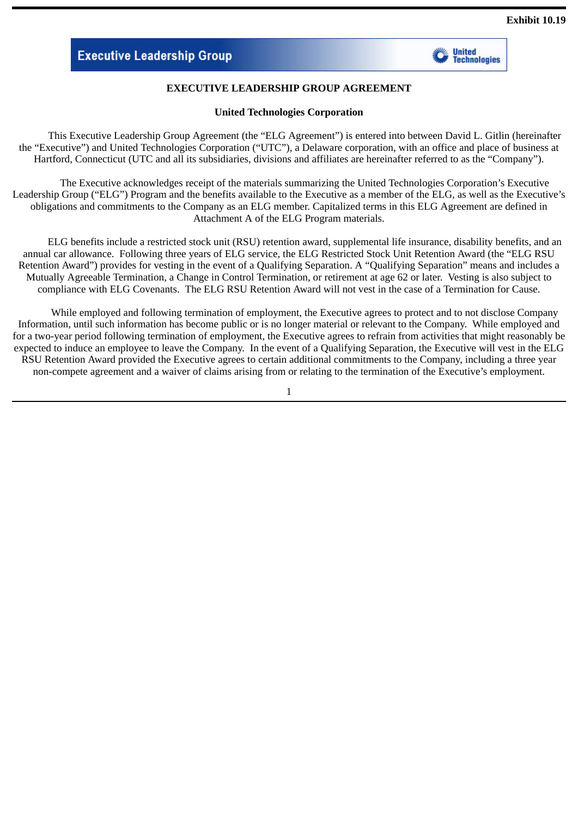

# **EXECUTIVE LEADERSHIP GROUP AGREEMENT**

## **United Technologies Corporation**

This Executive Leadership Group Agreement (the "ELG Agreement") is entered into between David L. Gitlin (hereinafter the "Executive") and United Technologies Corporation ("UTC"), a Delaware corporation, with an office and place of business at Hartford, Connecticut (UTC and all its subsidiaries, divisions and affiliates are hereinafter referred to as the "Company").

The Executive acknowledges receipt of the materials summarizing the United Technologies Corporation's Executive Leadership Group ("ELG") Program and the benefits available to the Executive as a member of the ELG, as well as the Executive's obligations and commitments to the Company as an ELG member. Capitalized terms in this ELG Agreement are defined in Attachment A of the ELG Program materials.

ELG benefits include a restricted stock unit (RSU) retention award, supplemental life insurance, disability benefits, and an annual car allowance. Following three years of ELG service, the ELG Restricted Stock Unit Retention Award (the "ELG RSU Retention Award") provides for vesting in the event of a Qualifying Separation. A "Qualifying Separation" means and includes a Mutually Agreeable Termination, a Change in Control Termination, or retirement at age 62 or later. Vesting is also subject to compliance with ELG Covenants. The ELG RSU Retention Award will not vest in the case of a Termination for Cause.

While employed and following termination of employment, the Executive agrees to protect and to not disclose Company Information, until such information has become public or is no longer material or relevant to the Company. While employed and for a two-year period following termination of employment, the Executive agrees to refrain from activities that might reasonably be expected to induce an employee to leave the Company. In the event of a Qualifying Separation, the Executive will vest in the ELG RSU Retention Award provided the Executive agrees to certain additional commitments to the Company, including a three year non-compete agreement and a waiver of claims arising from or relating to the termination of the Executive's employment.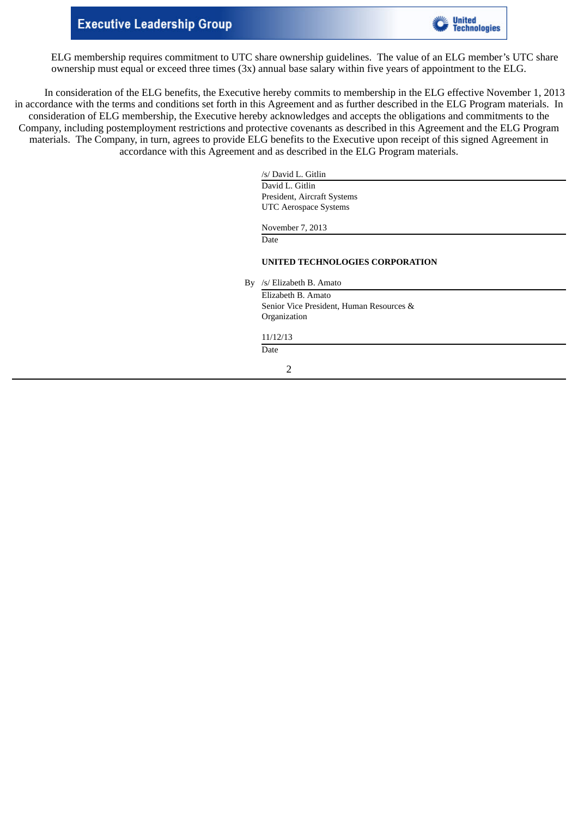# **Executive Leadership Group**



ELG membership requires commitment to UTC share ownership guidelines. The value of an ELG member's UTC share ownership must equal or exceed three times (3x) annual base salary within five years of appointment to the ELG.

In consideration of the ELG benefits, the Executive hereby commits to membership in the ELG effective November 1, 2013 in accordance with the terms and conditions set forth in this Agreement and as further described in the ELG Program materials. In consideration of ELG membership, the Executive hereby acknowledges and accepts the obligations and commitments to the Company, including postemployment restrictions and protective covenants as described in this Agreement and the ELG Program materials. The Company, in turn, agrees to provide ELG benefits to the Executive upon receipt of this signed Agreement in accordance with this Agreement and as described in the ELG Program materials.

> /s/ David L. Gitlin David L. Gitlin President, Aircraft Systems UTC Aerospace Systems

November 7, 2013

**Date** 

### **UNITED TECHNOLOGIES CORPORATION**

By /s/ Elizabeth B. Amato

Elizabeth B. Amato Senior Vice President, Human Resources & Organization

11/12/13 Date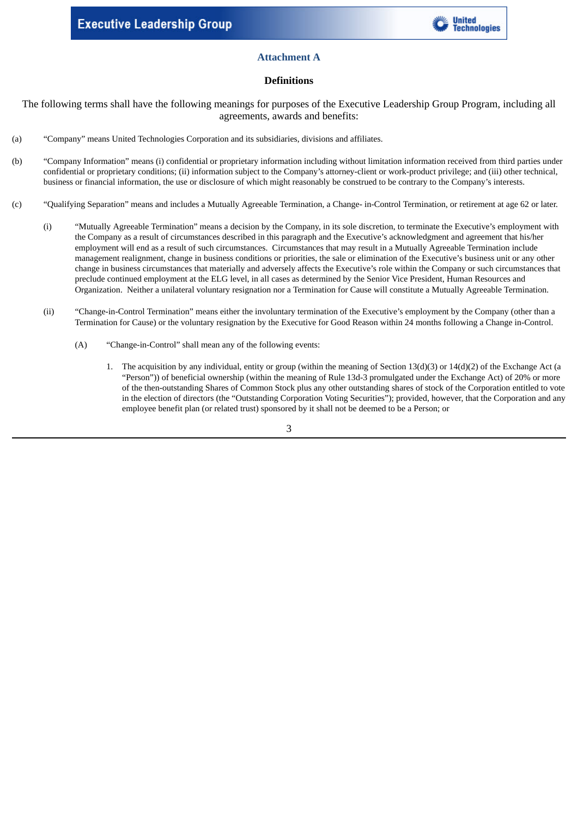

# **Attachment A**

# **Definitions**

The following terms shall have the following meanings for purposes of the Executive Leadership Group Program, including all agreements, awards and benefits:

- (a) "Company" means United Technologies Corporation and its subsidiaries, divisions and affiliates.
- (b) "Company Information" means (i) confidential or proprietary information including without limitation information received from third parties under confidential or proprietary conditions; (ii) information subject to the Company's attorney-client or work-product privilege; and (iii) other technical, business or financial information, the use or disclosure of which might reasonably be construed to be contrary to the Company's interests.
- (c) "Qualifying Separation" means and includes a Mutually Agreeable Termination, a Change- in-Control Termination, or retirement at age 62 or later.
	- (i) "Mutually Agreeable Termination" means a decision by the Company, in its sole discretion, to terminate the Executive's employment with the Company as a result of circumstances described in this paragraph and the Executive's acknowledgment and agreement that his/her employment will end as a result of such circumstances. Circumstances that may result in a Mutually Agreeable Termination include management realignment, change in business conditions or priorities, the sale or elimination of the Executive's business unit or any other change in business circumstances that materially and adversely affects the Executive's role within the Company or such circumstances that preclude continued employment at the ELG level, in all cases as determined by the Senior Vice President, Human Resources and Organization. Neither a unilateral voluntary resignation nor a Termination for Cause will constitute a Mutually Agreeable Termination.
	- (ii) "Change-in-Control Termination" means either the involuntary termination of the Executive's employment by the Company (other than a Termination for Cause) or the voluntary resignation by the Executive for Good Reason within 24 months following a Change in-Control.
		- (A) "Change-in-Control" shall mean any of the following events:
			- 1. The acquisition by any individual, entity or group (within the meaning of Section 13(d)(3) or 14(d)(2) of the Exchange Act (a "Person")) of beneficial ownership (within the meaning of Rule 13d-3 promulgated under the Exchange Act) of 20% or more of the then-outstanding Shares of Common Stock plus any other outstanding shares of stock of the Corporation entitled to vote in the election of directors (the "Outstanding Corporation Voting Securities"); provided, however, that the Corporation and any employee benefit plan (or related trust) sponsored by it shall not be deemed to be a Person; or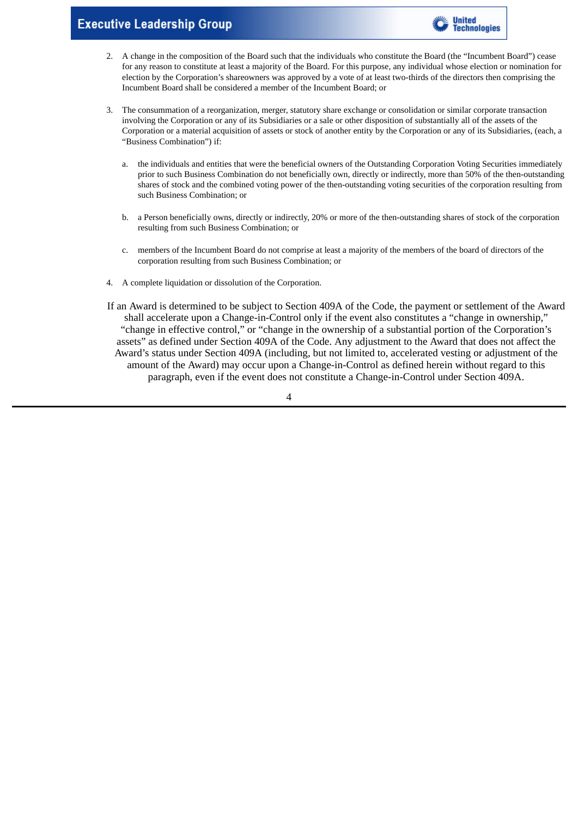# **Executive Leadership Group**



- 2. A change in the composition of the Board such that the individuals who constitute the Board (the "Incumbent Board") cease for any reason to constitute at least a majority of the Board. For this purpose, any individual whose election or nomination for election by the Corporation's shareowners was approved by a vote of at least two-thirds of the directors then comprising the Incumbent Board shall be considered a member of the Incumbent Board; or
- 3. The consummation of a reorganization, merger, statutory share exchange or consolidation or similar corporate transaction involving the Corporation or any of its Subsidiaries or a sale or other disposition of substantially all of the assets of the Corporation or a material acquisition of assets or stock of another entity by the Corporation or any of its Subsidiaries, (each, a "Business Combination") if:
	- a. the individuals and entities that were the beneficial owners of the Outstanding Corporation Voting Securities immediately prior to such Business Combination do not beneficially own, directly or indirectly, more than 50% of the then-outstanding shares of stock and the combined voting power of the then-outstanding voting securities of the corporation resulting from such Business Combination; or
	- b. a Person beneficially owns, directly or indirectly, 20% or more of the then-outstanding shares of stock of the corporation resulting from such Business Combination; or
	- c. members of the Incumbent Board do not comprise at least a majority of the members of the board of directors of the corporation resulting from such Business Combination; or
- 4. A complete liquidation or dissolution of the Corporation.
- If an Award is determined to be subject to Section 409A of the Code, the payment or settlement of the Award shall accelerate upon a Change-in-Control only if the event also constitutes a "change in ownership," "change in effective control," or "change in the ownership of a substantial portion of the Corporation's assets" as defined under Section 409A of the Code. Any adjustment to the Award that does not affect the Award's status under Section 409A (including, but not limited to, accelerated vesting or adjustment of the amount of the Award) may occur upon a Change-in-Control as defined herein without regard to this paragraph, even if the event does not constitute a Change-in-Control under Section 409A.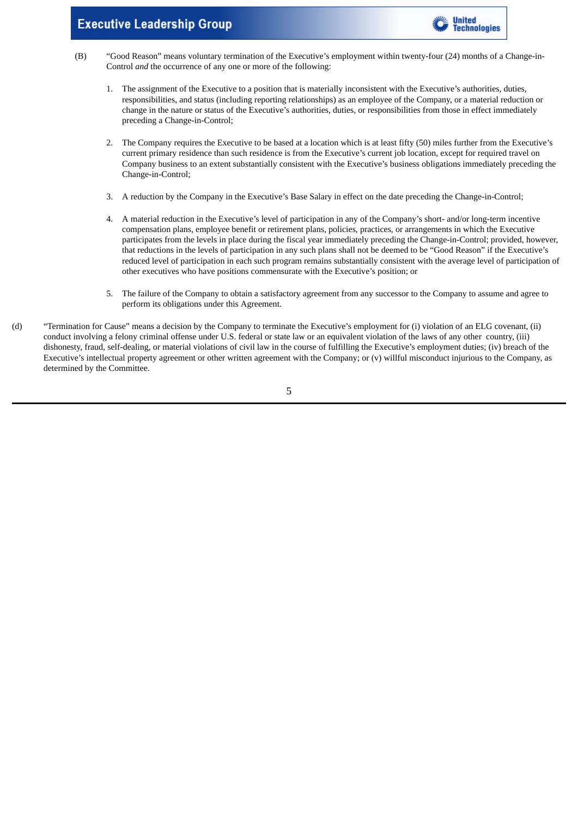# **Executive Leadership Group**



- (B) "Good Reason" means voluntary termination of the Executive's employment within twenty-four (24) months of a Change-in-Control *and* the occurrence of any one or more of the following:
	- 1. The assignment of the Executive to a position that is materially inconsistent with the Executive's authorities, duties, responsibilities, and status (including reporting relationships) as an employee of the Company, or a material reduction or change in the nature or status of the Executive's authorities, duties, or responsibilities from those in effect immediately preceding a Change-in-Control;
	- 2. The Company requires the Executive to be based at a location which is at least fifty (50) miles further from the Executive's current primary residence than such residence is from the Executive's current job location, except for required travel on Company business to an extent substantially consistent with the Executive's business obligations immediately preceding the Change-in-Control;
	- 3. A reduction by the Company in the Executive's Base Salary in effect on the date preceding the Change-in-Control;
	- 4. A material reduction in the Executive's level of participation in any of the Company's short- and/or long-term incentive compensation plans, employee benefit or retirement plans, policies, practices, or arrangements in which the Executive participates from the levels in place during the fiscal year immediately preceding the Change-in-Control; provided, however, that reductions in the levels of participation in any such plans shall not be deemed to be "Good Reason" if the Executive's reduced level of participation in each such program remains substantially consistent with the average level of participation of other executives who have positions commensurate with the Executive's position; or
	- 5. The failure of the Company to obtain a satisfactory agreement from any successor to the Company to assume and agree to perform its obligations under this Agreement.
- (d) "Termination for Cause" means a decision by the Company to terminate the Executive's employment for (i) violation of an ELG covenant, (ii) conduct involving a felony criminal offense under U.S. federal or state law or an equivalent violation of the laws of any other country, (iii) dishonesty, fraud, self-dealing, or material violations of civil law in the course of fulfilling the Executive's employment duties; (iv) breach of the Executive's intellectual property agreement or other written agreement with the Company; or (v) willful misconduct injurious to the Company, as determined by the Committee.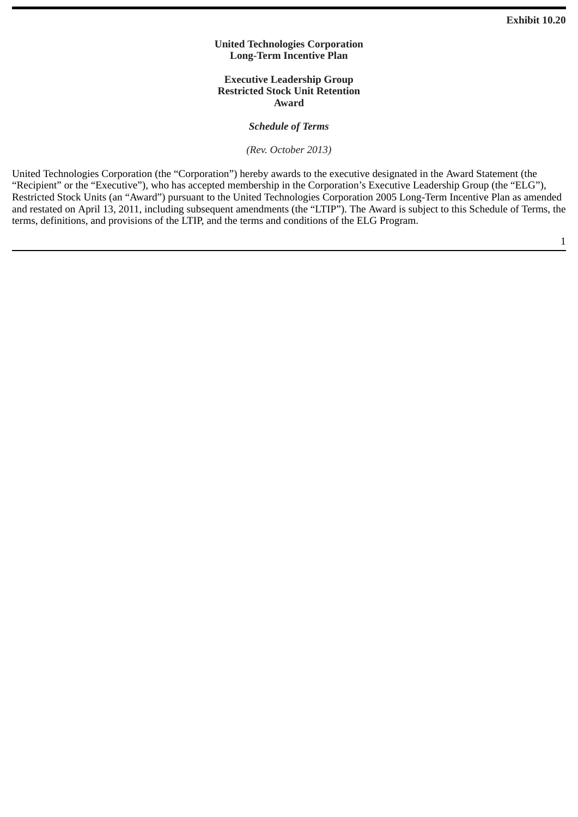# **United Technologies Corporation Long-Term Incentive Plan**

# **Executive Leadership Group Restricted Stock Unit Retention Award**

# *Schedule of Terms*

# *(Rev. October 2013)*

United Technologies Corporation (the "Corporation") hereby awards to the executive designated in the Award Statement (the "Recipient" or the "Executive"), who has accepted membership in the Corporation's Executive Leadership Group (the "ELG"), Restricted Stock Units (an "Award") pursuant to the United Technologies Corporation 2005 Long-Term Incentive Plan as amended and restated on April 13, 2011, including subsequent amendments (the "LTIP"). The Award is subject to this Schedule of Terms, the terms, definitions, and provisions of the LTIP, and the terms and conditions of the ELG Program.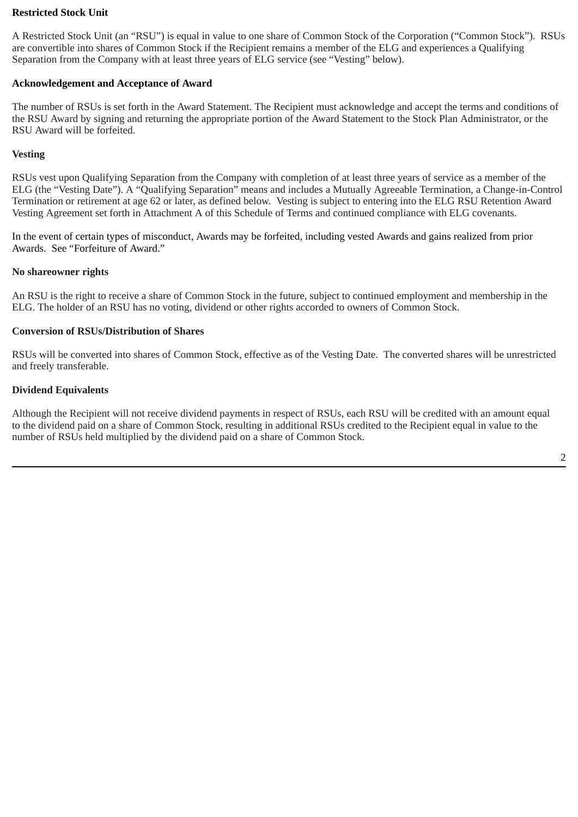# **Restricted Stock Unit**

A Restricted Stock Unit (an "RSU") is equal in value to one share of Common Stock of the Corporation ("Common Stock"). RSUs are convertible into shares of Common Stock if the Recipient remains a member of the ELG and experiences a Qualifying Separation from the Company with at least three years of ELG service (see "Vesting" below).

# **Acknowledgement and Acceptance of Award**

The number of RSUs is set forth in the Award Statement. The Recipient must acknowledge and accept the terms and conditions of the RSU Award by signing and returning the appropriate portion of the Award Statement to the Stock Plan Administrator, or the RSU Award will be forfeited.

# **Vesting**

RSUs vest upon Qualifying Separation from the Company with completion of at least three years of service as a member of the ELG (the "Vesting Date"). A "Qualifying Separation" means and includes a Mutually Agreeable Termination, a Change-in-Control Termination or retirement at age 62 or later, as defined below. Vesting is subject to entering into the ELG RSU Retention Award Vesting Agreement set forth in Attachment A of this Schedule of Terms and continued compliance with ELG covenants.

In the event of certain types of misconduct, Awards may be forfeited, including vested Awards and gains realized from prior Awards. See "Forfeiture of Award."

# **No shareowner rights**

An RSU is the right to receive a share of Common Stock in the future, subject to continued employment and membership in the ELG. The holder of an RSU has no voting, dividend or other rights accorded to owners of Common Stock.

# **Conversion of RSUs/Distribution of Shares**

RSUs will be converted into shares of Common Stock, effective as of the Vesting Date. The converted shares will be unrestricted and freely transferable.

# **Dividend Equivalents**

Although the Recipient will not receive dividend payments in respect of RSUs, each RSU will be credited with an amount equal to the dividend paid on a share of Common Stock, resulting in additional RSUs credited to the Recipient equal in value to the number of RSUs held multiplied by the dividend paid on a share of Common Stock.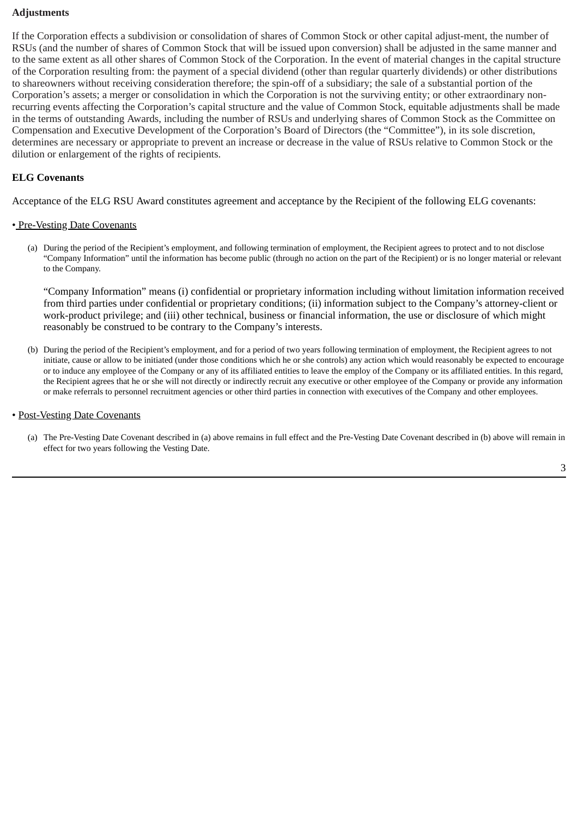# **Adjustments**

If the Corporation effects a subdivision or consolidation of shares of Common Stock or other capital adjust-ment, the number of RSUs (and the number of shares of Common Stock that will be issued upon conversion) shall be adjusted in the same manner and to the same extent as all other shares of Common Stock of the Corporation. In the event of material changes in the capital structure of the Corporation resulting from: the payment of a special dividend (other than regular quarterly dividends) or other distributions to shareowners without receiving consideration therefore; the spin-off of a subsidiary; the sale of a substantial portion of the Corporation's assets; a merger or consolidation in which the Corporation is not the surviving entity; or other extraordinary nonrecurring events affecting the Corporation's capital structure and the value of Common Stock, equitable adjustments shall be made in the terms of outstanding Awards, including the number of RSUs and underlying shares of Common Stock as the Committee on Compensation and Executive Development of the Corporation's Board of Directors (the "Committee"), in its sole discretion, determines are necessary or appropriate to prevent an increase or decrease in the value of RSUs relative to Common Stock or the dilution or enlargement of the rights of recipients.

# **ELG Covenants**

Acceptance of the ELG RSU Award constitutes agreement and acceptance by the Recipient of the following ELG covenants:

### • Pre-Vesting Date Covenants

(a) During the period of the Recipient's employment, and following termination of employment, the Recipient agrees to protect and to not disclose "Company Information" until the information has become public (through no action on the part of the Recipient) or is no longer material or relevant to the Company.

"Company Information" means (i) confidential or proprietary information including without limitation information received from third parties under confidential or proprietary conditions; (ii) information subject to the Company's attorney-client or work-product privilege; and (iii) other technical, business or financial information, the use or disclosure of which might reasonably be construed to be contrary to the Company's interests.

(b) During the period of the Recipient's employment, and for a period of two years following termination of employment, the Recipient agrees to not initiate, cause or allow to be initiated (under those conditions which he or she controls) any action which would reasonably be expected to encourage or to induce any employee of the Company or any of its affiliated entities to leave the employ of the Company or its affiliated entities. In this regard, the Recipient agrees that he or she will not directly or indirectly recruit any executive or other employee of the Company or provide any information or make referrals to personnel recruitment agencies or other third parties in connection with executives of the Company and other employees.

### • Post-Vesting Date Covenants

(a) The Pre-Vesting Date Covenant described in (a) above remains in full effect and the Pre-Vesting Date Covenant described in (b) above will remain in effect for two years following the Vesting Date.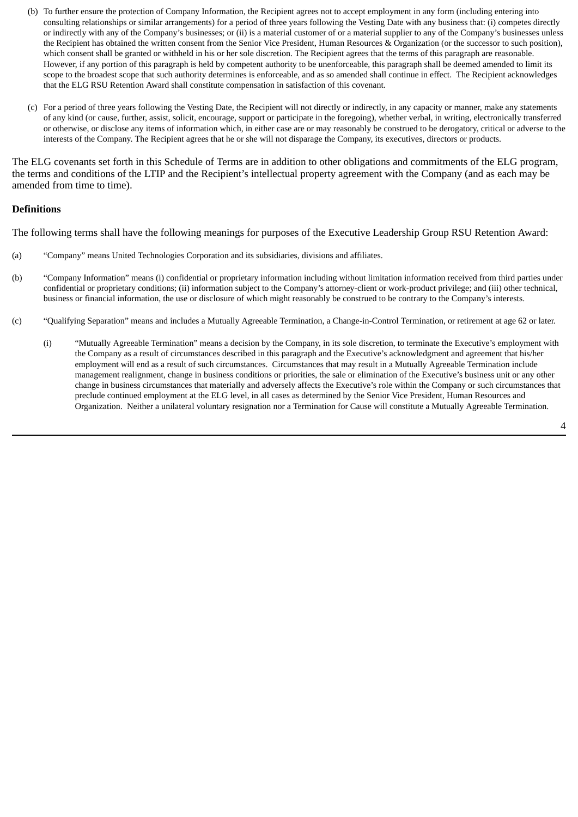- (b) To further ensure the protection of Company Information, the Recipient agrees not to accept employment in any form (including entering into consulting relationships or similar arrangements) for a period of three years following the Vesting Date with any business that: (i) competes directly or indirectly with any of the Company's businesses; or (ii) is a material customer of or a material supplier to any of the Company's businesses unless the Recipient has obtained the written consent from the Senior Vice President, Human Resources & Organization (or the successor to such position), which consent shall be granted or withheld in his or her sole discretion. The Recipient agrees that the terms of this paragraph are reasonable. However, if any portion of this paragraph is held by competent authority to be unenforceable, this paragraph shall be deemed amended to limit its scope to the broadest scope that such authority determines is enforceable, and as so amended shall continue in effect. The Recipient acknowledges that the ELG RSU Retention Award shall constitute compensation in satisfaction of this covenant.
- (c) For a period of three years following the Vesting Date, the Recipient will not directly or indirectly, in any capacity or manner, make any statements of any kind (or cause, further, assist, solicit, encourage, support or participate in the foregoing), whether verbal, in writing, electronically transferred or otherwise, or disclose any items of information which, in either case are or may reasonably be construed to be derogatory, critical or adverse to the interests of the Company. The Recipient agrees that he or she will not disparage the Company, its executives, directors or products.

The ELG covenants set forth in this Schedule of Terms are in addition to other obligations and commitments of the ELG program, the terms and conditions of the LTIP and the Recipient's intellectual property agreement with the Company (and as each may be amended from time to time).

# **Definitions**

The following terms shall have the following meanings for purposes of the Executive Leadership Group RSU Retention Award:

- (a) "Company" means United Technologies Corporation and its subsidiaries, divisions and affiliates.
- (b) "Company Information" means (i) confidential or proprietary information including without limitation information received from third parties under confidential or proprietary conditions; (ii) information subject to the Company's attorney-client or work-product privilege; and (iii) other technical, business or financial information, the use or disclosure of which might reasonably be construed to be contrary to the Company's interests.
- (c) "Qualifying Separation" means and includes a Mutually Agreeable Termination, a Change-in-Control Termination, or retirement at age 62 or later.
	- (i) "Mutually Agreeable Termination" means a decision by the Company, in its sole discretion, to terminate the Executive's employment with the Company as a result of circumstances described in this paragraph and the Executive's acknowledgment and agreement that his/her employment will end as a result of such circumstances. Circumstances that may result in a Mutually Agreeable Termination include management realignment, change in business conditions or priorities, the sale or elimination of the Executive's business unit or any other change in business circumstances that materially and adversely affects the Executive's role within the Company or such circumstances that preclude continued employment at the ELG level, in all cases as determined by the Senior Vice President, Human Resources and Organization. Neither a unilateral voluntary resignation nor a Termination for Cause will constitute a Mutually Agreeable Termination.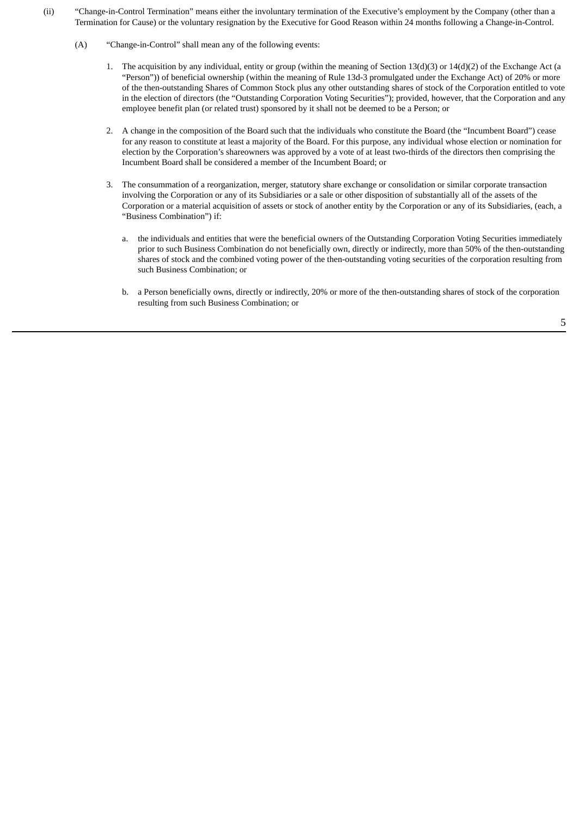- (ii) "Change-in-Control Termination" means either the involuntary termination of the Executive's employment by the Company (other than a Termination for Cause) or the voluntary resignation by the Executive for Good Reason within 24 months following a Change-in-Control.
	- (A) "Change-in-Control" shall mean any of the following events:
		- 1. The acquisition by any individual, entity or group (within the meaning of Section 13(d)(3) or 14(d)(2) of the Exchange Act (a "Person")) of beneficial ownership (within the meaning of Rule 13d-3 promulgated under the Exchange Act) of 20% or more of the then-outstanding Shares of Common Stock plus any other outstanding shares of stock of the Corporation entitled to vote in the election of directors (the "Outstanding Corporation Voting Securities"); provided, however, that the Corporation and any employee benefit plan (or related trust) sponsored by it shall not be deemed to be a Person; or
		- 2. A change in the composition of the Board such that the individuals who constitute the Board (the "Incumbent Board") cease for any reason to constitute at least a majority of the Board. For this purpose, any individual whose election or nomination for election by the Corporation's shareowners was approved by a vote of at least two-thirds of the directors then comprising the Incumbent Board shall be considered a member of the Incumbent Board; or
		- 3. The consummation of a reorganization, merger, statutory share exchange or consolidation or similar corporate transaction involving the Corporation or any of its Subsidiaries or a sale or other disposition of substantially all of the assets of the Corporation or a material acquisition of assets or stock of another entity by the Corporation or any of its Subsidiaries, (each, a "Business Combination") if:
			- a. the individuals and entities that were the beneficial owners of the Outstanding Corporation Voting Securities immediately prior to such Business Combination do not beneficially own, directly or indirectly, more than 50% of the then-outstanding shares of stock and the combined voting power of the then-outstanding voting securities of the corporation resulting from such Business Combination; or
			- b. a Person beneficially owns, directly or indirectly, 20% or more of the then-outstanding shares of stock of the corporation resulting from such Business Combination; or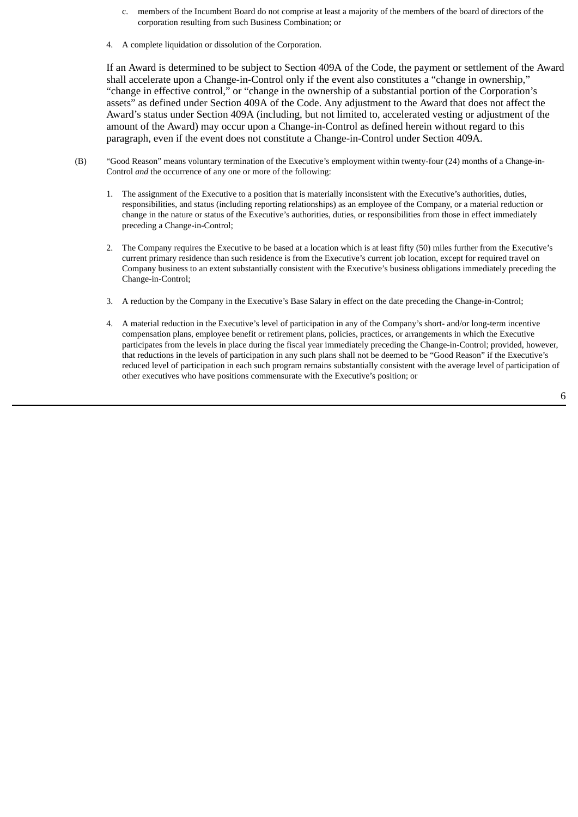- c. members of the Incumbent Board do not comprise at least a majority of the members of the board of directors of the corporation resulting from such Business Combination; or
- 4. A complete liquidation or dissolution of the Corporation.

If an Award is determined to be subject to Section 409A of the Code, the payment or settlement of the Award shall accelerate upon a Change-in-Control only if the event also constitutes a "change in ownership," "change in effective control," or "change in the ownership of a substantial portion of the Corporation's assets" as defined under Section 409A of the Code. Any adjustment to the Award that does not affect the Award's status under Section 409A (including, but not limited to, accelerated vesting or adjustment of the amount of the Award) may occur upon a Change-in-Control as defined herein without regard to this paragraph, even if the event does not constitute a Change-in-Control under Section 409A.

- (B) "Good Reason" means voluntary termination of the Executive's employment within twenty-four (24) months of a Change-in-Control *and* the occurrence of any one or more of the following:
	- 1. The assignment of the Executive to a position that is materially inconsistent with the Executive's authorities, duties, responsibilities, and status (including reporting relationships) as an employee of the Company, or a material reduction or change in the nature or status of the Executive's authorities, duties, or responsibilities from those in effect immediately preceding a Change-in-Control;
	- 2. The Company requires the Executive to be based at a location which is at least fifty (50) miles further from the Executive's current primary residence than such residence is from the Executive's current job location, except for required travel on Company business to an extent substantially consistent with the Executive's business obligations immediately preceding the Change-in-Control;
	- 3. A reduction by the Company in the Executive's Base Salary in effect on the date preceding the Change-in-Control;
	- 4. A material reduction in the Executive's level of participation in any of the Company's short- and/or long-term incentive compensation plans, employee benefit or retirement plans, policies, practices, or arrangements in which the Executive participates from the levels in place during the fiscal year immediately preceding the Change-in-Control; provided, however, that reductions in the levels of participation in any such plans shall not be deemed to be "Good Reason" if the Executive's reduced level of participation in each such program remains substantially consistent with the average level of participation of other executives who have positions commensurate with the Executive's position; or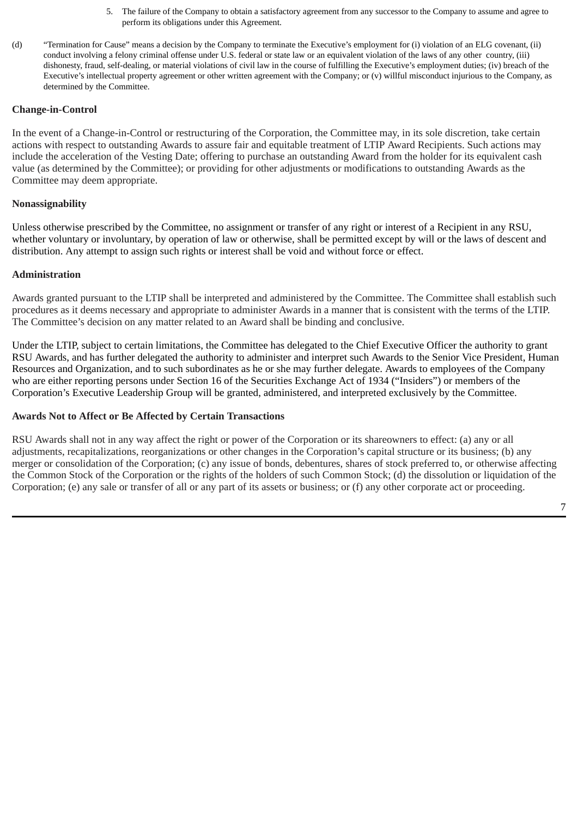- 5. The failure of the Company to obtain a satisfactory agreement from any successor to the Company to assume and agree to perform its obligations under this Agreement.
- (d) "Termination for Cause" means a decision by the Company to terminate the Executive's employment for (i) violation of an ELG covenant, (ii) conduct involving a felony criminal offense under U.S. federal or state law or an equivalent violation of the laws of any other country, (iii) dishonesty, fraud, self-dealing, or material violations of civil law in the course of fulfilling the Executive's employment duties; (iv) breach of the Executive's intellectual property agreement or other written agreement with the Company; or (v) willful misconduct injurious to the Company, as determined by the Committee.

# **Change-in-Control**

In the event of a Change-in-Control or restructuring of the Corporation, the Committee may, in its sole discretion, take certain actions with respect to outstanding Awards to assure fair and equitable treatment of LTIP Award Recipients. Such actions may include the acceleration of the Vesting Date; offering to purchase an outstanding Award from the holder for its equivalent cash value (as determined by the Committee); or providing for other adjustments or modifications to outstanding Awards as the Committee may deem appropriate.

# **Nonassignability**

Unless otherwise prescribed by the Committee, no assignment or transfer of any right or interest of a Recipient in any RSU, whether voluntary or involuntary, by operation of law or otherwise, shall be permitted except by will or the laws of descent and distribution. Any attempt to assign such rights or interest shall be void and without force or effect.

# **Administration**

Awards granted pursuant to the LTIP shall be interpreted and administered by the Committee. The Committee shall establish such procedures as it deems necessary and appropriate to administer Awards in a manner that is consistent with the terms of the LTIP. The Committee's decision on any matter related to an Award shall be binding and conclusive.

Under the LTIP, subject to certain limitations, the Committee has delegated to the Chief Executive Officer the authority to grant RSU Awards, and has further delegated the authority to administer and interpret such Awards to the Senior Vice President, Human Resources and Organization, and to such subordinates as he or she may further delegate. Awards to employees of the Company who are either reporting persons under Section 16 of the Securities Exchange Act of 1934 ("Insiders") or members of the Corporation's Executive Leadership Group will be granted, administered, and interpreted exclusively by the Committee.

# **Awards Not to Affect or Be Affected by Certain Transactions**

RSU Awards shall not in any way affect the right or power of the Corporation or its shareowners to effect: (a) any or all adjustments, recapitalizations, reorganizations or other changes in the Corporation's capital structure or its business; (b) any merger or consolidation of the Corporation; (c) any issue of bonds, debentures, shares of stock preferred to, or otherwise affecting the Common Stock of the Corporation or the rights of the holders of such Common Stock; (d) the dissolution or liquidation of the Corporation; (e) any sale or transfer of all or any part of its assets or business; or (f) any other corporate act or proceeding.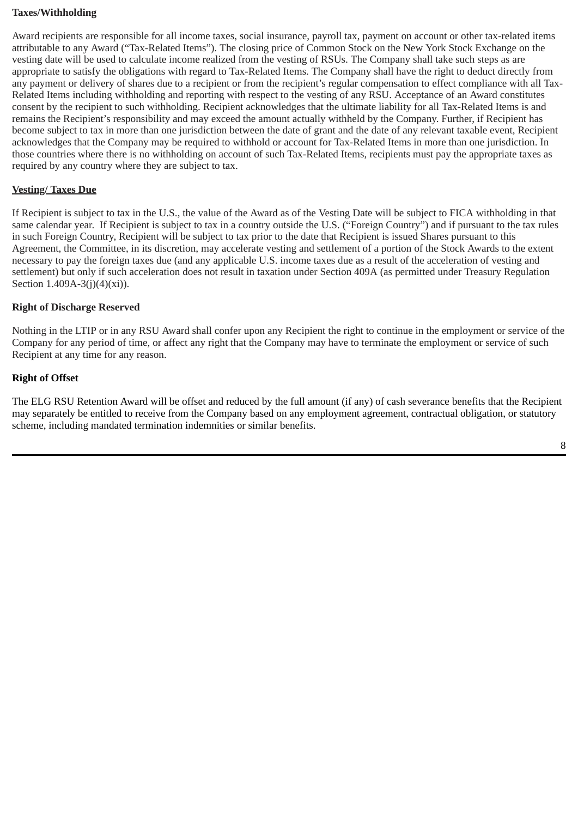# **Taxes/Withholding**

Award recipients are responsible for all income taxes, social insurance, payroll tax, payment on account or other tax-related items attributable to any Award ("Tax-Related Items"). The closing price of Common Stock on the New York Stock Exchange on the vesting date will be used to calculate income realized from the vesting of RSUs. The Company shall take such steps as are appropriate to satisfy the obligations with regard to Tax-Related Items. The Company shall have the right to deduct directly from any payment or delivery of shares due to a recipient or from the recipient's regular compensation to effect compliance with all Tax-Related Items including withholding and reporting with respect to the vesting of any RSU. Acceptance of an Award constitutes consent by the recipient to such withholding. Recipient acknowledges that the ultimate liability for all Tax-Related Items is and remains the Recipient's responsibility and may exceed the amount actually withheld by the Company. Further, if Recipient has become subject to tax in more than one jurisdiction between the date of grant and the date of any relevant taxable event, Recipient acknowledges that the Company may be required to withhold or account for Tax-Related Items in more than one jurisdiction. In those countries where there is no withholding on account of such Tax-Related Items, recipients must pay the appropriate taxes as required by any country where they are subject to tax.

# **Vesting/ Taxes Due**

If Recipient is subject to tax in the U.S., the value of the Award as of the Vesting Date will be subject to FICA withholding in that same calendar year. If Recipient is subject to tax in a country outside the U.S. ("Foreign Country") and if pursuant to the tax rules in such Foreign Country, Recipient will be subject to tax prior to the date that Recipient is issued Shares pursuant to this Agreement, the Committee, in its discretion, may accelerate vesting and settlement of a portion of the Stock Awards to the extent necessary to pay the foreign taxes due (and any applicable U.S. income taxes due as a result of the acceleration of vesting and settlement) but only if such acceleration does not result in taxation under Section 409A (as permitted under Treasury Regulation Section 1.409A-3(j)(4)(xi)).

# **Right of Discharge Reserved**

Nothing in the LTIP or in any RSU Award shall confer upon any Recipient the right to continue in the employment or service of the Company for any period of time, or affect any right that the Company may have to terminate the employment or service of such Recipient at any time for any reason.

# **Right of Offset**

The ELG RSU Retention Award will be offset and reduced by the full amount (if any) of cash severance benefits that the Recipient may separately be entitled to receive from the Company based on any employment agreement, contractual obligation, or statutory scheme, including mandated termination indemnities or similar benefits.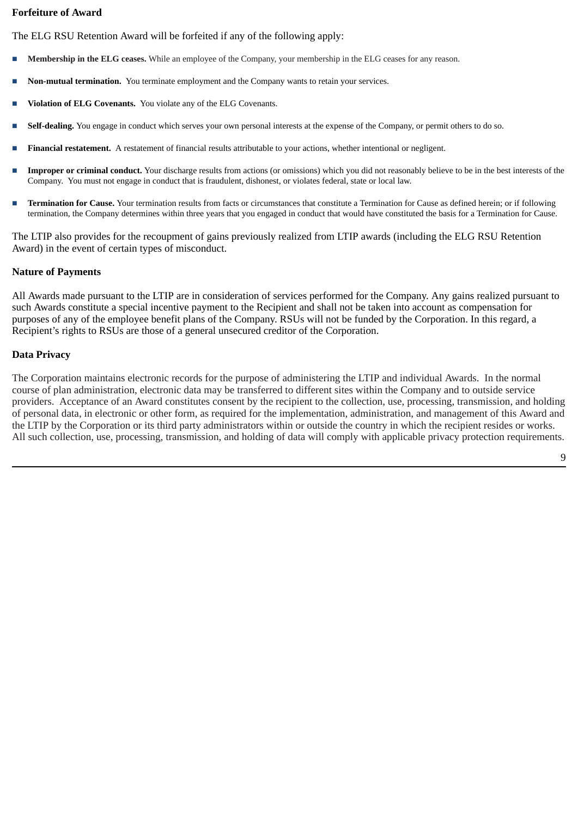# **Forfeiture of Award**

The ELG RSU Retention Award will be forfeited if any of the following apply:

- **Membership** in the ELG ceases. While an employee of the Company, your membership in the ELG ceases for any reason.
- **Non-mutual termination.** You terminate employment and the Company wants to retain your services.
- **Violation of ELG Covenants.** You violate any of the ELG Covenants.
- **Self-dealing.** You engage in conduct which serves your own personal interests at the expense of the Company, or permit others to do so.
- **Financial restatement.** A restatement of financial results attributable to your actions, whether intentional or negligent.
- **Improper or criminal conduct.** Your discharge results from actions (or omissions) which you did not reasonably believe to be in the best interests of the Company. You must not engage in conduct that is fraudulent, dishonest, or violates federal, state or local law.
- **Termination for Cause.** Your termination results from facts or circumstances that constitute a Termination for Cause as defined herein; or if following termination, the Company determines within three years that you engaged in conduct that would have constituted the basis for a Termination for Cause.

The LTIP also provides for the recoupment of gains previously realized from LTIP awards (including the ELG RSU Retention Award) in the event of certain types of misconduct.

# **Nature of Payments**

All Awards made pursuant to the LTIP are in consideration of services performed for the Company. Any gains realized pursuant to such Awards constitute a special incentive payment to the Recipient and shall not be taken into account as compensation for purposes of any of the employee benefit plans of the Company. RSUs will not be funded by the Corporation. In this regard, a Recipient's rights to RSUs are those of a general unsecured creditor of the Corporation.

# **Data Privacy**

The Corporation maintains electronic records for the purpose of administering the LTIP and individual Awards. In the normal course of plan administration, electronic data may be transferred to different sites within the Company and to outside service providers. Acceptance of an Award constitutes consent by the recipient to the collection, use, processing, transmission, and holding of personal data, in electronic or other form, as required for the implementation, administration, and management of this Award and the LTIP by the Corporation or its third party administrators within or outside the country in which the recipient resides or works. All such collection, use, processing, transmission, and holding of data will comply with applicable privacy protection requirements.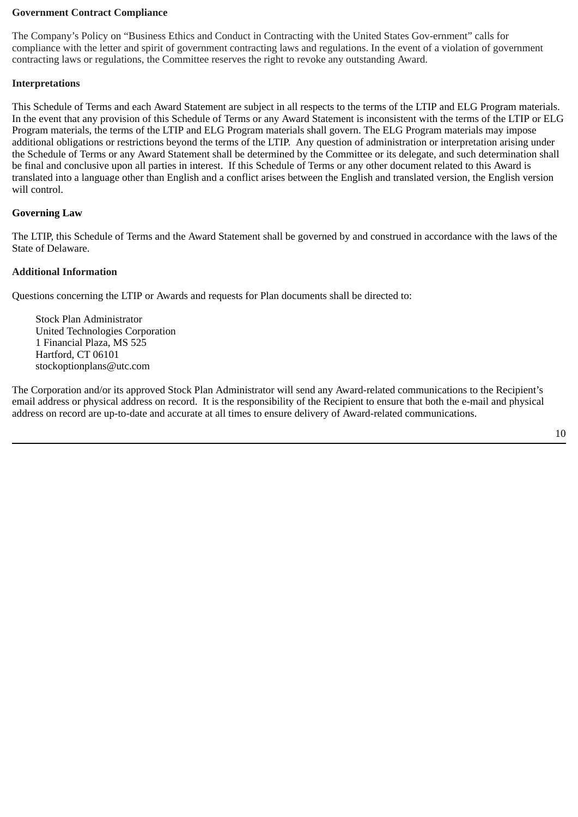# **Government Contract Compliance**

The Company's Policy on "Business Ethics and Conduct in Contracting with the United States Gov-ernment" calls for compliance with the letter and spirit of government contracting laws and regulations. In the event of a violation of government contracting laws or regulations, the Committee reserves the right to revoke any outstanding Award.

# **Interpretations**

This Schedule of Terms and each Award Statement are subject in all respects to the terms of the LTIP and ELG Program materials. In the event that any provision of this Schedule of Terms or any Award Statement is inconsistent with the terms of the LTIP or ELG Program materials, the terms of the LTIP and ELG Program materials shall govern. The ELG Program materials may impose additional obligations or restrictions beyond the terms of the LTIP. Any question of administration or interpretation arising under the Schedule of Terms or any Award Statement shall be determined by the Committee or its delegate, and such determination shall be final and conclusive upon all parties in interest. If this Schedule of Terms or any other document related to this Award is translated into a language other than English and a conflict arises between the English and translated version, the English version will control.

# **Governing Law**

The LTIP, this Schedule of Terms and the Award Statement shall be governed by and construed in accordance with the laws of the State of Delaware.

# **Additional Information**

Questions concerning the LTIP or Awards and requests for Plan documents shall be directed to:

Stock Plan Administrator United Technologies Corporation 1 Financial Plaza, MS 525 Hartford, CT 06101 stockoptionplans@utc.com

The Corporation and/or its approved Stock Plan Administrator will send any Award-related communications to the Recipient's email address or physical address on record. It is the responsibility of the Recipient to ensure that both the e-mail and physical address on record are up-to-date and accurate at all times to ensure delivery of Award-related communications.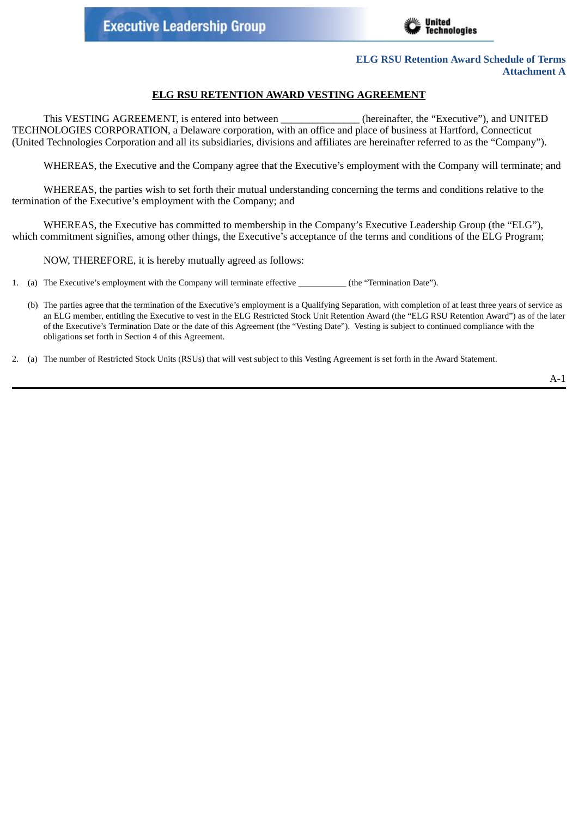# **ELG RSU Retention Award Schedule of Terms Attachment A**

# **ELG RSU RETENTION AWARD VESTING AGREEMENT**

This VESTING AGREEMENT, is entered into between \_\_\_\_\_\_\_\_\_\_\_\_\_\_\_\_(hereinafter, the "Executive"), and UNITED TECHNOLOGIES CORPORATION, a Delaware corporation, with an office and place of business at Hartford, Connecticut (United Technologies Corporation and all its subsidiaries, divisions and affiliates are hereinafter referred to as the "Company").

WHEREAS, the Executive and the Company agree that the Executive's employment with the Company will terminate; and

WHEREAS, the parties wish to set forth their mutual understanding concerning the terms and conditions relative to the termination of the Executive's employment with the Company; and

WHEREAS, the Executive has committed to membership in the Company's Executive Leadership Group (the "ELG"), which commitment signifies, among other things, the Executive's acceptance of the terms and conditions of the ELG Program;

NOW, THEREFORE, it is hereby mutually agreed as follows:

1. (a) The Executive's employment with the Company will terminate effective \_\_\_\_\_\_\_\_\_\_\_ (the "Termination Date").

- (b) The parties agree that the termination of the Executive's employment is a Qualifying Separation, with completion of at least three years of service as an ELG member, entitling the Executive to vest in the ELG Restricted Stock Unit Retention Award (the "ELG RSU Retention Award") as of the later of the Executive's Termination Date or the date of this Agreement (the "Vesting Date"). Vesting is subject to continued compliance with the obligations set forth in Section 4 of this Agreement.
- 2. (a) The number of Restricted Stock Units (RSUs) that will vest subject to this Vesting Agreement is set forth in the Award Statement.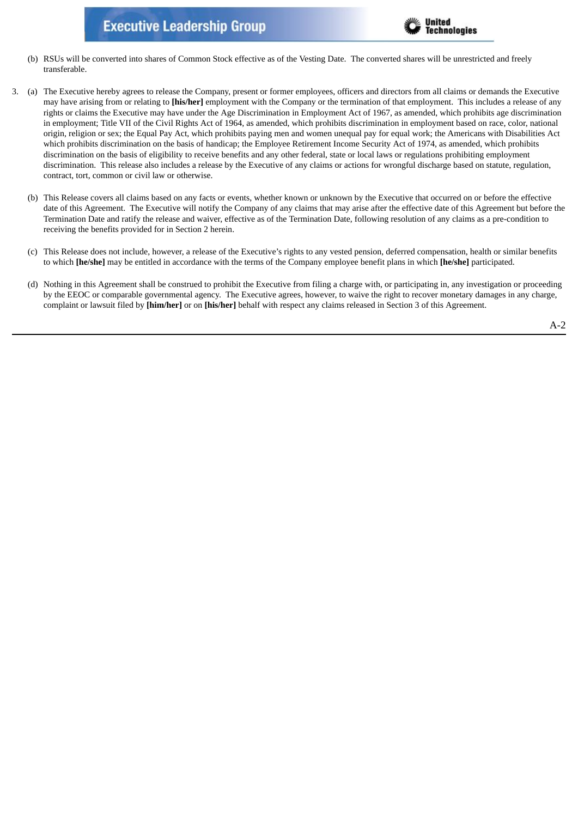

- (b) RSUs will be converted into shares of Common Stock effective as of the Vesting Date. The converted shares will be unrestricted and freely transferable.
- 3. (a) The Executive hereby agrees to release the Company, present or former employees, officers and directors from all claims or demands the Executive may have arising from or relating to **[his/her]** employment with the Company or the termination of that employment. This includes a release of any rights or claims the Executive may have under the Age Discrimination in Employment Act of 1967, as amended, which prohibits age discrimination in employment; Title VII of the Civil Rights Act of 1964, as amended, which prohibits discrimination in employment based on race, color, national origin, religion or sex; the Equal Pay Act, which prohibits paying men and women unequal pay for equal work; the Americans with Disabilities Act which prohibits discrimination on the basis of handicap; the Employee Retirement Income Security Act of 1974, as amended, which prohibits discrimination on the basis of eligibility to receive benefits and any other federal, state or local laws or regulations prohibiting employment discrimination. This release also includes a release by the Executive of any claims or actions for wrongful discharge based on statute, regulation, contract, tort, common or civil law or otherwise.
	- (b) This Release covers all claims based on any facts or events, whether known or unknown by the Executive that occurred on or before the effective date of this Agreement. The Executive will notify the Company of any claims that may arise after the effective date of this Agreement but before the Termination Date and ratify the release and waiver, effective as of the Termination Date, following resolution of any claims as a pre-condition to receiving the benefits provided for in Section 2 herein.
	- (c) This Release does not include, however, a release of the Executive's rights to any vested pension, deferred compensation, health or similar benefits to which **[he/she]** may be entitled in accordance with the terms of the Company employee benefit plans in which **[he/she]** participated.
	- (d) Nothing in this Agreement shall be construed to prohibit the Executive from filing a charge with, or participating in, any investigation or proceeding by the EEOC or comparable governmental agency. The Executive agrees, however, to waive the right to recover monetary damages in any charge, complaint or lawsuit filed by **[him/her]** or on **[his/her]** behalf with respect any claims released in Section 3 of this Agreement.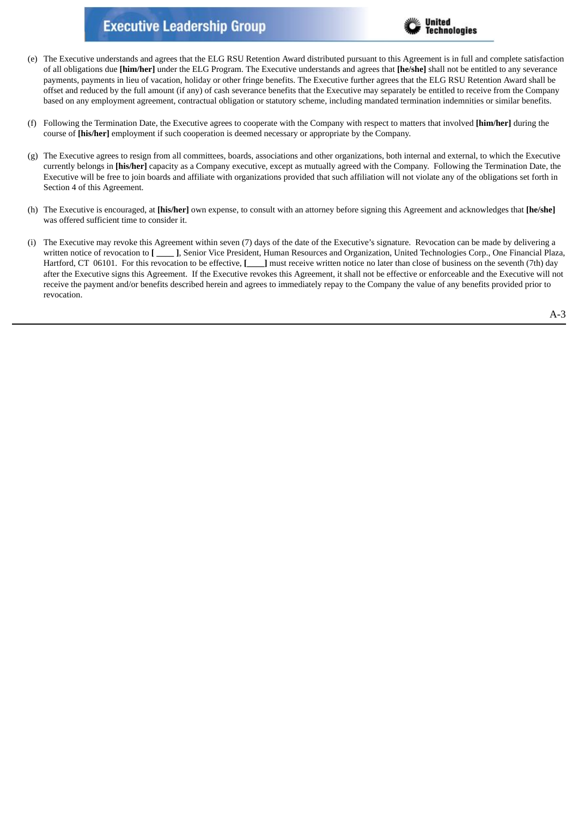

- (e) The Executive understands and agrees that the ELG RSU Retention Award distributed pursuant to this Agreement is in full and complete satisfaction of all obligations due **[him/her]** under the ELG Program. The Executive understands and agrees that **[he/she]** shall not be entitled to any severance payments, payments in lieu of vacation, holiday or other fringe benefits. The Executive further agrees that the ELG RSU Retention Award shall be offset and reduced by the full amount (if any) of cash severance benefits that the Executive may separately be entitled to receive from the Company based on any employment agreement, contractual obligation or statutory scheme, including mandated termination indemnities or similar benefits.
- (f) Following the Termination Date, the Executive agrees to cooperate with the Company with respect to matters that involved **[him/her]** during the course of **[his/her]** employment if such cooperation is deemed necessary or appropriate by the Company.
- (g) The Executive agrees to resign from all committees, boards, associations and other organizations, both internal and external, to which the Executive currently belongs in **[his/her]** capacity as a Company executive, except as mutually agreed with the Company. Following the Termination Date, the Executive will be free to join boards and affiliate with organizations provided that such affiliation will not violate any of the obligations set forth in Section 4 of this Agreement.
- (h) The Executive is encouraged, at **[his/her]** own expense, to consult with an attorney before signing this Agreement and acknowledges that **[he/she]** was offered sufficient time to consider it.
- (i) The Executive may revoke this Agreement within seven (7) days of the date of the Executive's signature. Revocation can be made by delivering a written notice of revocation to **[ \_\_\_\_ ]**, Senior Vice President, Human Resources and Organization, United Technologies Corp., One Financial Plaza, Hartford, CT 06101. For this revocation to be effective, **[\_\_\_\_]** must receive written notice no later than close of business on the seventh (7th) day after the Executive signs this Agreement. If the Executive revokes this Agreement, it shall not be effective or enforceable and the Executive will not receive the payment and/or benefits described herein and agrees to immediately repay to the Company the value of any benefits provided prior to revocation.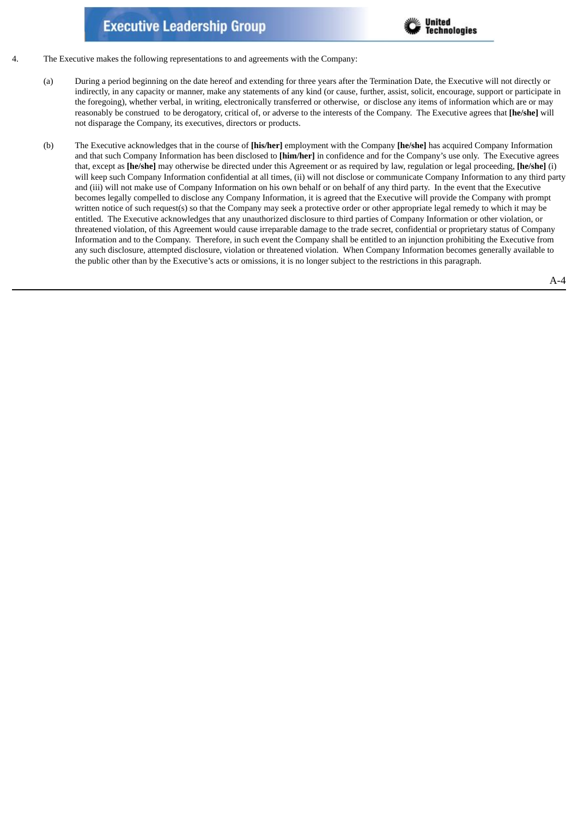

- 4. The Executive makes the following representations to and agreements with the Company:
	- (a) During a period beginning on the date hereof and extending for three years after the Termination Date, the Executive will not directly or indirectly, in any capacity or manner, make any statements of any kind (or cause, further, assist, solicit, encourage, support or participate in the foregoing), whether verbal, in writing, electronically transferred or otherwise, or disclose any items of information which are or may reasonably be construed to be derogatory, critical of, or adverse to the interests of the Company. The Executive agrees that **[he/she]** will not disparage the Company, its executives, directors or products.
	- (b) The Executive acknowledges that in the course of **[his/her]** employment with the Company **[he/she]** has acquired Company Information and that such Company Information has been disclosed to **[him/her]** in confidence and for the Company's use only. The Executive agrees that, except as **[he/she]** may otherwise be directed under this Agreement or as required by law, regulation or legal proceeding, **[he/she]** (i) will keep such Company Information confidential at all times, (ii) will not disclose or communicate Company Information to any third party and (iii) will not make use of Company Information on his own behalf or on behalf of any third party. In the event that the Executive becomes legally compelled to disclose any Company Information, it is agreed that the Executive will provide the Company with prompt written notice of such request(s) so that the Company may seek a protective order or other appropriate legal remedy to which it may be entitled. The Executive acknowledges that any unauthorized disclosure to third parties of Company Information or other violation, or threatened violation, of this Agreement would cause irreparable damage to the trade secret, confidential or proprietary status of Company Information and to the Company. Therefore, in such event the Company shall be entitled to an injunction prohibiting the Executive from any such disclosure, attempted disclosure, violation or threatened violation. When Company Information becomes generally available to the public other than by the Executive's acts or omissions, it is no longer subject to the restrictions in this paragraph.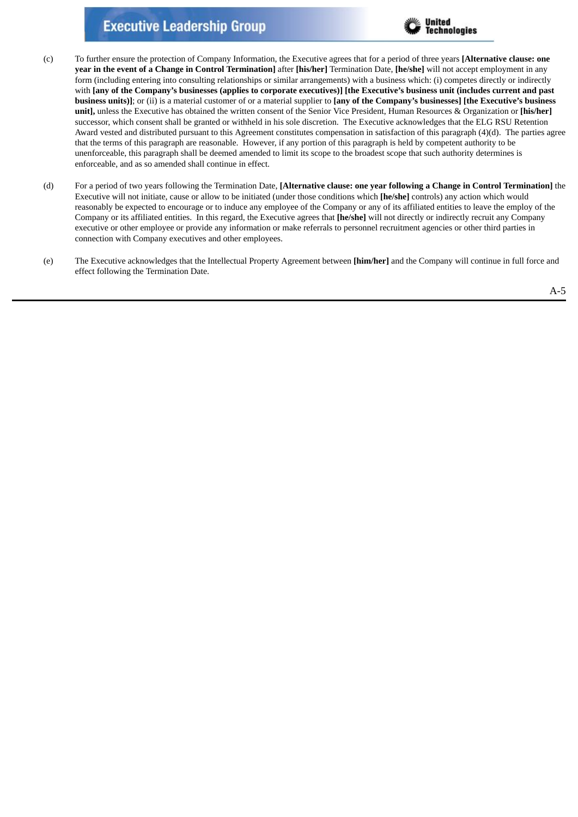

- (c) To further ensure the protection of Company Information, the Executive agrees that for a period of three years **[Alternative clause: one year in the event of a Change in Control Termination]** after **[his/her]** Termination Date, **[he/she]** will not accept employment in any form (including entering into consulting relationships or similar arrangements) with a business which: (i) competes directly or indirectly with [any of the Company's businesses (applies to corporate executives)] [the Executive's business unit (includes current and past **business units)]**; or (ii) is a material customer of or a material supplier to **[any of the Company's businesses] [the Executive's business unit],** unless the Executive has obtained the written consent of the Senior Vice President, Human Resources & Organization or **[his/her]** successor, which consent shall be granted or withheld in his sole discretion. The Executive acknowledges that the ELG RSU Retention Award vested and distributed pursuant to this Agreement constitutes compensation in satisfaction of this paragraph (4)(d). The parties agree that the terms of this paragraph are reasonable. However, if any portion of this paragraph is held by competent authority to be unenforceable, this paragraph shall be deemed amended to limit its scope to the broadest scope that such authority determines is enforceable, and as so amended shall continue in effect.
- (d) For a period of two years following the Termination Date, **[Alternative clause: one year following a Change in Control Termination]** the Executive will not initiate, cause or allow to be initiated (under those conditions which **[he/she]** controls) any action which would reasonably be expected to encourage or to induce any employee of the Company or any of its affiliated entities to leave the employ of the Company or its affiliated entities. In this regard, the Executive agrees that **[he/she]** will not directly or indirectly recruit any Company executive or other employee or provide any information or make referrals to personnel recruitment agencies or other third parties in connection with Company executives and other employees.
- (e) The Executive acknowledges that the Intellectual Property Agreement between **[him/her]** and the Company will continue in full force and effect following the Termination Date.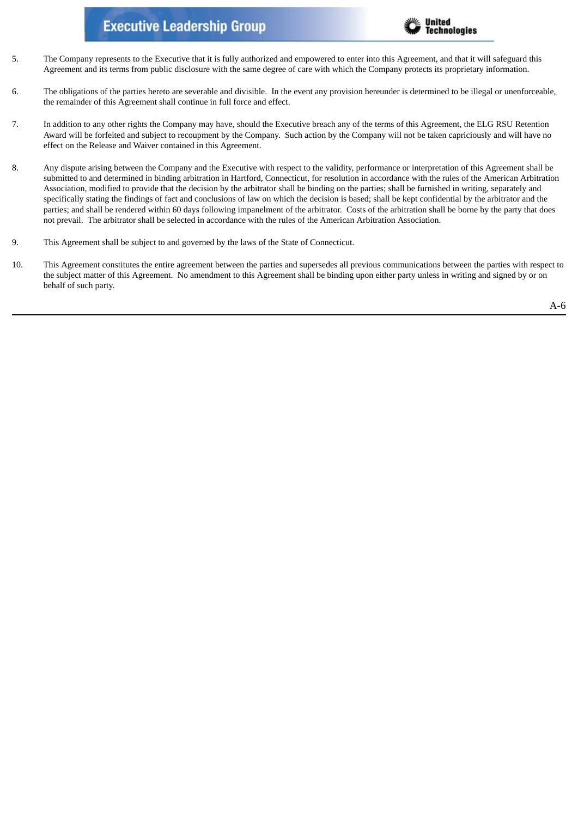

- 5. The Company represents to the Executive that it is fully authorized and empowered to enter into this Agreement, and that it will safeguard this Agreement and its terms from public disclosure with the same degree of care with which the Company protects its proprietary information.
- 6. The obligations of the parties hereto are severable and divisible. In the event any provision hereunder is determined to be illegal or unenforceable, the remainder of this Agreement shall continue in full force and effect.
- 7. In addition to any other rights the Company may have, should the Executive breach any of the terms of this Agreement, the ELG RSU Retention Award will be forfeited and subject to recoupment by the Company. Such action by the Company will not be taken capriciously and will have no effect on the Release and Waiver contained in this Agreement.
- 8. Any dispute arising between the Company and the Executive with respect to the validity, performance or interpretation of this Agreement shall be submitted to and determined in binding arbitration in Hartford, Connecticut, for resolution in accordance with the rules of the American Arbitration Association, modified to provide that the decision by the arbitrator shall be binding on the parties; shall be furnished in writing, separately and specifically stating the findings of fact and conclusions of law on which the decision is based; shall be kept confidential by the arbitrator and the parties; and shall be rendered within 60 days following impanelment of the arbitrator. Costs of the arbitration shall be borne by the party that does not prevail. The arbitrator shall be selected in accordance with the rules of the American Arbitration Association.
- 9. This Agreement shall be subject to and governed by the laws of the State of Connecticut.
- 10. This Agreement constitutes the entire agreement between the parties and supersedes all previous communications between the parties with respect to the subject matter of this Agreement. No amendment to this Agreement shall be binding upon either party unless in writing and signed by or on behalf of such party.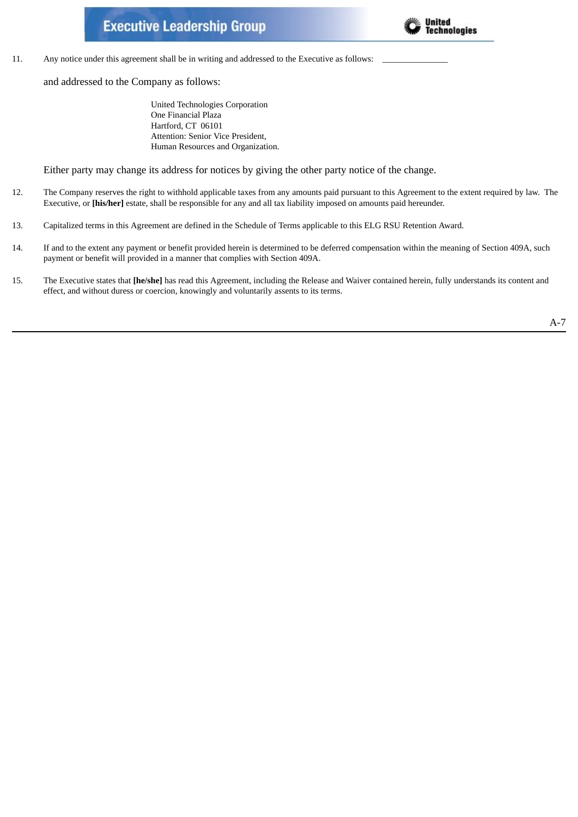

11. Any notice under this agreement shall be in writing and addressed to the Executive as follows:

and addressed to the Company as follows:

United Technologies Corporation One Financial Plaza Hartford, CT 06101 Attention: Senior Vice President, Human Resources and Organization.

Either party may change its address for notices by giving the other party notice of the change.

- 12. The Company reserves the right to withhold applicable taxes from any amounts paid pursuant to this Agreement to the extent required by law. The Executive, or **[his/her]** estate, shall be responsible for any and all tax liability imposed on amounts paid hereunder.
- 13. Capitalized terms in this Agreement are defined in the Schedule of Terms applicable to this ELG RSU Retention Award.
- 14. If and to the extent any payment or benefit provided herein is determined to be deferred compensation within the meaning of Section 409A, such payment or benefit will provided in a manner that complies with Section 409A.
- 15. The Executive states that **[he/she]** has read this Agreement, including the Release and Waiver contained herein, fully understands its content and effect, and without duress or coercion, knowingly and voluntarily assents to its terms.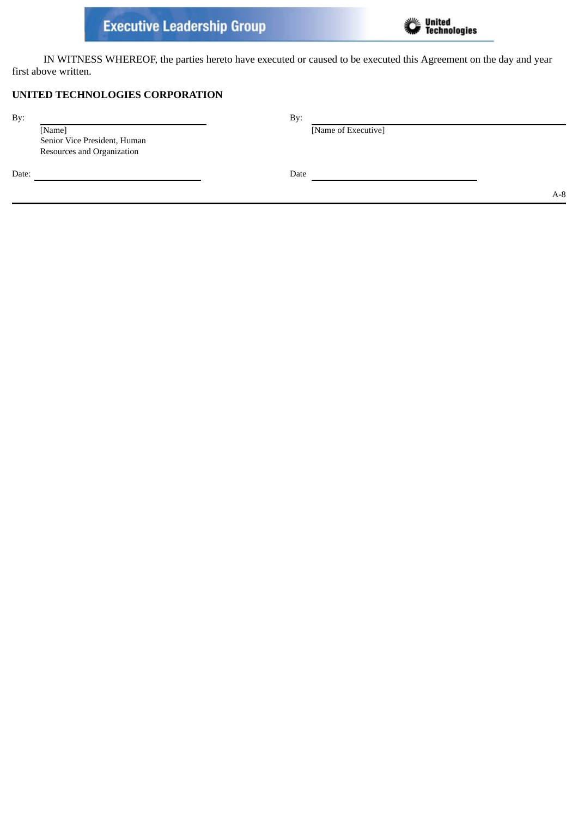

IN WITNESS WHEREOF, the parties hereto have executed or caused to be executed this Agreement on the day and year first above written.

# **UNITED TECHNOLOGIES CORPORATION**

| By: | By: |
|-----|-----|
|     |     |

[Name] [Name of Executive] Senior Vice President, Human Resources and Organization

Date: Date: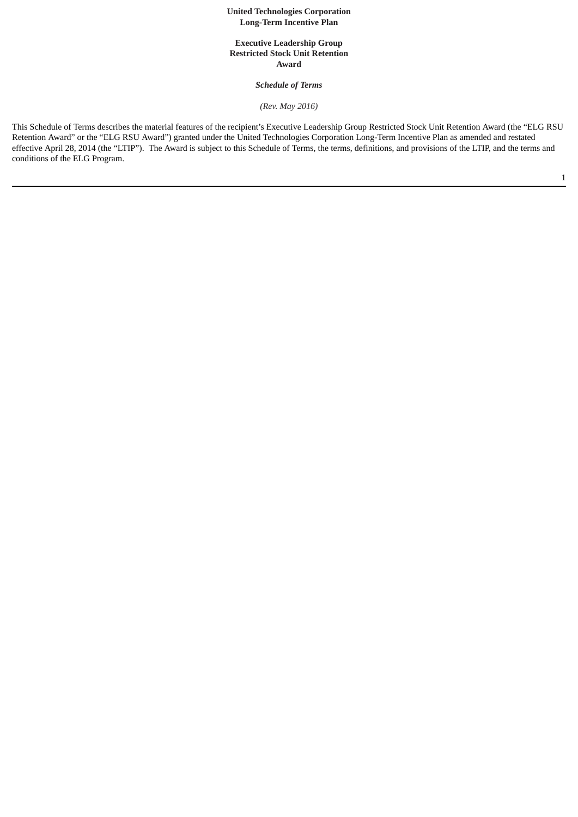## **United Technologies Corporation Long-Term Incentive Plan**

## **Executive Leadership Group Restricted Stock Unit Retention Award**

# *Schedule of Terms*

*(Rev. May 2016)*

This Schedule of Terms describes the material features of the recipient's Executive Leadership Group Restricted Stock Unit Retention Award (the "ELG RSU Retention Award" or the "ELG RSU Award") granted under the United Technologies Corporation Long-Term Incentive Plan as amended and restated effective April 28, 2014 (the "LTIP"). The Award is subject to this Schedule of Terms, the terms, definitions, and provisions of the LTIP, and the terms and conditions of the ELG Program.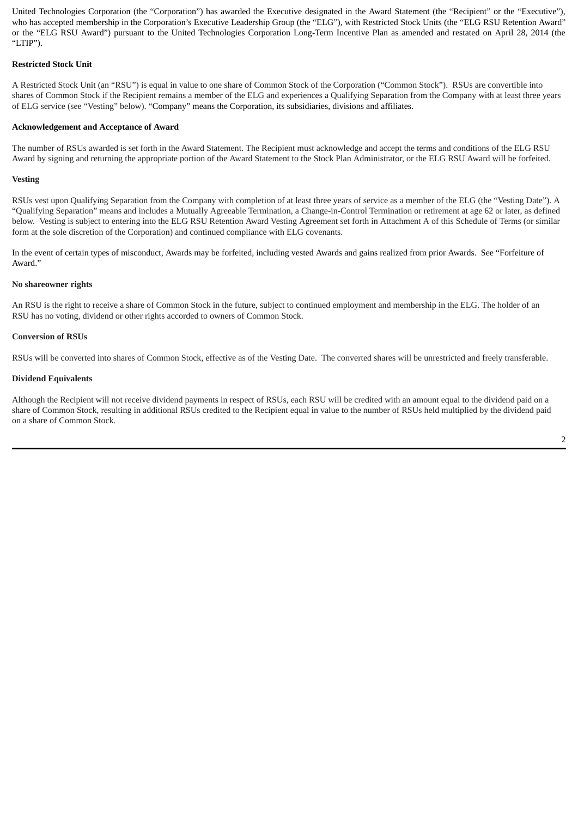United Technologies Corporation (the "Corporation") has awarded the Executive designated in the Award Statement (the "Recipient" or the "Executive"), who has accepted membership in the Corporation's Executive Leadership Group (the "ELG"), with Restricted Stock Units (the "ELG RSU Retention Award" or the "ELG RSU Award") pursuant to the United Technologies Corporation Long-Term Incentive Plan as amended and restated on April 28, 2014 (the "LTIP").

## **Restricted Stock Unit**

A Restricted Stock Unit (an "RSU") is equal in value to one share of Common Stock of the Corporation ("Common Stock"). RSUs are convertible into shares of Common Stock if the Recipient remains a member of the ELG and experiences a Qualifying Separation from the Company with at least three years of ELG service (see "Vesting" below). "Company" means the Corporation, its subsidiaries, divisions and affiliates.

## **Acknowledgement and Acceptance of Award**

The number of RSUs awarded is set forth in the Award Statement. The Recipient must acknowledge and accept the terms and conditions of the ELG RSU Award by signing and returning the appropriate portion of the Award Statement to the Stock Plan Administrator, or the ELG RSU Award will be forfeited.

## **Vesting**

RSUs vest upon Qualifying Separation from the Company with completion of at least three years of service as a member of the ELG (the "Vesting Date"). A "Qualifying Separation" means and includes a Mutually Agreeable Termination, a Change-in-Control Termination or retirement at age 62 or later, as defined below. Vesting is subject to entering into the ELG RSU Retention Award Vesting Agreement set forth in Attachment A of this Schedule of Terms (or similar form at the sole discretion of the Corporation) and continued compliance with ELG covenants.

In the event of certain types of misconduct, Awards may be forfeited, including vested Awards and gains realized from prior Awards. See "Forfeiture of Award."

## **No shareowner rights**

An RSU is the right to receive a share of Common Stock in the future, subject to continued employment and membership in the ELG. The holder of an RSU has no voting, dividend or other rights accorded to owners of Common Stock.

#### **Conversion of RSUs**

RSUs will be converted into shares of Common Stock, effective as of the Vesting Date. The converted shares will be unrestricted and freely transferable.

### **Dividend Equivalents**

Although the Recipient will not receive dividend payments in respect of RSUs, each RSU will be credited with an amount equal to the dividend paid on a share of Common Stock, resulting in additional RSUs credited to the Recipient equal in value to the number of RSUs held multiplied by the dividend paid on a share of Common Stock.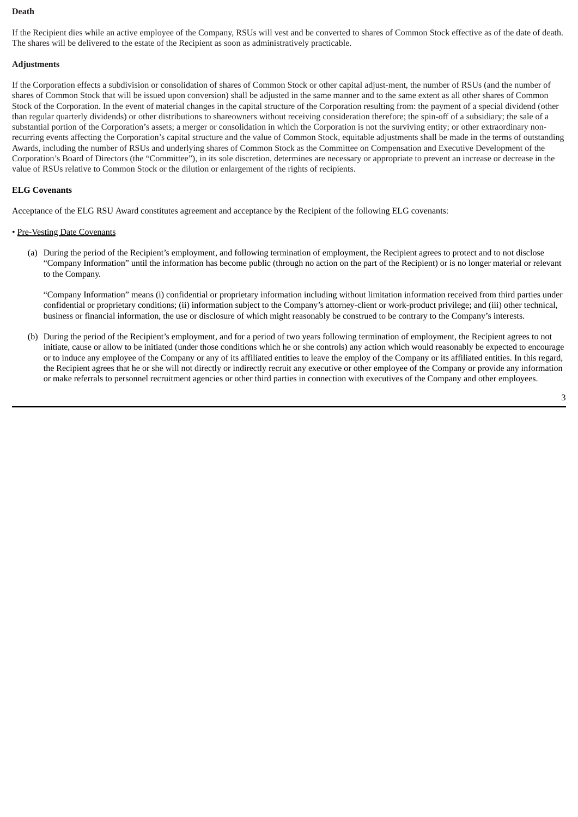# **Death**

If the Recipient dies while an active employee of the Company, RSUs will vest and be converted to shares of Common Stock effective as of the date of death. The shares will be delivered to the estate of the Recipient as soon as administratively practicable.

# **Adjustments**

If the Corporation effects a subdivision or consolidation of shares of Common Stock or other capital adjust-ment, the number of RSUs (and the number of shares of Common Stock that will be issued upon conversion) shall be adjusted in the same manner and to the same extent as all other shares of Common Stock of the Corporation. In the event of material changes in the capital structure of the Corporation resulting from: the payment of a special dividend (other than regular quarterly dividends) or other distributions to shareowners without receiving consideration therefore; the spin-off of a subsidiary; the sale of a substantial portion of the Corporation's assets; a merger or consolidation in which the Corporation is not the surviving entity; or other extraordinary nonrecurring events affecting the Corporation's capital structure and the value of Common Stock, equitable adjustments shall be made in the terms of outstanding Awards, including the number of RSUs and underlying shares of Common Stock as the Committee on Compensation and Executive Development of the Corporation's Board of Directors (the "Committee"), in its sole discretion, determines are necessary or appropriate to prevent an increase or decrease in the value of RSUs relative to Common Stock or the dilution or enlargement of the rights of recipients.

## **ELG Covenants**

Acceptance of the ELG RSU Award constitutes agreement and acceptance by the Recipient of the following ELG covenants:

## • Pre-Vesting Date Covenants

(a) During the period of the Recipient's employment, and following termination of employment, the Recipient agrees to protect and to not disclose "Company Information" until the information has become public (through no action on the part of the Recipient) or is no longer material or relevant to the Company.

"Company Information" means (i) confidential or proprietary information including without limitation information received from third parties under confidential or proprietary conditions; (ii) information subject to the Company's attorney-client or work-product privilege; and (iii) other technical, business or financial information, the use or disclosure of which might reasonably be construed to be contrary to the Company's interests.

(b) During the period of the Recipient's employment, and for a period of two years following termination of employment, the Recipient agrees to not initiate, cause or allow to be initiated (under those conditions which he or she controls) any action which would reasonably be expected to encourage or to induce any employee of the Company or any of its affiliated entities to leave the employ of the Company or its affiliated entities. In this regard, the Recipient agrees that he or she will not directly or indirectly recruit any executive or other employee of the Company or provide any information or make referrals to personnel recruitment agencies or other third parties in connection with executives of the Company and other employees.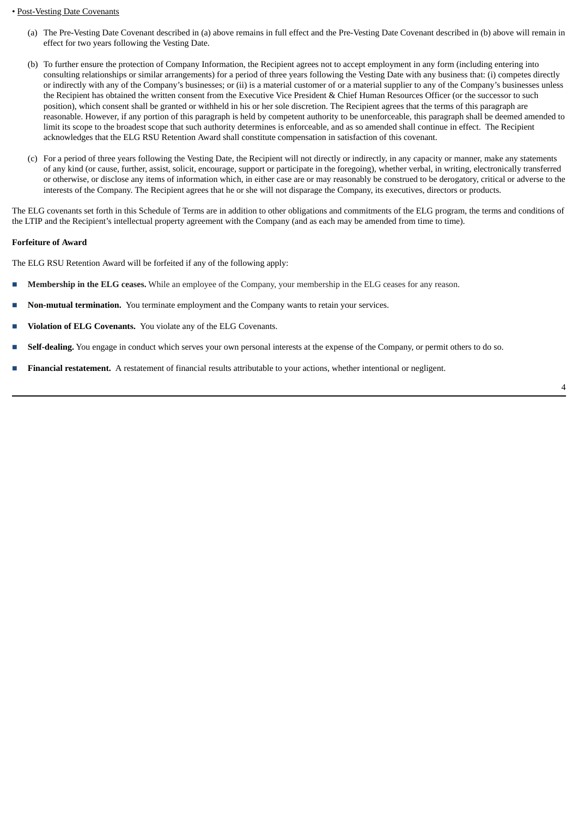#### • Post-Vesting Date Covenants

- (a) The Pre-Vesting Date Covenant described in (a) above remains in full effect and the Pre-Vesting Date Covenant described in (b) above will remain in effect for two years following the Vesting Date.
- (b) To further ensure the protection of Company Information, the Recipient agrees not to accept employment in any form (including entering into consulting relationships or similar arrangements) for a period of three years following the Vesting Date with any business that: (i) competes directly or indirectly with any of the Company's businesses; or (ii) is a material customer of or a material supplier to any of the Company's businesses unless the Recipient has obtained the written consent from the Executive Vice President & Chief Human Resources Officer (or the successor to such position), which consent shall be granted or withheld in his or her sole discretion. The Recipient agrees that the terms of this paragraph are reasonable. However, if any portion of this paragraph is held by competent authority to be unenforceable, this paragraph shall be deemed amended to limit its scope to the broadest scope that such authority determines is enforceable, and as so amended shall continue in effect. The Recipient acknowledges that the ELG RSU Retention Award shall constitute compensation in satisfaction of this covenant.
- (c) For a period of three years following the Vesting Date, the Recipient will not directly or indirectly, in any capacity or manner, make any statements of any kind (or cause, further, assist, solicit, encourage, support or participate in the foregoing), whether verbal, in writing, electronically transferred or otherwise, or disclose any items of information which, in either case are or may reasonably be construed to be derogatory, critical or adverse to the interests of the Company. The Recipient agrees that he or she will not disparage the Company, its executives, directors or products.

The ELG covenants set forth in this Schedule of Terms are in addition to other obligations and commitments of the ELG program, the terms and conditions of the LTIP and the Recipient's intellectual property agreement with the Company (and as each may be amended from time to time).

### **Forfeiture of Award**

The ELG RSU Retention Award will be forfeited if any of the following apply:

- **Membership** in the ELG ceases. While an employee of the Company, your membership in the ELG ceases for any reason.
- **Non-mutual termination.** You terminate employment and the Company wants to retain your services.
- **Violation of ELG Covenants.** You violate any of the ELG Covenants.
- **Self-dealing.** You engage in conduct which serves your own personal interests at the expense of the Company, or permit others to do so.
- **Financial restatement.** A restatement of financial results attributable to your actions, whether intentional or negligent.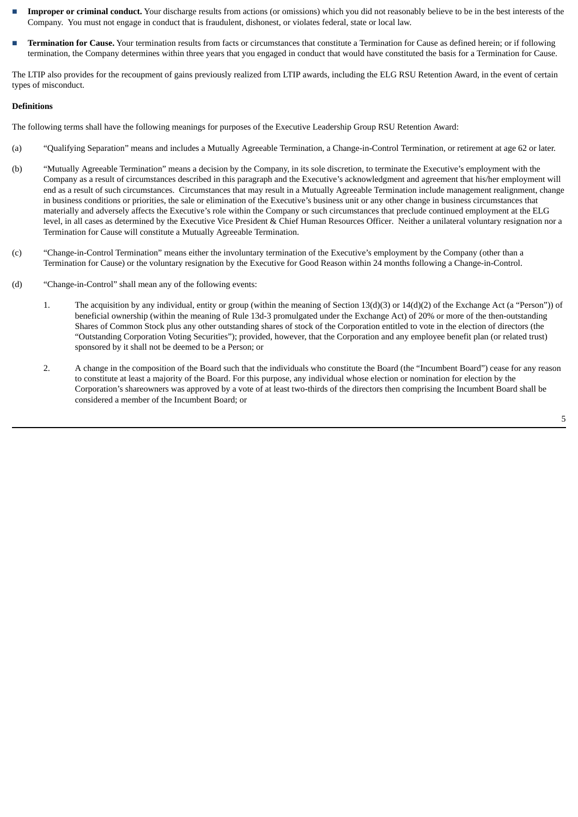- **Improper or criminal conduct.** Your discharge results from actions (or omissions) which you did not reasonably believe to be in the best interests of the Company. You must not engage in conduct that is fraudulent, dishonest, or violates federal, state or local law.
- **Termination for Cause.** Your termination results from facts or circumstances that constitute a Termination for Cause as defined herein; or if following termination, the Company determines within three years that you engaged in conduct that would have constituted the basis for a Termination for Cause.

The LTIP also provides for the recoupment of gains previously realized from LTIP awards, including the ELG RSU Retention Award, in the event of certain types of misconduct.

## **Definitions**

The following terms shall have the following meanings for purposes of the Executive Leadership Group RSU Retention Award:

- (a) "Qualifying Separation" means and includes a Mutually Agreeable Termination, a Change-in-Control Termination, or retirement at age 62 or later.
- (b) "Mutually Agreeable Termination" means a decision by the Company, in its sole discretion, to terminate the Executive's employment with the Company as a result of circumstances described in this paragraph and the Executive's acknowledgment and agreement that his/her employment will end as a result of such circumstances. Circumstances that may result in a Mutually Agreeable Termination include management realignment, change in business conditions or priorities, the sale or elimination of the Executive's business unit or any other change in business circumstances that materially and adversely affects the Executive's role within the Company or such circumstances that preclude continued employment at the ELG level, in all cases as determined by the Executive Vice President & Chief Human Resources Officer. Neither a unilateral voluntary resignation nor a Termination for Cause will constitute a Mutually Agreeable Termination.
- (c) "Change-in-Control Termination" means either the involuntary termination of the Executive's employment by the Company (other than a Termination for Cause) or the voluntary resignation by the Executive for Good Reason within 24 months following a Change-in-Control.
- (d) "Change-in-Control" shall mean any of the following events:
	- 1. The acquisition by any individual, entity or group (within the meaning of Section 13(d)(3) or 14(d)(2) of the Exchange Act (a "Person")) of beneficial ownership (within the meaning of Rule 13d-3 promulgated under the Exchange Act) of 20% or more of the then-outstanding Shares of Common Stock plus any other outstanding shares of stock of the Corporation entitled to vote in the election of directors (the "Outstanding Corporation Voting Securities"); provided, however, that the Corporation and any employee benefit plan (or related trust) sponsored by it shall not be deemed to be a Person; or
	- 2. A change in the composition of the Board such that the individuals who constitute the Board (the "Incumbent Board") cease for any reason to constitute at least a majority of the Board. For this purpose, any individual whose election or nomination for election by the Corporation's shareowners was approved by a vote of at least two-thirds of the directors then comprising the Incumbent Board shall be considered a member of the Incumbent Board; or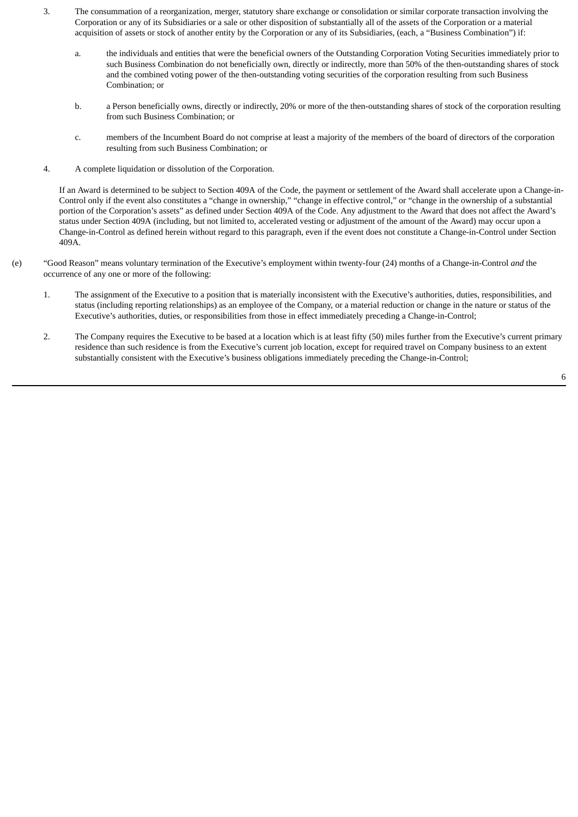- 3. The consummation of a reorganization, merger, statutory share exchange or consolidation or similar corporate transaction involving the Corporation or any of its Subsidiaries or a sale or other disposition of substantially all of the assets of the Corporation or a material acquisition of assets or stock of another entity by the Corporation or any of its Subsidiaries, (each, a "Business Combination") if:
	- a. the individuals and entities that were the beneficial owners of the Outstanding Corporation Voting Securities immediately prior to such Business Combination do not beneficially own, directly or indirectly, more than 50% of the then-outstanding shares of stock and the combined voting power of the then-outstanding voting securities of the corporation resulting from such Business Combination; or
	- b. a Person beneficially owns, directly or indirectly, 20% or more of the then-outstanding shares of stock of the corporation resulting from such Business Combination; or
	- c. members of the Incumbent Board do not comprise at least a majority of the members of the board of directors of the corporation resulting from such Business Combination; or
- 4. A complete liquidation or dissolution of the Corporation.

If an Award is determined to be subject to Section 409A of the Code, the payment or settlement of the Award shall accelerate upon a Change-in-Control only if the event also constitutes a "change in ownership," "change in effective control," or "change in the ownership of a substantial portion of the Corporation's assets" as defined under Section 409A of the Code. Any adjustment to the Award that does not affect the Award's status under Section 409A (including, but not limited to, accelerated vesting or adjustment of the amount of the Award) may occur upon a Change-in-Control as defined herein without regard to this paragraph, even if the event does not constitute a Change-in-Control under Section 409A.

- (e) "Good Reason" means voluntary termination of the Executive's employment within twenty-four (24) months of a Change-in-Control *and* the occurrence of any one or more of the following:
	- 1. The assignment of the Executive to a position that is materially inconsistent with the Executive's authorities, duties, responsibilities, and status (including reporting relationships) as an employee of the Company, or a material reduction or change in the nature or status of the Executive's authorities, duties, or responsibilities from those in effect immediately preceding a Change-in-Control;
	- 2. The Company requires the Executive to be based at a location which is at least fifty (50) miles further from the Executive's current primary residence than such residence is from the Executive's current job location, except for required travel on Company business to an extent substantially consistent with the Executive's business obligations immediately preceding the Change-in-Control;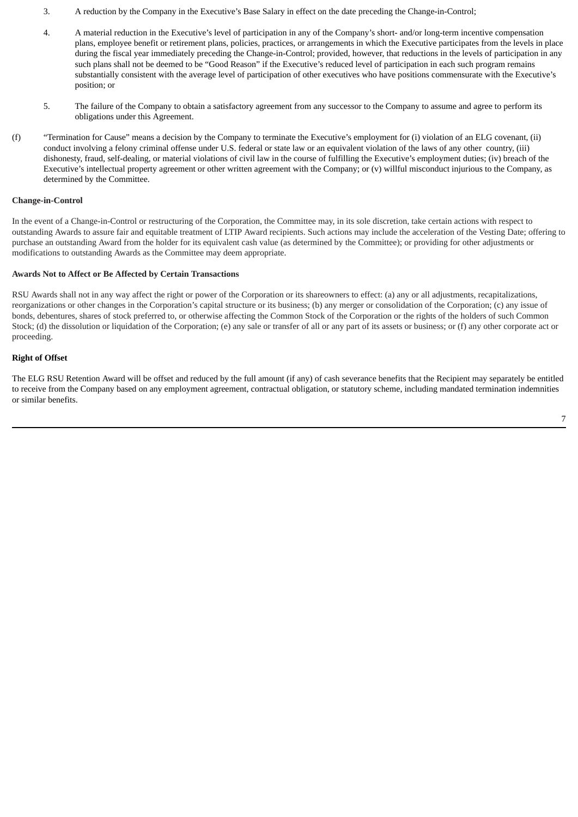- 3. A reduction by the Company in the Executive's Base Salary in effect on the date preceding the Change-in-Control;
- 4. A material reduction in the Executive's level of participation in any of the Company's short- and/or long-term incentive compensation plans, employee benefit or retirement plans, policies, practices, or arrangements in which the Executive participates from the levels in place during the fiscal year immediately preceding the Change-in-Control; provided, however, that reductions in the levels of participation in any such plans shall not be deemed to be "Good Reason" if the Executive's reduced level of participation in each such program remains substantially consistent with the average level of participation of other executives who have positions commensurate with the Executive's position; or
- 5. The failure of the Company to obtain a satisfactory agreement from any successor to the Company to assume and agree to perform its obligations under this Agreement.
- (f) "Termination for Cause" means a decision by the Company to terminate the Executive's employment for (i) violation of an ELG covenant, (ii) conduct involving a felony criminal offense under U.S. federal or state law or an equivalent violation of the laws of any other country, (iii) dishonesty, fraud, self-dealing, or material violations of civil law in the course of fulfilling the Executive's employment duties; (iv) breach of the Executive's intellectual property agreement or other written agreement with the Company; or (v) willful misconduct injurious to the Company, as determined by the Committee.

#### **Change-in-Control**

In the event of a Change-in-Control or restructuring of the Corporation, the Committee may, in its sole discretion, take certain actions with respect to outstanding Awards to assure fair and equitable treatment of LTIP Award recipients. Such actions may include the acceleration of the Vesting Date; offering to purchase an outstanding Award from the holder for its equivalent cash value (as determined by the Committee); or providing for other adjustments or modifications to outstanding Awards as the Committee may deem appropriate.

### **Awards Not to Affect or Be Affected by Certain Transactions**

RSU Awards shall not in any way affect the right or power of the Corporation or its shareowners to effect: (a) any or all adjustments, recapitalizations, reorganizations or other changes in the Corporation's capital structure or its business; (b) any merger or consolidation of the Corporation; (c) any issue of bonds, debentures, shares of stock preferred to, or otherwise affecting the Common Stock of the Corporation or the rights of the holders of such Common Stock; (d) the dissolution or liquidation of the Corporation; (e) any sale or transfer of all or any part of its assets or business; or (f) any other corporate act or proceeding.

## **Right of Offset**

The ELG RSU Retention Award will be offset and reduced by the full amount (if any) of cash severance benefits that the Recipient may separately be entitled to receive from the Company based on any employment agreement, contractual obligation, or statutory scheme, including mandated termination indemnities or similar benefits.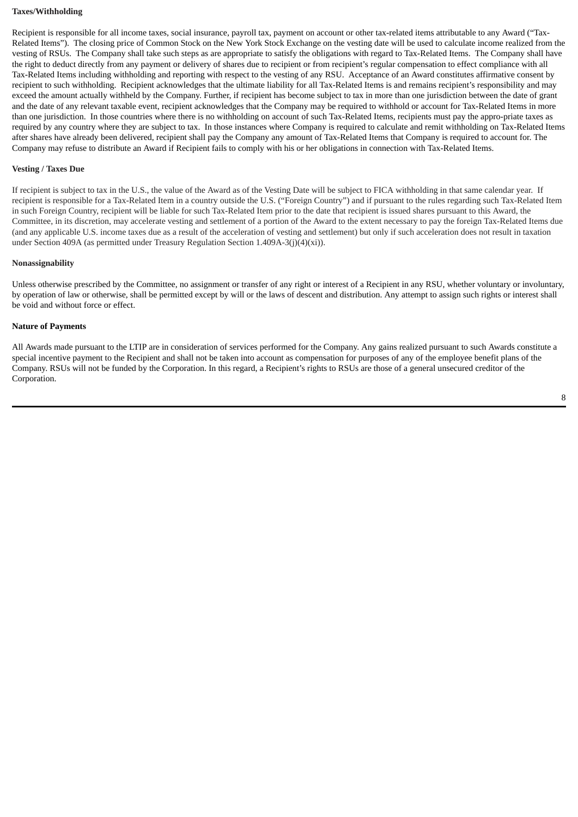#### **Taxes/Withholding**

Recipient is responsible for all income taxes, social insurance, payroll tax, payment on account or other tax-related items attributable to any Award ("Tax-Related Items"). The closing price of Common Stock on the New York Stock Exchange on the vesting date will be used to calculate income realized from the vesting of RSUs. The Company shall take such steps as are appropriate to satisfy the obligations with regard to Tax-Related Items. The Company shall have the right to deduct directly from any payment or delivery of shares due to recipient or from recipient's regular compensation to effect compliance with all Tax-Related Items including withholding and reporting with respect to the vesting of any RSU. Acceptance of an Award constitutes affirmative consent by recipient to such withholding. Recipient acknowledges that the ultimate liability for all Tax-Related Items is and remains recipient's responsibility and may exceed the amount actually withheld by the Company. Further, if recipient has become subject to tax in more than one jurisdiction between the date of grant and the date of any relevant taxable event, recipient acknowledges that the Company may be required to withhold or account for Tax-Related Items in more than one jurisdiction. In those countries where there is no withholding on account of such Tax-Related Items, recipients must pay the appro-priate taxes as required by any country where they are subject to tax. In those instances where Company is required to calculate and remit withholding on Tax-Related Items after shares have already been delivered, recipient shall pay the Company any amount of Tax-Related Items that Company is required to account for. The Company may refuse to distribute an Award if Recipient fails to comply with his or her obligations in connection with Tax-Related Items.

### **Vesting / Taxes Due**

If recipient is subject to tax in the U.S., the value of the Award as of the Vesting Date will be subject to FICA withholding in that same calendar year. If recipient is responsible for a Tax-Related Item in a country outside the U.S. ("Foreign Country") and if pursuant to the rules regarding such Tax-Related Item in such Foreign Country, recipient will be liable for such Tax-Related Item prior to the date that recipient is issued shares pursuant to this Award, the Committee, in its discretion, may accelerate vesting and settlement of a portion of the Award to the extent necessary to pay the foreign Tax-Related Items due (and any applicable U.S. income taxes due as a result of the acceleration of vesting and settlement) but only if such acceleration does not result in taxation under Section 409A (as permitted under Treasury Regulation Section 1.409A-3(j)(4)(xi)).

#### **Nonassignability**

Unless otherwise prescribed by the Committee, no assignment or transfer of any right or interest of a Recipient in any RSU, whether voluntary or involuntary, by operation of law or otherwise, shall be permitted except by will or the laws of descent and distribution. Any attempt to assign such rights or interest shall be void and without force or effect.

## **Nature of Payments**

All Awards made pursuant to the LTIP are in consideration of services performed for the Company. Any gains realized pursuant to such Awards constitute a special incentive payment to the Recipient and shall not be taken into account as compensation for purposes of any of the employee benefit plans of the Company. RSUs will not be funded by the Corporation. In this regard, a Recipient's rights to RSUs are those of a general unsecured creditor of the Corporation.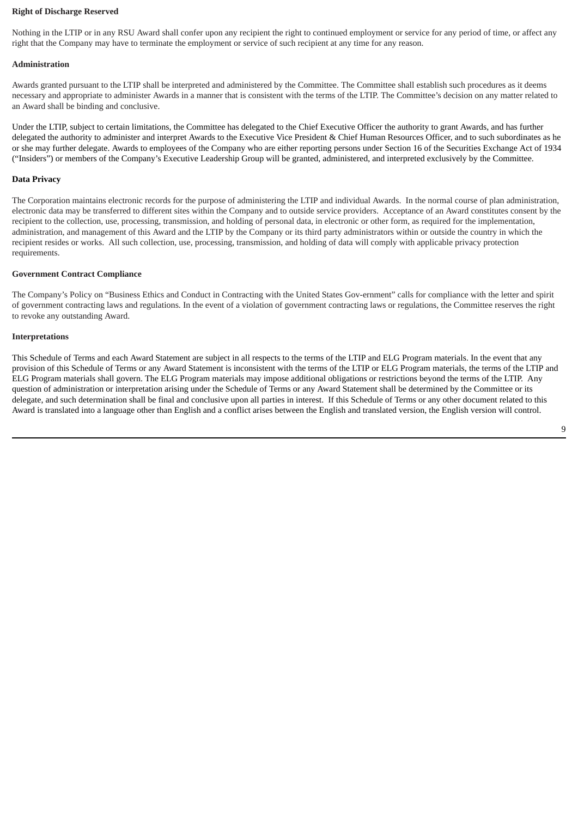## **Right of Discharge Reserved**

Nothing in the LTIP or in any RSU Award shall confer upon any recipient the right to continued employment or service for any period of time, or affect any right that the Company may have to terminate the employment or service of such recipient at any time for any reason.

# **Administration**

Awards granted pursuant to the LTIP shall be interpreted and administered by the Committee. The Committee shall establish such procedures as it deems necessary and appropriate to administer Awards in a manner that is consistent with the terms of the LTIP. The Committee's decision on any matter related to an Award shall be binding and conclusive.

Under the LTIP, subject to certain limitations, the Committee has delegated to the Chief Executive Officer the authority to grant Awards, and has further delegated the authority to administer and interpret Awards to the Executive Vice President & Chief Human Resources Officer, and to such subordinates as he or she may further delegate. Awards to employees of the Company who are either reporting persons under Section 16 of the Securities Exchange Act of 1934 ("Insiders") or members of the Company's Executive Leadership Group will be granted, administered, and interpreted exclusively by the Committee.

## **Data Privacy**

The Corporation maintains electronic records for the purpose of administering the LTIP and individual Awards. In the normal course of plan administration, electronic data may be transferred to different sites within the Company and to outside service providers. Acceptance of an Award constitutes consent by the recipient to the collection, use, processing, transmission, and holding of personal data, in electronic or other form, as required for the implementation, administration, and management of this Award and the LTIP by the Company or its third party administrators within or outside the country in which the recipient resides or works. All such collection, use, processing, transmission, and holding of data will comply with applicable privacy protection requirements.

#### **Government Contract Compliance**

The Company's Policy on "Business Ethics and Conduct in Contracting with the United States Gov-ernment" calls for compliance with the letter and spirit of government contracting laws and regulations. In the event of a violation of government contracting laws or regulations, the Committee reserves the right to revoke any outstanding Award.

#### **Interpretations**

This Schedule of Terms and each Award Statement are subject in all respects to the terms of the LTIP and ELG Program materials. In the event that any provision of this Schedule of Terms or any Award Statement is inconsistent with the terms of the LTIP or ELG Program materials, the terms of the LTIP and ELG Program materials shall govern. The ELG Program materials may impose additional obligations or restrictions beyond the terms of the LTIP. Any question of administration or interpretation arising under the Schedule of Terms or any Award Statement shall be determined by the Committee or its delegate, and such determination shall be final and conclusive upon all parties in interest. If this Schedule of Terms or any other document related to this Award is translated into a language other than English and a conflict arises between the English and translated version, the English version will control.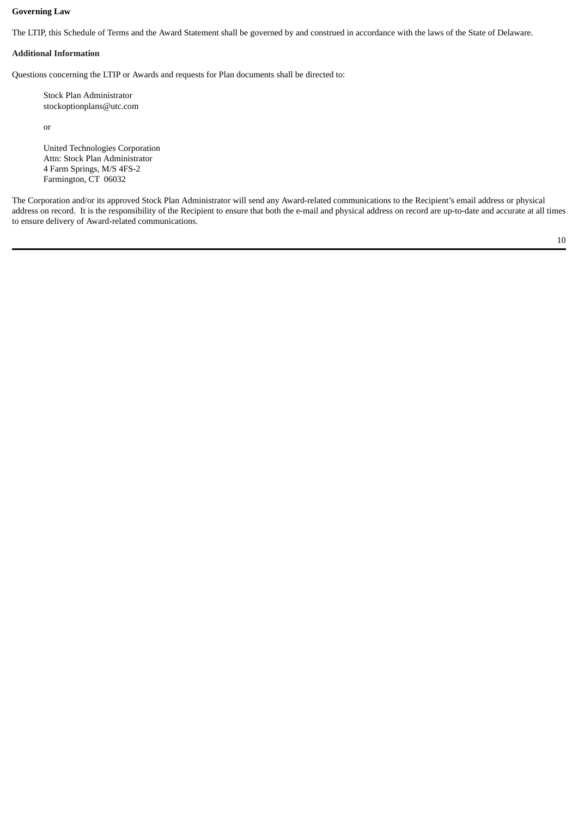## **Governing Law**

The LTIP, this Schedule of Terms and the Award Statement shall be governed by and construed in accordance with the laws of the State of Delaware.

## **Additional Information**

Questions concerning the LTIP or Awards and requests for Plan documents shall be directed to:

Stock Plan Administrator stockoptionplans@utc.com

or

United Technologies Corporation Attn: Stock Plan Administrator 4 Farm Springs, M/S 4FS-2 Farmington, CT 06032

The Corporation and/or its approved Stock Plan Administrator will send any Award-related communications to the Recipient's email address or physical address on record. It is the responsibility of the Recipient to ensure that both the e-mail and physical address on record are up-to-date and accurate at all times to ensure delivery of Award-related communications.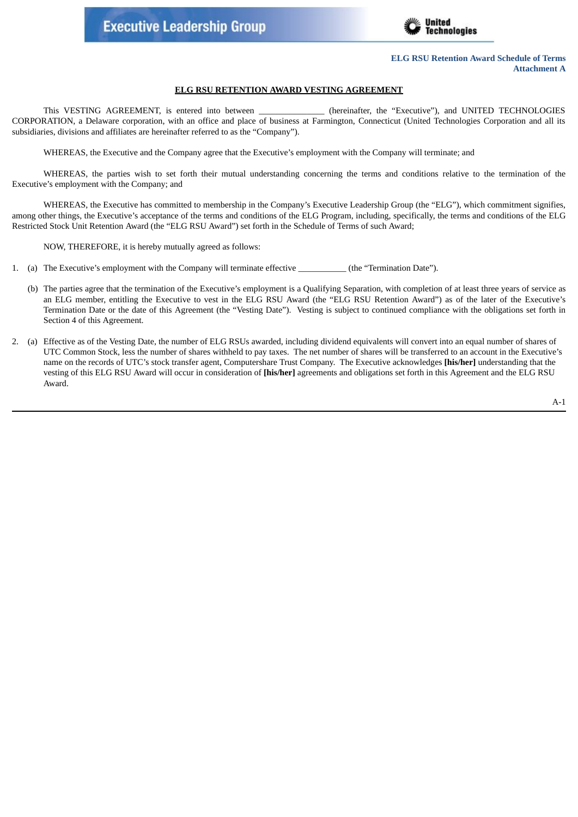

# **ELG RSU RETENTION AWARD VESTING AGREEMENT**

This VESTING AGREEMENT, is entered into between \_\_\_\_\_\_\_\_\_\_\_\_\_ (hereinafter, the "Executive"), and UNITED TECHNOLOGIES CORPORATION, a Delaware corporation, with an office and place of business at Farmington, Connecticut (United Technologies Corporation and all its subsidiaries, divisions and affiliates are hereinafter referred to as the "Company").

WHEREAS, the Executive and the Company agree that the Executive's employment with the Company will terminate; and

WHEREAS, the parties wish to set forth their mutual understanding concerning the terms and conditions relative to the termination of the Executive's employment with the Company; and

WHEREAS, the Executive has committed to membership in the Company's Executive Leadership Group (the "ELG"), which commitment signifies, among other things, the Executive's acceptance of the terms and conditions of the ELG Program, including, specifically, the terms and conditions of the ELG Restricted Stock Unit Retention Award (the "ELG RSU Award") set forth in the Schedule of Terms of such Award;

NOW, THEREFORE, it is hereby mutually agreed as follows:

1. (a) The Executive's employment with the Company will terminate effective \_\_\_\_\_\_\_\_\_\_\_ (the "Termination Date").

- (b) The parties agree that the termination of the Executive's employment is a Qualifying Separation, with completion of at least three years of service as an ELG member, entitling the Executive to vest in the ELG RSU Award (the "ELG RSU Retention Award") as of the later of the Executive's Termination Date or the date of this Agreement (the "Vesting Date"). Vesting is subject to continued compliance with the obligations set forth in Section 4 of this Agreement.
- 2. (a) Effective as of the Vesting Date, the number of ELG RSUs awarded, including dividend equivalents will convert into an equal number of shares of UTC Common Stock, less the number of shares withheld to pay taxes. The net number of shares will be transferred to an account in the Executive's name on the records of UTC's stock transfer agent, Computershare Trust Company. The Executive acknowledges **[his/her]** understanding that the vesting of this ELG RSU Award will occur in consideration of **[his/her]** agreements and obligations set forth in this Agreement and the ELG RSU Award.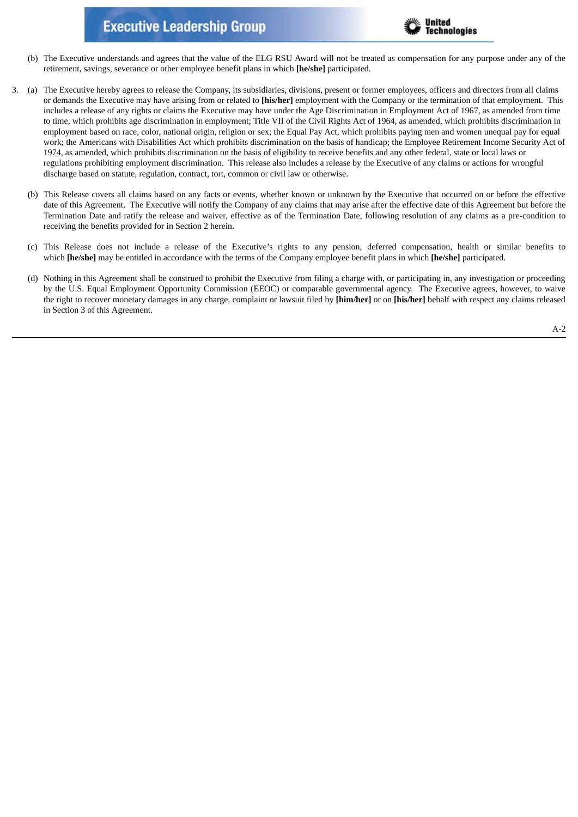

- (b) The Executive understands and agrees that the value of the ELG RSU Award will not be treated as compensation for any purpose under any of the retirement, savings, severance or other employee benefit plans in which **[he/she]** participated.
- 3. (a) The Executive hereby agrees to release the Company, its subsidiaries, divisions, present or former employees, officers and directors from all claims or demands the Executive may have arising from or related to **[his/her]** employment with the Company or the termination of that employment. This includes a release of any rights or claims the Executive may have under the Age Discrimination in Employment Act of 1967, as amended from time to time, which prohibits age discrimination in employment; Title VII of the Civil Rights Act of 1964, as amended, which prohibits discrimination in employment based on race, color, national origin, religion or sex; the Equal Pay Act, which prohibits paying men and women unequal pay for equal work; the Americans with Disabilities Act which prohibits discrimination on the basis of handicap; the Employee Retirement Income Security Act of 1974, as amended, which prohibits discrimination on the basis of eligibility to receive benefits and any other federal, state or local laws or regulations prohibiting employment discrimination. This release also includes a release by the Executive of any claims or actions for wrongful discharge based on statute, regulation, contract, tort, common or civil law or otherwise.
	- (b) This Release covers all claims based on any facts or events, whether known or unknown by the Executive that occurred on or before the effective date of this Agreement. The Executive will notify the Company of any claims that may arise after the effective date of this Agreement but before the Termination Date and ratify the release and waiver, effective as of the Termination Date, following resolution of any claims as a pre-condition to receiving the benefits provided for in Section 2 herein.
	- (c) This Release does not include a release of the Executive's rights to any pension, deferred compensation, health or similar benefits to which **[he/she]** may be entitled in accordance with the terms of the Company employee benefit plans in which **[he/she]** participated.
	- (d) Nothing in this Agreement shall be construed to prohibit the Executive from filing a charge with, or participating in, any investigation or proceeding by the U.S. Equal Employment Opportunity Commission (EEOC) or comparable governmental agency. The Executive agrees, however, to waive the right to recover monetary damages in any charge, complaint or lawsuit filed by **[him/her]** or on **[his/her]** behalf with respect any claims released in Section 3 of this Agreement.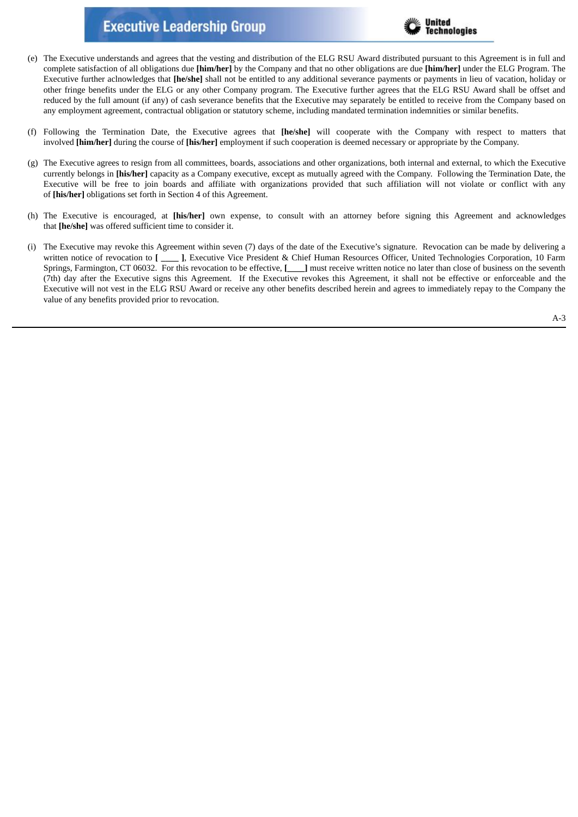

- (e) The Executive understands and agrees that the vesting and distribution of the ELG RSU Award distributed pursuant to this Agreement is in full and complete satisfaction of all obligations due **[him/her]** by the Company and that no other obligations are due **[him/her]** under the ELG Program. The Executive further aclnowledges that **[he/she]** shall not be entitled to any additional severance payments or payments in lieu of vacation, holiday or other fringe benefits under the ELG or any other Company program. The Executive further agrees that the ELG RSU Award shall be offset and reduced by the full amount (if any) of cash severance benefits that the Executive may separately be entitled to receive from the Company based on any employment agreement, contractual obligation or statutory scheme, including mandated termination indemnities or similar benefits.
- (f) Following the Termination Date, the Executive agrees that **[he/she]** will cooperate with the Company with respect to matters that involved **[him/her]** during the course of **[his/her]** employment if such cooperation is deemed necessary or appropriate by the Company.
- (g) The Executive agrees to resign from all committees, boards, associations and other organizations, both internal and external, to which the Executive currently belongs in **[his/her]** capacity as a Company executive, except as mutually agreed with the Company. Following the Termination Date, the Executive will be free to join boards and affiliate with organizations provided that such affiliation will not violate or conflict with any of **[his/her]** obligations set forth in Section 4 of this Agreement.
- (h) The Executive is encouraged, at **[his/her]** own expense, to consult with an attorney before signing this Agreement and acknowledges that **[he/she]** was offered sufficient time to consider it.
- (i) The Executive may revoke this Agreement within seven (7) days of the date of the Executive's signature. Revocation can be made by delivering a written notice of revocation to **[ \_\_\_\_ ]**, Executive Vice President & Chief Human Resources Officer, United Technologies Corporation, 10 Farm Springs, Farmington, CT 06032. For this revocation to be effective, **[\_\_\_\_]** must receive written notice no later than close of business on the seventh (7th) day after the Executive signs this Agreement. If the Executive revokes this Agreement, it shall not be effective or enforceable and the Executive will not vest in the ELG RSU Award or receive any other benefits described herein and agrees to immediately repay to the Company the value of any benefits provided prior to revocation.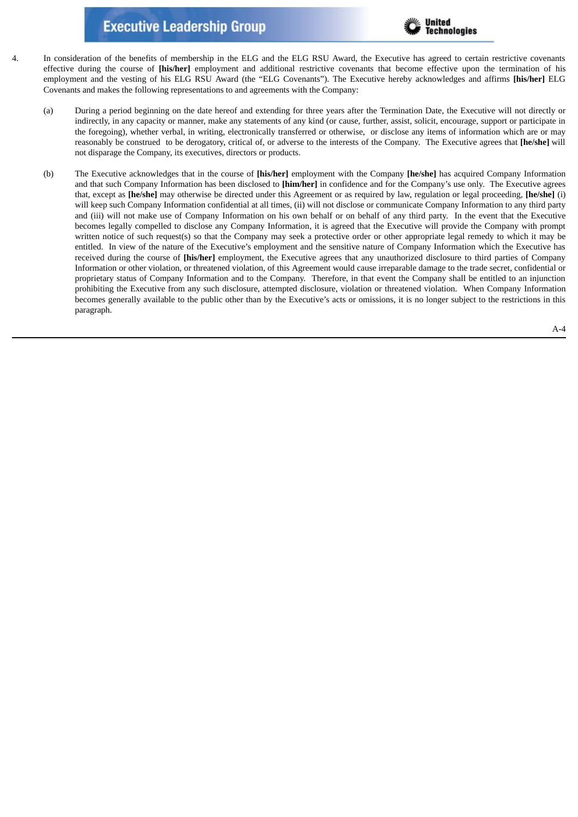

- 4. In consideration of the benefits of membership in the ELG and the ELG RSU Award, the Executive has agreed to certain restrictive covenants effective during the course of **[his/her]** employment and additional restrictive covenants that become effective upon the termination of his employment and the vesting of his ELG RSU Award (the "ELG Covenants"). The Executive hereby acknowledges and affirms **[his/her]** ELG Covenants and makes the following representations to and agreements with the Company:
	- (a) During a period beginning on the date hereof and extending for three years after the Termination Date, the Executive will not directly or indirectly, in any capacity or manner, make any statements of any kind (or cause, further, assist, solicit, encourage, support or participate in the foregoing), whether verbal, in writing, electronically transferred or otherwise, or disclose any items of information which are or may reasonably be construed to be derogatory, critical of, or adverse to the interests of the Company. The Executive agrees that **[he/she]** will not disparage the Company, its executives, directors or products.
	- (b) The Executive acknowledges that in the course of **[his/her]** employment with the Company **[he/she]** has acquired Company Information and that such Company Information has been disclosed to **[him/her]** in confidence and for the Company's use only. The Executive agrees that, except as **[he/she]** may otherwise be directed under this Agreement or as required by law, regulation or legal proceeding, **[he/she]** (i) will keep such Company Information confidential at all times, (ii) will not disclose or communicate Company Information to any third party and (iii) will not make use of Company Information on his own behalf or on behalf of any third party. In the event that the Executive becomes legally compelled to disclose any Company Information, it is agreed that the Executive will provide the Company with prompt written notice of such request(s) so that the Company may seek a protective order or other appropriate legal remedy to which it may be entitled. In view of the nature of the Executive's employment and the sensitive nature of Company Information which the Executive has received during the course of **[his/her]** employment, the Executive agrees that any unauthorized disclosure to third parties of Company Information or other violation, or threatened violation, of this Agreement would cause irreparable damage to the trade secret, confidential or proprietary status of Company Information and to the Company. Therefore, in that event the Company shall be entitled to an injunction prohibiting the Executive from any such disclosure, attempted disclosure, violation or threatened violation. When Company Information becomes generally available to the public other than by the Executive's acts or omissions, it is no longer subject to the restrictions in this paragraph.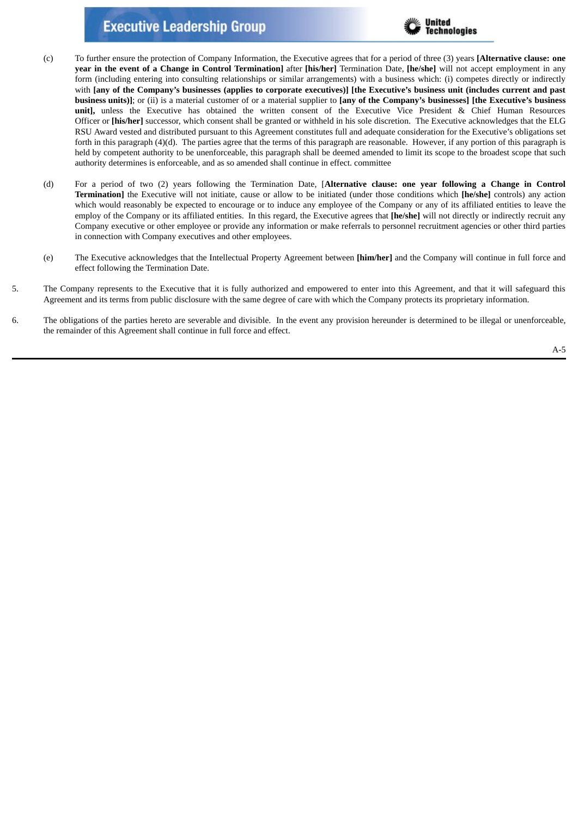

- (c) To further ensure the protection of Company Information, the Executive agrees that for a period of three (3) years **[Alternative clause: one year in the event of a Change in Control Termination]** after **[his/her]** Termination Date, **[he/she]** will not accept employment in any form (including entering into consulting relationships or similar arrangements) with a business which: (i) competes directly or indirectly with [any of the Company's businesses (applies to corporate executives)] [the Executive's business unit (includes current and past **business units)]**; or (ii) is a material customer of or a material supplier to **[any of the Company's businesses] [the Executive's business unit],** unless the Executive has obtained the written consent of the Executive Vice President & Chief Human Resources Officer or **[his/her]** successor, which consent shall be granted or withheld in his sole discretion. The Executive acknowledges that the ELG RSU Award vested and distributed pursuant to this Agreement constitutes full and adequate consideration for the Executive's obligations set forth in this paragraph (4)(d). The parties agree that the terms of this paragraph are reasonable. However, if any portion of this paragraph is held by competent authority to be unenforceable, this paragraph shall be deemed amended to limit its scope to the broadest scope that such authority determines is enforceable, and as so amended shall continue in effect. committee
- (d) For a period of two (2) years following the Termination Date, [**Alternative clause: one year following a Change in Control Termination]** the Executive will not initiate, cause or allow to be initiated (under those conditions which **[he/she]** controls) any action which would reasonably be expected to encourage or to induce any employee of the Company or any of its affiliated entities to leave the employ of the Company or its affiliated entities. In this regard, the Executive agrees that **[he/she]** will not directly or indirectly recruit any Company executive or other employee or provide any information or make referrals to personnel recruitment agencies or other third parties in connection with Company executives and other employees.
- (e) The Executive acknowledges that the Intellectual Property Agreement between **[him/her]** and the Company will continue in full force and effect following the Termination Date.
- 5. The Company represents to the Executive that it is fully authorized and empowered to enter into this Agreement, and that it will safeguard this Agreement and its terms from public disclosure with the same degree of care with which the Company protects its proprietary information.
- 6. The obligations of the parties hereto are severable and divisible. In the event any provision hereunder is determined to be illegal or unenforceable, the remainder of this Agreement shall continue in full force and effect.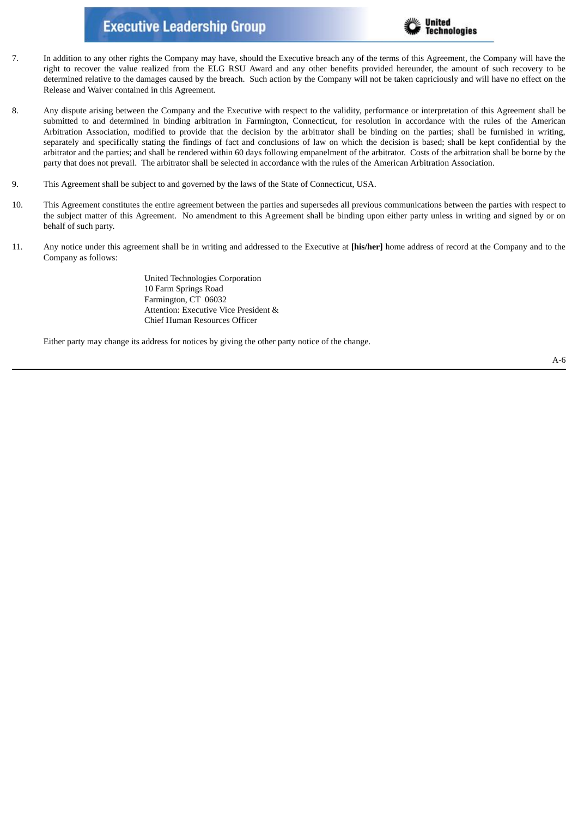

- 7. In addition to any other rights the Company may have, should the Executive breach any of the terms of this Agreement, the Company will have the right to recover the value realized from the ELG RSU Award and any other benefits provided hereunder, the amount of such recovery to be determined relative to the damages caused by the breach. Such action by the Company will not be taken capriciously and will have no effect on the Release and Waiver contained in this Agreement.
- 8. Any dispute arising between the Company and the Executive with respect to the validity, performance or interpretation of this Agreement shall be submitted to and determined in binding arbitration in Farmington, Connecticut, for resolution in accordance with the rules of the American Arbitration Association, modified to provide that the decision by the arbitrator shall be binding on the parties; shall be furnished in writing, separately and specifically stating the findings of fact and conclusions of law on which the decision is based; shall be kept confidential by the arbitrator and the parties; and shall be rendered within 60 days following empanelment of the arbitrator. Costs of the arbitration shall be borne by the party that does not prevail. The arbitrator shall be selected in accordance with the rules of the American Arbitration Association.
- 9. This Agreement shall be subject to and governed by the laws of the State of Connecticut, USA.
- 10. This Agreement constitutes the entire agreement between the parties and supersedes all previous communications between the parties with respect to the subject matter of this Agreement. No amendment to this Agreement shall be binding upon either party unless in writing and signed by or on behalf of such party.
- 11. Any notice under this agreement shall be in writing and addressed to the Executive at **[his/her]** home address of record at the Company and to the Company as follows:

United Technologies Corporation 10 Farm Springs Road Farmington, CT 06032 Attention: Executive Vice President & Chief Human Resources Officer

Either party may change its address for notices by giving the other party notice of the change.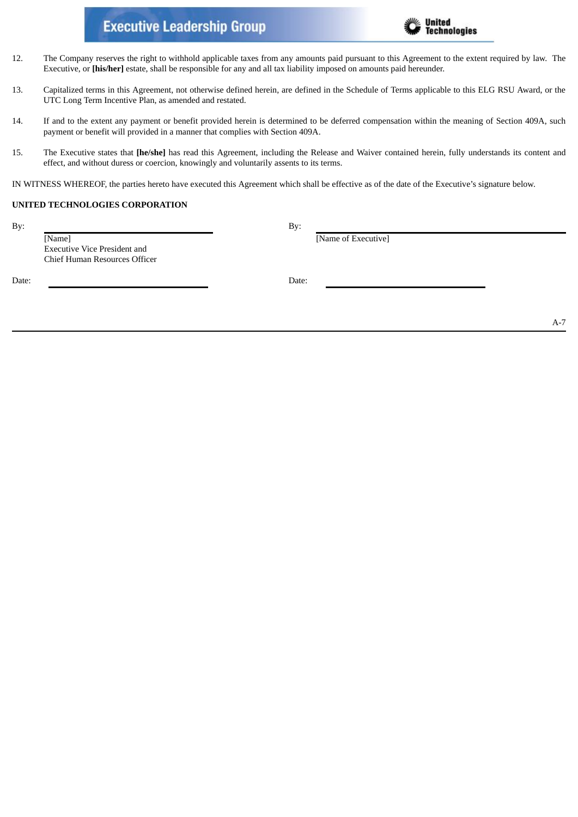

- 12. The Company reserves the right to withhold applicable taxes from any amounts paid pursuant to this Agreement to the extent required by law. The Executive, or **[his/her]** estate, shall be responsible for any and all tax liability imposed on amounts paid hereunder.
- 13. Capitalized terms in this Agreement, not otherwise defined herein, are defined in the Schedule of Terms applicable to this ELG RSU Award, or the UTC Long Term Incentive Plan, as amended and restated.
- 14. If and to the extent any payment or benefit provided herein is determined to be deferred compensation within the meaning of Section 409A, such payment or benefit will provided in a manner that complies with Section 409A.
- 15. The Executive states that **[he/she]** has read this Agreement, including the Release and Waiver contained herein, fully understands its content and effect, and without duress or coercion, knowingly and voluntarily assents to its terms.

IN WITNESS WHEREOF, the parties hereto have executed this Agreement which shall be effective as of the date of the Executive's signature below.

# **UNITED TECHNOLOGIES CORPORATION**

| ۰.     |  |
|--------|--|
| $\sim$ |  |

[Name] [Name of Executive] Executive Vice President and Chief Human Resources Officer

By: By:

Date: Date: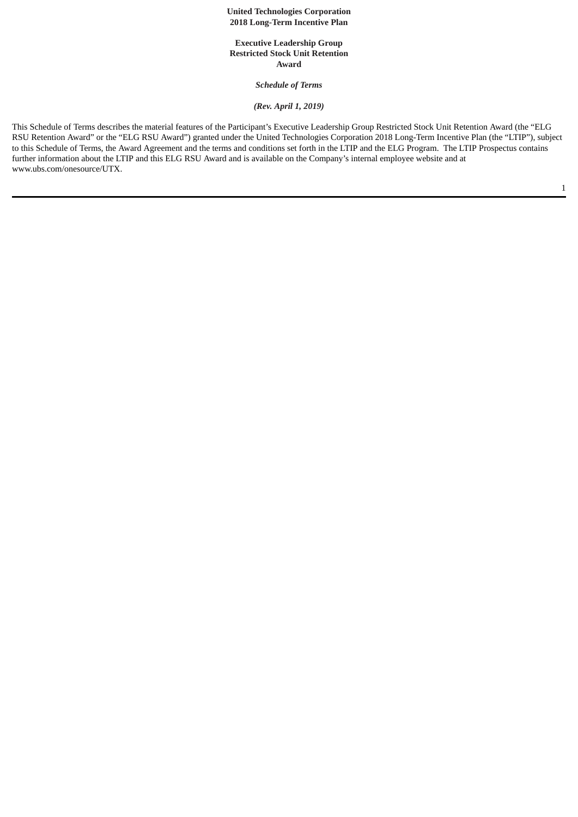**United Technologies Corporation 2018 Long-Term Incentive Plan**

**Executive Leadership Group Restricted Stock Unit Retention Award**

*Schedule of Terms*

*(Rev. April 1, 2019)*

This Schedule of Terms describes the material features of the Participant's Executive Leadership Group Restricted Stock Unit Retention Award (the "ELG RSU Retention Award" or the "ELG RSU Award") granted under the United Technologies Corporation 2018 Long-Term Incentive Plan (the "LTIP"), subject to this Schedule of Terms, the Award Agreement and the terms and conditions set forth in the LTIP and the ELG Program. The LTIP Prospectus contains further information about the LTIP and this ELG RSU Award and is available on the Company's internal employee website and at www.ubs.com/onesource/UTX.

1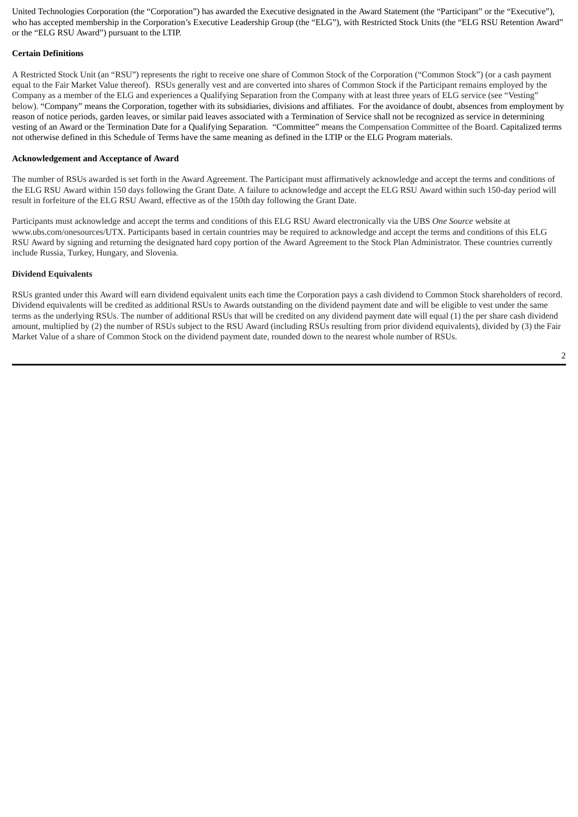United Technologies Corporation (the "Corporation") has awarded the Executive designated in the Award Statement (the "Participant" or the "Executive"), who has accepted membership in the Corporation's Executive Leadership Group (the "ELG"), with Restricted Stock Units (the "ELG RSU Retention Award" or the "ELG RSU Award") pursuant to the LTIP.

## **Certain Definitions**

A Restricted Stock Unit (an "RSU") represents the right to receive one share of Common Stock of the Corporation ("Common Stock") (or a cash payment equal to the Fair Market Value thereof). RSUs generally vest and are converted into shares of Common Stock if the Participant remains employed by the Company as a member of the ELG and experiences a Qualifying Separation from the Company with at least three years of ELG service (see "Vesting" below). "Company" means the Corporation, together with its subsidiaries, divisions and affiliates. For the avoidance of doubt, absences from employment by reason of notice periods, garden leaves, or similar paid leaves associated with a Termination of Service shall not be recognized as service in determining vesting of an Award or the Termination Date for a Qualifying Separation. "Committee" means the Compensation Committee of the Board. Capitalized terms not otherwise defined in this Schedule of Terms have the same meaning as defined in the LTIP or the ELG Program materials.

### **Acknowledgement and Acceptance of Award**

The number of RSUs awarded is set forth in the Award Agreement. The Participant must affirmatively acknowledge and accept the terms and conditions of the ELG RSU Award within 150 days following the Grant Date. A failure to acknowledge and accept the ELG RSU Award within such 150-day period will result in forfeiture of the ELG RSU Award, effective as of the 150th day following the Grant Date.

Participants must acknowledge and accept the terms and conditions of this ELG RSU Award electronically via the UBS *One Source* website at www.ubs.com/onesources/UTX. Participants based in certain countries may be required to acknowledge and accept the terms and conditions of this ELG RSU Award by signing and returning the designated hard copy portion of the Award Agreement to the Stock Plan Administrator. These countries currently include Russia, Turkey, Hungary, and Slovenia.

## **Dividend Equivalents**

RSUs granted under this Award will earn dividend equivalent units each time the Corporation pays a cash dividend to Common Stock shareholders of record. Dividend equivalents will be credited as additional RSUs to Awards outstanding on the dividend payment date and will be eligible to vest under the same terms as the underlying RSUs. The number of additional RSUs that will be credited on any dividend payment date will equal (1) the per share cash dividend amount, multiplied by (2) the number of RSUs subject to the RSU Award (including RSUs resulting from prior dividend equivalents), divided by (3) the Fair Market Value of a share of Common Stock on the dividend payment date, rounded down to the nearest whole number of RSUs.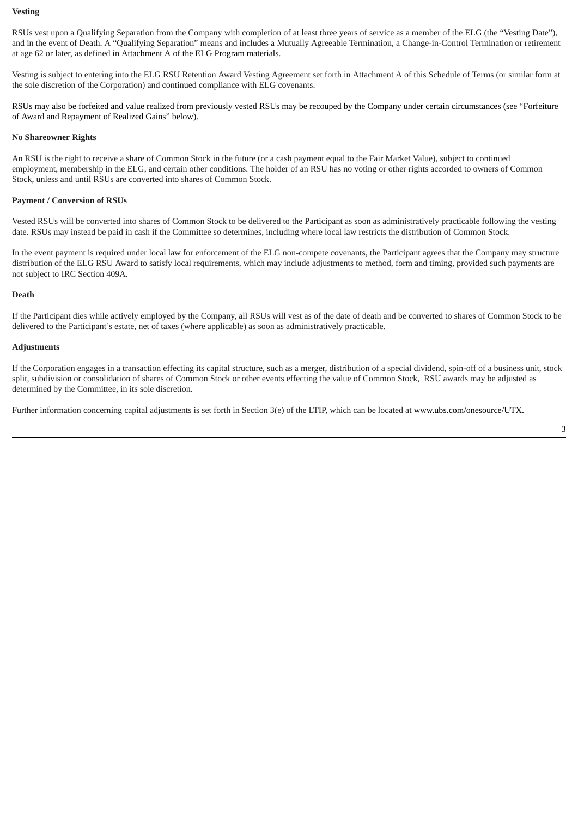### **Vesting**

RSUs vest upon a Qualifying Separation from the Company with completion of at least three years of service as a member of the ELG (the "Vesting Date"), and in the event of Death. A "Qualifying Separation" means and includes a Mutually Agreeable Termination, a Change-in-Control Termination or retirement at age 62 or later, as defined in Attachment A of the ELG Program materials.

Vesting is subject to entering into the ELG RSU Retention Award Vesting Agreement set forth in Attachment A of this Schedule of Terms (or similar form at the sole discretion of the Corporation) and continued compliance with ELG covenants.

RSUs may also be forfeited and value realized from previously vested RSUs may be recouped by the Company under certain circumstances (see "Forfeiture of Award and Repayment of Realized Gains" below).

#### **No Shareowner Rights**

An RSU is the right to receive a share of Common Stock in the future (or a cash payment equal to the Fair Market Value), subject to continued employment, membership in the ELG, and certain other conditions. The holder of an RSU has no voting or other rights accorded to owners of Common Stock, unless and until RSUs are converted into shares of Common Stock.

#### **Payment / Conversion of RSUs**

Vested RSUs will be converted into shares of Common Stock to be delivered to the Participant as soon as administratively practicable following the vesting date. RSUs may instead be paid in cash if the Committee so determines, including where local law restricts the distribution of Common Stock.

In the event payment is required under local law for enforcement of the ELG non-compete covenants, the Participant agrees that the Company may structure distribution of the ELG RSU Award to satisfy local requirements, which may include adjustments to method, form and timing, provided such payments are not subject to IRC Section 409A.

#### **Death**

If the Participant dies while actively employed by the Company, all RSUs will vest as of the date of death and be converted to shares of Common Stock to be delivered to the Participant's estate, net of taxes (where applicable) as soon as administratively practicable.

#### **Adjustments**

If the Corporation engages in a transaction effecting its capital structure, such as a merger, distribution of a special dividend, spin-off of a business unit, stock split, subdivision or consolidation of shares of Common Stock or other events effecting the value of Common Stock, RSU awards may be adjusted as determined by the Committee, in its sole discretion.

Further information concerning capital adjustments is set forth in Section 3(e) of the LTIP, which can be located at www.ubs.com/onesource/UTX.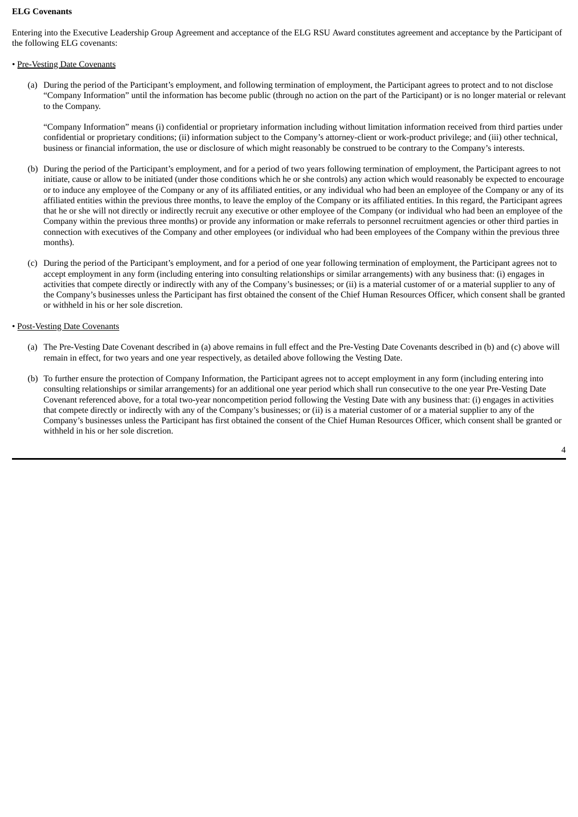## **ELG Covenants**

Entering into the Executive Leadership Group Agreement and acceptance of the ELG RSU Award constitutes agreement and acceptance by the Participant of the following ELG covenants:

# • Pre-Vesting Date Covenants

(a) During the period of the Participant's employment, and following termination of employment, the Participant agrees to protect and to not disclose "Company Information" until the information has become public (through no action on the part of the Participant) or is no longer material or relevant to the Company.

"Company Information" means (i) confidential or proprietary information including without limitation information received from third parties under confidential or proprietary conditions; (ii) information subject to the Company's attorney-client or work-product privilege; and (iii) other technical, business or financial information, the use or disclosure of which might reasonably be construed to be contrary to the Company's interests.

- (b) During the period of the Participant's employment, and for a period of two years following termination of employment, the Participant agrees to not initiate, cause or allow to be initiated (under those conditions which he or she controls) any action which would reasonably be expected to encourage or to induce any employee of the Company or any of its affiliated entities, or any individual who had been an employee of the Company or any of its affiliated entities within the previous three months, to leave the employ of the Company or its affiliated entities. In this regard, the Participant agrees that he or she will not directly or indirectly recruit any executive or other employee of the Company (or individual who had been an employee of the Company within the previous three months) or provide any information or make referrals to personnel recruitment agencies or other third parties in connection with executives of the Company and other employees (or individual who had been employees of the Company within the previous three months).
- (c) During the period of the Participant's employment, and for a period of one year following termination of employment, the Participant agrees not to accept employment in any form (including entering into consulting relationships or similar arrangements) with any business that: (i) engages in activities that compete directly or indirectly with any of the Company's businesses; or (ii) is a material customer of or a material supplier to any of the Company's businesses unless the Participant has first obtained the consent of the Chief Human Resources Officer, which consent shall be granted or withheld in his or her sole discretion.

## • Post-Vesting Date Covenants

- (a) The Pre-Vesting Date Covenant described in (a) above remains in full effect and the Pre-Vesting Date Covenants described in (b) and (c) above will remain in effect, for two years and one year respectively, as detailed above following the Vesting Date.
- (b) To further ensure the protection of Company Information, the Participant agrees not to accept employment in any form (including entering into consulting relationships or similar arrangements) for an additional one year period which shall run consecutive to the one year Pre-Vesting Date Covenant referenced above, for a total two-year noncompetition period following the Vesting Date with any business that: (i) engages in activities that compete directly or indirectly with any of the Company's businesses; or (ii) is a material customer of or a material supplier to any of the Company's businesses unless the Participant has first obtained the consent of the Chief Human Resources Officer, which consent shall be granted or withheld in his or her sole discretion.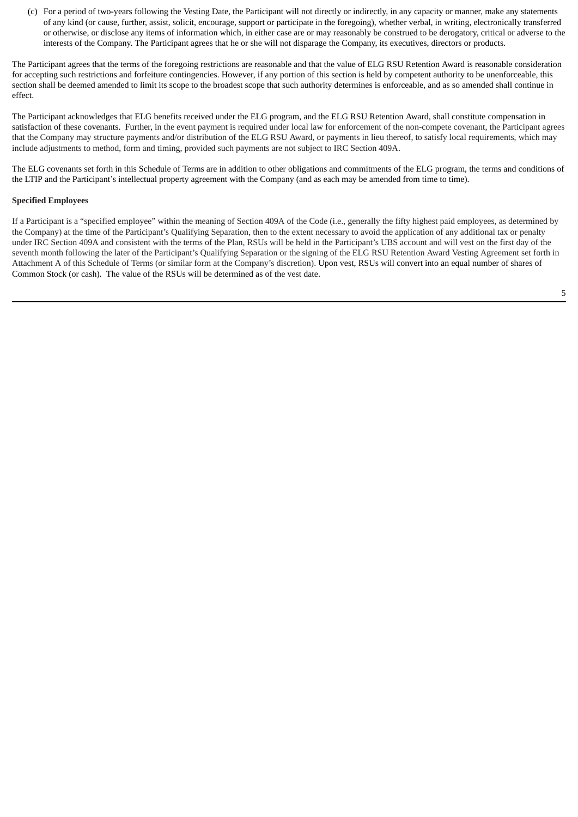(c) For a period of two-years following the Vesting Date, the Participant will not directly or indirectly, in any capacity or manner, make any statements of any kind (or cause, further, assist, solicit, encourage, support or participate in the foregoing), whether verbal, in writing, electronically transferred or otherwise, or disclose any items of information which, in either case are or may reasonably be construed to be derogatory, critical or adverse to the interests of the Company. The Participant agrees that he or she will not disparage the Company, its executives, directors or products.

The Participant agrees that the terms of the foregoing restrictions are reasonable and that the value of ELG RSU Retention Award is reasonable consideration for accepting such restrictions and forfeiture contingencies. However, if any portion of this section is held by competent authority to be unenforceable, this section shall be deemed amended to limit its scope to the broadest scope that such authority determines is enforceable, and as so amended shall continue in effect.

The Participant acknowledges that ELG benefits received under the ELG program, and the ELG RSU Retention Award, shall constitute compensation in satisfaction of these covenants. Further, in the event payment is required under local law for enforcement of the non-compete covenant, the Participant agrees that the Company may structure payments and/or distribution of the ELG RSU Award, or payments in lieu thereof, to satisfy local requirements, which may include adjustments to method, form and timing, provided such payments are not subject to IRC Section 409A.

The ELG covenants set forth in this Schedule of Terms are in addition to other obligations and commitments of the ELG program, the terms and conditions of the LTIP and the Participant's intellectual property agreement with the Company (and as each may be amended from time to time).

## **Specified Employees**

If a Participant is a "specified employee" within the meaning of Section 409A of the Code (i.e., generally the fifty highest paid employees, as determined by the Company) at the time of the Participant's Qualifying Separation, then to the extent necessary to avoid the application of any additional tax or penalty under IRC Section 409A and consistent with the terms of the Plan, RSUs will be held in the Participant's UBS account and will vest on the first day of the seventh month following the later of the Participant's Qualifying Separation or the signing of the ELG RSU Retention Award Vesting Agreement set forth in Attachment A of this Schedule of Terms (or similar form at the Company's discretion). Upon vest, RSUs will convert into an equal number of shares of Common Stock (or cash). The value of the RSUs will be determined as of the vest date.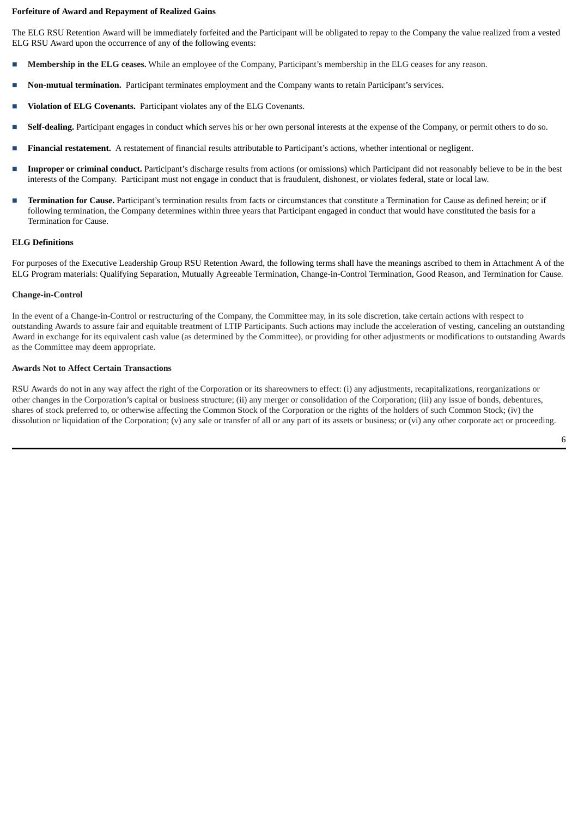## **Forfeiture of Award and Repayment of Realized Gains**

The ELG RSU Retention Award will be immediately forfeited and the Participant will be obligated to repay to the Company the value realized from a vested ELG RSU Award upon the occurrence of any of the following events:

- **Membership** in the ELG ceases. While an employee of the Company, Participant's membership in the ELG ceases for any reason.
- **Non-mutual termination.** Participant terminates employment and the Company wants to retain Participant's services.
- **Violation of ELG Covenants.** Participant violates any of the ELG Covenants.
- **Self-dealing.** Participant engages in conduct which serves his or her own personal interests at the expense of the Company, or permit others to do so.
- **Financial restatement.** A restatement of financial results attributable to Participant's actions, whether intentional or negligent.
- **Improper or criminal conduct.** Participant's discharge results from actions (or omissions) which Participant did not reasonably believe to be in the best interests of the Company. Participant must not engage in conduct that is fraudulent, dishonest, or violates federal, state or local law.
- **Termination for Cause.** Participant's termination results from facts or circumstances that constitute a Termination for Cause as defined herein; or if following termination, the Company determines within three years that Participant engaged in conduct that would have constituted the basis for a Termination for Cause.

## **ELG Definitions**

For purposes of the Executive Leadership Group RSU Retention Award, the following terms shall have the meanings ascribed to them in Attachment A of the ELG Program materials: Qualifying Separation, Mutually Agreeable Termination, Change-in-Control Termination, Good Reason, and Termination for Cause.

## **Change-in-Control**

In the event of a Change-in-Control or restructuring of the Company, the Committee may, in its sole discretion, take certain actions with respect to outstanding Awards to assure fair and equitable treatment of LTIP Participants. Such actions may include the acceleration of vesting, canceling an outstanding Award in exchange for its equivalent cash value (as determined by the Committee), or providing for other adjustments or modifications to outstanding Awards as the Committee may deem appropriate.

## **Awards Not to Affect Certain Transactions**

RSU Awards do not in any way affect the right of the Corporation or its shareowners to effect: (i) any adjustments, recapitalizations, reorganizations or other changes in the Corporation's capital or business structure; (ii) any merger or consolidation of the Corporation; (iii) any issue of bonds, debentures, shares of stock preferred to, or otherwise affecting the Common Stock of the Corporation or the rights of the holders of such Common Stock; (iv) the dissolution or liquidation of the Corporation; (v) any sale or transfer of all or any part of its assets or business; or (vi) any other corporate act or proceeding.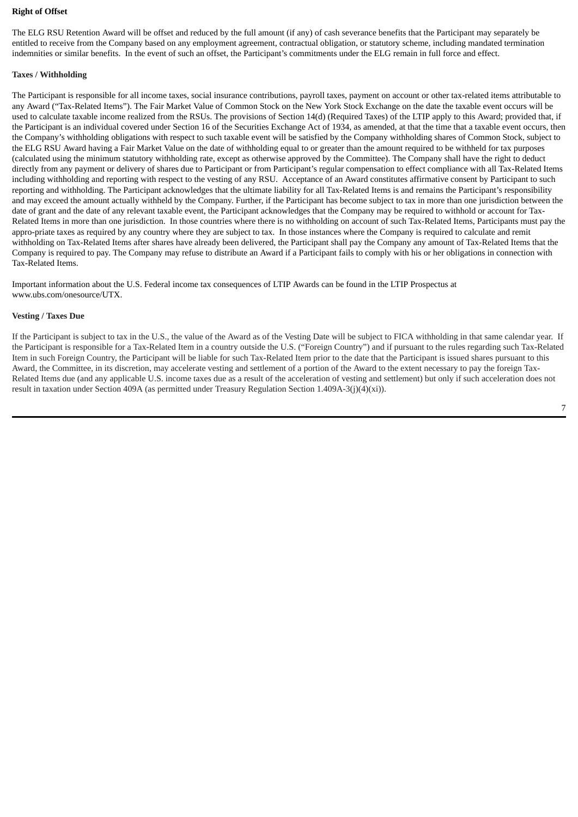#### **Right of Offset**

The ELG RSU Retention Award will be offset and reduced by the full amount (if any) of cash severance benefits that the Participant may separately be entitled to receive from the Company based on any employment agreement, contractual obligation, or statutory scheme, including mandated termination indemnities or similar benefits. In the event of such an offset, the Participant's commitments under the ELG remain in full force and effect.

#### **Taxes / Withholding**

The Participant is responsible for all income taxes, social insurance contributions, payroll taxes, payment on account or other tax-related items attributable to any Award ("Tax-Related Items"). The Fair Market Value of Common Stock on the New York Stock Exchange on the date the taxable event occurs will be used to calculate taxable income realized from the RSUs. The provisions of Section 14(d) (Required Taxes) of the LTIP apply to this Award; provided that, if the Participant is an individual covered under Section 16 of the Securities Exchange Act of 1934, as amended, at that the time that a taxable event occurs, then the Company's withholding obligations with respect to such taxable event will be satisfied by the Company withholding shares of Common Stock, subject to the ELG RSU Award having a Fair Market Value on the date of withholding equal to or greater than the amount required to be withheld for tax purposes (calculated using the minimum statutory withholding rate, except as otherwise approved by the Committee). The Company shall have the right to deduct directly from any payment or delivery of shares due to Participant or from Participant's regular compensation to effect compliance with all Tax-Related Items including withholding and reporting with respect to the vesting of any RSU. Acceptance of an Award constitutes affirmative consent by Participant to such reporting and withholding. The Participant acknowledges that the ultimate liability for all Tax-Related Items is and remains the Participant's responsibility and may exceed the amount actually withheld by the Company. Further, if the Participant has become subject to tax in more than one jurisdiction between the date of grant and the date of any relevant taxable event, the Participant acknowledges that the Company may be required to withhold or account for Tax-Related Items in more than one jurisdiction. In those countries where there is no withholding on account of such Tax-Related Items, Participants must pay the appro-priate taxes as required by any country where they are subject to tax. In those instances where the Company is required to calculate and remit withholding on Tax-Related Items after shares have already been delivered, the Participant shall pay the Company any amount of Tax-Related Items that the Company is required to pay. The Company may refuse to distribute an Award if a Participant fails to comply with his or her obligations in connection with Tax-Related Items.

Important information about the U.S. Federal income tax consequences of LTIP Awards can be found in the LTIP Prospectus at www.ubs.com/onesource/UTX.

#### **Vesting / Taxes Due**

If the Participant is subject to tax in the U.S., the value of the Award as of the Vesting Date will be subject to FICA withholding in that same calendar year. If the Participant is responsible for a Tax-Related Item in a country outside the U.S. ("Foreign Country") and if pursuant to the rules regarding such Tax-Related Item in such Foreign Country, the Participant will be liable for such Tax-Related Item prior to the date that the Participant is issued shares pursuant to this Award, the Committee, in its discretion, may accelerate vesting and settlement of a portion of the Award to the extent necessary to pay the foreign Tax-Related Items due (and any applicable U.S. income taxes due as a result of the acceleration of vesting and settlement) but only if such acceleration does not result in taxation under Section 409A (as permitted under Treasury Regulation Section 1.409A-3(j)(4)(xi)).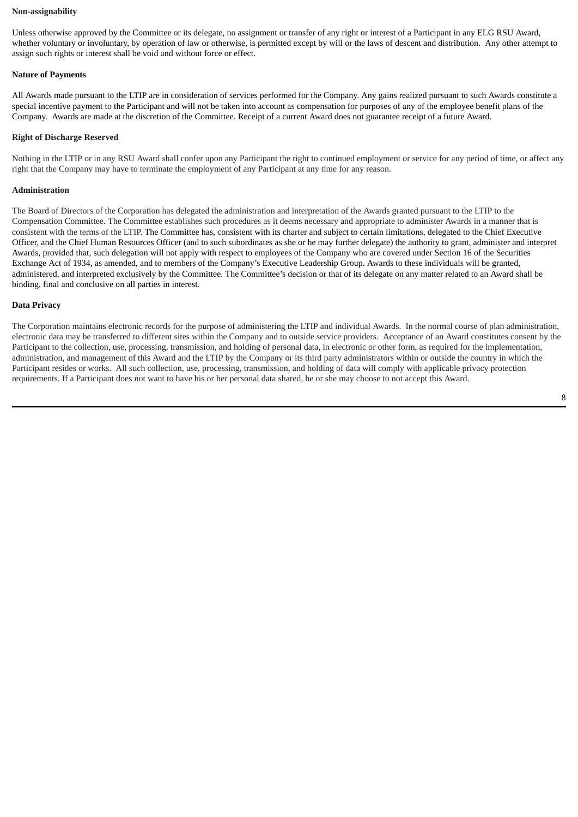#### **Non-assignability**

Unless otherwise approved by the Committee or its delegate, no assignment or transfer of any right or interest of a Participant in any ELG RSU Award, whether voluntary or involuntary, by operation of law or otherwise, is permitted except by will or the laws of descent and distribution. Any other attempt to assign such rights or interest shall be void and without force or effect.

#### **Nature of Payments**

All Awards made pursuant to the LTIP are in consideration of services performed for the Company. Any gains realized pursuant to such Awards constitute a special incentive payment to the Participant and will not be taken into account as compensation for purposes of any of the employee benefit plans of the Company. Awards are made at the discretion of the Committee. Receipt of a current Award does not guarantee receipt of a future Award.

#### **Right of Discharge Reserved**

Nothing in the LTIP or in any RSU Award shall confer upon any Participant the right to continued employment or service for any period of time, or affect any right that the Company may have to terminate the employment of any Participant at any time for any reason.

#### **Administration**

The Board of Directors of the Corporation has delegated the administration and interpretation of the Awards granted pursuant to the LTIP to the Compensation Committee. The Committee establishes such procedures as it deems necessary and appropriate to administer Awards in a manner that is consistent with the terms of the LTIP. The Committee has, consistent with its charter and subject to certain limitations, delegated to the Chief Executive Officer, and the Chief Human Resources Officer (and to such subordinates as she or he may further delegate) the authority to grant, administer and interpret Awards, provided that, such delegation will not apply with respect to employees of the Company who are covered under Section 16 of the Securities Exchange Act of 1934, as amended, and to members of the Company's Executive Leadership Group. Awards to these individuals will be granted, administered, and interpreted exclusively by the Committee. The Committee's decision or that of its delegate on any matter related to an Award shall be binding, final and conclusive on all parties in interest.

#### **Data Privacy**

The Corporation maintains electronic records for the purpose of administering the LTIP and individual Awards. In the normal course of plan administration, electronic data may be transferred to different sites within the Company and to outside service providers. Acceptance of an Award constitutes consent by the Participant to the collection, use, processing, transmission, and holding of personal data, in electronic or other form, as required for the implementation, administration, and management of this Award and the LTIP by the Company or its third party administrators within or outside the country in which the Participant resides or works. All such collection, use, processing, transmission, and holding of data will comply with applicable privacy protection requirements. If a Participant does not want to have his or her personal data shared, he or she may choose to not accept this Award.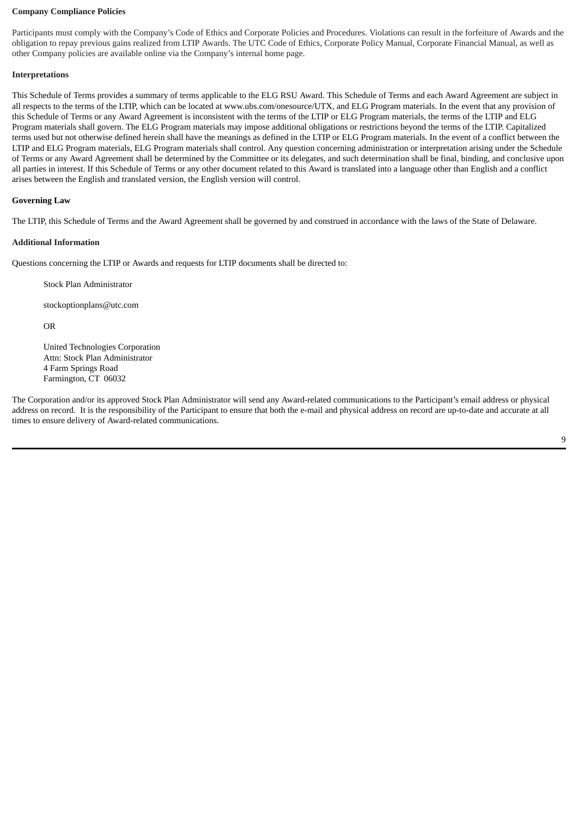#### **Company Compliance Policies**

Participants must comply with the Company's Code of Ethics and Corporate Policies and Procedures. Violations can result in the forfeiture of Awards and the obligation to repay previous gains realized from LTIP Awards. The UTC Code of Ethics, Corporate Policy Manual, Corporate Financial Manual, as well as other Company policies are available online via the Company's internal home page.

#### **Interpretations**

This Schedule of Terms provides a summary of terms applicable to the ELG RSU Award. This Schedule of Terms and each Award Agreement are subject in all respects to the terms of the LTIP, which can be located at www.ubs.com/onesource/UTX, and ELG Program materials. In the event that any provision of this Schedule of Terms or any Award Agreement is inconsistent with the terms of the LTIP or ELG Program materials, the terms of the LTIP and ELG Program materials shall govern. The ELG Program materials may impose additional obligations or restrictions beyond the terms of the LTIP. Capitalized terms used but not otherwise defined herein shall have the meanings as defined in the LTIP or ELG Program materials. In the event of a conflict between the LTIP and ELG Program materials, ELG Program materials shall control. Any question concerning administration or interpretation arising under the Schedule of Terms or any Award Agreement shall be determined by the Committee or its delegates, and such determination shall be final, binding, and conclusive upon all parties in interest. If this Schedule of Terms or any other document related to this Award is translated into a language other than English and a conflict arises between the English and translated version, the English version will control.

#### **Governing Law**

The LTIP, this Schedule of Terms and the Award Agreement shall be governed by and construed in accordance with the laws of the State of Delaware.

#### **Additional Information**

Questions concerning the LTIP or Awards and requests for LTIP documents shall be directed to:

Stock Plan Administrator

stockoptionplans@utc.com

OR

United Technologies Corporation Attn: Stock Plan Administrator 4 Farm Springs Road Farmington, CT 06032

The Corporation and/or its approved Stock Plan Administrator will send any Award-related communications to the Participant's email address or physical address on record. It is the responsibility of the Participant to ensure that both the e-mail and physical address on record are up-to-date and accurate at all times to ensure delivery of Award-related communications.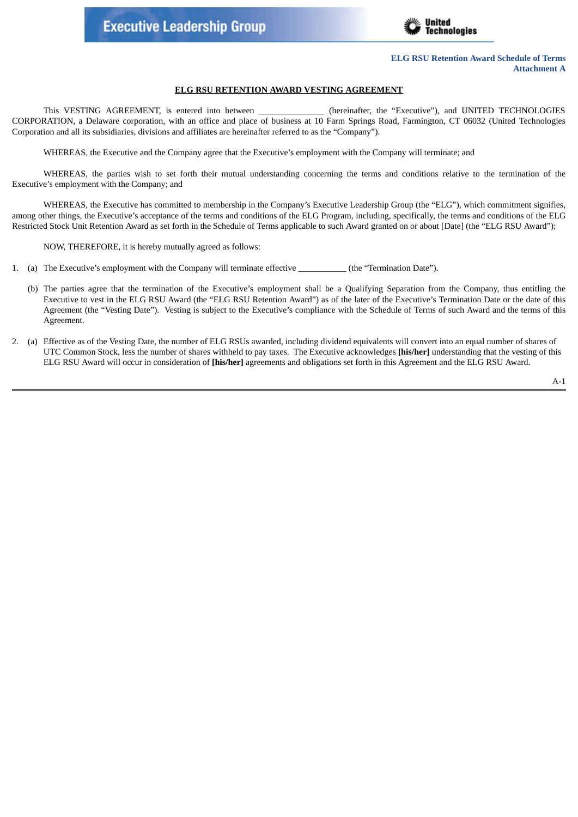

#### **ELG RSU RETENTION AWARD VESTING AGREEMENT**

This VESTING AGREEMENT, is entered into between \_\_\_\_\_\_\_\_\_\_\_\_\_ (hereinafter, the "Executive"), and UNITED TECHNOLOGIES CORPORATION, a Delaware corporation, with an office and place of business at 10 Farm Springs Road, Farmington, CT 06032 (United Technologies Corporation and all its subsidiaries, divisions and affiliates are hereinafter referred to as the "Company").

WHEREAS, the Executive and the Company agree that the Executive's employment with the Company will terminate; and

WHEREAS, the parties wish to set forth their mutual understanding concerning the terms and conditions relative to the termination of the Executive's employment with the Company; and

WHEREAS, the Executive has committed to membership in the Company's Executive Leadership Group (the "ELG"), which commitment signifies, among other things, the Executive's acceptance of the terms and conditions of the ELG Program, including, specifically, the terms and conditions of the ELG Restricted Stock Unit Retention Award as set forth in the Schedule of Terms applicable to such Award granted on or about [Date] (the "ELG RSU Award");

NOW, THEREFORE, it is hereby mutually agreed as follows:

1. (a) The Executive's employment with the Company will terminate effective (the "Termination Date").

- (b) The parties agree that the termination of the Executive's employment shall be a Qualifying Separation from the Company, thus entitling the Executive to vest in the ELG RSU Award (the "ELG RSU Retention Award") as of the later of the Executive's Termination Date or the date of this Agreement (the "Vesting Date"). Vesting is subject to the Executive's compliance with the Schedule of Terms of such Award and the terms of this Agreement.
- 2. (a) Effective as of the Vesting Date, the number of ELG RSUs awarded, including dividend equivalents will convert into an equal number of shares of UTC Common Stock, less the number of shares withheld to pay taxes. The Executive acknowledges **[his/her]** understanding that the vesting of this ELG RSU Award will occur in consideration of **[his/her]** agreements and obligations set forth in this Agreement and the ELG RSU Award.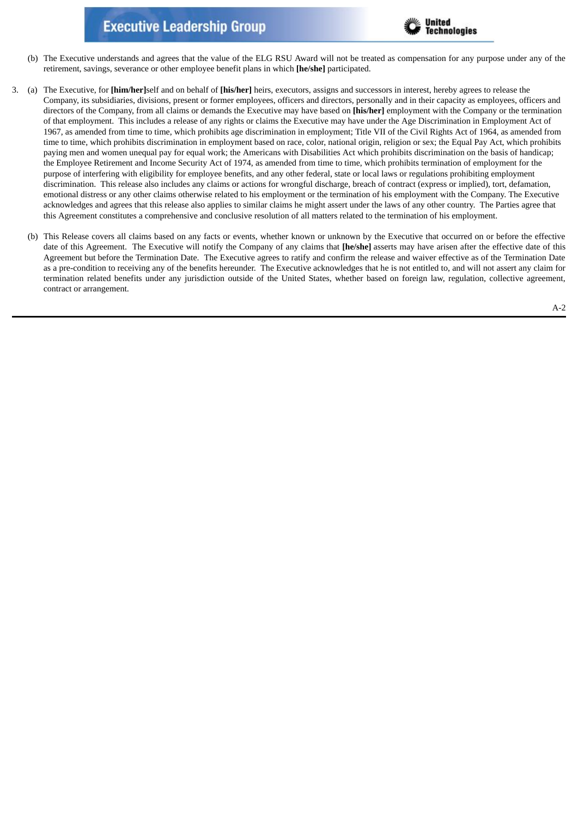

- (b) The Executive understands and agrees that the value of the ELG RSU Award will not be treated as compensation for any purpose under any of the retirement, savings, severance or other employee benefit plans in which **[he/she]** participated.
- 3. (a) The Executive, for **[him/her]**self and on behalf of **[his/her]** heirs, executors, assigns and successors in interest, hereby agrees to release the Company, its subsidiaries, divisions, present or former employees, officers and directors, personally and in their capacity as employees, officers and directors of the Company, from all claims or demands the Executive may have based on **[his/her]** employment with the Company or the termination of that employment. This includes a release of any rights or claims the Executive may have under the Age Discrimination in Employment Act of 1967, as amended from time to time, which prohibits age discrimination in employment; Title VII of the Civil Rights Act of 1964, as amended from time to time, which prohibits discrimination in employment based on race, color, national origin, religion or sex; the Equal Pay Act, which prohibits paying men and women unequal pay for equal work; the Americans with Disabilities Act which prohibits discrimination on the basis of handicap; the Employee Retirement and Income Security Act of 1974, as amended from time to time, which prohibits termination of employment for the purpose of interfering with eligibility for employee benefits, and any other federal, state or local laws or regulations prohibiting employment discrimination. This release also includes any claims or actions for wrongful discharge, breach of contract (express or implied), tort, defamation, emotional distress or any other claims otherwise related to his employment or the termination of his employment with the Company. The Executive acknowledges and agrees that this release also applies to similar claims he might assert under the laws of any other country. The Parties agree that this Agreement constitutes a comprehensive and conclusive resolution of all matters related to the termination of his employment.
	- (b) This Release covers all claims based on any facts or events, whether known or unknown by the Executive that occurred on or before the effective date of this Agreement. The Executive will notify the Company of any claims that **[he/she]** asserts may have arisen after the effective date of this Agreement but before the Termination Date. The Executive agrees to ratify and confirm the release and waiver effective as of the Termination Date as a pre-condition to receiving any of the benefits hereunder. The Executive acknowledges that he is not entitled to, and will not assert any claim for termination related benefits under any jurisdiction outside of the United States, whether based on foreign law, regulation, collective agreement, contract or arrangement.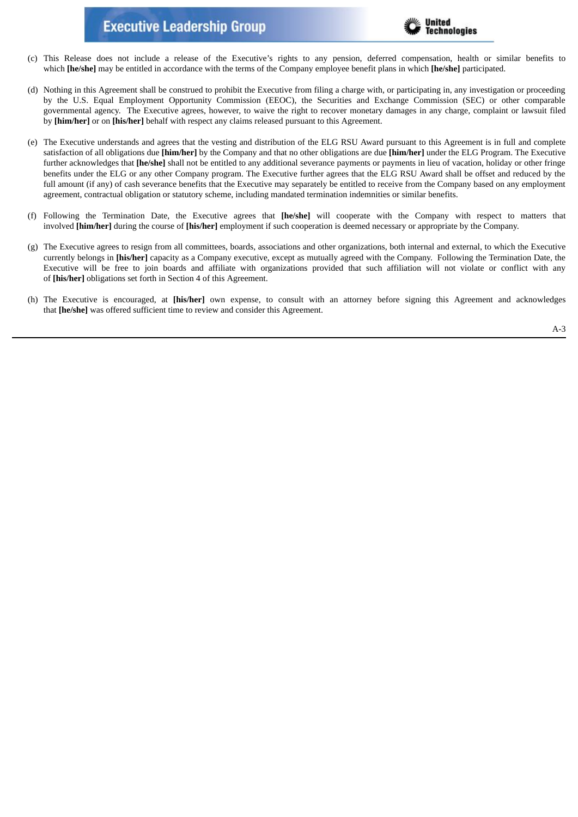

- (c) This Release does not include a release of the Executive's rights to any pension, deferred compensation, health or similar benefits to which **[he/she]** may be entitled in accordance with the terms of the Company employee benefit plans in which **[he/she]** participated.
- (d) Nothing in this Agreement shall be construed to prohibit the Executive from filing a charge with, or participating in, any investigation or proceeding by the U.S. Equal Employment Opportunity Commission (EEOC), the Securities and Exchange Commission (SEC) or other comparable governmental agency. The Executive agrees, however, to waive the right to recover monetary damages in any charge, complaint or lawsuit filed by **[him/her]** or on **[his/her]** behalf with respect any claims released pursuant to this Agreement.
- (e) The Executive understands and agrees that the vesting and distribution of the ELG RSU Award pursuant to this Agreement is in full and complete satisfaction of all obligations due **[him/her]** by the Company and that no other obligations are due **[him/her]** under the ELG Program. The Executive further acknowledges that **[he/she]** shall not be entitled to any additional severance payments or payments in lieu of vacation, holiday or other fringe benefits under the ELG or any other Company program. The Executive further agrees that the ELG RSU Award shall be offset and reduced by the full amount (if any) of cash severance benefits that the Executive may separately be entitled to receive from the Company based on any employment agreement, contractual obligation or statutory scheme, including mandated termination indemnities or similar benefits.
- (f) Following the Termination Date, the Executive agrees that **[he/she]** will cooperate with the Company with respect to matters that involved **[him/her]** during the course of **[his/her]** employment if such cooperation is deemed necessary or appropriate by the Company.
- (g) The Executive agrees to resign from all committees, boards, associations and other organizations, both internal and external, to which the Executive currently belongs in **[his/her]** capacity as a Company executive, except as mutually agreed with the Company. Following the Termination Date, the Executive will be free to join boards and affiliate with organizations provided that such affiliation will not violate or conflict with any of **[his/her]** obligations set forth in Section 4 of this Agreement.
- (h) The Executive is encouraged, at **[his/her]** own expense, to consult with an attorney before signing this Agreement and acknowledges that **[he/she]** was offered sufficient time to review and consider this Agreement.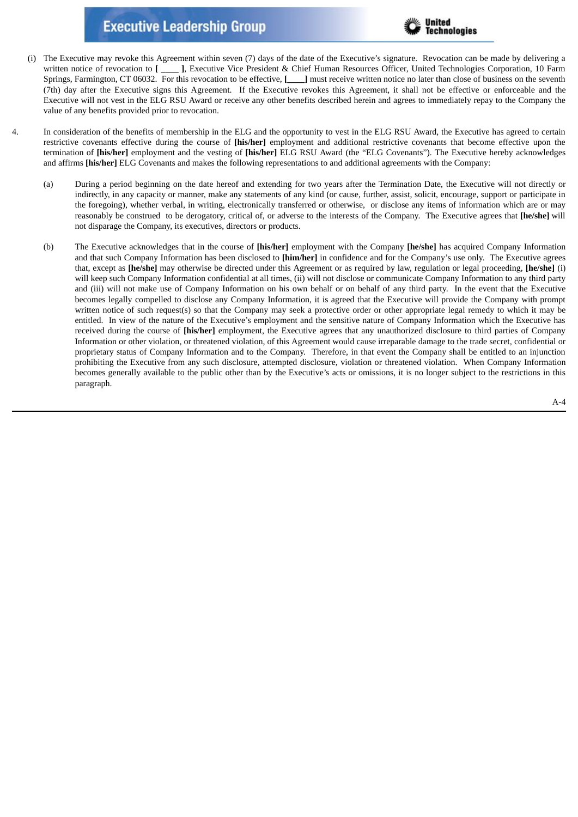

- (i) The Executive may revoke this Agreement within seven (7) days of the date of the Executive's signature. Revocation can be made by delivering a written notice of revocation to **[ \_\_\_\_ ]**, Executive Vice President & Chief Human Resources Officer, United Technologies Corporation, 10 Farm Springs, Farmington, CT 06032. For this revocation to be effective, **[\_\_\_\_]** must receive written notice no later than close of business on the seventh (7th) day after the Executive signs this Agreement. If the Executive revokes this Agreement, it shall not be effective or enforceable and the Executive will not vest in the ELG RSU Award or receive any other benefits described herein and agrees to immediately repay to the Company the value of any benefits provided prior to revocation.
- 4. In consideration of the benefits of membership in the ELG and the opportunity to vest in the ELG RSU Award, the Executive has agreed to certain restrictive covenants effective during the course of **[his/her]** employment and additional restrictive covenants that become effective upon the termination of **[his/her]** employment and the vesting of **[his/her]** ELG RSU Award (the "ELG Covenants"). The Executive hereby acknowledges and affirms **[his/her]** ELG Covenants and makes the following representations to and additional agreements with the Company:
	- (a) During a period beginning on the date hereof and extending for two years after the Termination Date, the Executive will not directly or indirectly, in any capacity or manner, make any statements of any kind (or cause, further, assist, solicit, encourage, support or participate in the foregoing), whether verbal, in writing, electronically transferred or otherwise, or disclose any items of information which are or may reasonably be construed to be derogatory, critical of, or adverse to the interests of the Company. The Executive agrees that **[he/she]** will not disparage the Company, its executives, directors or products.
	- (b) The Executive acknowledges that in the course of **[his/her]** employment with the Company **[he/she]** has acquired Company Information and that such Company Information has been disclosed to **[him/her]** in confidence and for the Company's use only. The Executive agrees that, except as **[he/she]** may otherwise be directed under this Agreement or as required by law, regulation or legal proceeding, **[he/she]** (i) will keep such Company Information confidential at all times, (ii) will not disclose or communicate Company Information to any third party and (iii) will not make use of Company Information on his own behalf or on behalf of any third party. In the event that the Executive becomes legally compelled to disclose any Company Information, it is agreed that the Executive will provide the Company with prompt written notice of such request(s) so that the Company may seek a protective order or other appropriate legal remedy to which it may be entitled. In view of the nature of the Executive's employment and the sensitive nature of Company Information which the Executive has received during the course of **[his/her]** employment, the Executive agrees that any unauthorized disclosure to third parties of Company Information or other violation, or threatened violation, of this Agreement would cause irreparable damage to the trade secret, confidential or proprietary status of Company Information and to the Company. Therefore, in that event the Company shall be entitled to an injunction prohibiting the Executive from any such disclosure, attempted disclosure, violation or threatened violation. When Company Information becomes generally available to the public other than by the Executive's acts or omissions, it is no longer subject to the restrictions in this paragraph.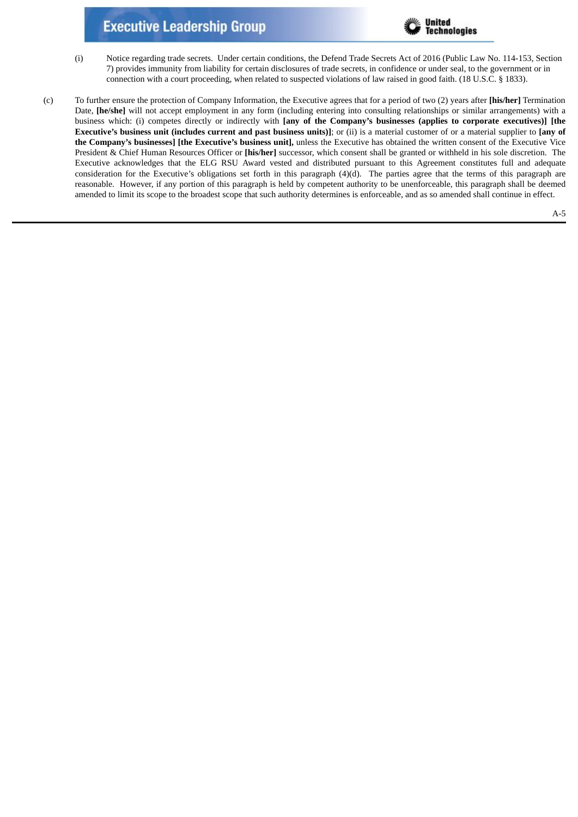

- (i) Notice regarding trade secrets. Under certain conditions, the Defend Trade Secrets Act of 2016 (Public Law No. 114-153, Section 7) provides immunity from liability for certain disclosures of trade secrets, in confidence or under seal, to the government or in connection with a court proceeding, when related to suspected violations of law raised in good faith. (18 U.S.C. § 1833).
- (c) To further ensure the protection of Company Information, the Executive agrees that for a period of two (2) years after **[his/her]** Termination Date, **[he/she]** will not accept employment in any form (including entering into consulting relationships or similar arrangements) with a business which: (i) competes directly or indirectly with **[any of the Company's businesses (applies to corporate executives)] [the Executive's business unit (includes current and past business units)]**; or (ii) is a material customer of or a material supplier to **[any of the Company's businesses] [the Executive's business unit],** unless the Executive has obtained the written consent of the Executive Vice President & Chief Human Resources Officer or **[his/her]** successor, which consent shall be granted or withheld in his sole discretion. The Executive acknowledges that the ELG RSU Award vested and distributed pursuant to this Agreement constitutes full and adequate consideration for the Executive's obligations set forth in this paragraph (4)(d). The parties agree that the terms of this paragraph are reasonable. However, if any portion of this paragraph is held by competent authority to be unenforceable, this paragraph shall be deemed amended to limit its scope to the broadest scope that such authority determines is enforceable, and as so amended shall continue in effect.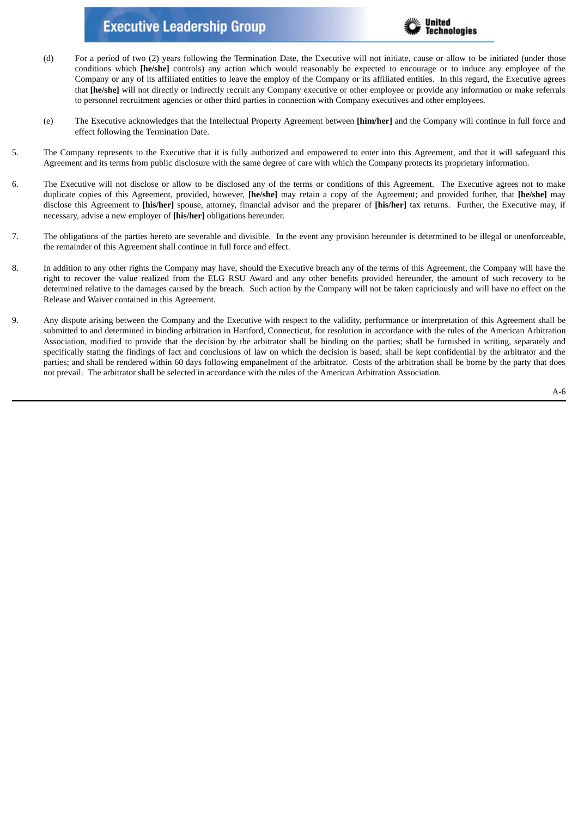

- (d) For a period of two (2) years following the Termination Date, the Executive will not initiate, cause or allow to be initiated (under those conditions which **[he/she]** controls) any action which would reasonably be expected to encourage or to induce any employee of the Company or any of its affiliated entities to leave the employ of the Company or its affiliated entities. In this regard, the Executive agrees that **[he/she]** will not directly or indirectly recruit any Company executive or other employee or provide any information or make referrals to personnel recruitment agencies or other third parties in connection with Company executives and other employees.
- (e) The Executive acknowledges that the Intellectual Property Agreement between **[him/her]** and the Company will continue in full force and effect following the Termination Date.
- 5. The Company represents to the Executive that it is fully authorized and empowered to enter into this Agreement, and that it will safeguard this Agreement and its terms from public disclosure with the same degree of care with which the Company protects its proprietary information.
- 6. The Executive will not disclose or allow to be disclosed any of the terms or conditions of this Agreement. The Executive agrees not to make duplicate copies of this Agreement, provided, however, **[he/she]** may retain a copy of the Agreement; and provided further, that **[he/she]** may disclose this Agreement to **[his/her]** spouse, attorney, financial advisor and the preparer of **[his/her]** tax returns. Further, the Executive may, if necessary, advise a new employer of **[his/her]** obligations hereunder.
- 7. The obligations of the parties hereto are severable and divisible. In the event any provision hereunder is determined to be illegal or unenforceable, the remainder of this Agreement shall continue in full force and effect.
- 8. In addition to any other rights the Company may have, should the Executive breach any of the terms of this Agreement, the Company will have the right to recover the value realized from the ELG RSU Award and any other benefits provided hereunder, the amount of such recovery to be determined relative to the damages caused by the breach. Such action by the Company will not be taken capriciously and will have no effect on the Release and Waiver contained in this Agreement.
- 9. Any dispute arising between the Company and the Executive with respect to the validity, performance or interpretation of this Agreement shall be submitted to and determined in binding arbitration in Hartford, Connecticut, for resolution in accordance with the rules of the American Arbitration Association, modified to provide that the decision by the arbitrator shall be binding on the parties; shall be furnished in writing, separately and specifically stating the findings of fact and conclusions of law on which the decision is based; shall be kept confidential by the arbitrator and the parties; and shall be rendered within 60 days following empanelment of the arbitrator. Costs of the arbitration shall be borne by the party that does not prevail. The arbitrator shall be selected in accordance with the rules of the American Arbitration Association.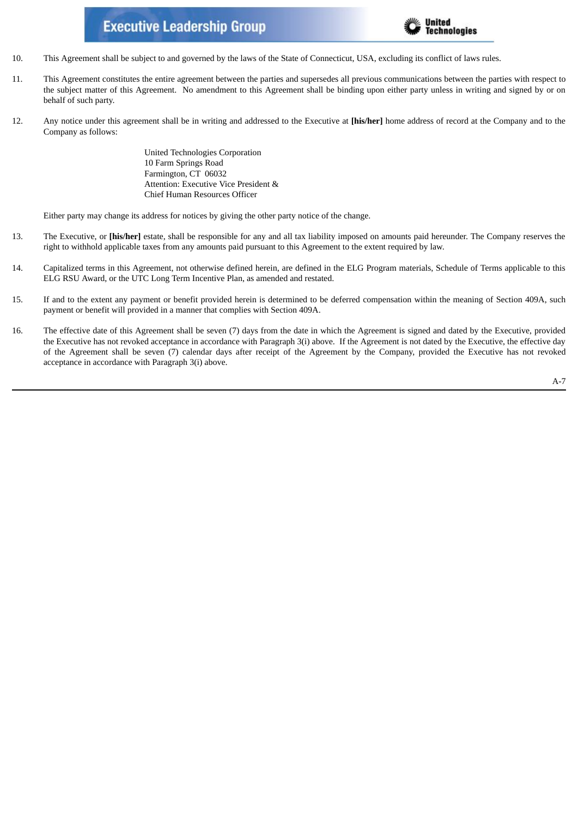

- 10. This Agreement shall be subject to and governed by the laws of the State of Connecticut, USA, excluding its conflict of laws rules.
- 11. This Agreement constitutes the entire agreement between the parties and supersedes all previous communications between the parties with respect to the subject matter of this Agreement. No amendment to this Agreement shall be binding upon either party unless in writing and signed by or on behalf of such party.
- 12. Any notice under this agreement shall be in writing and addressed to the Executive at **[his/her]** home address of record at the Company and to the Company as follows:

United Technologies Corporation 10 Farm Springs Road Farmington, CT 06032 Attention: Executive Vice President & Chief Human Resources Officer

Either party may change its address for notices by giving the other party notice of the change.

- 13. The Executive, or **[his/her]** estate, shall be responsible for any and all tax liability imposed on amounts paid hereunder. The Company reserves the right to withhold applicable taxes from any amounts paid pursuant to this Agreement to the extent required by law.
- 14. Capitalized terms in this Agreement, not otherwise defined herein, are defined in the ELG Program materials, Schedule of Terms applicable to this ELG RSU Award, or the UTC Long Term Incentive Plan, as amended and restated.
- 15. If and to the extent any payment or benefit provided herein is determined to be deferred compensation within the meaning of Section 409A, such payment or benefit will provided in a manner that complies with Section 409A.
- 16. The effective date of this Agreement shall be seven (7) days from the date in which the Agreement is signed and dated by the Executive, provided the Executive has not revoked acceptance in accordance with Paragraph 3(i) above. If the Agreement is not dated by the Executive, the effective day of the Agreement shall be seven (7) calendar days after receipt of the Agreement by the Company, provided the Executive has not revoked acceptance in accordance with Paragraph 3(i) above.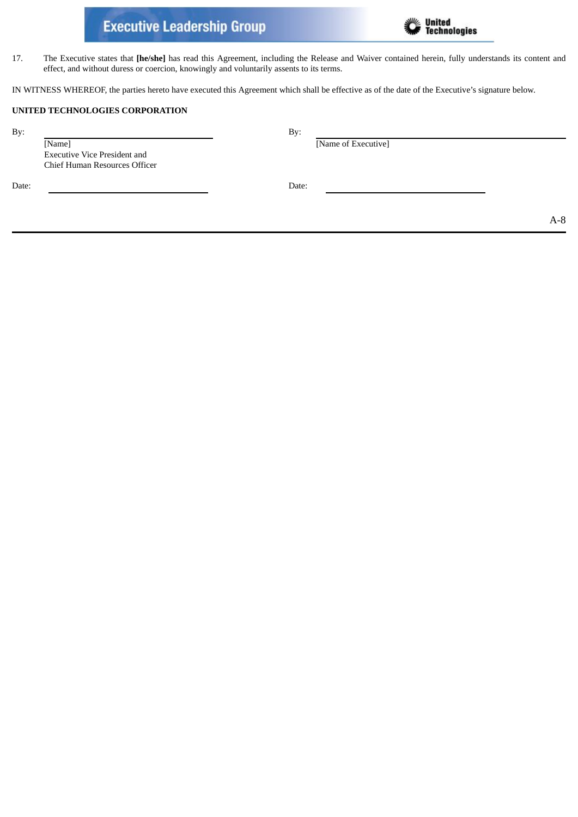

17. The Executive states that **[he/she]** has read this Agreement, including the Release and Waiver contained herein, fully understands its content and effect, and without duress or coercion, knowingly and voluntarily assents to its terms.

IN WITNESS WHEREOF, the parties hereto have executed this Agreement which shall be effective as of the date of the Executive's signature below.

#### **UNITED TECHNOLOGIES CORPORATION**

| By:   |                                                                                | By:                 |       |
|-------|--------------------------------------------------------------------------------|---------------------|-------|
|       | [Name]<br><b>Executive Vice President and</b><br>Chief Human Resources Officer | [Name of Executive] |       |
| Date: |                                                                                | Date:               |       |
|       |                                                                                |                     | $A-8$ |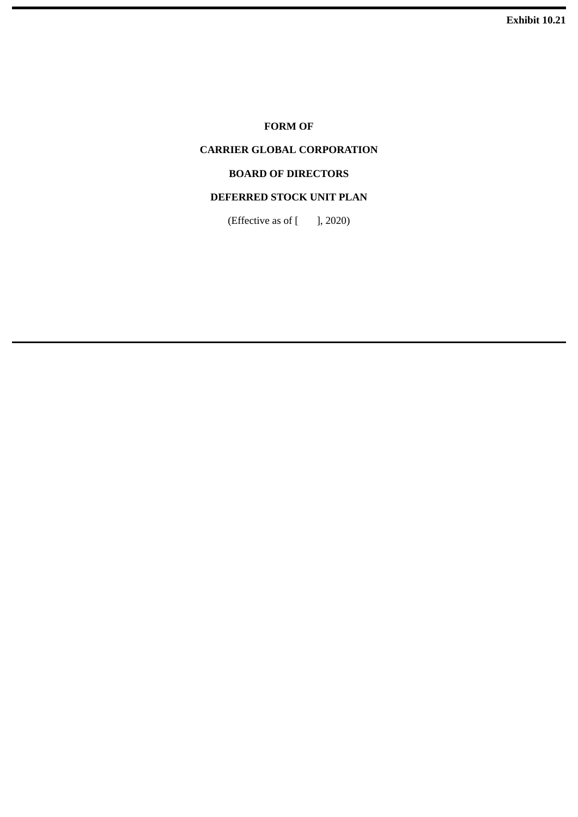## **FORM OF**

# **CARRIER GLOBAL CORPORATION**

## **BOARD OF DIRECTORS**

# **DEFERRED STOCK UNIT PLAN**

(Effective as of  $[$  ], 2020)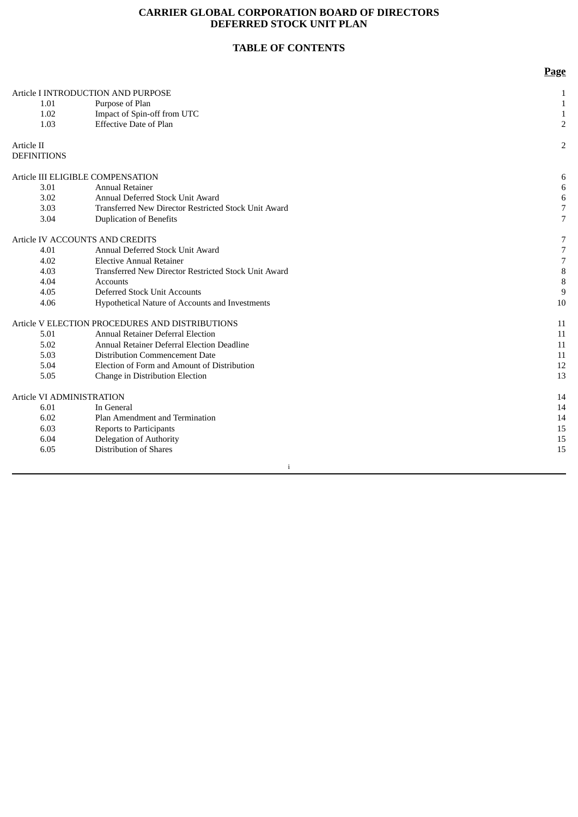## **CARRIER GLOBAL CORPORATION BOARD OF DIRECTORS DEFERRED STOCK UNIT PLAN**

### **TABLE OF CONTENTS**

|                                                 |                                                      | <b>Page</b>    |
|-------------------------------------------------|------------------------------------------------------|----------------|
| Article I INTRODUCTION AND PURPOSE              |                                                      | 1              |
| 1.01                                            | Purpose of Plan                                      | $\mathbf{1}$   |
| 1.02                                            | Impact of Spin-off from UTC                          | $\mathbf{1}$   |
| 1.03                                            | <b>Effective Date of Plan</b>                        | $\overline{2}$ |
| Article II                                      |                                                      | 2              |
| <b>DEFINITIONS</b>                              |                                                      |                |
|                                                 | Article III ELIGIBLE COMPENSATION                    | 6              |
| 3.01                                            | <b>Annual Retainer</b>                               | $\,6\,$        |
| 3.02                                            | Annual Deferred Stock Unit Award                     | $\,6$          |
| 3.03                                            | Transferred New Director Restricted Stock Unit Award | $\overline{7}$ |
| 3.04                                            | <b>Duplication of Benefits</b>                       | 7              |
|                                                 | Article IV ACCOUNTS AND CREDITS                      | 7              |
| 4.01                                            | Annual Deferred Stock Unit Award                     | $\overline{7}$ |
| 4.02                                            | <b>Elective Annual Retainer</b>                      | $\overline{7}$ |
| 4.03                                            | Transferred New Director Restricted Stock Unit Award | $\, 8$         |
| 4.04                                            | Accounts                                             | $\, 8$         |
| 4.05                                            | Deferred Stock Unit Accounts                         | 9              |
| 4.06                                            | Hypothetical Nature of Accounts and Investments      | 10             |
| Article V ELECTION PROCEDURES AND DISTRIBUTIONS |                                                      | 11             |
| 5.01                                            | <b>Annual Retainer Deferral Election</b>             | 11             |
| 5.02                                            | Annual Retainer Deferral Election Deadline           | 11             |
| 5.03                                            | <b>Distribution Commencement Date</b>                | 11             |
| 5.04                                            | Election of Form and Amount of Distribution          | 12             |
| 5.05                                            | Change in Distribution Election                      | 13             |
| <b>Article VI ADMINISTRATION</b>                |                                                      | 14             |
| 6.01                                            | In General                                           | 14             |
| 6.02                                            | Plan Amendment and Termination                       | 14             |
| 6.03                                            | <b>Reports to Participants</b>                       | 15             |
| 6.04                                            | Delegation of Authority                              | 15             |
| 6.05                                            | <b>Distribution of Shares</b>                        | 15             |

i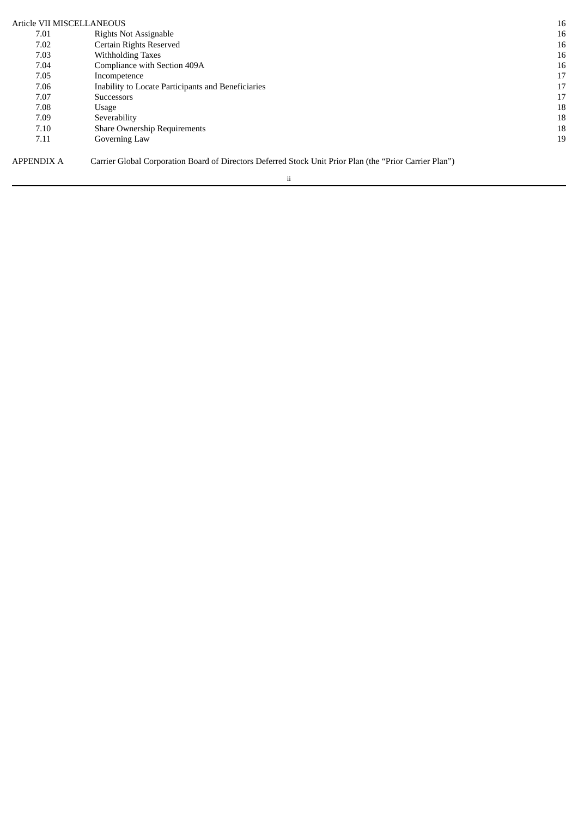| <b>Article VII MISCELLANEOUS</b> |                                                                                                         |    |
|----------------------------------|---------------------------------------------------------------------------------------------------------|----|
| 7.01                             | <b>Rights Not Assignable</b>                                                                            | 16 |
| 7.02                             | Certain Rights Reserved                                                                                 | 16 |
| 7.03                             | Withholding Taxes                                                                                       | 16 |
| 7.04                             | Compliance with Section 409A                                                                            | 16 |
| 7.05                             | Incompetence                                                                                            | 17 |
| 7.06                             | Inability to Locate Participants and Beneficiaries                                                      | 17 |
| 7.07                             | <b>Successors</b>                                                                                       | 17 |
| 7.08                             | Usage                                                                                                   | 18 |
| 7.09                             | Severability                                                                                            | 18 |
| 7.10                             | <b>Share Ownership Requirements</b>                                                                     | 18 |
| 7.11                             | Governing Law                                                                                           | 19 |
| <b>APPENDIX A</b>                | Carrier Global Corporation Board of Directors Deferred Stock Unit Prior Plan (the "Prior Carrier Plan") |    |

ii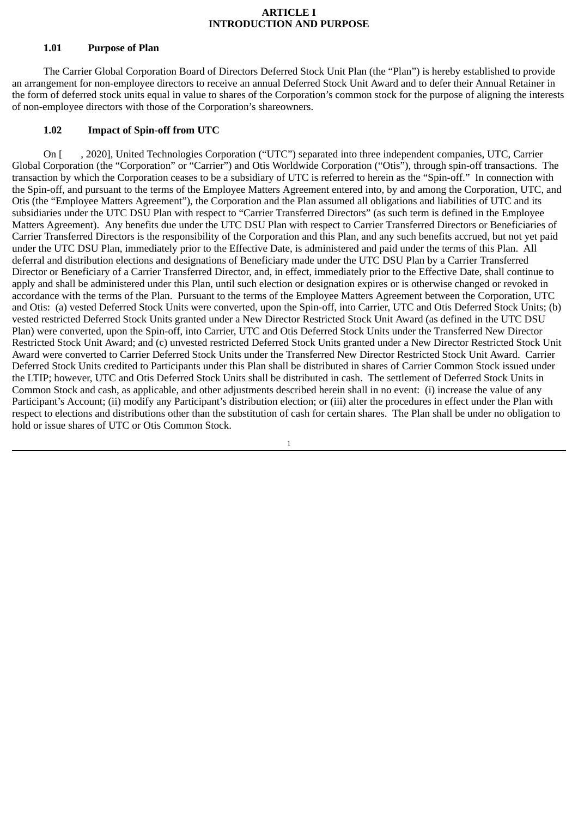#### **ARTICLE I INTRODUCTION AND PURPOSE**

#### **1.01 Purpose of Plan**

The Carrier Global Corporation Board of Directors Deferred Stock Unit Plan (the "Plan") is hereby established to provide an arrangement for non-employee directors to receive an annual Deferred Stock Unit Award and to defer their Annual Retainer in the form of deferred stock units equal in value to shares of the Corporation's common stock for the purpose of aligning the interests of non-employee directors with those of the Corporation's shareowners.

### **1.02 Impact of Spin-off from UTC**

On [ , 2020], United Technologies Corporation ("UTC") separated into three independent companies, UTC, Carrier Global Corporation (the "Corporation" or "Carrier") and Otis Worldwide Corporation ("Otis"), through spin-off transactions. The transaction by which the Corporation ceases to be a subsidiary of UTC is referred to herein as the "Spin-off." In connection with the Spin-off, and pursuant to the terms of the Employee Matters Agreement entered into, by and among the Corporation, UTC, and Otis (the "Employee Matters Agreement"), the Corporation and the Plan assumed all obligations and liabilities of UTC and its subsidiaries under the UTC DSU Plan with respect to "Carrier Transferred Directors" (as such term is defined in the Employee Matters Agreement). Any benefits due under the UTC DSU Plan with respect to Carrier Transferred Directors or Beneficiaries of Carrier Transferred Directors is the responsibility of the Corporation and this Plan, and any such benefits accrued, but not yet paid under the UTC DSU Plan, immediately prior to the Effective Date, is administered and paid under the terms of this Plan. All deferral and distribution elections and designations of Beneficiary made under the UTC DSU Plan by a Carrier Transferred Director or Beneficiary of a Carrier Transferred Director, and, in effect, immediately prior to the Effective Date, shall continue to apply and shall be administered under this Plan, until such election or designation expires or is otherwise changed or revoked in accordance with the terms of the Plan. Pursuant to the terms of the Employee Matters Agreement between the Corporation, UTC and Otis: (a) vested Deferred Stock Units were converted, upon the Spin-off, into Carrier, UTC and Otis Deferred Stock Units; (b) vested restricted Deferred Stock Units granted under a New Director Restricted Stock Unit Award (as defined in the UTC DSU Plan) were converted, upon the Spin-off, into Carrier, UTC and Otis Deferred Stock Units under the Transferred New Director Restricted Stock Unit Award; and (c) unvested restricted Deferred Stock Units granted under a New Director Restricted Stock Unit Award were converted to Carrier Deferred Stock Units under the Transferred New Director Restricted Stock Unit Award. Carrier Deferred Stock Units credited to Participants under this Plan shall be distributed in shares of Carrier Common Stock issued under the LTIP; however, UTC and Otis Deferred Stock Units shall be distributed in cash. The settlement of Deferred Stock Units in Common Stock and cash, as applicable, and other adjustments described herein shall in no event: (i) increase the value of any Participant's Account; (ii) modify any Participant's distribution election; or (iii) alter the procedures in effect under the Plan with respect to elections and distributions other than the substitution of cash for certain shares. The Plan shall be under no obligation to hold or issue shares of UTC or Otis Common Stock.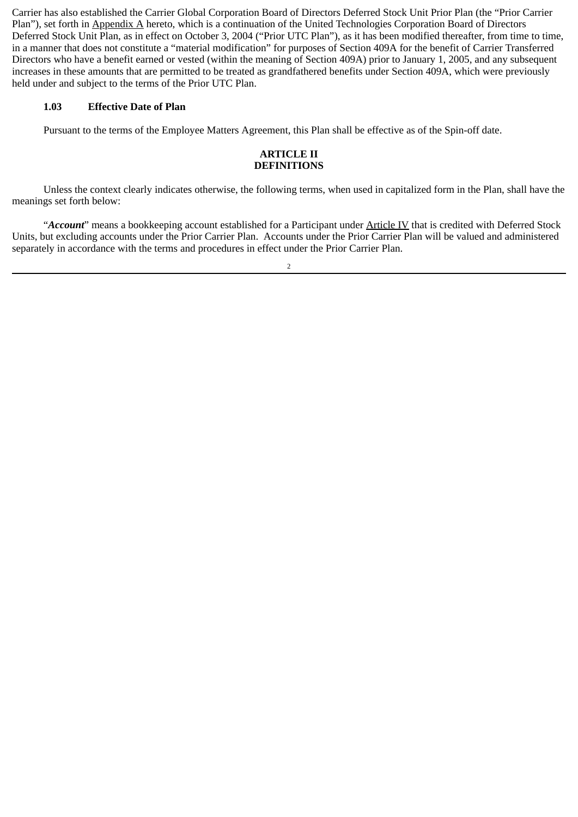Carrier has also established the Carrier Global Corporation Board of Directors Deferred Stock Unit Prior Plan (the "Prior Carrier Plan"), set forth in Appendix A hereto, which is a continuation of the United Technologies Corporation Board of Directors Deferred Stock Unit Plan, as in effect on October 3, 2004 ("Prior UTC Plan"), as it has been modified thereafter, from time to time, in a manner that does not constitute a "material modification" for purposes of Section 409A for the benefit of Carrier Transferred Directors who have a benefit earned or vested (within the meaning of Section 409A) prior to January 1, 2005, and any subsequent increases in these amounts that are permitted to be treated as grandfathered benefits under Section 409A, which were previously held under and subject to the terms of the Prior UTC Plan.

## **1.03 Effective Date of Plan**

Pursuant to the terms of the Employee Matters Agreement, this Plan shall be effective as of the Spin-off date.

### **ARTICLE II DEFINITIONS**

Unless the context clearly indicates otherwise, the following terms, when used in capitalized form in the Plan, shall have the meanings set forth below:

"*Account*" means a bookkeeping account established for a Participant under Article IV that is credited with Deferred Stock Units, but excluding accounts under the Prior Carrier Plan. Accounts under the Prior Carrier Plan will be valued and administered separately in accordance with the terms and procedures in effect under the Prior Carrier Plan.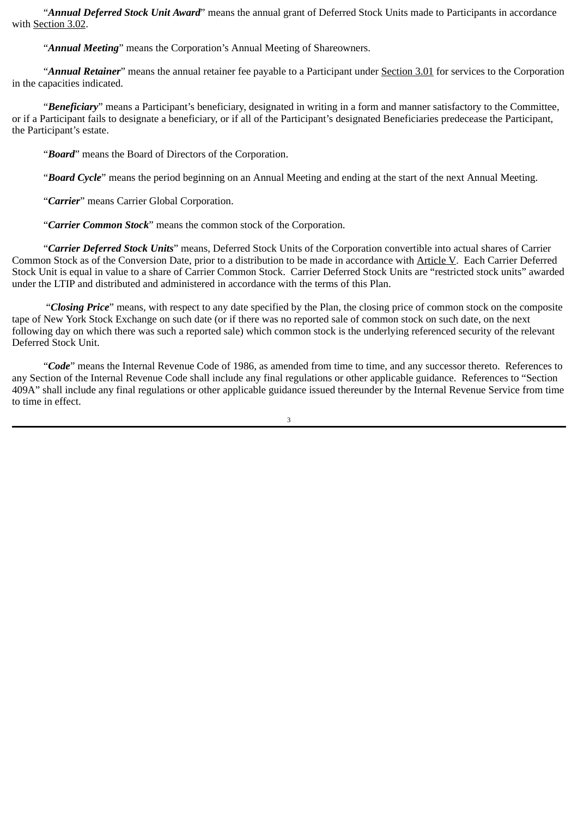"*Annual Deferred Stock Unit Award*" means the annual grant of Deferred Stock Units made to Participants in accordance with Section 3.02.

"*Annual Meeting*" means the Corporation's Annual Meeting of Shareowners.

"*Annual Retainer*" means the annual retainer fee payable to a Participant under Section 3.01 for services to the Corporation in the capacities indicated.

"*Beneficiary*" means a Participant's beneficiary, designated in writing in a form and manner satisfactory to the Committee, or if a Participant fails to designate a beneficiary, or if all of the Participant's designated Beneficiaries predecease the Participant, the Participant's estate.

"*Board*" means the Board of Directors of the Corporation.

"*Board Cycle*" means the period beginning on an Annual Meeting and ending at the start of the next Annual Meeting.

"*Carrier*" means Carrier Global Corporation.

"*Carrier Common Stock*" means the common stock of the Corporation.

"*Carrier Deferred Stock Units*" means, Deferred Stock Units of the Corporation convertible into actual shares of Carrier Common Stock as of the Conversion Date, prior to a distribution to be made in accordance with Article V. Each Carrier Deferred Stock Unit is equal in value to a share of Carrier Common Stock. Carrier Deferred Stock Units are "restricted stock units" awarded under the LTIP and distributed and administered in accordance with the terms of this Plan.

 "*Closing Price*" means, with respect to any date specified by the Plan, the closing price of common stock on the composite tape of New York Stock Exchange on such date (or if there was no reported sale of common stock on such date, on the next following day on which there was such a reported sale) which common stock is the underlying referenced security of the relevant Deferred Stock Unit.

"*Code*" means the Internal Revenue Code of 1986, as amended from time to time, and any successor thereto. References to any Section of the Internal Revenue Code shall include any final regulations or other applicable guidance. References to "Section 409A" shall include any final regulations or other applicable guidance issued thereunder by the Internal Revenue Service from time to time in effect.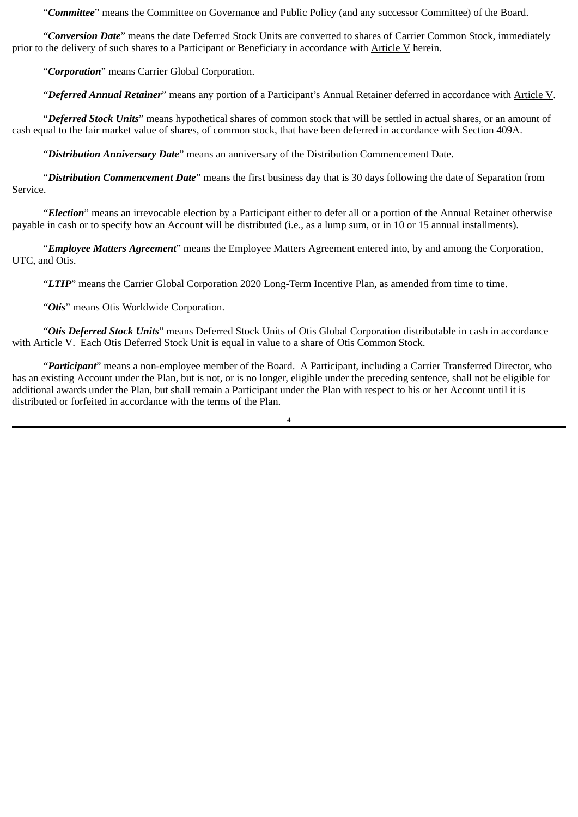"*Committee*" means the Committee on Governance and Public Policy (and any successor Committee) of the Board.

"*Conversion Date*" means the date Deferred Stock Units are converted to shares of Carrier Common Stock, immediately prior to the delivery of such shares to a Participant or Beneficiary in accordance with Article V herein.

"*Corporation*" means Carrier Global Corporation.

"*Deferred Annual Retainer*" means any portion of a Participant's Annual Retainer deferred in accordance with Article V.

"*Deferred Stock Units*" means hypothetical shares of common stock that will be settled in actual shares, or an amount of cash equal to the fair market value of shares, of common stock, that have been deferred in accordance with Section 409A.

"*Distribution Anniversary Date*" means an anniversary of the Distribution Commencement Date.

"*Distribution Commencement Date*" means the first business day that is 30 days following the date of Separation from Service.

"*Election*" means an irrevocable election by a Participant either to defer all or a portion of the Annual Retainer otherwise payable in cash or to specify how an Account will be distributed (i.e., as a lump sum, or in 10 or 15 annual installments).

"*Employee Matters Agreement*" means the Employee Matters Agreement entered into, by and among the Corporation, UTC, and Otis.

"*LTIP*" means the Carrier Global Corporation 2020 Long-Term Incentive Plan, as amended from time to time.

"*Otis*" means Otis Worldwide Corporation.

"*Otis Deferred Stock Units*" means Deferred Stock Units of Otis Global Corporation distributable in cash in accordance with Article V. Each Otis Deferred Stock Unit is equal in value to a share of Otis Common Stock.

"*Participant*" means a non-employee member of the Board. A Participant, including a Carrier Transferred Director, who has an existing Account under the Plan, but is not, or is no longer, eligible under the preceding sentence, shall not be eligible for additional awards under the Plan, but shall remain a Participant under the Plan with respect to his or her Account until it is distributed or forfeited in accordance with the terms of the Plan.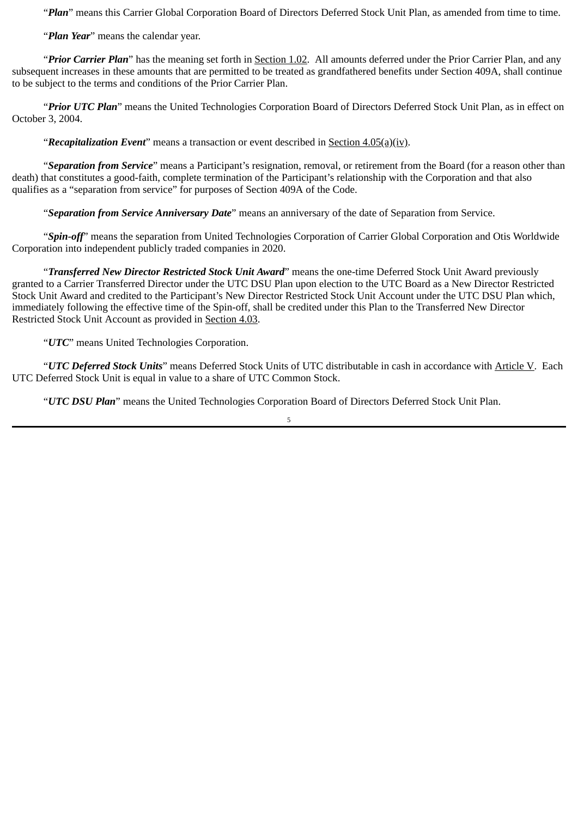"*Plan*" means this Carrier Global Corporation Board of Directors Deferred Stock Unit Plan, as amended from time to time.

"*Plan Year*" means the calendar year.

"*Prior Carrier Plan*" has the meaning set forth in Section 1.02. All amounts deferred under the Prior Carrier Plan, and any subsequent increases in these amounts that are permitted to be treated as grandfathered benefits under Section 409A, shall continue to be subject to the terms and conditions of the Prior Carrier Plan.

"*Prior UTC Plan*" means the United Technologies Corporation Board of Directors Deferred Stock Unit Plan, as in effect on October 3, 2004.

"*Recapitalization Event*" means a transaction or event described in Section 4.05(a)(iv).

"*Separation from Service*" means a Participant's resignation, removal, or retirement from the Board (for a reason other than death) that constitutes a good-faith, complete termination of the Participant's relationship with the Corporation and that also qualifies as a "separation from service" for purposes of Section 409A of the Code.

"*Separation from Service Anniversary Date*" means an anniversary of the date of Separation from Service.

"*Spin-off*" means the separation from United Technologies Corporation of Carrier Global Corporation and Otis Worldwide Corporation into independent publicly traded companies in 2020.

"*Transferred New Director Restricted Stock Unit Award*" means the one-time Deferred Stock Unit Award previously granted to a Carrier Transferred Director under the UTC DSU Plan upon election to the UTC Board as a New Director Restricted Stock Unit Award and credited to the Participant's New Director Restricted Stock Unit Account under the UTC DSU Plan which, immediately following the effective time of the Spin-off, shall be credited under this Plan to the Transferred New Director Restricted Stock Unit Account as provided in Section 4.03.

"*UTC*" means United Technologies Corporation.

"*UTC Deferred Stock Units*" means Deferred Stock Units of UTC distributable in cash in accordance with Article V. Each UTC Deferred Stock Unit is equal in value to a share of UTC Common Stock.

"*UTC DSU Plan*" means the United Technologies Corporation Board of Directors Deferred Stock Unit Plan.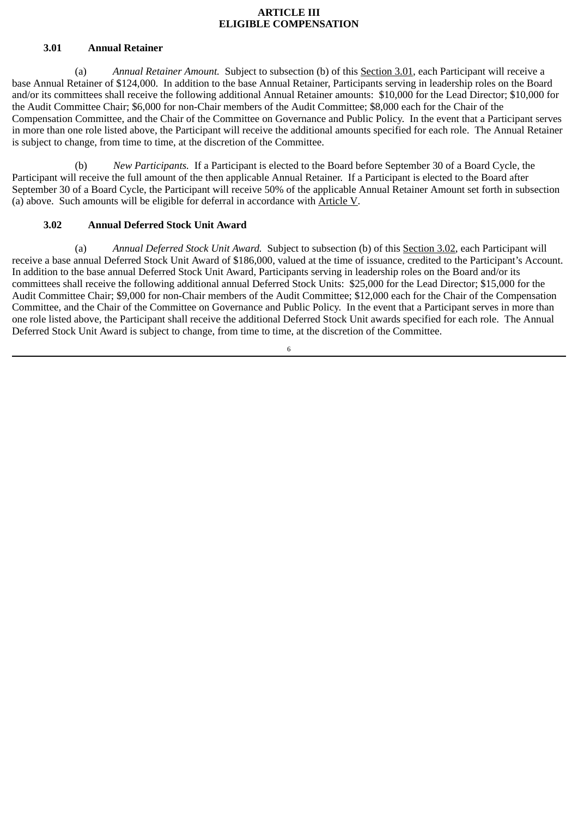#### **ARTICLE III ELIGIBLE COMPENSATION**

### **3.01 Annual Retainer**

(a) *Annual Retainer Amount.* Subject to subsection (b) of this Section 3.01, each Participant will receive a base Annual Retainer of \$124,000. In addition to the base Annual Retainer, Participants serving in leadership roles on the Board and/or its committees shall receive the following additional Annual Retainer amounts: \$10,000 for the Lead Director; \$10,000 for the Audit Committee Chair; \$6,000 for non-Chair members of the Audit Committee; \$8,000 each for the Chair of the Compensation Committee, and the Chair of the Committee on Governance and Public Policy. In the event that a Participant serves in more than one role listed above, the Participant will receive the additional amounts specified for each role. The Annual Retainer is subject to change, from time to time, at the discretion of the Committee.

(b) *New Participants.* If a Participant is elected to the Board before September 30 of a Board Cycle, the Participant will receive the full amount of the then applicable Annual Retainer. If a Participant is elected to the Board after September 30 of a Board Cycle, the Participant will receive 50% of the applicable Annual Retainer Amount set forth in subsection (a) above. Such amounts will be eligible for deferral in accordance with Article V.

### **3.02 Annual Deferred Stock Unit Award**

(a) *Annual Deferred Stock Unit Award.* Subject to subsection (b) of this Section 3.02, each Participant will receive a base annual Deferred Stock Unit Award of \$186,000, valued at the time of issuance, credited to the Participant's Account. In addition to the base annual Deferred Stock Unit Award, Participants serving in leadership roles on the Board and/or its committees shall receive the following additional annual Deferred Stock Units: \$25,000 for the Lead Director; \$15,000 for the Audit Committee Chair; \$9,000 for non-Chair members of the Audit Committee; \$12,000 each for the Chair of the Compensation Committee, and the Chair of the Committee on Governance and Public Policy. In the event that a Participant serves in more than one role listed above, the Participant shall receive the additional Deferred Stock Unit awards specified for each role. The Annual Deferred Stock Unit Award is subject to change, from time to time, at the discretion of the Committee.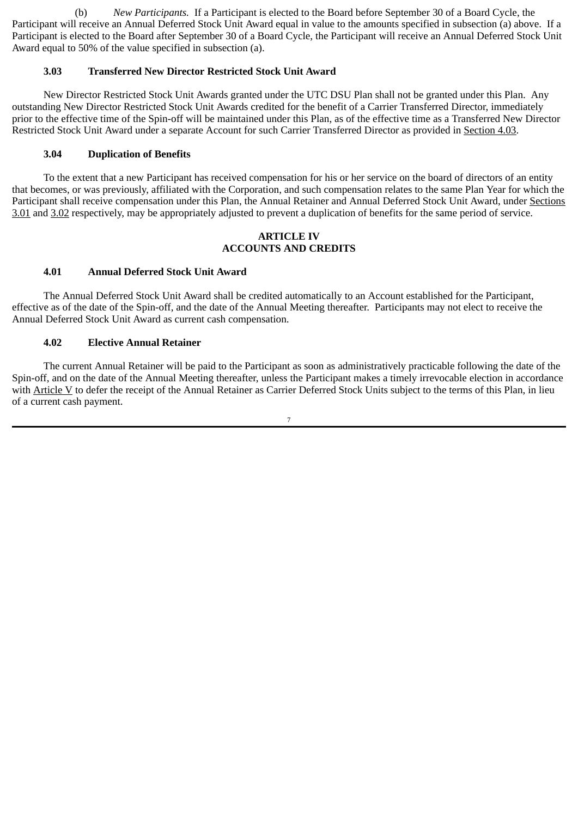(b) *New Participants.* If a Participant is elected to the Board before September 30 of a Board Cycle, the Participant will receive an Annual Deferred Stock Unit Award equal in value to the amounts specified in subsection (a) above. If a Participant is elected to the Board after September 30 of a Board Cycle, the Participant will receive an Annual Deferred Stock Unit Award equal to 50% of the value specified in subsection (a).

### **3.03 Transferred New Director Restricted Stock Unit Award**

New Director Restricted Stock Unit Awards granted under the UTC DSU Plan shall not be granted under this Plan. Any outstanding New Director Restricted Stock Unit Awards credited for the benefit of a Carrier Transferred Director, immediately prior to the effective time of the Spin-off will be maintained under this Plan, as of the effective time as a Transferred New Director Restricted Stock Unit Award under a separate Account for such Carrier Transferred Director as provided in Section 4.03.

## **3.04 Duplication of Benefits**

To the extent that a new Participant has received compensation for his or her service on the board of directors of an entity that becomes, or was previously, affiliated with the Corporation, and such compensation relates to the same Plan Year for which the Participant shall receive compensation under this Plan, the Annual Retainer and Annual Deferred Stock Unit Award, under Sections 3.01 and 3.02 respectively, may be appropriately adjusted to prevent a duplication of benefits for the same period of service.

#### **ARTICLE IV ACCOUNTS AND CREDITS**

### **4.01 Annual Deferred Stock Unit Award**

The Annual Deferred Stock Unit Award shall be credited automatically to an Account established for the Participant, effective as of the date of the Spin-off, and the date of the Annual Meeting thereafter. Participants may not elect to receive the Annual Deferred Stock Unit Award as current cash compensation.

### **4.02 Elective Annual Retainer**

The current Annual Retainer will be paid to the Participant as soon as administratively practicable following the date of the Spin-off, and on the date of the Annual Meeting thereafter, unless the Participant makes a timely irrevocable election in accordance with Article V to defer the receipt of the Annual Retainer as Carrier Deferred Stock Units subject to the terms of this Plan, in lieu of a current cash payment.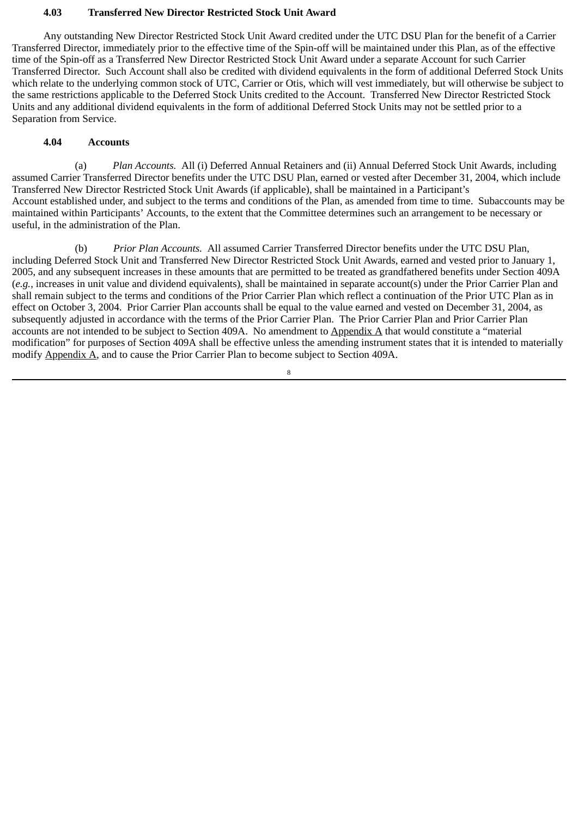#### **4.03 Transferred New Director Restricted Stock Unit Award**

Any outstanding New Director Restricted Stock Unit Award credited under the UTC DSU Plan for the benefit of a Carrier Transferred Director, immediately prior to the effective time of the Spin-off will be maintained under this Plan, as of the effective time of the Spin-off as a Transferred New Director Restricted Stock Unit Award under a separate Account for such Carrier Transferred Director. Such Account shall also be credited with dividend equivalents in the form of additional Deferred Stock Units which relate to the underlying common stock of UTC, Carrier or Otis, which will vest immediately, but will otherwise be subject to the same restrictions applicable to the Deferred Stock Units credited to the Account. Transferred New Director Restricted Stock Units and any additional dividend equivalents in the form of additional Deferred Stock Units may not be settled prior to a Separation from Service.

#### **4.04 Accounts**

(a) *Plan Accounts.* All (i) Deferred Annual Retainers and (ii) Annual Deferred Stock Unit Awards, including assumed Carrier Transferred Director benefits under the UTC DSU Plan, earned or vested after December 31, 2004, which include Transferred New Director Restricted Stock Unit Awards (if applicable), shall be maintained in a Participant's Account established under, and subject to the terms and conditions of the Plan, as amended from time to time. Subaccounts may be maintained within Participants' Accounts, to the extent that the Committee determines such an arrangement to be necessary or useful, in the administration of the Plan.

(b) *Prior Plan Accounts.* All assumed Carrier Transferred Director benefits under the UTC DSU Plan, including Deferred Stock Unit and Transferred New Director Restricted Stock Unit Awards, earned and vested prior to January 1, 2005, and any subsequent increases in these amounts that are permitted to be treated as grandfathered benefits under Section 409A (*e.g.*, increases in unit value and dividend equivalents), shall be maintained in separate account(s) under the Prior Carrier Plan and shall remain subject to the terms and conditions of the Prior Carrier Plan which reflect a continuation of the Prior UTC Plan as in effect on October 3, 2004. Prior Carrier Plan accounts shall be equal to the value earned and vested on December 31, 2004, as subsequently adjusted in accordance with the terms of the Prior Carrier Plan. The Prior Carrier Plan and Prior Carrier Plan accounts are not intended to be subject to Section 409A. No amendment to  $\Delta$ ppendix  $\Delta$  that would constitute a "material modification" for purposes of Section 409A shall be effective unless the amending instrument states that it is intended to materially modify Appendix A, and to cause the Prior Carrier Plan to become subject to Section 409A.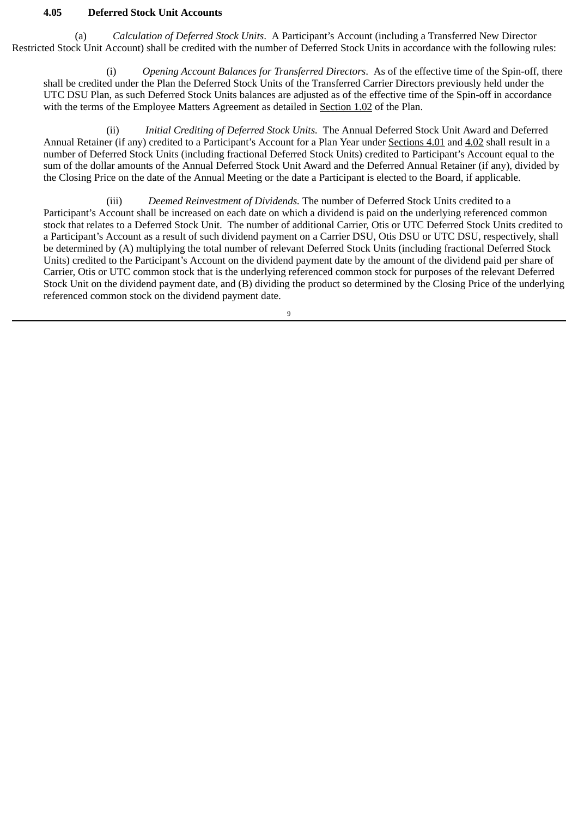## **4.05 Deferred Stock Unit Accounts**

(a) *Calculation of Deferred Stock Units*. A Participant's Account (including a Transferred New Director Restricted Stock Unit Account) shall be credited with the number of Deferred Stock Units in accordance with the following rules:

(i) *Opening Account Balances for Transferred Directors*. As of the effective time of the Spin-off, there shall be credited under the Plan the Deferred Stock Units of the Transferred Carrier Directors previously held under the UTC DSU Plan, as such Deferred Stock Units balances are adjusted as of the effective time of the Spin-off in accordance with the terms of the Employee Matters Agreement as detailed in Section 1.02 of the Plan.

(ii) *Initial Crediting of Deferred Stock Units.* The Annual Deferred Stock Unit Award and Deferred Annual Retainer (if any) credited to a Participant's Account for a Plan Year under Sections 4.01 and 4.02 shall result in a number of Deferred Stock Units (including fractional Deferred Stock Units) credited to Participant's Account equal to the sum of the dollar amounts of the Annual Deferred Stock Unit Award and the Deferred Annual Retainer (if any), divided by the Closing Price on the date of the Annual Meeting or the date a Participant is elected to the Board, if applicable.

(iii) *Deemed Reinvestment of Dividends.* The number of Deferred Stock Units credited to a Participant's Account shall be increased on each date on which a dividend is paid on the underlying referenced common stock that relates to a Deferred Stock Unit. The number of additional Carrier, Otis or UTC Deferred Stock Units credited to a Participant's Account as a result of such dividend payment on a Carrier DSU, Otis DSU or UTC DSU, respectively, shall be determined by (A) multiplying the total number of relevant Deferred Stock Units (including fractional Deferred Stock Units) credited to the Participant's Account on the dividend payment date by the amount of the dividend paid per share of Carrier, Otis or UTC common stock that is the underlying referenced common stock for purposes of the relevant Deferred Stock Unit on the dividend payment date, and (B) dividing the product so determined by the Closing Price of the underlying referenced common stock on the dividend payment date.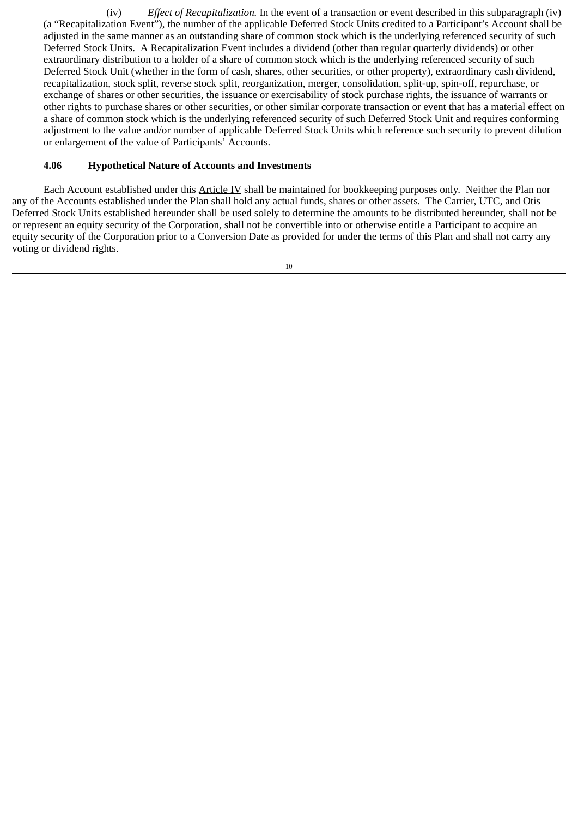(iv) *Effect of Recapitalization.* In the event of a transaction or event described in this subparagraph (iv) (a "Recapitalization Event"), the number of the applicable Deferred Stock Units credited to a Participant's Account shall be adjusted in the same manner as an outstanding share of common stock which is the underlying referenced security of such Deferred Stock Units. A Recapitalization Event includes a dividend (other than regular quarterly dividends) or other extraordinary distribution to a holder of a share of common stock which is the underlying referenced security of such Deferred Stock Unit (whether in the form of cash, shares, other securities, or other property), extraordinary cash dividend, recapitalization, stock split, reverse stock split, reorganization, merger, consolidation, split-up, spin-off, repurchase, or exchange of shares or other securities, the issuance or exercisability of stock purchase rights, the issuance of warrants or other rights to purchase shares or other securities, or other similar corporate transaction or event that has a material effect on a share of common stock which is the underlying referenced security of such Deferred Stock Unit and requires conforming adjustment to the value and/or number of applicable Deferred Stock Units which reference such security to prevent dilution or enlargement of the value of Participants' Accounts.

## **4.06 Hypothetical Nature of Accounts and Investments**

Each Account established under this Article IV shall be maintained for bookkeeping purposes only. Neither the Plan nor any of the Accounts established under the Plan shall hold any actual funds, shares or other assets. The Carrier, UTC, and Otis Deferred Stock Units established hereunder shall be used solely to determine the amounts to be distributed hereunder, shall not be or represent an equity security of the Corporation, shall not be convertible into or otherwise entitle a Participant to acquire an equity security of the Corporation prior to a Conversion Date as provided for under the terms of this Plan and shall not carry any voting or dividend rights.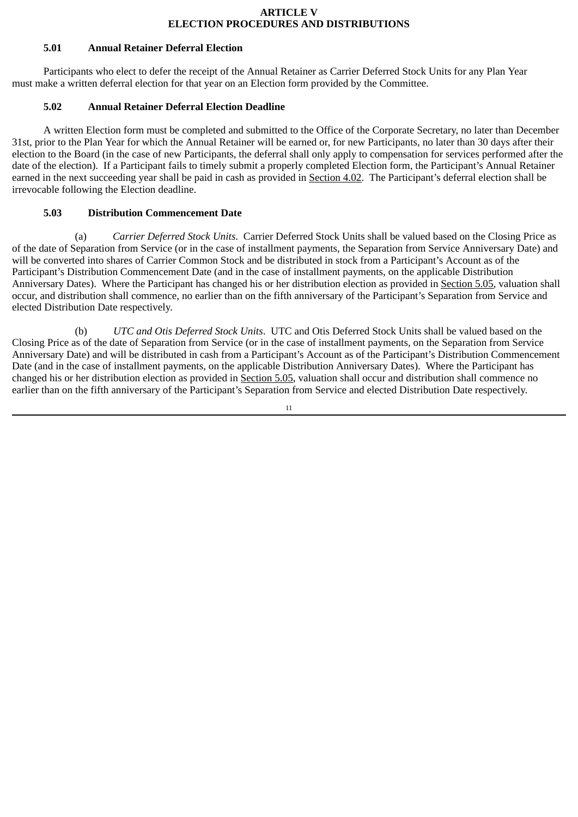#### **ARTICLE V ELECTION PROCEDURES AND DISTRIBUTIONS**

### **5.01 Annual Retainer Deferral Election**

Participants who elect to defer the receipt of the Annual Retainer as Carrier Deferred Stock Units for any Plan Year must make a written deferral election for that year on an Election form provided by the Committee.

### **5.02 Annual Retainer Deferral Election Deadline**

A written Election form must be completed and submitted to the Office of the Corporate Secretary, no later than December 31st, prior to the Plan Year for which the Annual Retainer will be earned or, for new Participants, no later than 30 days after their election to the Board (in the case of new Participants, the deferral shall only apply to compensation for services performed after the date of the election). If a Participant fails to timely submit a properly completed Election form, the Participant's Annual Retainer earned in the next succeeding year shall be paid in cash as provided in Section 4.02. The Participant's deferral election shall be irrevocable following the Election deadline.

### **5.03 Distribution Commencement Date**

(a) *Carrier Deferred Stock Units*. Carrier Deferred Stock Units shall be valued based on the Closing Price as of the date of Separation from Service (or in the case of installment payments, the Separation from Service Anniversary Date) and will be converted into shares of Carrier Common Stock and be distributed in stock from a Participant's Account as of the Participant's Distribution Commencement Date (and in the case of installment payments, on the applicable Distribution Anniversary Dates). Where the Participant has changed his or her distribution election as provided in Section 5.05, valuation shall occur, and distribution shall commence, no earlier than on the fifth anniversary of the Participant's Separation from Service and elected Distribution Date respectively.

(b) *UTC and Otis Deferred Stock Units*. UTC and Otis Deferred Stock Units shall be valued based on the Closing Price as of the date of Separation from Service (or in the case of installment payments, on the Separation from Service Anniversary Date) and will be distributed in cash from a Participant's Account as of the Participant's Distribution Commencement Date (and in the case of installment payments, on the applicable Distribution Anniversary Dates). Where the Participant has changed his or her distribution election as provided in Section 5.05, valuation shall occur and distribution shall commence no earlier than on the fifth anniversary of the Participant's Separation from Service and elected Distribution Date respectively.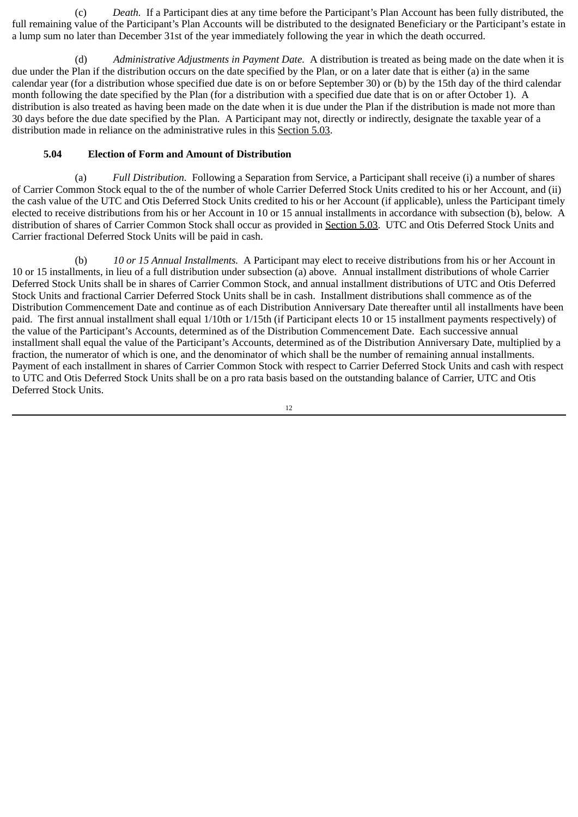(c) *Death.* If a Participant dies at any time before the Participant's Plan Account has been fully distributed, the full remaining value of the Participant's Plan Accounts will be distributed to the designated Beneficiary or the Participant's estate in a lump sum no later than December 31st of the year immediately following the year in which the death occurred.

(d) *Administrative Adjustments in Payment Date.* A distribution is treated as being made on the date when it is due under the Plan if the distribution occurs on the date specified by the Plan, or on a later date that is either (a) in the same calendar year (for a distribution whose specified due date is on or before September 30) or (b) by the 15th day of the third calendar month following the date specified by the Plan (for a distribution with a specified due date that is on or after October 1). A distribution is also treated as having been made on the date when it is due under the Plan if the distribution is made not more than 30 days before the due date specified by the Plan. A Participant may not, directly or indirectly, designate the taxable year of a distribution made in reliance on the administrative rules in this Section 5.03.

## **5.04 Election of Form and Amount of Distribution**

(a) *Full Distribution.* Following a Separation from Service, a Participant shall receive (i) a number of shares of Carrier Common Stock equal to the of the number of whole Carrier Deferred Stock Units credited to his or her Account, and (ii) the cash value of the UTC and Otis Deferred Stock Units credited to his or her Account (if applicable), unless the Participant timely elected to receive distributions from his or her Account in 10 or 15 annual installments in accordance with subsection (b), below. A distribution of shares of Carrier Common Stock shall occur as provided in Section 5.03. UTC and Otis Deferred Stock Units and Carrier fractional Deferred Stock Units will be paid in cash.

(b) *10 or 15 Annual Installments.* A Participant may elect to receive distributions from his or her Account in 10 or 15 installments, in lieu of a full distribution under subsection (a) above. Annual installment distributions of whole Carrier Deferred Stock Units shall be in shares of Carrier Common Stock, and annual installment distributions of UTC and Otis Deferred Stock Units and fractional Carrier Deferred Stock Units shall be in cash. Installment distributions shall commence as of the Distribution Commencement Date and continue as of each Distribution Anniversary Date thereafter until all installments have been paid. The first annual installment shall equal 1/10th or 1/15th (if Participant elects 10 or 15 installment payments respectively) of the value of the Participant's Accounts, determined as of the Distribution Commencement Date. Each successive annual installment shall equal the value of the Participant's Accounts, determined as of the Distribution Anniversary Date, multiplied by a fraction, the numerator of which is one, and the denominator of which shall be the number of remaining annual installments. Payment of each installment in shares of Carrier Common Stock with respect to Carrier Deferred Stock Units and cash with respect to UTC and Otis Deferred Stock Units shall be on a pro rata basis based on the outstanding balance of Carrier, UTC and Otis Deferred Stock Units.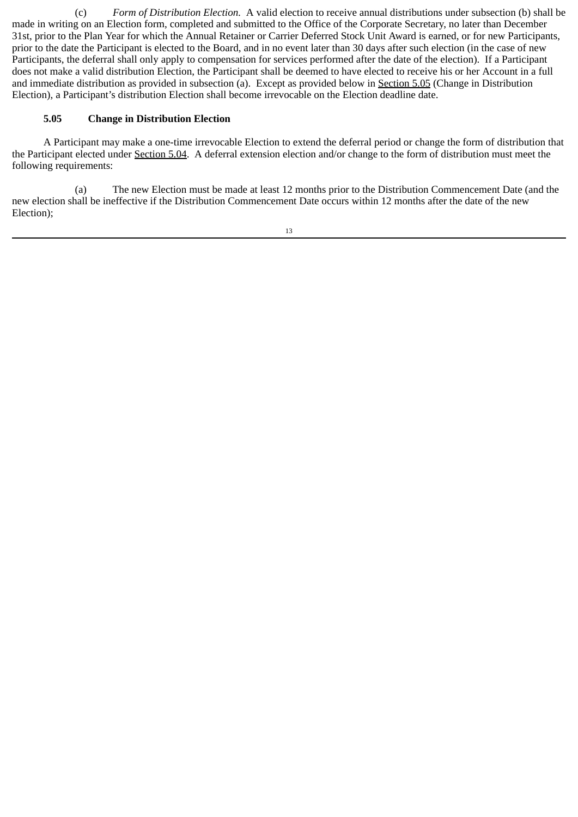(c) *Form of Distribution Election.* A valid election to receive annual distributions under subsection (b) shall be made in writing on an Election form, completed and submitted to the Office of the Corporate Secretary, no later than December 31st, prior to the Plan Year for which the Annual Retainer or Carrier Deferred Stock Unit Award is earned, or for new Participants, prior to the date the Participant is elected to the Board, and in no event later than 30 days after such election (in the case of new Participants, the deferral shall only apply to compensation for services performed after the date of the election). If a Participant does not make a valid distribution Election, the Participant shall be deemed to have elected to receive his or her Account in a full and immediate distribution as provided in subsection (a). Except as provided below in Section 5.05 (Change in Distribution Election), a Participant's distribution Election shall become irrevocable on the Election deadline date.

## **5.05 Change in Distribution Election**

A Participant may make a one-time irrevocable Election to extend the deferral period or change the form of distribution that the Participant elected under Section 5.04. A deferral extension election and/or change to the form of distribution must meet the following requirements:

(a) The new Election must be made at least 12 months prior to the Distribution Commencement Date (and the new election shall be ineffective if the Distribution Commencement Date occurs within 12 months after the date of the new Election);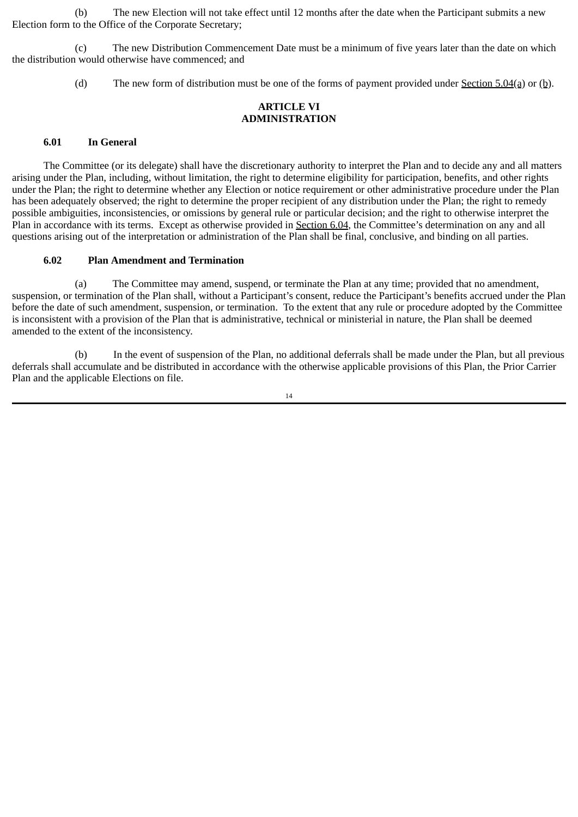(b) The new Election will not take effect until 12 months after the date when the Participant submits a new Election form to the Office of the Corporate Secretary;

(c) The new Distribution Commencement Date must be a minimum of five years later than the date on which the distribution would otherwise have commenced; and

(d) The new form of distribution must be one of the forms of payment provided under Section 5.04(a) or (b).

#### **ARTICLE VI ADMINISTRATION**

#### **6.01 In General**

The Committee (or its delegate) shall have the discretionary authority to interpret the Plan and to decide any and all matters arising under the Plan, including, without limitation, the right to determine eligibility for participation, benefits, and other rights under the Plan; the right to determine whether any Election or notice requirement or other administrative procedure under the Plan has been adequately observed; the right to determine the proper recipient of any distribution under the Plan; the right to remedy possible ambiguities, inconsistencies, or omissions by general rule or particular decision; and the right to otherwise interpret the Plan in accordance with its terms. Except as otherwise provided in Section 6.04, the Committee's determination on any and all questions arising out of the interpretation or administration of the Plan shall be final, conclusive, and binding on all parties.

#### **6.02 Plan Amendment and Termination**

(a) The Committee may amend, suspend, or terminate the Plan at any time; provided that no amendment, suspension, or termination of the Plan shall, without a Participant's consent, reduce the Participant's benefits accrued under the Plan before the date of such amendment, suspension, or termination. To the extent that any rule or procedure adopted by the Committee is inconsistent with a provision of the Plan that is administrative, technical or ministerial in nature, the Plan shall be deemed amended to the extent of the inconsistency.

(b) In the event of suspension of the Plan, no additional deferrals shall be made under the Plan, but all previous deferrals shall accumulate and be distributed in accordance with the otherwise applicable provisions of this Plan, the Prior Carrier Plan and the applicable Elections on file.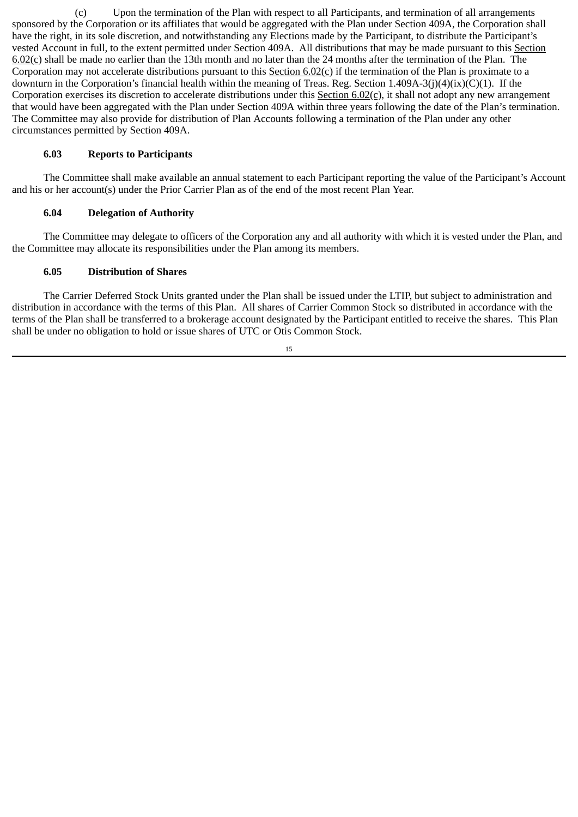(c) Upon the termination of the Plan with respect to all Participants, and termination of all arrangements sponsored by the Corporation or its affiliates that would be aggregated with the Plan under Section 409A, the Corporation shall have the right, in its sole discretion, and notwithstanding any Elections made by the Participant, to distribute the Participant's vested Account in full, to the extent permitted under Section 409A. All distributions that may be made pursuant to this Section 6.02(c) shall be made no earlier than the 13th month and no later than the 24 months after the termination of the Plan. The Corporation may not accelerate distributions pursuant to this Section  $6.02(c)$  if the termination of the Plan is proximate to a downturn in the Corporation's financial health within the meaning of Treas. Reg. Section 1.409A-3(j)(4)(ix)(C)(1). If the Corporation exercises its discretion to accelerate distributions under this Section 6.02(c), it shall not adopt any new arrangement that would have been aggregated with the Plan under Section 409A within three years following the date of the Plan's termination. The Committee may also provide for distribution of Plan Accounts following a termination of the Plan under any other circumstances permitted by Section 409A.

## **6.03 Reports to Participants**

The Committee shall make available an annual statement to each Participant reporting the value of the Participant's Account and his or her account(s) under the Prior Carrier Plan as of the end of the most recent Plan Year.

## **6.04 Delegation of Authority**

The Committee may delegate to officers of the Corporation any and all authority with which it is vested under the Plan, and the Committee may allocate its responsibilities under the Plan among its members.

### **6.05 Distribution of Shares**

The Carrier Deferred Stock Units granted under the Plan shall be issued under the LTIP, but subject to administration and distribution in accordance with the terms of this Plan. All shares of Carrier Common Stock so distributed in accordance with the terms of the Plan shall be transferred to a brokerage account designated by the Participant entitled to receive the shares. This Plan shall be under no obligation to hold or issue shares of UTC or Otis Common Stock.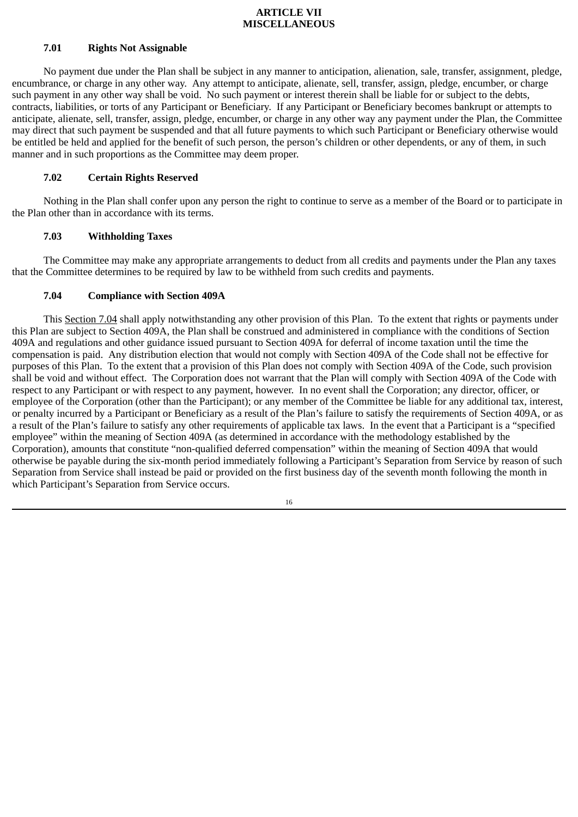#### **ARTICLE VII MISCELLANEOUS**

### **7.01 Rights Not Assignable**

No payment due under the Plan shall be subject in any manner to anticipation, alienation, sale, transfer, assignment, pledge, encumbrance, or charge in any other way. Any attempt to anticipate, alienate, sell, transfer, assign, pledge, encumber, or charge such payment in any other way shall be void. No such payment or interest therein shall be liable for or subject to the debts, contracts, liabilities, or torts of any Participant or Beneficiary. If any Participant or Beneficiary becomes bankrupt or attempts to anticipate, alienate, sell, transfer, assign, pledge, encumber, or charge in any other way any payment under the Plan, the Committee may direct that such payment be suspended and that all future payments to which such Participant or Beneficiary otherwise would be entitled be held and applied for the benefit of such person, the person's children or other dependents, or any of them, in such manner and in such proportions as the Committee may deem proper.

#### **7.02 Certain Rights Reserved**

Nothing in the Plan shall confer upon any person the right to continue to serve as a member of the Board or to participate in the Plan other than in accordance with its terms.

#### **7.03 Withholding Taxes**

The Committee may make any appropriate arrangements to deduct from all credits and payments under the Plan any taxes that the Committee determines to be required by law to be withheld from such credits and payments.

#### **7.04 Compliance with Section 409A**

This Section 7.04 shall apply notwithstanding any other provision of this Plan. To the extent that rights or payments under this Plan are subject to Section 409A, the Plan shall be construed and administered in compliance with the conditions of Section 409A and regulations and other guidance issued pursuant to Section 409A for deferral of income taxation until the time the compensation is paid. Any distribution election that would not comply with Section 409A of the Code shall not be effective for purposes of this Plan. To the extent that a provision of this Plan does not comply with Section 409A of the Code, such provision shall be void and without effect. The Corporation does not warrant that the Plan will comply with Section 409A of the Code with respect to any Participant or with respect to any payment, however. In no event shall the Corporation; any director, officer, or employee of the Corporation (other than the Participant); or any member of the Committee be liable for any additional tax, interest, or penalty incurred by a Participant or Beneficiary as a result of the Plan's failure to satisfy the requirements of Section 409A, or as a result of the Plan's failure to satisfy any other requirements of applicable tax laws. In the event that a Participant is a "specified employee" within the meaning of Section 409A (as determined in accordance with the methodology established by the Corporation), amounts that constitute "non-qualified deferred compensation" within the meaning of Section 409A that would otherwise be payable during the six-month period immediately following a Participant's Separation from Service by reason of such Separation from Service shall instead be paid or provided on the first business day of the seventh month following the month in which Participant's Separation from Service occurs.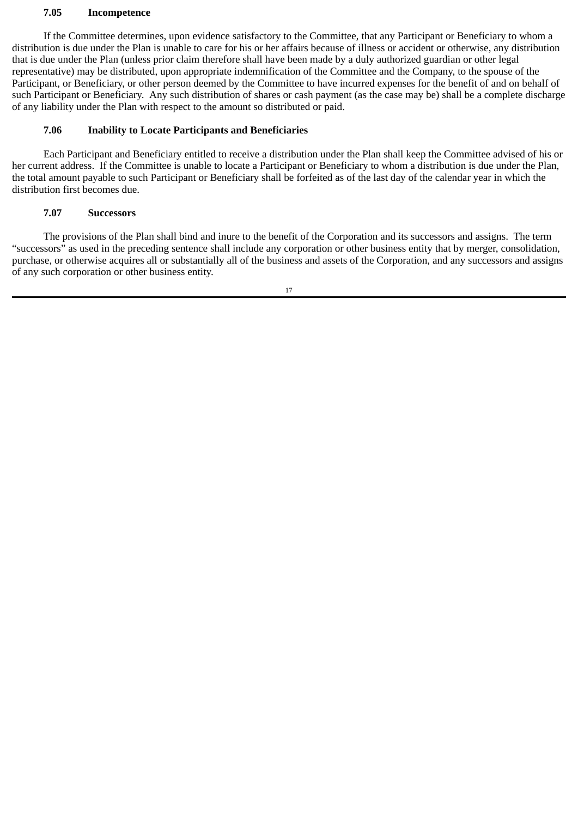#### **7.05 Incompetence**

If the Committee determines, upon evidence satisfactory to the Committee, that any Participant or Beneficiary to whom a distribution is due under the Plan is unable to care for his or her affairs because of illness or accident or otherwise, any distribution that is due under the Plan (unless prior claim therefore shall have been made by a duly authorized guardian or other legal representative) may be distributed, upon appropriate indemnification of the Committee and the Company, to the spouse of the Participant, or Beneficiary, or other person deemed by the Committee to have incurred expenses for the benefit of and on behalf of such Participant or Beneficiary. Any such distribution of shares or cash payment (as the case may be) shall be a complete discharge of any liability under the Plan with respect to the amount so distributed or paid.

## **7.06 Inability to Locate Participants and Beneficiaries**

Each Participant and Beneficiary entitled to receive a distribution under the Plan shall keep the Committee advised of his or her current address. If the Committee is unable to locate a Participant or Beneficiary to whom a distribution is due under the Plan, the total amount payable to such Participant or Beneficiary shall be forfeited as of the last day of the calendar year in which the distribution first becomes due.

### **7.07 Successors**

The provisions of the Plan shall bind and inure to the benefit of the Corporation and its successors and assigns. The term "successors" as used in the preceding sentence shall include any corporation or other business entity that by merger, consolidation, purchase, or otherwise acquires all or substantially all of the business and assets of the Corporation, and any successors and assigns of any such corporation or other business entity.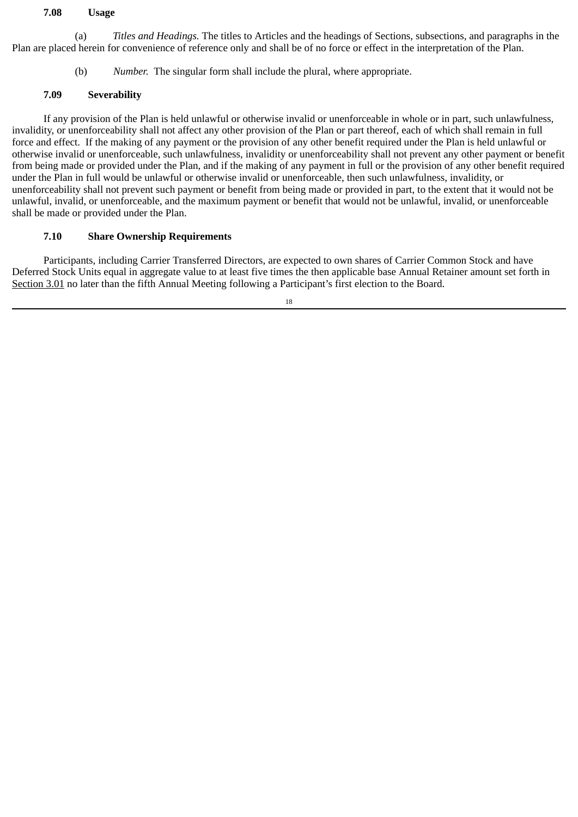#### **7.08 Usage**

(a) *Titles and Headings.* The titles to Articles and the headings of Sections, subsections, and paragraphs in the Plan are placed herein for convenience of reference only and shall be of no force or effect in the interpretation of the Plan.

(b) *Number.* The singular form shall include the plural, where appropriate.

## **7.09 Severability**

If any provision of the Plan is held unlawful or otherwise invalid or unenforceable in whole or in part, such unlawfulness, invalidity, or unenforceability shall not affect any other provision of the Plan or part thereof, each of which shall remain in full force and effect. If the making of any payment or the provision of any other benefit required under the Plan is held unlawful or otherwise invalid or unenforceable, such unlawfulness, invalidity or unenforceability shall not prevent any other payment or benefit from being made or provided under the Plan, and if the making of any payment in full or the provision of any other benefit required under the Plan in full would be unlawful or otherwise invalid or unenforceable, then such unlawfulness, invalidity, or unenforceability shall not prevent such payment or benefit from being made or provided in part, to the extent that it would not be unlawful, invalid, or unenforceable, and the maximum payment or benefit that would not be unlawful, invalid, or unenforceable shall be made or provided under the Plan.

### **7.10 Share Ownership Requirements**

Participants, including Carrier Transferred Directors, are expected to own shares of Carrier Common Stock and have Deferred Stock Units equal in aggregate value to at least five times the then applicable base Annual Retainer amount set forth in Section 3.01 no later than the fifth Annual Meeting following a Participant's first election to the Board.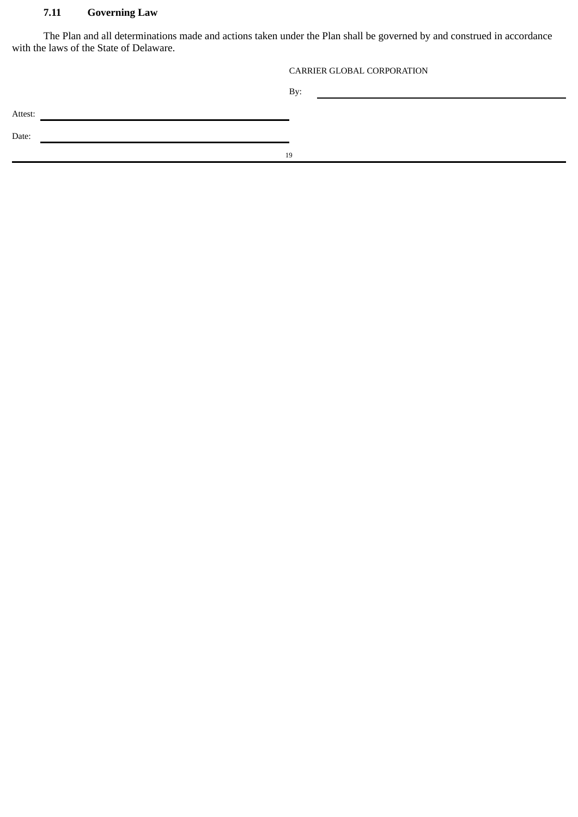## **7.11 Governing Law**

The Plan and all determinations made and actions taken under the Plan shall be governed by and construed in accordance with the laws of the State of Delaware.

#### CARRIER GLOBAL CORPORATION

By:

Attest: Date: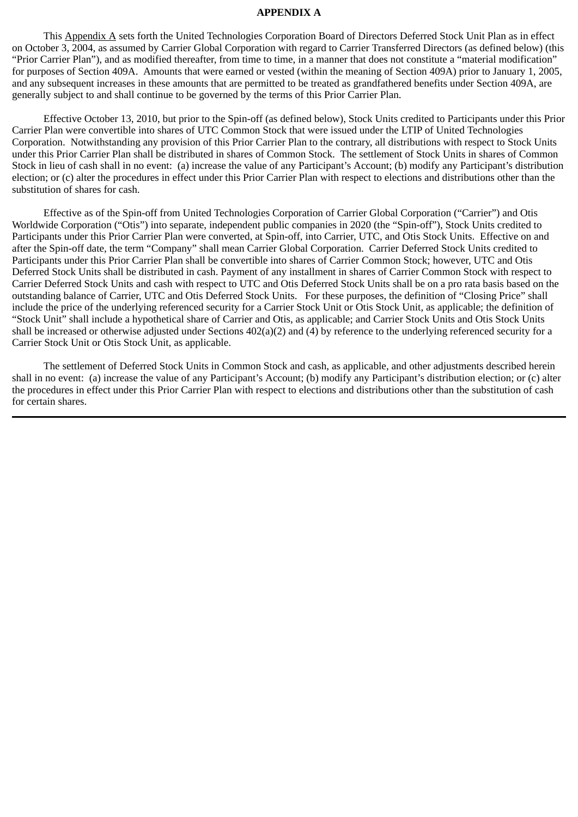#### **APPENDIX A**

This Appendix A sets forth the United Technologies Corporation Board of Directors Deferred Stock Unit Plan as in effect on October 3, 2004, as assumed by Carrier Global Corporation with regard to Carrier Transferred Directors (as defined below) (this "Prior Carrier Plan"), and as modified thereafter, from time to time, in a manner that does not constitute a "material modification" for purposes of Section 409A. Amounts that were earned or vested (within the meaning of Section 409A) prior to January 1, 2005, and any subsequent increases in these amounts that are permitted to be treated as grandfathered benefits under Section 409A, are generally subject to and shall continue to be governed by the terms of this Prior Carrier Plan.

Effective October 13, 2010, but prior to the Spin-off (as defined below), Stock Units credited to Participants under this Prior Carrier Plan were convertible into shares of UTC Common Stock that were issued under the LTIP of United Technologies Corporation. Notwithstanding any provision of this Prior Carrier Plan to the contrary, all distributions with respect to Stock Units under this Prior Carrier Plan shall be distributed in shares of Common Stock. The settlement of Stock Units in shares of Common Stock in lieu of cash shall in no event: (a) increase the value of any Participant's Account; (b) modify any Participant's distribution election; or (c) alter the procedures in effect under this Prior Carrier Plan with respect to elections and distributions other than the substitution of shares for cash.

Effective as of the Spin-off from United Technologies Corporation of Carrier Global Corporation ("Carrier") and Otis Worldwide Corporation ("Otis") into separate, independent public companies in 2020 (the "Spin-off"), Stock Units credited to Participants under this Prior Carrier Plan were converted, at Spin-off, into Carrier, UTC, and Otis Stock Units. Effective on and after the Spin-off date, the term "Company" shall mean Carrier Global Corporation. Carrier Deferred Stock Units credited to Participants under this Prior Carrier Plan shall be convertible into shares of Carrier Common Stock; however, UTC and Otis Deferred Stock Units shall be distributed in cash. Payment of any installment in shares of Carrier Common Stock with respect to Carrier Deferred Stock Units and cash with respect to UTC and Otis Deferred Stock Units shall be on a pro rata basis based on the outstanding balance of Carrier, UTC and Otis Deferred Stock Units. For these purposes, the definition of "Closing Price" shall include the price of the underlying referenced security for a Carrier Stock Unit or Otis Stock Unit, as applicable; the definition of "Stock Unit" shall include a hypothetical share of Carrier and Otis, as applicable; and Carrier Stock Units and Otis Stock Units shall be increased or otherwise adjusted under Sections 402(a)(2) and (4) by reference to the underlying referenced security for a Carrier Stock Unit or Otis Stock Unit, as applicable.

The settlement of Deferred Stock Units in Common Stock and cash, as applicable, and other adjustments described herein shall in no event: (a) increase the value of any Participant's Account; (b) modify any Participant's distribution election; or (c) alter the procedures in effect under this Prior Carrier Plan with respect to elections and distributions other than the substitution of cash for certain shares.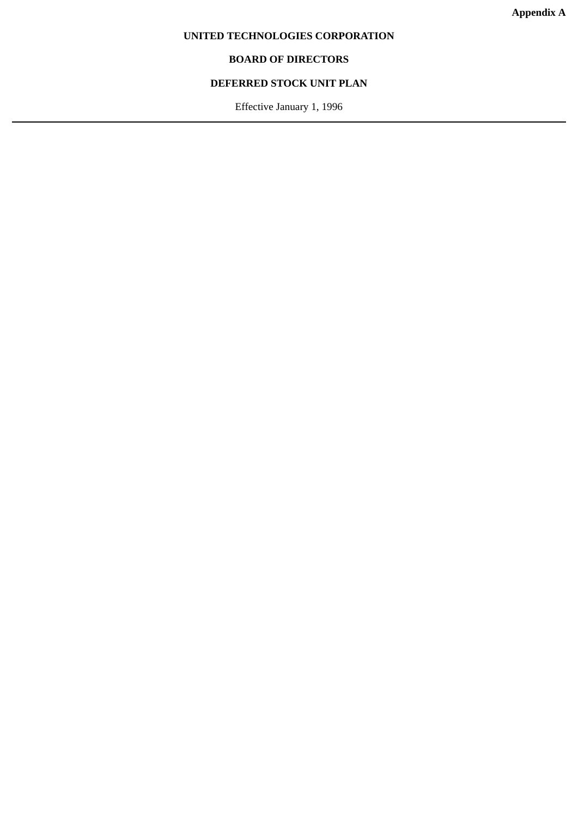## **UNITED TECHNOLOGIES CORPORATION**

## **BOARD OF DIRECTORS**

## **DEFERRED STOCK UNIT PLAN**

Effective January 1, 1996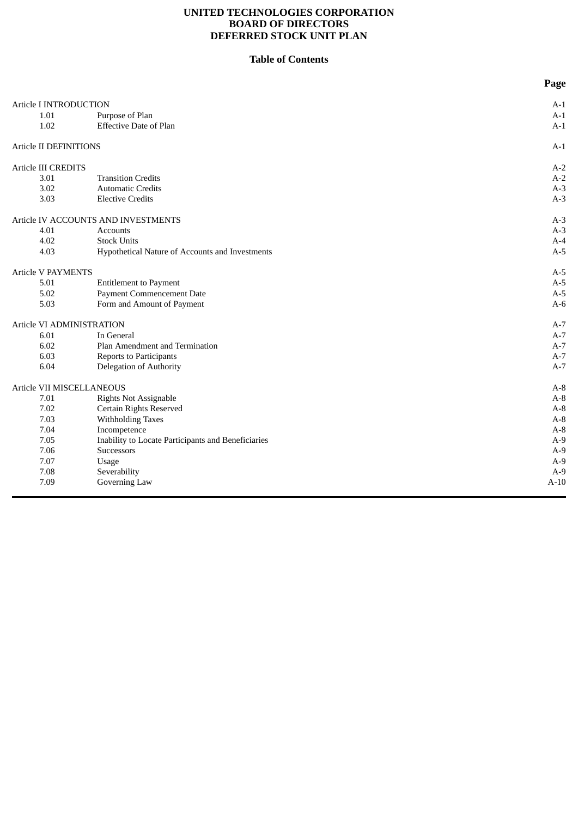### **UNITED TECHNOLOGIES CORPORATION BOARD OF DIRECTORS DEFERRED STOCK UNIT PLAN**

#### **Table of Contents**

|                                     |                                                    | Page   |
|-------------------------------------|----------------------------------------------------|--------|
| Article I INTRODUCTION              |                                                    | $A-1$  |
| 1.01                                | Purpose of Plan                                    | $A-1$  |
| 1.02                                | <b>Effective Date of Plan</b>                      | $A-1$  |
| <b>Article II DEFINITIONS</b>       |                                                    | $A-1$  |
| <b>Article III CREDITS</b>          |                                                    | $A-2$  |
| 3.01                                | <b>Transition Credits</b>                          | $A-2$  |
| 3.02                                | <b>Automatic Credits</b>                           | $A-3$  |
| 3.03                                | <b>Elective Credits</b>                            | $A-3$  |
| Article IV ACCOUNTS AND INVESTMENTS |                                                    | $A-3$  |
| 4.01                                | <b>Accounts</b>                                    | $A-3$  |
| 4.02                                | <b>Stock Units</b>                                 | $A-4$  |
| 4.03                                | Hypothetical Nature of Accounts and Investments    | $A-5$  |
| <b>Article V PAYMENTS</b>           |                                                    | $A-5$  |
| 5.01                                | <b>Entitlement to Payment</b>                      | $A-5$  |
| 5.02                                | <b>Payment Commencement Date</b>                   | $A-5$  |
| 5.03                                | Form and Amount of Payment                         | $A-6$  |
| Article VI ADMINISTRATION           |                                                    | $A-7$  |
| 6.01                                | In General                                         | $A-7$  |
| 6.02                                | Plan Amendment and Termination                     | $A-7$  |
| 6.03                                | <b>Reports to Participants</b>                     | $A-7$  |
| 6.04                                | Delegation of Authority                            | $A-7$  |
| Article VII MISCELLANEOUS           |                                                    | $A-8$  |
| 7.01                                | <b>Rights Not Assignable</b>                       | $A-8$  |
| 7.02                                | Certain Rights Reserved                            | $A-8$  |
| 7.03                                | Withholding Taxes                                  | $A-8$  |
| 7.04                                | Incompetence                                       | $A-8$  |
| 7.05                                | Inability to Locate Participants and Beneficiaries | $A-9$  |
| 7.06                                | <b>Successors</b>                                  | $A-9$  |
| 7.07                                | Usage                                              | $A-9$  |
| 7.08                                | Severability                                       | $A-9$  |
| 7.09                                | Governing Law                                      | $A-10$ |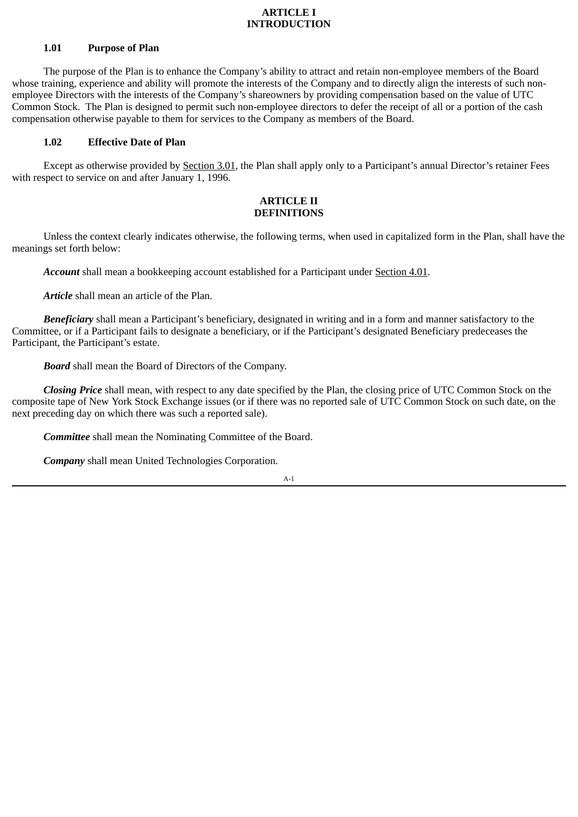## **ARTICLE I INTRODUCTION**

# **1.01 Purpose of Plan**

The purpose of the Plan is to enhance the Company's ability to attract and retain non-employee members of the Board whose training, experience and ability will promote the interests of the Company and to directly align the interests of such nonemployee Directors with the interests of the Company's shareowners by providing compensation based on the value of UTC Common Stock. The Plan is designed to permit such non-employee directors to defer the receipt of all or a portion of the cash compensation otherwise payable to them for services to the Company as members of the Board.

### **1.02 Effective Date of Plan**

Except as otherwise provided by Section 3.01, the Plan shall apply only to a Participant's annual Director's retainer Fees with respect to service on and after January 1, 1996.

### **ARTICLE II DEFINITIONS**

Unless the context clearly indicates otherwise, the following terms, when used in capitalized form in the Plan, shall have the meanings set forth below:

*Account* shall mean a bookkeeping account established for a Participant under Section 4.01.

*Article* shall mean an article of the Plan.

*Beneficiary* shall mean a Participant's beneficiary, designated in writing and in a form and manner satisfactory to the Committee, or if a Participant fails to designate a beneficiary, or if the Participant's designated Beneficiary predeceases the Participant, the Participant's estate.

*Board* shall mean the Board of Directors of the Company.

*Closing Price* shall mean, with respect to any date specified by the Plan, the closing price of UTC Common Stock on the composite tape of New York Stock Exchange issues (or if there was no reported sale of UTC Common Stock on such date, on the next preceding day on which there was such a reported sale).

*Committee* shall mean the Nominating Committee of the Board.

*Company* shall mean United Technologies Corporation.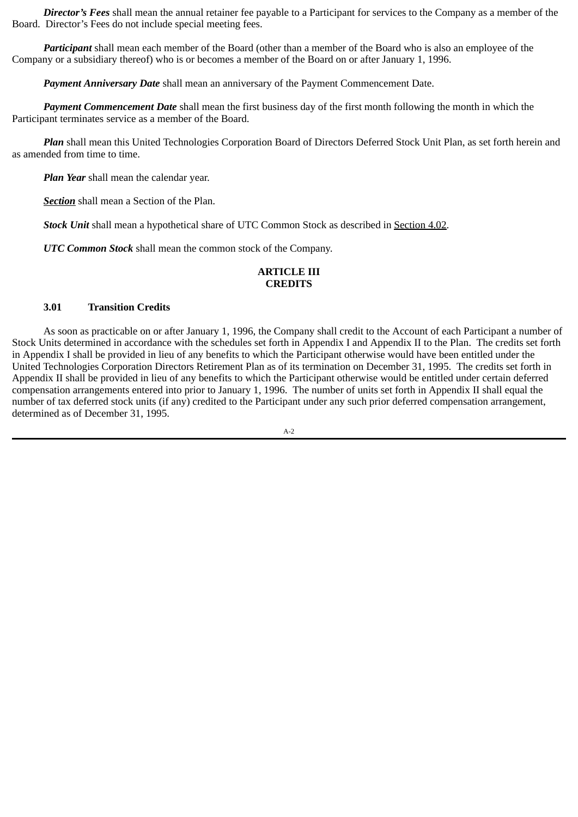*Director's Fees* shall mean the annual retainer fee payable to a Participant for services to the Company as a member of the Board. Director's Fees do not include special meeting fees.

*Participant* shall mean each member of the Board (other than a member of the Board who is also an employee of the Company or a subsidiary thereof) who is or becomes a member of the Board on or after January 1, 1996.

*Payment Anniversary Date* shall mean an anniversary of the Payment Commencement Date.

*Payment Commencement Date* shall mean the first business day of the first month following the month in which the Participant terminates service as a member of the Board.

*Plan* shall mean this United Technologies Corporation Board of Directors Deferred Stock Unit Plan, as set forth herein and as amended from time to time.

*Plan Year* shall mean the calendar year.

*Section* shall mean a Section of the Plan.

**Stock Unit** shall mean a hypothetical share of UTC Common Stock as described in Section 4.02.

*UTC Common Stock* shall mean the common stock of the Company.

# **ARTICLE III CREDITS**

#### **3.01 Transition Credits**

As soon as practicable on or after January 1, 1996, the Company shall credit to the Account of each Participant a number of Stock Units determined in accordance with the schedules set forth in Appendix I and Appendix II to the Plan. The credits set forth in Appendix I shall be provided in lieu of any benefits to which the Participant otherwise would have been entitled under the United Technologies Corporation Directors Retirement Plan as of its termination on December 31, 1995. The credits set forth in Appendix II shall be provided in lieu of any benefits to which the Participant otherwise would be entitled under certain deferred compensation arrangements entered into prior to January 1, 1996. The number of units set forth in Appendix II shall equal the number of tax deferred stock units (if any) credited to the Participant under any such prior deferred compensation arrangement, determined as of December 31, 1995.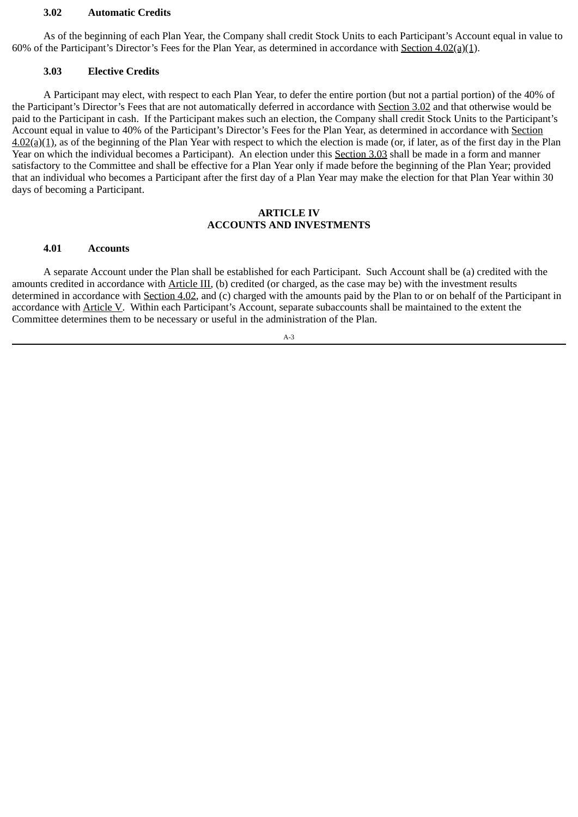### **3.02 Automatic Credits**

As of the beginning of each Plan Year, the Company shall credit Stock Units to each Participant's Account equal in value to 60% of the Participant's Director's Fees for the Plan Year, as determined in accordance with Section 4.02(a)(1).

## **3.03 Elective Credits**

A Participant may elect, with respect to each Plan Year, to defer the entire portion (but not a partial portion) of the 40% of the Participant's Director's Fees that are not automatically deferred in accordance with Section 3.02 and that otherwise would be paid to the Participant in cash. If the Participant makes such an election, the Company shall credit Stock Units to the Participant's Account equal in value to 40% of the Participant's Director's Fees for the Plan Year, as determined in accordance with Section  $4.02(a)(1)$ , as of the beginning of the Plan Year with respect to which the election is made (or, if later, as of the first day in the Plan Year on which the individual becomes a Participant). An election under this Section 3.03 shall be made in a form and manner satisfactory to the Committee and shall be effective for a Plan Year only if made before the beginning of the Plan Year; provided that an individual who becomes a Participant after the first day of a Plan Year may make the election for that Plan Year within 30 days of becoming a Participant.

### **ARTICLE IV ACCOUNTS AND INVESTMENTS**

### **4.01 Accounts**

A separate Account under the Plan shall be established for each Participant. Such Account shall be (a) credited with the amounts credited in accordance with Article III, (b) credited (or charged, as the case may be) with the investment results determined in accordance with Section 4.02, and (c) charged with the amounts paid by the Plan to or on behalf of the Participant in accordance with Article V. Within each Participant's Account, separate subaccounts shall be maintained to the extent the Committee determines them to be necessary or useful in the administration of the Plan.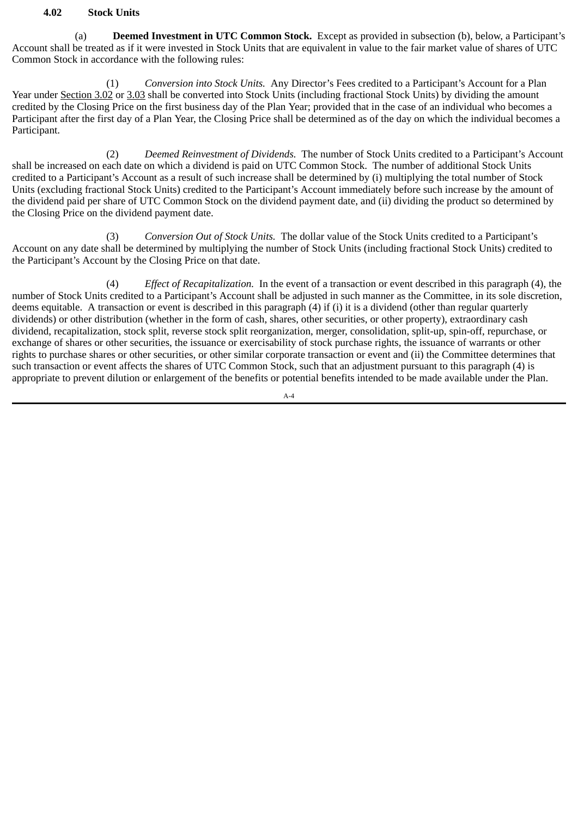# **4.02 Stock Units**

(a) **Deemed Investment in UTC Common Stock.** Except as provided in subsection (b), below, a Participant's Account shall be treated as if it were invested in Stock Units that are equivalent in value to the fair market value of shares of UTC Common Stock in accordance with the following rules:

(1) *Conversion into Stock Units.* Any Director's Fees credited to a Participant's Account for a Plan Year under Section 3.02 or 3.03 shall be converted into Stock Units (including fractional Stock Units) by dividing the amount credited by the Closing Price on the first business day of the Plan Year; provided that in the case of an individual who becomes a Participant after the first day of a Plan Year, the Closing Price shall be determined as of the day on which the individual becomes a Participant.

(2) *Deemed Reinvestment of Dividends.* The number of Stock Units credited to a Participant's Account shall be increased on each date on which a dividend is paid on UTC Common Stock. The number of additional Stock Units credited to a Participant's Account as a result of such increase shall be determined by (i) multiplying the total number of Stock Units (excluding fractional Stock Units) credited to the Participant's Account immediately before such increase by the amount of the dividend paid per share of UTC Common Stock on the dividend payment date, and (ii) dividing the product so determined by the Closing Price on the dividend payment date.

(3) *Conversion Out of Stock Units.* The dollar value of the Stock Units credited to a Participant's Account on any date shall be determined by multiplying the number of Stock Units (including fractional Stock Units) credited to the Participant's Account by the Closing Price on that date.

(4) *Effect of Recapitalization.* In the event of a transaction or event described in this paragraph (4), the number of Stock Units credited to a Participant's Account shall be adjusted in such manner as the Committee, in its sole discretion, deems equitable. A transaction or event is described in this paragraph (4) if (i) it is a dividend (other than regular quarterly dividends) or other distribution (whether in the form of cash, shares, other securities, or other property), extraordinary cash dividend, recapitalization, stock split, reverse stock split reorganization, merger, consolidation, split-up, spin-off, repurchase, or exchange of shares or other securities, the issuance or exercisability of stock purchase rights, the issuance of warrants or other rights to purchase shares or other securities, or other similar corporate transaction or event and (ii) the Committee determines that such transaction or event affects the shares of UTC Common Stock, such that an adjustment pursuant to this paragraph (4) is appropriate to prevent dilution or enlargement of the benefits or potential benefits intended to be made available under the Plan.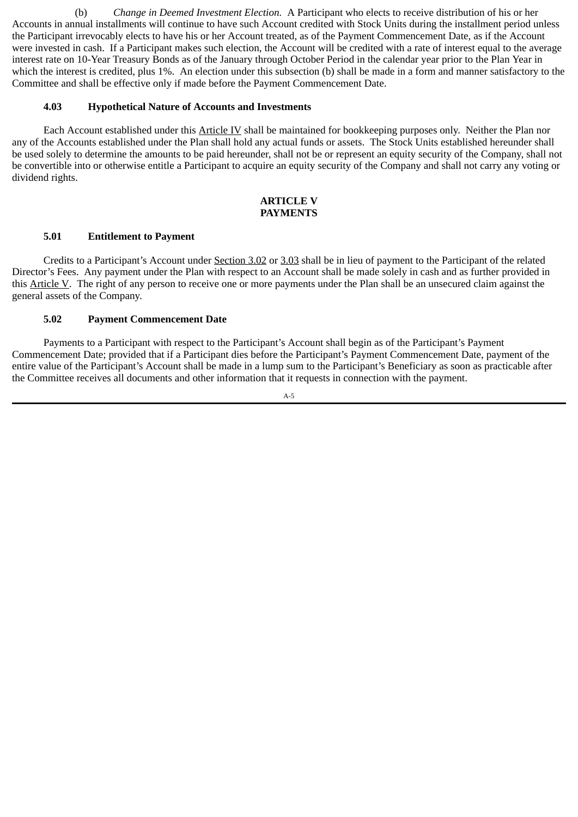(b) *Change in Deemed Investment Election.* A Participant who elects to receive distribution of his or her Accounts in annual installments will continue to have such Account credited with Stock Units during the installment period unless the Participant irrevocably elects to have his or her Account treated, as of the Payment Commencement Date, as if the Account were invested in cash. If a Participant makes such election, the Account will be credited with a rate of interest equal to the average interest rate on 10-Year Treasury Bonds as of the January through October Period in the calendar year prior to the Plan Year in which the interest is credited, plus 1%. An election under this subsection (b) shall be made in a form and manner satisfactory to the Committee and shall be effective only if made before the Payment Commencement Date.

# **4.03 Hypothetical Nature of Accounts and Investments**

Each Account established under this Article IV shall be maintained for bookkeeping purposes only. Neither the Plan nor any of the Accounts established under the Plan shall hold any actual funds or assets. The Stock Units established hereunder shall be used solely to determine the amounts to be paid hereunder, shall not be or represent an equity security of the Company, shall not be convertible into or otherwise entitle a Participant to acquire an equity security of the Company and shall not carry any voting or dividend rights.

# **ARTICLE V PAYMENTS**

### **5.01 Entitlement to Payment**

Credits to a Participant's Account under Section 3.02 or 3.03 shall be in lieu of payment to the Participant of the related Director's Fees. Any payment under the Plan with respect to an Account shall be made solely in cash and as further provided in this Article V. The right of any person to receive one or more payments under the Plan shall be an unsecured claim against the general assets of the Company.

## **5.02 Payment Commencement Date**

Payments to a Participant with respect to the Participant's Account shall begin as of the Participant's Payment Commencement Date; provided that if a Participant dies before the Participant's Payment Commencement Date, payment of the entire value of the Participant's Account shall be made in a lump sum to the Participant's Beneficiary as soon as practicable after the Committee receives all documents and other information that it requests in connection with the payment.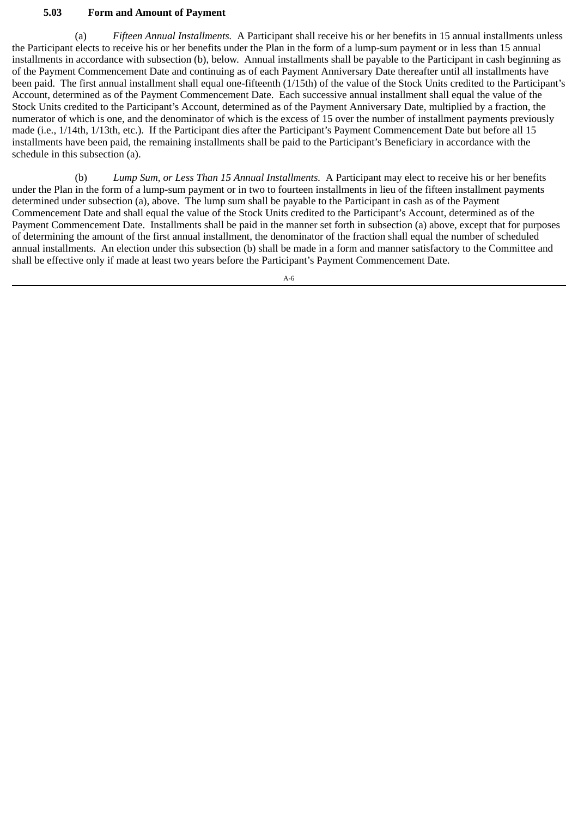# **5.03 Form and Amount of Payment**

(a) *Fifteen Annual Installments.* A Participant shall receive his or her benefits in 15 annual installments unless the Participant elects to receive his or her benefits under the Plan in the form of a lump-sum payment or in less than 15 annual installments in accordance with subsection (b), below. Annual installments shall be payable to the Participant in cash beginning as of the Payment Commencement Date and continuing as of each Payment Anniversary Date thereafter until all installments have been paid. The first annual installment shall equal one-fifteenth (1/15th) of the value of the Stock Units credited to the Participant's Account, determined as of the Payment Commencement Date. Each successive annual installment shall equal the value of the Stock Units credited to the Participant's Account, determined as of the Payment Anniversary Date, multiplied by a fraction, the numerator of which is one, and the denominator of which is the excess of 15 over the number of installment payments previously made (i.e., 1/14th, 1/13th, etc.). If the Participant dies after the Participant's Payment Commencement Date but before all 15 installments have been paid, the remaining installments shall be paid to the Participant's Beneficiary in accordance with the schedule in this subsection (a).

(b) *Lump Sum, or Less Than 15 Annual Installments.* A Participant may elect to receive his or her benefits under the Plan in the form of a lump-sum payment or in two to fourteen installments in lieu of the fifteen installment payments determined under subsection (a), above. The lump sum shall be payable to the Participant in cash as of the Payment Commencement Date and shall equal the value of the Stock Units credited to the Participant's Account, determined as of the Payment Commencement Date. Installments shall be paid in the manner set forth in subsection (a) above, except that for purposes of determining the amount of the first annual installment, the denominator of the fraction shall equal the number of scheduled annual installments. An election under this subsection (b) shall be made in a form and manner satisfactory to the Committee and shall be effective only if made at least two years before the Participant's Payment Commencement Date.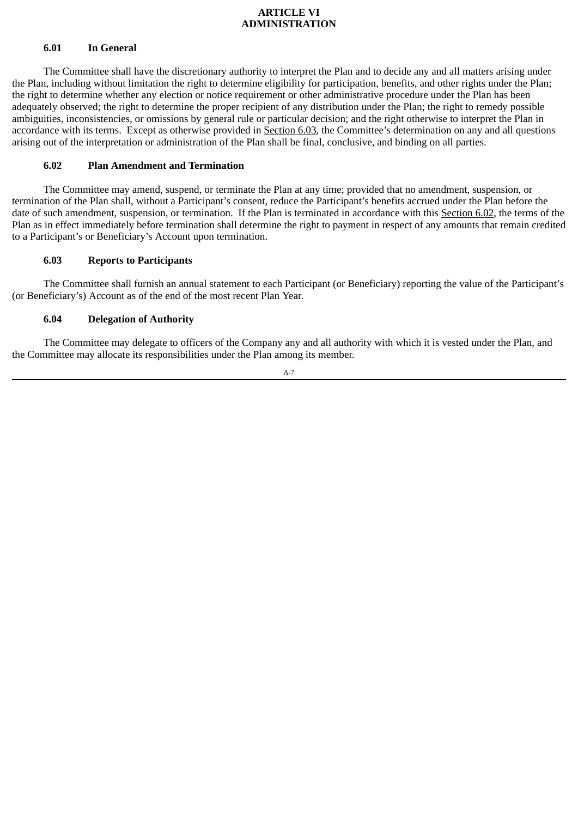## **ARTICLE VI ADMINISTRATION**

# **6.01 In General**

The Committee shall have the discretionary authority to interpret the Plan and to decide any and all matters arising under the Plan, including without limitation the right to determine eligibility for participation, benefits, and other rights under the Plan; the right to determine whether any election or notice requirement or other administrative procedure under the Plan has been adequately observed; the right to determine the proper recipient of any distribution under the Plan; the right to remedy possible ambiguities, inconsistencies, or omissions by general rule or particular decision; and the right otherwise to interpret the Plan in accordance with its terms. Except as otherwise provided in Section 6.03, the Committee's determination on any and all questions arising out of the interpretation or administration of the Plan shall be final, conclusive, and binding on all parties.

## **6.02 Plan Amendment and Termination**

The Committee may amend, suspend, or terminate the Plan at any time; provided that no amendment, suspension, or termination of the Plan shall, without a Participant's consent, reduce the Participant's benefits accrued under the Plan before the date of such amendment, suspension, or termination. If the Plan is terminated in accordance with this Section 6.02, the terms of the Plan as in effect immediately before termination shall determine the right to payment in respect of any amounts that remain credited to a Participant's or Beneficiary's Account upon termination.

# **6.03 Reports to Participants**

The Committee shall furnish an annual statement to each Participant (or Beneficiary) reporting the value of the Participant's (or Beneficiary's) Account as of the end of the most recent Plan Year.

# **6.04 Delegation of Authority**

The Committee may delegate to officers of the Company any and all authority with which it is vested under the Plan, and the Committee may allocate its responsibilities under the Plan among its member.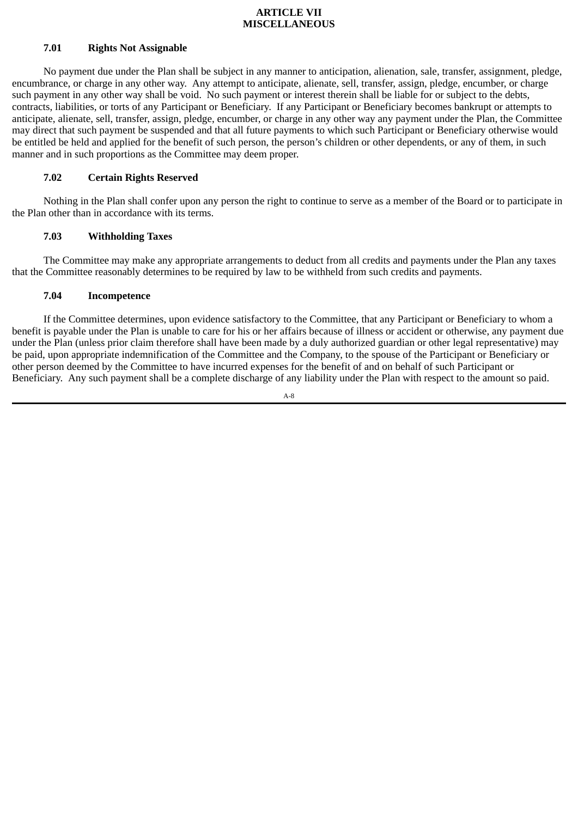### **ARTICLE VII MISCELLANEOUS**

# **7.01 Rights Not Assignable**

No payment due under the Plan shall be subject in any manner to anticipation, alienation, sale, transfer, assignment, pledge, encumbrance, or charge in any other way. Any attempt to anticipate, alienate, sell, transfer, assign, pledge, encumber, or charge such payment in any other way shall be void. No such payment or interest therein shall be liable for or subject to the debts, contracts, liabilities, or torts of any Participant or Beneficiary. If any Participant or Beneficiary becomes bankrupt or attempts to anticipate, alienate, sell, transfer, assign, pledge, encumber, or charge in any other way any payment under the Plan, the Committee may direct that such payment be suspended and that all future payments to which such Participant or Beneficiary otherwise would be entitled be held and applied for the benefit of such person, the person's children or other dependents, or any of them, in such manner and in such proportions as the Committee may deem proper.

# **7.02 Certain Rights Reserved**

Nothing in the Plan shall confer upon any person the right to continue to serve as a member of the Board or to participate in the Plan other than in accordance with its terms.

## **7.03 Withholding Taxes**

The Committee may make any appropriate arrangements to deduct from all credits and payments under the Plan any taxes that the Committee reasonably determines to be required by law to be withheld from such credits and payments.

# **7.04 Incompetence**

If the Committee determines, upon evidence satisfactory to the Committee, that any Participant or Beneficiary to whom a benefit is payable under the Plan is unable to care for his or her affairs because of illness or accident or otherwise, any payment due under the Plan (unless prior claim therefore shall have been made by a duly authorized guardian or other legal representative) may be paid, upon appropriate indemnification of the Committee and the Company, to the spouse of the Participant or Beneficiary or other person deemed by the Committee to have incurred expenses for the benefit of and on behalf of such Participant or Beneficiary. Any such payment shall be a complete discharge of any liability under the Plan with respect to the amount so paid.

$$
A-8
$$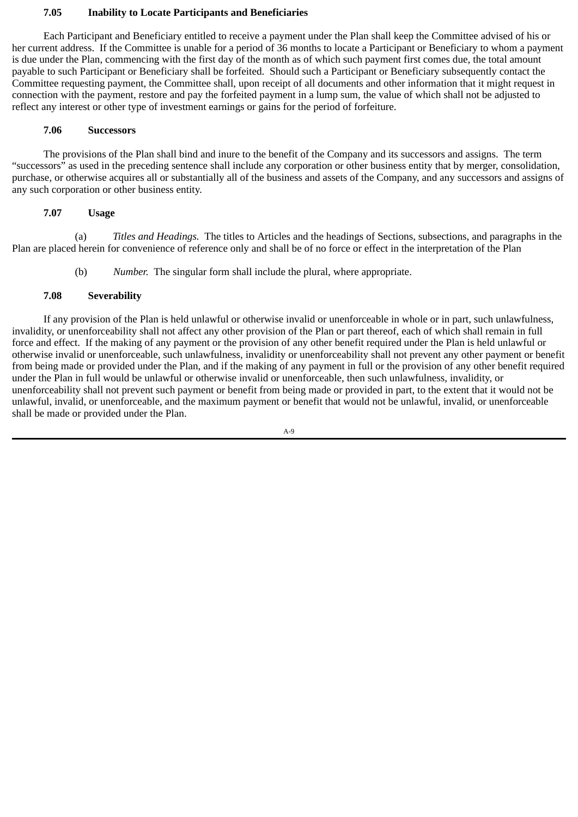## **7.05 Inability to Locate Participants and Beneficiaries**

Each Participant and Beneficiary entitled to receive a payment under the Plan shall keep the Committee advised of his or her current address. If the Committee is unable for a period of 36 months to locate a Participant or Beneficiary to whom a payment is due under the Plan, commencing with the first day of the month as of which such payment first comes due, the total amount payable to such Participant or Beneficiary shall be forfeited. Should such a Participant or Beneficiary subsequently contact the Committee requesting payment, the Committee shall, upon receipt of all documents and other information that it might request in connection with the payment, restore and pay the forfeited payment in a lump sum, the value of which shall not be adjusted to reflect any interest or other type of investment earnings or gains for the period of forfeiture.

### **7.06 Successors**

The provisions of the Plan shall bind and inure to the benefit of the Company and its successors and assigns. The term "successors" as used in the preceding sentence shall include any corporation or other business entity that by merger, consolidation, purchase, or otherwise acquires all or substantially all of the business and assets of the Company, and any successors and assigns of any such corporation or other business entity.

## **7.07 Usage**

(a) *Titles and Headings.* The titles to Articles and the headings of Sections, subsections, and paragraphs in the Plan are placed herein for convenience of reference only and shall be of no force or effect in the interpretation of the Plan

(b) *Number.* The singular form shall include the plural, where appropriate.

### **7.08 Severability**

If any provision of the Plan is held unlawful or otherwise invalid or unenforceable in whole or in part, such unlawfulness, invalidity, or unenforceability shall not affect any other provision of the Plan or part thereof, each of which shall remain in full force and effect. If the making of any payment or the provision of any other benefit required under the Plan is held unlawful or otherwise invalid or unenforceable, such unlawfulness, invalidity or unenforceability shall not prevent any other payment or benefit from being made or provided under the Plan, and if the making of any payment in full or the provision of any other benefit required under the Plan in full would be unlawful or otherwise invalid or unenforceable, then such unlawfulness, invalidity, or unenforceability shall not prevent such payment or benefit from being made or provided in part, to the extent that it would not be unlawful, invalid, or unenforceable, and the maximum payment or benefit that would not be unlawful, invalid, or unenforceable shall be made or provided under the Plan.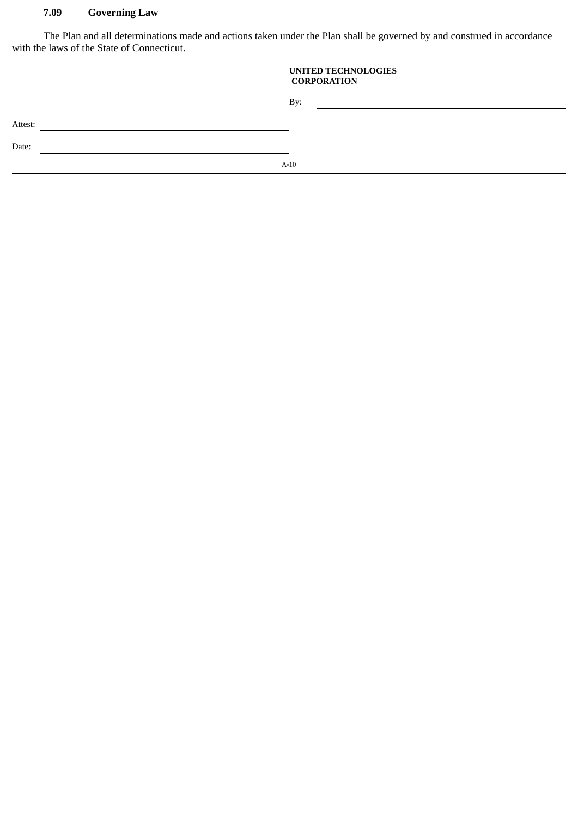# **7.09 Governing Law**

The Plan and all determinations made and actions taken under the Plan shall be governed by and construed in accordance with the laws of the State of Connecticut.

#### **UNITED TECHNOLOGIES CORPORATION**

By:

Attest:

Date: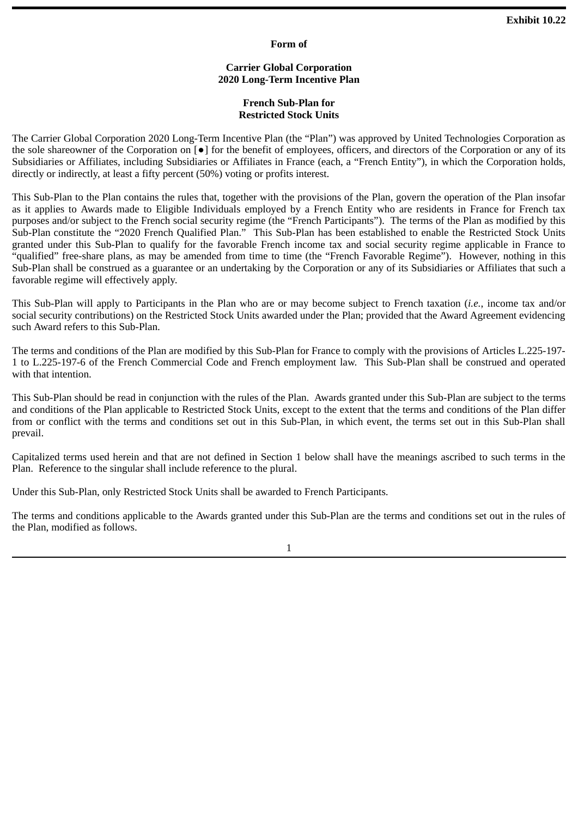## **Form of**

### **Carrier Global Corporation 2020 Long-Term Incentive Plan**

### **French Sub-Plan for Restricted Stock Units**

The Carrier Global Corporation 2020 Long-Term Incentive Plan (the "Plan") was approved by United Technologies Corporation as the sole shareowner of the Corporation on [●] for the benefit of employees, officers, and directors of the Corporation or any of its Subsidiaries or Affiliates, including Subsidiaries or Affiliates in France (each, a "French Entity"), in which the Corporation holds, directly or indirectly, at least a fifty percent (50%) voting or profits interest.

This Sub-Plan to the Plan contains the rules that, together with the provisions of the Plan, govern the operation of the Plan insofar as it applies to Awards made to Eligible Individuals employed by a French Entity who are residents in France for French tax purposes and/or subject to the French social security regime (the "French Participants"). The terms of the Plan as modified by this Sub-Plan constitute the "2020 French Qualified Plan." This Sub-Plan has been established to enable the Restricted Stock Units granted under this Sub-Plan to qualify for the favorable French income tax and social security regime applicable in France to "qualified" free-share plans, as may be amended from time to time (the "French Favorable Regime"). However, nothing in this Sub-Plan shall be construed as a guarantee or an undertaking by the Corporation or any of its Subsidiaries or Affiliates that such a favorable regime will effectively apply.

This Sub-Plan will apply to Participants in the Plan who are or may become subject to French taxation (*i.e.*, income tax and/or social security contributions) on the Restricted Stock Units awarded under the Plan; provided that the Award Agreement evidencing such Award refers to this Sub-Plan.

The terms and conditions of the Plan are modified by this Sub-Plan for France to comply with the provisions of Articles L.225-197- 1 to L.225-197-6 of the French Commercial Code and French employment law. This Sub-Plan shall be construed and operated with that intention.

This Sub-Plan should be read in conjunction with the rules of the Plan. Awards granted under this Sub-Plan are subject to the terms and conditions of the Plan applicable to Restricted Stock Units, except to the extent that the terms and conditions of the Plan differ from or conflict with the terms and conditions set out in this Sub-Plan, in which event, the terms set out in this Sub-Plan shall prevail.

Capitalized terms used herein and that are not defined in Section 1 below shall have the meanings ascribed to such terms in the Plan. Reference to the singular shall include reference to the plural.

Under this Sub-Plan, only Restricted Stock Units shall be awarded to French Participants.

The terms and conditions applicable to the Awards granted under this Sub-Plan are the terms and conditions set out in the rules of the Plan, modified as follows.

1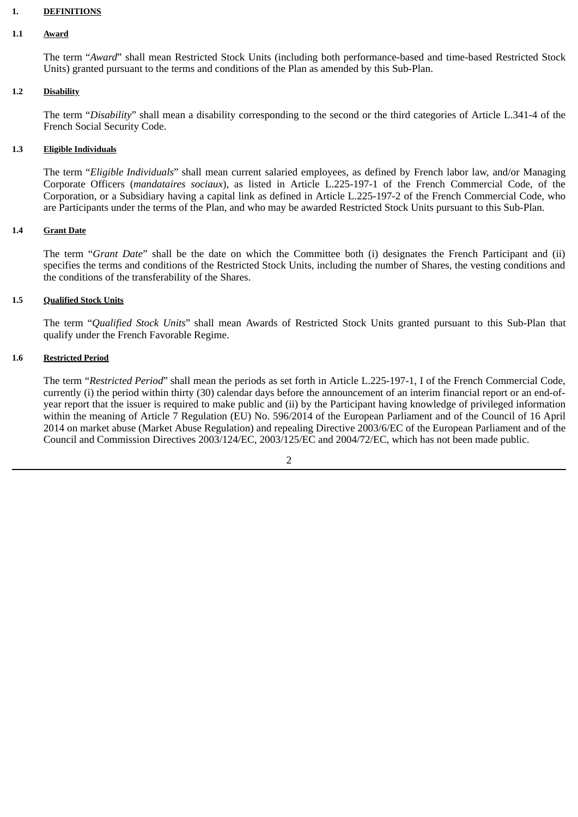### **1. DEFINITIONS**

#### **1.1 Award**

The term "*Award*" shall mean Restricted Stock Units (including both performance-based and time-based Restricted Stock Units) granted pursuant to the terms and conditions of the Plan as amended by this Sub-Plan.

## **1.2 Disability**

The term "*Disability*" shall mean a disability corresponding to the second or the third categories of Article L.341-4 of the French Social Security Code.

### **1.3 Eligible Individuals**

The term "*Eligible Individuals*" shall mean current salaried employees, as defined by French labor law, and/or Managing Corporate Officers (*mandataires sociaux*), as listed in Article L.225-197-1 of the French Commercial Code, of the Corporation, or a Subsidiary having a capital link as defined in Article L.225-197-2 of the French Commercial Code, who are Participants under the terms of the Plan, and who may be awarded Restricted Stock Units pursuant to this Sub-Plan.

#### **1.4 Grant Date**

The term "*Grant Date*" shall be the date on which the Committee both (i) designates the French Participant and (ii) specifies the terms and conditions of the Restricted Stock Units, including the number of Shares, the vesting conditions and the conditions of the transferability of the Shares.

#### **1.5 Qualified Stock Units**

The term "*Qualified Stock Units*" shall mean Awards of Restricted Stock Units granted pursuant to this Sub-Plan that qualify under the French Favorable Regime.

#### **1.6 Restricted Period**

The term "*Restricted Period*" shall mean the periods as set forth in Article L.225-197-1, I of the French Commercial Code, currently (i) the period within thirty (30) calendar days before the announcement of an interim financial report or an end-ofyear report that the issuer is required to make public and (ii) by the Participant having knowledge of privileged information within the meaning of Article 7 Regulation (EU) No. 596/2014 of the European Parliament and of the Council of 16 April 2014 on market abuse (Market Abuse Regulation) and repealing Directive 2003/6/EC of the European Parliament and of the Council and Commission Directives 2003/124/EC, 2003/125/EC and 2004/72/EC, which has not been made public.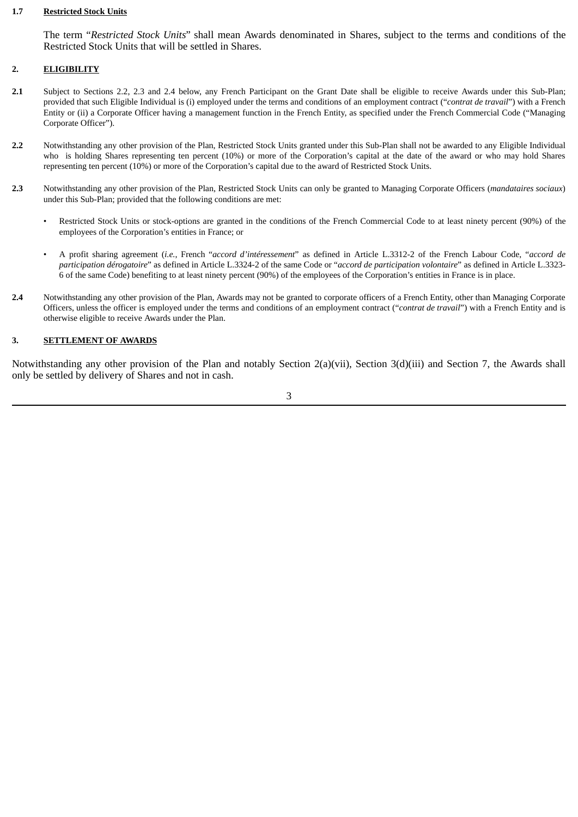#### **1.7 Restricted Stock Units**

The term "*Restricted Stock Units*" shall mean Awards denominated in Shares, subject to the terms and conditions of the Restricted Stock Units that will be settled in Shares.

### **2. ELIGIBILITY**

- **2.1** Subject to Sections 2.2, 2.3 and 2.4 below, any French Participant on the Grant Date shall be eligible to receive Awards under this Sub-Plan; provided that such Eligible Individual is (i) employed under the terms and conditions of an employment contract ("*contrat de travail*") with a French Entity or (ii) a Corporate Officer having a management function in the French Entity, as specified under the French Commercial Code ("Managing Corporate Officer").
- **2.2** Notwithstanding any other provision of the Plan, Restricted Stock Units granted under this Sub-Plan shall not be awarded to any Eligible Individual who is holding Shares representing ten percent (10%) or more of the Corporation's capital at the date of the award or who may hold Shares representing ten percent (10%) or more of the Corporation's capital due to the award of Restricted Stock Units.
- **2.3** Notwithstanding any other provision of the Plan, Restricted Stock Units can only be granted to Managing Corporate Officers (*mandataires sociaux*) under this Sub-Plan; provided that the following conditions are met:
	- Restricted Stock Units or stock-options are granted in the conditions of the French Commercial Code to at least ninety percent (90%) of the employees of the Corporation's entities in France; or
	- A profit sharing agreement (*i.e.*, French "*accord d'intéressement*" as defined in Article L.3312-2 of the French Labour Code, "*accord de participation dérogatoire*" as defined in Article L.3324-2 of the same Code or "*accord de participation volontaire*" as defined in Article L.3323- 6 of the same Code) benefiting to at least ninety percent (90%) of the employees of the Corporation's entities in France is in place.
- **2.4** Notwithstanding any other provision of the Plan, Awards may not be granted to corporate officers of a French Entity, other than Managing Corporate Officers, unless the officer is employed under the terms and conditions of an employment contract ("*contrat de travail*") with a French Entity and is otherwise eligible to receive Awards under the Plan.

#### **3. SETTLEMENT OF AWARDS**

Notwithstanding any other provision of the Plan and notably Section  $2(a)(vi)$ , Section  $3(d)(iii)$  and Section 7, the Awards shall only be settled by delivery of Shares and not in cash.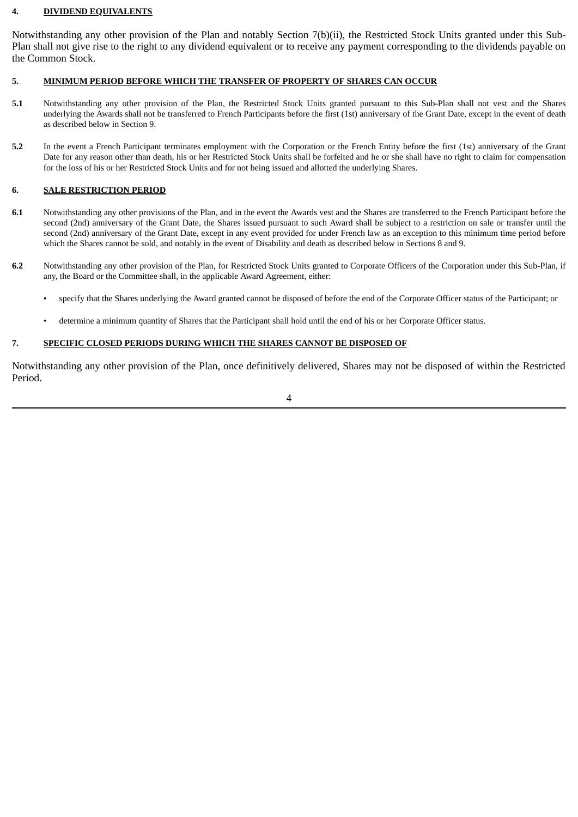### **4. DIVIDEND EQUIVALENTS**

Notwithstanding any other provision of the Plan and notably Section 7(b)(ii), the Restricted Stock Units granted under this Sub-Plan shall not give rise to the right to any dividend equivalent or to receive any payment corresponding to the dividends payable on the Common Stock.

#### **5. MINIMUM PERIOD BEFORE WHICH THE TRANSFER OF PROPERTY OF SHARES CAN OCCUR**

- **5.1** Notwithstanding any other provision of the Plan, the Restricted Stock Units granted pursuant to this Sub-Plan shall not vest and the Shares underlying the Awards shall not be transferred to French Participants before the first (1st) anniversary of the Grant Date, except in the event of death as described below in Section 9.
- **5.2** In the event a French Participant terminates employment with the Corporation or the French Entity before the first (1st) anniversary of the Grant Date for any reason other than death, his or her Restricted Stock Units shall be forfeited and he or she shall have no right to claim for compensation for the loss of his or her Restricted Stock Units and for not being issued and allotted the underlying Shares.

#### **6. SALE RESTRICTION PERIOD**

- **6.1** Notwithstanding any other provisions of the Plan, and in the event the Awards vest and the Shares are transferred to the French Participant before the second (2nd) anniversary of the Grant Date, the Shares issued pursuant to such Award shall be subject to a restriction on sale or transfer until the second (2nd) anniversary of the Grant Date, except in any event provided for under French law as an exception to this minimum time period before which the Shares cannot be sold, and notably in the event of Disability and death as described below in Sections 8 and 9.
- **6.2** Notwithstanding any other provision of the Plan, for Restricted Stock Units granted to Corporate Officers of the Corporation under this Sub-Plan, if any, the Board or the Committee shall, in the applicable Award Agreement, either:
	- specify that the Shares underlying the Award granted cannot be disposed of before the end of the Corporate Officer status of the Participant; or
	- determine a minimum quantity of Shares that the Participant shall hold until the end of his or her Corporate Officer status.

#### **7. SPECIFIC CLOSED PERIODS DURING WHICH THE SHARES CANNOT BE DISPOSED OF**

Notwithstanding any other provision of the Plan, once definitively delivered, Shares may not be disposed of within the Restricted Period.

4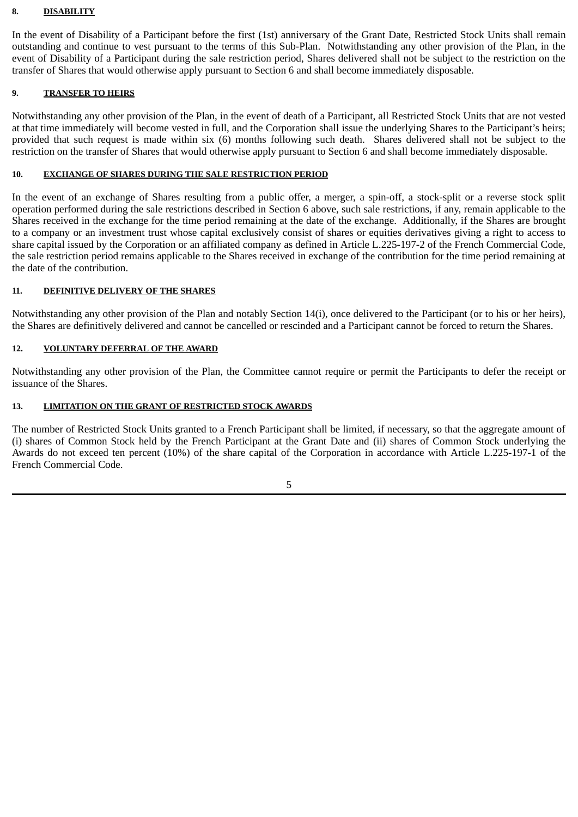### **8. DISABILITY**

In the event of Disability of a Participant before the first (1st) anniversary of the Grant Date, Restricted Stock Units shall remain outstanding and continue to vest pursuant to the terms of this Sub-Plan. Notwithstanding any other provision of the Plan, in the event of Disability of a Participant during the sale restriction period, Shares delivered shall not be subject to the restriction on the transfer of Shares that would otherwise apply pursuant to Section 6 and shall become immediately disposable.

### **9. TRANSFER TO HEIRS**

Notwithstanding any other provision of the Plan, in the event of death of a Participant, all Restricted Stock Units that are not vested at that time immediately will become vested in full, and the Corporation shall issue the underlying Shares to the Participant's heirs; provided that such request is made within six (6) months following such death. Shares delivered shall not be subject to the restriction on the transfer of Shares that would otherwise apply pursuant to Section 6 and shall become immediately disposable.

## **10. EXCHANGE OF SHARES DURING THE SALE RESTRICTION PERIOD**

In the event of an exchange of Shares resulting from a public offer, a merger, a spin-off, a stock-split or a reverse stock split operation performed during the sale restrictions described in Section 6 above, such sale restrictions, if any, remain applicable to the Shares received in the exchange for the time period remaining at the date of the exchange. Additionally, if the Shares are brought to a company or an investment trust whose capital exclusively consist of shares or equities derivatives giving a right to access to share capital issued by the Corporation or an affiliated company as defined in Article L.225-197-2 of the French Commercial Code, the sale restriction period remains applicable to the Shares received in exchange of the contribution for the time period remaining at the date of the contribution.

## **11. DEFINITIVE DELIVERY OF THE SHARES**

Notwithstanding any other provision of the Plan and notably Section 14(i), once delivered to the Participant (or to his or her heirs), the Shares are definitively delivered and cannot be cancelled or rescinded and a Participant cannot be forced to return the Shares.

## **12. VOLUNTARY DEFERRAL OF THE AWARD**

Notwithstanding any other provision of the Plan, the Committee cannot require or permit the Participants to defer the receipt or issuance of the Shares.

# **13. LIMITATION ON THE GRANT OF RESTRICTED STOCK AWARDS**

The number of Restricted Stock Units granted to a French Participant shall be limited, if necessary, so that the aggregate amount of (i) shares of Common Stock held by the French Participant at the Grant Date and (ii) shares of Common Stock underlying the Awards do not exceed ten percent (10%) of the share capital of the Corporation in accordance with Article L.225-197-1 of the French Commercial Code.

5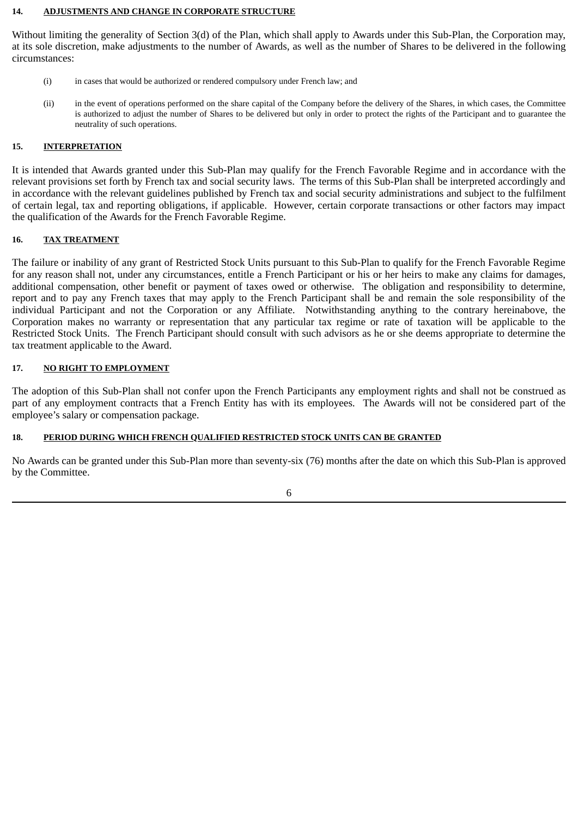### **14. ADJUSTMENTS AND CHANGE IN CORPORATE STRUCTURE**

Without limiting the generality of Section 3(d) of the Plan, which shall apply to Awards under this Sub-Plan, the Corporation may, at its sole discretion, make adjustments to the number of Awards, as well as the number of Shares to be delivered in the following circumstances:

- (i) in cases that would be authorized or rendered compulsory under French law; and
- (ii) in the event of operations performed on the share capital of the Company before the delivery of the Shares, in which cases, the Committee is authorized to adjust the number of Shares to be delivered but only in order to protect the rights of the Participant and to guarantee the neutrality of such operations.

# **15. INTERPRETATION**

It is intended that Awards granted under this Sub-Plan may qualify for the French Favorable Regime and in accordance with the relevant provisions set forth by French tax and social security laws. The terms of this Sub-Plan shall be interpreted accordingly and in accordance with the relevant guidelines published by French tax and social security administrations and subject to the fulfilment of certain legal, tax and reporting obligations, if applicable. However, certain corporate transactions or other factors may impact the qualification of the Awards for the French Favorable Regime.

## **16. TAX TREATMENT**

The failure or inability of any grant of Restricted Stock Units pursuant to this Sub-Plan to qualify for the French Favorable Regime for any reason shall not, under any circumstances, entitle a French Participant or his or her heirs to make any claims for damages, additional compensation, other benefit or payment of taxes owed or otherwise. The obligation and responsibility to determine, report and to pay any French taxes that may apply to the French Participant shall be and remain the sole responsibility of the individual Participant and not the Corporation or any Affiliate. Notwithstanding anything to the contrary hereinabove, the Corporation makes no warranty or representation that any particular tax regime or rate of taxation will be applicable to the Restricted Stock Units. The French Participant should consult with such advisors as he or she deems appropriate to determine the tax treatment applicable to the Award.

## **17. NO RIGHT TO EMPLOYMENT**

The adoption of this Sub-Plan shall not confer upon the French Participants any employment rights and shall not be construed as part of any employment contracts that a French Entity has with its employees. The Awards will not be considered part of the employee's salary or compensation package.

# **18. PERIOD DURING WHICH FRENCH QUALIFIED RESTRICTED STOCK UNITS CAN BE GRANTED**

No Awards can be granted under this Sub-Plan more than seventy-six (76) months after the date on which this Sub-Plan is approved by the Committee.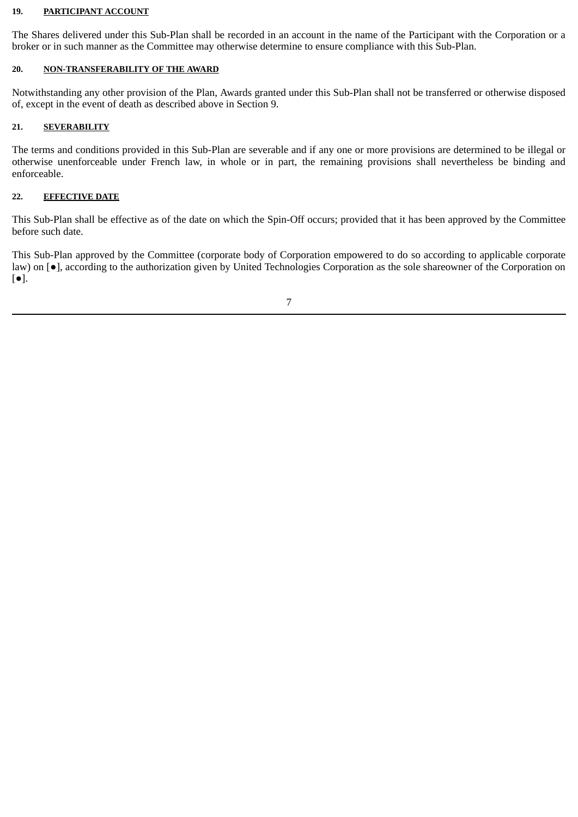### **19. PARTICIPANT ACCOUNT**

The Shares delivered under this Sub-Plan shall be recorded in an account in the name of the Participant with the Corporation or a broker or in such manner as the Committee may otherwise determine to ensure compliance with this Sub-Plan.

# **20. NON-TRANSFERABILITY OF THE AWARD**

Notwithstanding any other provision of the Plan, Awards granted under this Sub-Plan shall not be transferred or otherwise disposed of, except in the event of death as described above in Section 9.

# **21. SEVERABILITY**

The terms and conditions provided in this Sub-Plan are severable and if any one or more provisions are determined to be illegal or otherwise unenforceable under French law, in whole or in part, the remaining provisions shall nevertheless be binding and enforceable.

### **22. EFFECTIVE DATE**

This Sub-Plan shall be effective as of the date on which the Spin-Off occurs; provided that it has been approved by the Committee before such date.

This Sub-Plan approved by the Committee (corporate body of Corporation empowered to do so according to applicable corporate law) on [●], according to the authorization given by United Technologies Corporation as the sole shareowner of the Corporation on [●].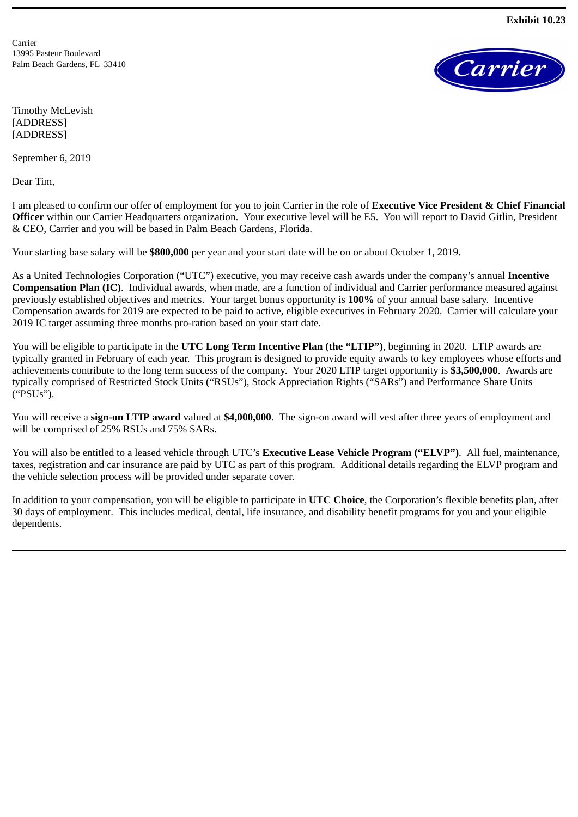**Exhibit 10.23**

Carrier 13995 Pasteur Boulevard Palm Beach Gardens, FL 33410



Timothy McLevish [ADDRESS] [ADDRESS]

September 6, 2019

Dear Tim,

I am pleased to confirm our offer of employment for you to join Carrier in the role of **Executive Vice President & Chief Financial Officer** within our Carrier Headquarters organization. Your executive level will be E5. You will report to David Gitlin, President & CEO, Carrier and you will be based in Palm Beach Gardens, Florida.

Your starting base salary will be **\$800,000** per year and your start date will be on or about October 1, 2019.

As a United Technologies Corporation ("UTC") executive, you may receive cash awards under the company's annual **Incentive Compensation Plan (IC)**.Individual awards, when made, are a function of individual and Carrier performance measured against previously established objectives and metrics. Your target bonus opportunity is **100%** of your annual base salary. Incentive Compensation awards for 2019 are expected to be paid to active, eligible executives in February 2020. Carrier will calculate your 2019 IC target assuming three months pro-ration based on your start date.

You will be eligible to participate in the **UTC Long Term Incentive Plan (the "LTIP")**, beginning in 2020. LTIP awards are typically granted in February of each year. This program is designed to provide equity awards to key employees whose efforts and achievements contribute to the long term success of the company. Your 2020 LTIP target opportunity is **\$3,500,000**. Awards are typically comprised of Restricted Stock Units ("RSUs"), Stock Appreciation Rights ("SARs") and Performance Share Units ("PSUs").

You will receive a **sign-on LTIP award** valued at **\$4,000,000**.The sign-on award will vest after three years of employment and will be comprised of 25% RSUs and 75% SARs.

You will also be entitled to a leased vehicle through UTC's **Executive Lease Vehicle Program ("ELVP")**. All fuel, maintenance, taxes, registration and car insurance are paid by UTC as part of this program. Additional details regarding the ELVP program and the vehicle selection process will be provided under separate cover.

In addition to your compensation, you will be eligible to participate in **UTC Choice**, the Corporation's flexible benefits plan, after 30 days of employment. This includes medical, dental, life insurance, and disability benefit programs for you and your eligible dependents.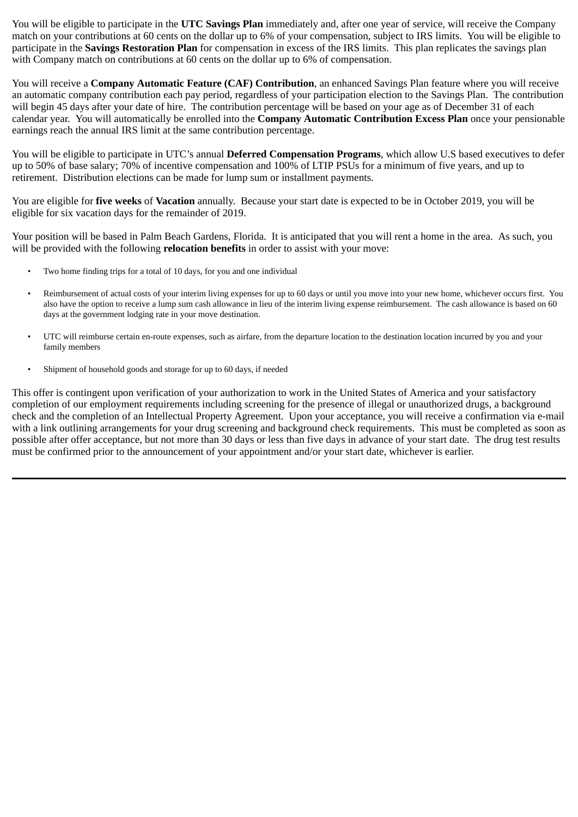You will be eligible to participate in the **UTC Savings Plan** immediately and, after one year of service, will receive the Company match on your contributions at 60 cents on the dollar up to 6% of your compensation, subject to IRS limits. You will be eligible to participate in the **Savings Restoration Plan** for compensation in excess of the IRS limits. This plan replicates the savings plan with Company match on contributions at 60 cents on the dollar up to 6% of compensation.

You will receive a **Company Automatic Feature (CAF) Contribution**, an enhanced Savings Plan feature where you will receive an automatic company contribution each pay period, regardless of your participation election to the Savings Plan. The contribution will begin 45 days after your date of hire. The contribution percentage will be based on your age as of December 31 of each calendar year. You will automatically be enrolled into the **Company Automatic Contribution Excess Plan** once your pensionable earnings reach the annual IRS limit at the same contribution percentage.

You will be eligible to participate in UTC's annual **Deferred Compensation Programs**, which allow U.S based executives to defer up to 50% of base salary; 70% of incentive compensation and 100% of LTIP PSUs for a minimum of five years, and up to retirement. Distribution elections can be made for lump sum or installment payments.

You are eligible for **five weeks** of **Vacation** annually. Because your start date is expected to be in October 2019, you will be eligible for six vacation days for the remainder of 2019.

Your position will be based in Palm Beach Gardens, Florida. It is anticipated that you will rent a home in the area. As such, you will be provided with the following **relocation benefits** in order to assist with your move:

- Two home finding trips for a total of 10 days, for you and one individual
- Reimbursement of actual costs of your interim living expenses for up to 60 days or until you move into your new home, whichever occurs first. You also have the option to receive a lump sum cash allowance in lieu of the interim living expense reimbursement. The cash allowance is based on 60 days at the government lodging rate in your move destination.
- UTC will reimburse certain en-route expenses, such as airfare, from the departure location to the destination location incurred by you and your family members
- Shipment of household goods and storage for up to 60 days, if needed

This offer is contingent upon verification of your authorization to work in the United States of America and your satisfactory completion of our employment requirements including screening for the presence of illegal or unauthorized drugs, a background check and the completion of an Intellectual Property Agreement. Upon your acceptance, you will receive a confirmation via e-mail with a link outlining arrangements for your drug screening and background check requirements. This must be completed as soon as possible after offer acceptance, but not more than 30 days or less than five days in advance of your start date. The drug test results must be confirmed prior to the announcement of your appointment and/or your start date, whichever is earlier.